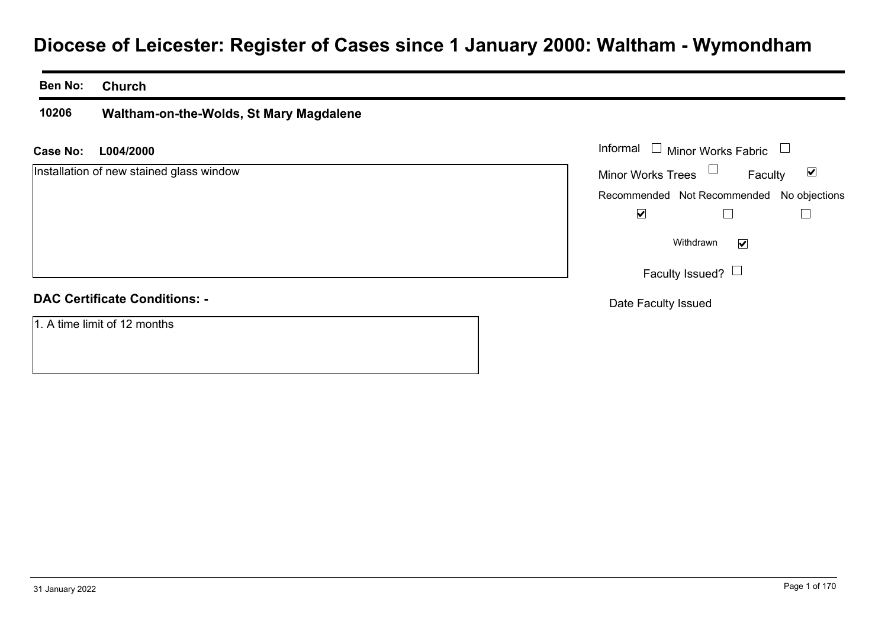# **Diocese of Leicester: Register of Cases since 1 January 2000: Waltham - Wymondham**

#### **Ben No:Church**

**10206Waltham-on-the-Wolds, St Mary Magdalene**

#### **L004/2000Case No:** Informal

Installation of new stained glass window

#### **DAC Certificate Conditions: -**

1. A time limit of 12 months

| Informal<br>Minor Works Fabric<br>$\Box$  |         |   |
|-------------------------------------------|---------|---|
| <b>Minor Works Trees</b>                  | Faculty | V |
| Recommended Not Recommended No objections |         |   |
|                                           |         |   |
| Withdrawn                                 |         |   |
| Faculty Issued? $\Box$                    |         |   |
| Date Faculty Issued                       |         |   |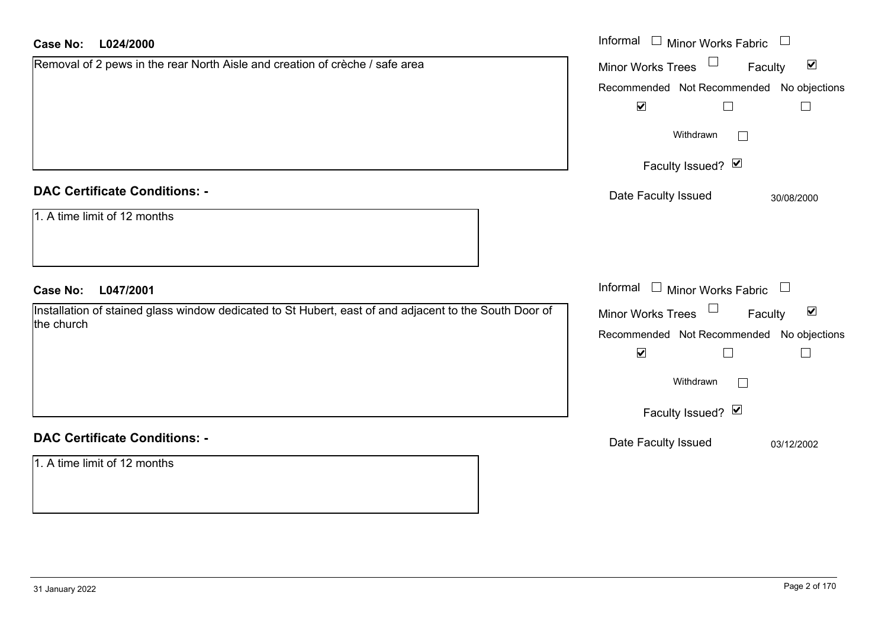| Case No:<br>L024/2000                                                                                  | Informal $\Box$ Minor Works Fabric $\Box$                      |
|--------------------------------------------------------------------------------------------------------|----------------------------------------------------------------|
| Removal of 2 pews in the rear North Aisle and creation of crèche / safe area                           | $\Box$<br>$\blacktriangledown$<br>Faculty<br>Minor Works Trees |
|                                                                                                        | Recommended Not Recommended No objections                      |
|                                                                                                        | $\blacktriangledown$<br>$\Box$                                 |
|                                                                                                        | Withdrawn                                                      |
|                                                                                                        | Faculty Issued? Ø                                              |
| <b>DAC Certificate Conditions: -</b>                                                                   | Date Faculty Issued<br>30/08/2000                              |
| 1. A time limit of 12 months                                                                           |                                                                |
| <b>Case No:</b><br>L047/2001                                                                           | Informal $\Box$ Minor Works Fabric $\Box$                      |
| Installation of stained glass window dedicated to St Hubert, east of and adjacent to the South Door of | Minor Works Trees<br>$\blacktriangledown$<br>Faculty           |
| the church                                                                                             | Recommended Not Recommended No objections                      |
|                                                                                                        | $\blacktriangledown$<br>П                                      |
|                                                                                                        | Withdrawn                                                      |
|                                                                                                        | Faculty Issued? Ø                                              |
| <b>DAC Certificate Conditions: -</b>                                                                   | Date Faculty Issued<br>03/12/2002                              |
| 1. A time limit of 12 months                                                                           |                                                                |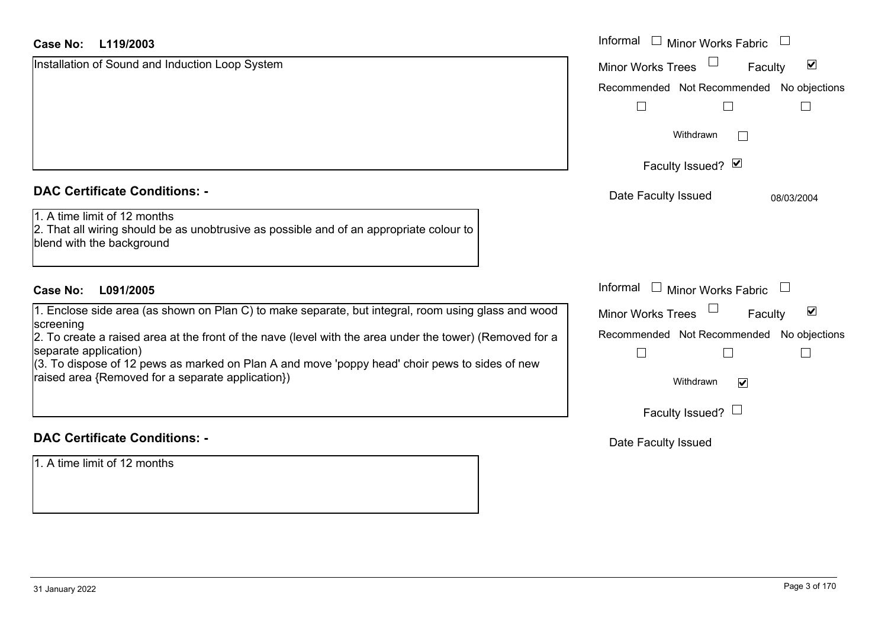#### **L119/2003Case No:**

| <b>Case No:</b><br>L119/2003                                                                                                                                                                                                                                                             | Informal I Minor Works Fabric                               |  |
|------------------------------------------------------------------------------------------------------------------------------------------------------------------------------------------------------------------------------------------------------------------------------------------|-------------------------------------------------------------|--|
| Installation of Sound and Induction Loop System                                                                                                                                                                                                                                          | $\blacktriangledown$<br><b>Minor Works Trees</b><br>Faculty |  |
|                                                                                                                                                                                                                                                                                          | Recommended Not Recommended No objections                   |  |
|                                                                                                                                                                                                                                                                                          |                                                             |  |
|                                                                                                                                                                                                                                                                                          | Withdrawn                                                   |  |
|                                                                                                                                                                                                                                                                                          | Faculty Issued? Ø                                           |  |
| <b>DAC Certificate Conditions: -</b>                                                                                                                                                                                                                                                     | Date Faculty Issued<br>08/03/2004                           |  |
| 1. A time limit of 12 months<br>2. That all wiring should be as unobtrusive as possible and of an appropriate colour to<br>blend with the background                                                                                                                                     |                                                             |  |
| <b>Case No:</b><br>L091/2005                                                                                                                                                                                                                                                             | Informal $\Box$ Minor Works Fabric $\Box$                   |  |
| 1. Enclose side area (as shown on Plan C) to make separate, but integral, room using glass and wood<br>screening                                                                                                                                                                         | $\blacktriangledown$<br><b>Minor Works Trees</b><br>Faculty |  |
| 2. To create a raised area at the front of the nave (level with the area under the tower) (Removed for a<br>separate application)<br>(3. To dispose of 12 pews as marked on Plan A and move 'poppy head' choir pews to sides of new<br>raised area {Removed for a separate application}) | Recommended Not Recommended No objections                   |  |
|                                                                                                                                                                                                                                                                                          | Withdrawn<br>$\blacktriangledown$                           |  |
|                                                                                                                                                                                                                                                                                          | Faculty Issued? $\Box$                                      |  |
| <b>DAC Certificate Conditions: -</b>                                                                                                                                                                                                                                                     | Date Faculty Issued                                         |  |
| 1. A time limit of 12 months                                                                                                                                                                                                                                                             |                                                             |  |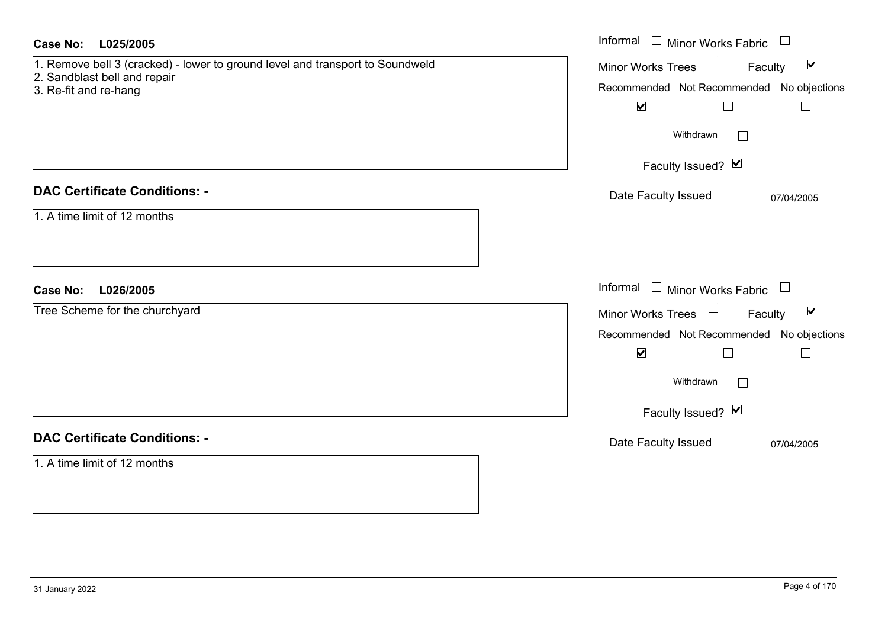| L025/2005<br><b>Case No:</b>                                                                                  | Informal<br>$\Box$ Minor Works Fabric                             |
|---------------------------------------------------------------------------------------------------------------|-------------------------------------------------------------------|
| 1. Remove bell 3 (cracked) - lower to ground level and transport to Soundweld<br>2. Sandblast bell and repair | Minor Works Trees <sup>1</sup><br>$\blacktriangledown$<br>Faculty |
| 3. Re-fit and re-hang                                                                                         | Recommended Not Recommended No objections                         |
|                                                                                                               | $\blacktriangledown$<br>$\Box$<br>$\Box$                          |
|                                                                                                               | Withdrawn<br>$\perp$                                              |
|                                                                                                               | Faculty Issued? Ø                                                 |
| <b>DAC Certificate Conditions: -</b>                                                                          | Date Faculty Issued<br>07/04/2005                                 |
| 1. A time limit of 12 months                                                                                  |                                                                   |
| <b>Case No:</b><br>L026/2005                                                                                  | Informal<br>$\Box$ Minor Works Fabric $\Box$                      |
| Tree Scheme for the churchyard                                                                                | $\Box$<br>$\blacktriangledown$<br>Minor Works Trees<br>Faculty    |
|                                                                                                               | Recommended Not Recommended No objections                         |
|                                                                                                               | $\blacktriangledown$<br>$\Box$<br>$\Box$                          |
|                                                                                                               | Withdrawn<br>$\perp$                                              |
|                                                                                                               | Faculty Issued? Ø                                                 |
| <b>DAC Certificate Conditions: -</b>                                                                          | Date Faculty Issued<br>07/04/2005                                 |
| 1. A time limit of 12 months                                                                                  |                                                                   |
|                                                                                                               |                                                                   |
|                                                                                                               |                                                                   |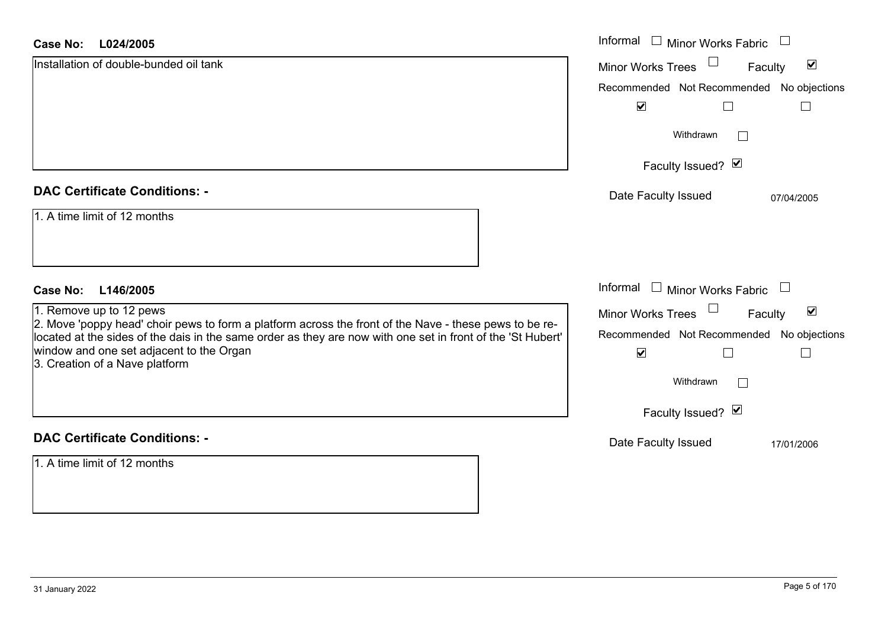#### **L024/2005Case No:**

| Case No:<br>L024/2005                                                                                                                                                                                                 | Informal $\Box$ Minor Works Fabric                          |
|-----------------------------------------------------------------------------------------------------------------------------------------------------------------------------------------------------------------------|-------------------------------------------------------------|
| Installation of double-bunded oil tank                                                                                                                                                                                | $\blacktriangledown$<br>Minor Works Trees<br>Faculty        |
|                                                                                                                                                                                                                       | Recommended Not Recommended No objections                   |
|                                                                                                                                                                                                                       | $\blacktriangledown$                                        |
|                                                                                                                                                                                                                       | Withdrawn                                                   |
|                                                                                                                                                                                                                       | Faculty Issued? Ø                                           |
| <b>DAC Certificate Conditions: -</b>                                                                                                                                                                                  | Date Faculty Issued<br>07/04/2005                           |
| 1. A time limit of 12 months                                                                                                                                                                                          |                                                             |
| <b>Case No:</b><br>L146/2005                                                                                                                                                                                          | Informal<br>$\Box$ Minor Works Fabric<br>$\Box$             |
| 1. Remove up to 12 pews                                                                                                                                                                                               | $\blacktriangledown$<br><b>Minor Works Trees</b><br>Faculty |
| 2. Move 'poppy head' choir pews to form a platform across the front of the Nave - these pews to be re-<br>located at the sides of the dais in the same order as they are now with one set in front of the 'St Hubert' | Recommended Not Recommended No objections                   |
| window and one set adjacent to the Organ<br>3. Creation of a Nave platform                                                                                                                                            | $\blacktriangledown$                                        |
|                                                                                                                                                                                                                       | Withdrawn<br>$\mathbf{L}$                                   |
|                                                                                                                                                                                                                       | Faculty Issued? Ø                                           |
| <b>DAC Certificate Conditions: -</b>                                                                                                                                                                                  | Date Faculty Issued<br>17/01/2006                           |
| 1. A time limit of 12 months                                                                                                                                                                                          |                                                             |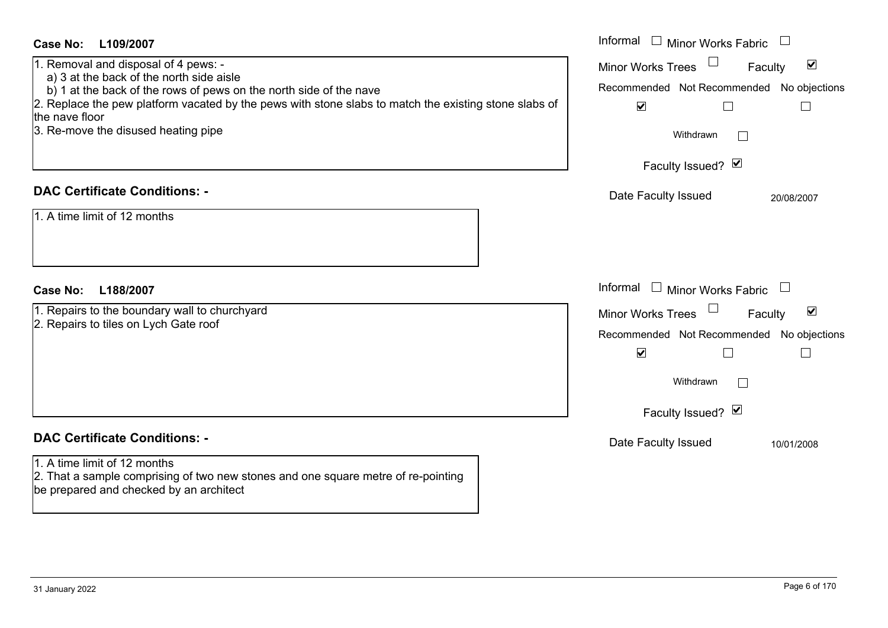| <b>Case No:</b><br>L109/2007                                                                                                 | Informal □ Minor Works Fabric                                                               |
|------------------------------------------------------------------------------------------------------------------------------|---------------------------------------------------------------------------------------------|
| 1. Removal and disposal of 4 pews: -                                                                                         | $\blacktriangledown$<br><b>Minor Works Trees</b><br>Faculty                                 |
| a) 3 at the back of the north side aisle<br>b) 1 at the back of the rows of pews on the north side of the nave               | Recommended Not Recommended No objections                                                   |
| 2. Replace the pew platform vacated by the pews with stone slabs to match the existing stone slabs of                        | $\blacktriangledown$<br>$\Box$<br>$\Box$                                                    |
| the nave floor                                                                                                               |                                                                                             |
| 3. Re-move the disused heating pipe                                                                                          | Withdrawn                                                                                   |
|                                                                                                                              | Faculty Issued? Ø                                                                           |
|                                                                                                                              |                                                                                             |
| <b>DAC Certificate Conditions: -</b>                                                                                         | Date Faculty Issued<br>20/08/2007                                                           |
| 1. A time limit of 12 months                                                                                                 |                                                                                             |
|                                                                                                                              |                                                                                             |
|                                                                                                                              |                                                                                             |
|                                                                                                                              |                                                                                             |
| <b>Case No:</b><br>L188/2007                                                                                                 | Informal<br>$\Box$ Minor Works Fabric                                                       |
| 1. Repairs to the boundary wall to churchyard                                                                                | $\blacktriangledown$<br><b>Minor Works Trees</b><br>Faculty                                 |
| 2. Repairs to tiles on Lych Gate roof                                                                                        |                                                                                             |
|                                                                                                                              |                                                                                             |
|                                                                                                                              | Recommended Not Recommended No objections<br>$\blacktriangledown$<br>$\Box$<br>$\mathbb{L}$ |
|                                                                                                                              |                                                                                             |
|                                                                                                                              | Withdrawn                                                                                   |
|                                                                                                                              |                                                                                             |
|                                                                                                                              | Faculty Issued? Ø                                                                           |
| <b>DAC Certificate Conditions: -</b>                                                                                         | Date Faculty Issued<br>10/01/2008                                                           |
| 1. A time limit of 12 months                                                                                                 |                                                                                             |
| 2. That a sample comprising of two new stones and one square metre of re-pointing<br>be prepared and checked by an architect |                                                                                             |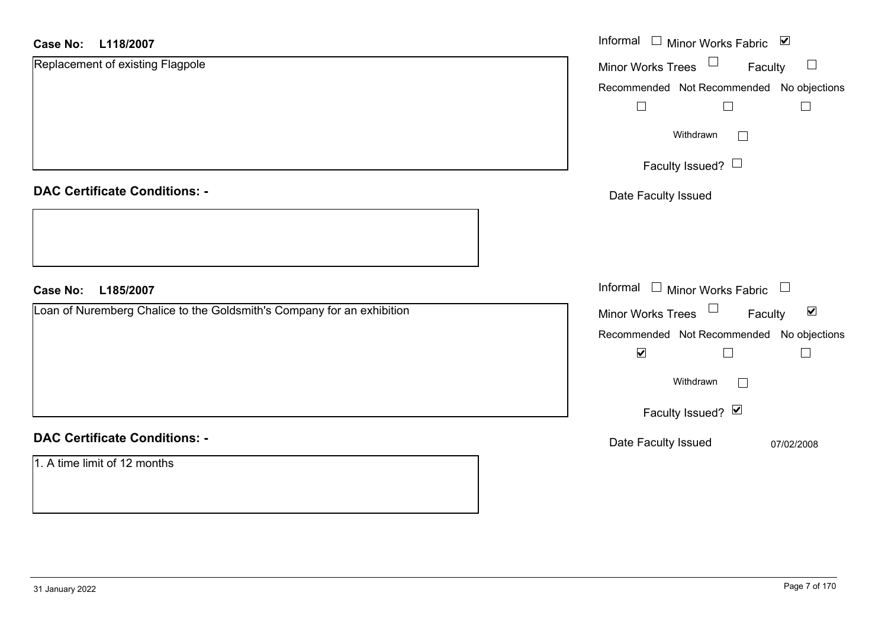#### **L118/2007Case No:**

| <b>Case No:</b><br>L118/2007                                           | Informal □ Minor Works Fabric ☑                             |
|------------------------------------------------------------------------|-------------------------------------------------------------|
| Replacement of existing Flagpole                                       | Minor Works Trees<br>$\Box$<br>Faculty                      |
|                                                                        | Recommended Not Recommended No objections                   |
|                                                                        | $\Box$<br>$\Box$<br>$\Box$                                  |
|                                                                        | Withdrawn<br>$\mathbb{R}^n$                                 |
|                                                                        | Faculty Issued? $\Box$                                      |
| <b>DAC Certificate Conditions: -</b>                                   | Date Faculty Issued                                         |
|                                                                        |                                                             |
| <b>Case No:</b><br>L185/2007                                           | Informal $\Box$ Minor Works Fabric $\Box$                   |
| Loan of Nuremberg Chalice to the Goldsmith's Company for an exhibition | Minor Works Trees $\Box$<br>$\blacktriangledown$<br>Faculty |
|                                                                        | Recommended Not Recommended No objections                   |
|                                                                        | $\blacktriangledown$<br>$\Box$<br>$\overline{\phantom{a}}$  |
|                                                                        | Withdrawn                                                   |
|                                                                        | Faculty Issued? Ø                                           |
| <b>DAC Certificate Conditions: -</b>                                   | Date Faculty Issued<br>07/02/2008                           |
| 1. A time limit of 12 months                                           |                                                             |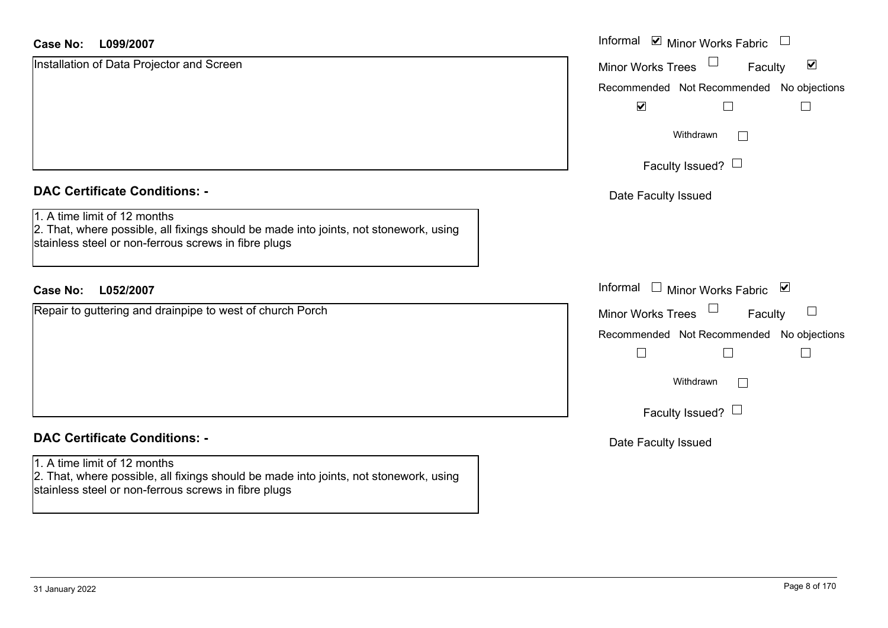| <b>Case No:</b><br>L099/2007                                                                                                                                                  | Informal ⊠ Minor Works Fabric                               |
|-------------------------------------------------------------------------------------------------------------------------------------------------------------------------------|-------------------------------------------------------------|
| Installation of Data Projector and Screen                                                                                                                                     | $\blacktriangledown$<br><b>Minor Works Trees</b><br>Faculty |
|                                                                                                                                                                               | Recommended Not Recommended No objections                   |
|                                                                                                                                                                               | $\blacktriangledown$                                        |
|                                                                                                                                                                               | Withdrawn                                                   |
|                                                                                                                                                                               | Faculty Issued? $\Box$                                      |
| <b>DAC Certificate Conditions: -</b>                                                                                                                                          | Date Faculty Issued                                         |
| 1. A time limit of 12 months<br>2. That, where possible, all fixings should be made into joints, not stonework, using<br>stainless steel or non-ferrous screws in fibre plugs |                                                             |
| L052/2007<br><b>Case No:</b>                                                                                                                                                  | Informal<br>Minor Works Fabric ⊠<br>$\Box$                  |
| Repair to guttering and drainpipe to west of church Porch                                                                                                                     | <b>Minor Works Trees</b><br>$\Box$<br>Faculty               |
|                                                                                                                                                                               | Recommended Not Recommended No objections                   |
|                                                                                                                                                                               | Г                                                           |
|                                                                                                                                                                               | Withdrawn<br>$\Box$                                         |
|                                                                                                                                                                               | Faculty Issued? $\Box$                                      |
| <b>DAC Certificate Conditions: -</b>                                                                                                                                          | Date Faculty Issued                                         |
| 1. A time limit of 12 months                                                                                                                                                  |                                                             |
| 2. That, where possible, all fixings should be made into joints, not stonework, using<br>stainless steel or non-ferrous screws in fibre plugs                                 |                                                             |

L.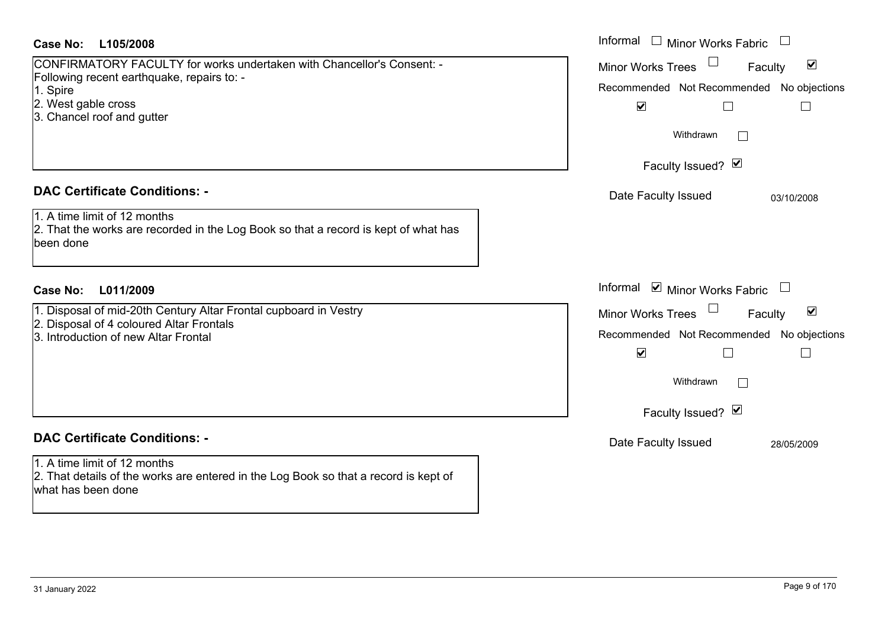| 1. A time limit of 12 months<br>2. That the works are recorded in the Log Book so that a record is kept of what has<br>been done                     |  |
|------------------------------------------------------------------------------------------------------------------------------------------------------|--|
|                                                                                                                                                      |  |
| <b>Case No:</b><br>L011/2009                                                                                                                         |  |
| 1. Disposal of mid-20th Century Altar Frontal cupboard in Vestry<br>2. Disposal of 4 coloured Altar Frontals<br>3. Introduction of new Altar Frontal |  |
| <b>DAC Certificate Conditions: -</b>                                                                                                                 |  |

1. Spire

| Case No:<br>L105/2008                                                                                                            | Informal □ Minor Works Fabric                                  |
|----------------------------------------------------------------------------------------------------------------------------------|----------------------------------------------------------------|
| CONFIRMATORY FACULTY for works undertaken with Chancellor's Consent: -<br>Following recent earthquake, repairs to: -             | $\blacktriangledown$<br><b>Minor Works Trees</b><br>Faculty    |
| 1. Spire                                                                                                                         | Recommended Not Recommended No objections                      |
| 2. West gable cross                                                                                                              | $\blacktriangledown$                                           |
| 3. Chancel roof and gutter                                                                                                       |                                                                |
|                                                                                                                                  | Withdrawn                                                      |
|                                                                                                                                  | Faculty Issued? Ø                                              |
| <b>DAC Certificate Conditions: -</b>                                                                                             | Date Faculty Issued<br>03/10/2008                              |
| 1. A time limit of 12 months<br>2. That the works are recorded in the Log Book so that a record is kept of what has<br>been done |                                                                |
| L011/2009<br>Case No:                                                                                                            | Informal <b>☑</b> Minor Works Fabric                           |
| 1. Disposal of mid-20th Century Altar Frontal cupboard in Vestry                                                                 | $\blacktriangledown$<br>$\Box$<br>Minor Works Trees<br>Faculty |
| 2. Disposal of 4 coloured Altar Frontals                                                                                         |                                                                |
| 3. Introduction of new Altar Frontal                                                                                             | Recommended Not Recommended No objections                      |
|                                                                                                                                  | $\blacktriangledown$<br>$\Box$                                 |
|                                                                                                                                  | Withdrawn                                                      |
|                                                                                                                                  | Faculty Issued? Ø                                              |
| <b>DAC Certificate Conditions: -</b>                                                                                             | Date Faculty Issued<br>28/05/2009                              |
| 1. A time limit of 12 months                                                                                                     |                                                                |
| 2. That details of the works are entered in the Log Book so that a record is kept of                                             |                                                                |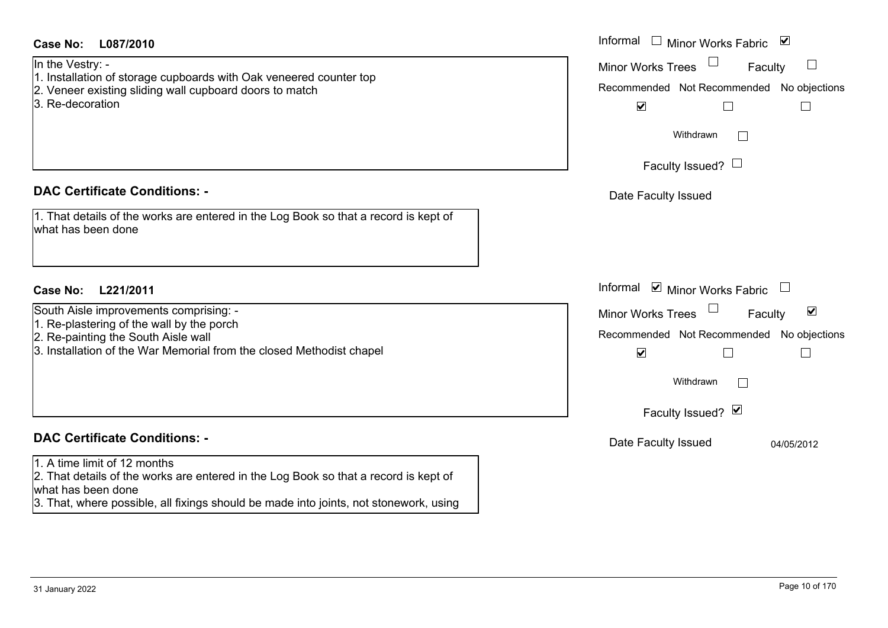| Case No:<br>L087/2010                                                                                                                                                                                                               | Informal<br>$\overline{\phantom{a}}$<br>$\blacktriangledown$<br>Minor Works Fabric                                                                                                                               |
|-------------------------------------------------------------------------------------------------------------------------------------------------------------------------------------------------------------------------------------|------------------------------------------------------------------------------------------------------------------------------------------------------------------------------------------------------------------|
| In the Vestry: -<br>1. Installation of storage cupboards with Oak veneered counter top<br>2. Veneer existing sliding wall cupboard doors to match<br>3. Re-decoration                                                               | <b>Minor Works Trees</b><br>Faculty<br>Recommended Not Recommended No objections<br>$\blacktriangledown$<br>$\sqcup$<br>$\Box$<br>Withdrawn                                                                      |
|                                                                                                                                                                                                                                     | $\Box$<br>Faculty Issued? $\Box$                                                                                                                                                                                 |
| <b>DAC Certificate Conditions: -</b>                                                                                                                                                                                                | Date Faculty Issued                                                                                                                                                                                              |
| 1. That details of the works are entered in the Log Book so that a record is kept of<br>what has been done                                                                                                                          |                                                                                                                                                                                                                  |
| <b>Case No:</b><br>L221/2011                                                                                                                                                                                                        | Informal ☑ Minor Works Fabric<br>$\Box$                                                                                                                                                                          |
| South Aisle improvements comprising: -<br>1. Re-plastering of the wall by the porch<br>2. Re-painting the South Aisle wall<br>3. Installation of the War Memorial from the closed Methodist chapel                                  | $\blacktriangledown$<br><b>Minor Works Trees</b><br>Faculty<br>Recommended Not Recommended<br>No objections<br>$\blacktriangledown$<br>$\overline{\phantom{a}}$<br>L<br>Withdrawn<br>$\Box$<br>Faculty Issued? Ø |
| <b>DAC Certificate Conditions: -</b>                                                                                                                                                                                                | Date Faculty Issued<br>04/05/2012                                                                                                                                                                                |
| 1. A time limit of 12 months<br>2. That details of the works are entered in the Log Book so that a record is kept of<br>what has been done<br>3. That, where possible, all fixings should be made into joints, not stonework, using |                                                                                                                                                                                                                  |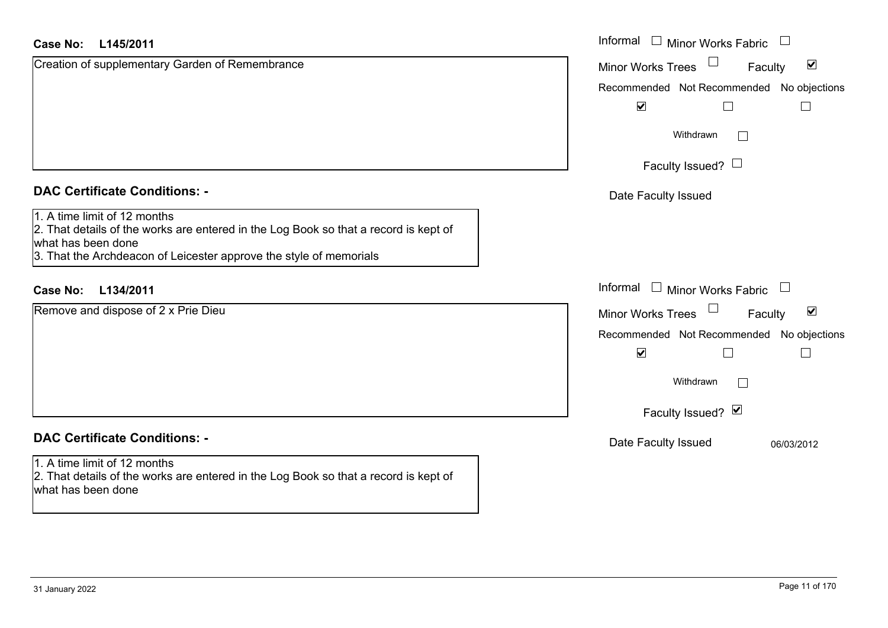| <b>Case No:</b><br>L145/2011                                                                                                                                                                                     | Informal<br><b>Minor Works Fabric</b>                       |
|------------------------------------------------------------------------------------------------------------------------------------------------------------------------------------------------------------------|-------------------------------------------------------------|
| Creation of supplementary Garden of Remembrance                                                                                                                                                                  | $\blacktriangledown$<br><b>Minor Works Trees</b><br>Faculty |
|                                                                                                                                                                                                                  | Recommended Not Recommended No objections                   |
|                                                                                                                                                                                                                  | $\blacktriangledown$                                        |
|                                                                                                                                                                                                                  | Withdrawn                                                   |
|                                                                                                                                                                                                                  | Faculty Issued? $\Box$                                      |
| <b>DAC Certificate Conditions: -</b>                                                                                                                                                                             | Date Faculty Issued                                         |
| 1. A time limit of 12 months<br>2. That details of the works are entered in the Log Book so that a record is kept of<br>what has been done<br>3. That the Archdeacon of Leicester approve the style of memorials |                                                             |
| <b>Case No:</b><br>L134/2011                                                                                                                                                                                     | Informal<br><b>Minor Works Fabric</b><br>$\Box$             |
| Remove and dispose of 2 x Prie Dieu                                                                                                                                                                              | $\blacktriangledown$<br><b>Minor Works Trees</b><br>Faculty |
|                                                                                                                                                                                                                  | Recommended Not Recommended No objections                   |
|                                                                                                                                                                                                                  | $\blacktriangledown$                                        |
|                                                                                                                                                                                                                  | Withdrawn<br>$\Box$                                         |
|                                                                                                                                                                                                                  | Faculty Issued? Ø                                           |
| <b>DAC Certificate Conditions: -</b>                                                                                                                                                                             | Date Faculty Issued<br>06/03/2012                           |
| 1. A time limit of 12 months<br>2. That details of the works are entered in the Log Book so that a record is kept of<br>what has been done                                                                       |                                                             |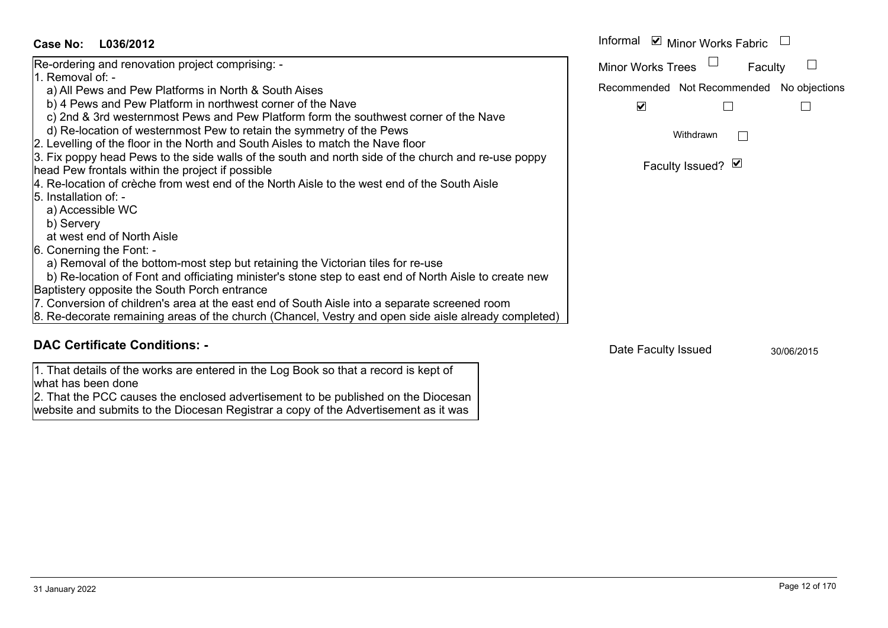#### **L036/2012Case No:**

| Case No:<br>L036/2012                                                                                 | Informal ⊠ Minor Works Fabric             |
|-------------------------------------------------------------------------------------------------------|-------------------------------------------|
| Re-ordering and renovation project comprising: -                                                      | <b>Minor Works Trees</b><br>Faculty       |
| 11. Removal of: -                                                                                     |                                           |
| a) All Pews and Pew Platforms in North & South Aises                                                  | Recommended Not Recommended No objections |
| b) 4 Pews and Pew Platform in northwest corner of the Nave                                            | $\blacktriangledown$                      |
| c) 2nd & 3rd westernmost Pews and Pew Platform form the southwest corner of the Nave                  |                                           |
| d) Re-location of westernmost Pew to retain the symmetry of the Pews                                  | Withdrawn                                 |
| 2. Levelling of the floor in the North and South Aisles to match the Nave floor                       |                                           |
| 3. Fix poppy head Pews to the side walls of the south and north side of the church and re-use poppy   |                                           |
| head Pew frontals within the project if possible                                                      | Faculty Issued? Ø                         |
| 4. Re-location of crèche from west end of the North Aisle to the west end of the South Aisle          |                                           |
| 5. Installation of: -                                                                                 |                                           |
| a) Accessible WC                                                                                      |                                           |
| b) Servery                                                                                            |                                           |
| at west end of North Aisle                                                                            |                                           |
| 6. Conerning the Font: -                                                                              |                                           |
| a) Removal of the bottom-most step but retaining the Victorian tiles for re-use                       |                                           |
| b) Re-location of Font and officiating minister's stone step to east end of North Aisle to create new |                                           |
| Baptistery opposite the South Porch entrance                                                          |                                           |
| 7. Conversion of children's area at the east end of South Aisle into a separate screened room         |                                           |
| 8. Re-decorate remaining areas of the church (Chancel, Vestry and open side aisle already completed)  |                                           |

### **DAC Certificate Conditions: -**

1. That details of the works are entered in the Log Book so that a record is kept of what has been done

 2. That the PCC causes the enclosed advertisement to be published on the Diocesan website and submits to the Diocesan Registrar a copy of the Advertisement as it was

Date Faculty Issued 30/06/2015

 $\overline{ }$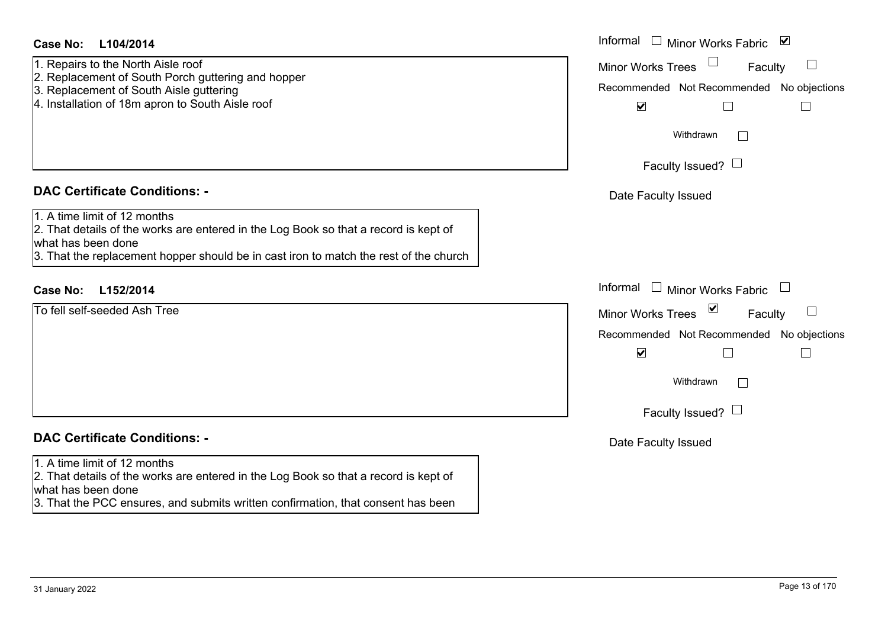| <b>Case No:</b> | L104/2014 |
|-----------------|-----------|
|-----------------|-----------|

- 1. Repairs to the North Aisle roof 2. Replacement of South Porch guttering and hopper
- 
- 3. Replacement of South Aisle guttering
- 4. Installation of 18m apron to South Aisle roof

#### **DAC Certificate Conditions: -**

1. A time limit of 12 months

2. That details of the works are entered in the Log Book so that a record is kept of what has been done

3. That the replacement hopper should be in cast iron to match the rest of the church

## **L152/2014Case No:** Informal

To fell self-seeded Ash Tree

## **DAC Certificate Conditions: -**

#### 1. A time limit of 12 months

2. That details of the works are entered in the Log Book so that a record is kept of what has been done

3. That the PCC ensures, and submits written confirmation, that consent has been

| L104/2014                                                                                                                                                                                     | Informal □ Minor Works Fabric<br>⊻                                                                                                                              |
|-----------------------------------------------------------------------------------------------------------------------------------------------------------------------------------------------|-----------------------------------------------------------------------------------------------------------------------------------------------------------------|
| s to the North Aisle roof<br>cement of South Porch guttering and hopper<br>cement of South Aisle guttering<br>ation of 18m apron to South Aisle roof                                          | $\overline{\phantom{a}}$<br><b>Minor Works Trees</b><br>Faculty<br>Recommended Not Recommended No objections<br>$\blacktriangledown$                            |
|                                                                                                                                                                                               | Withdrawn<br>$\mathbf{I}$                                                                                                                                       |
|                                                                                                                                                                                               | Faculty Issued? $\Box$                                                                                                                                          |
| rtificate Conditions: -                                                                                                                                                                       | Date Faculty Issued                                                                                                                                             |
| limit of 12 months<br>etails of the works are entered in the Log Book so that a record is kept of<br>been done<br>e replacement hopper should be in cast iron to match the rest of the church |                                                                                                                                                                 |
| L152/2014                                                                                                                                                                                     | Informal □ Minor Works Fabric                                                                                                                                   |
| <b>If-seeded Ash Tree</b>                                                                                                                                                                     | Minor Works Trees <sup>1</sup><br>$\Box$<br>Faculty<br>Recommended Not Recommended No objections<br>$\blacktriangledown$<br>Withdrawn<br>Faculty Issued? $\Box$ |
| rtificate Conditions: -                                                                                                                                                                       | Date Faculty Issued                                                                                                                                             |
| limit of 12 months                                                                                                                                                                            |                                                                                                                                                                 |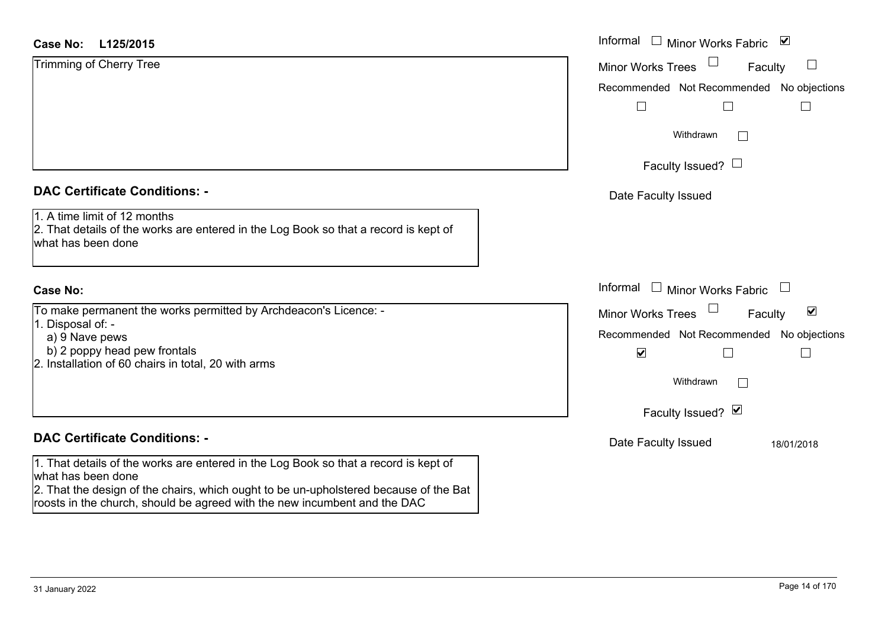#### **L125/2015Case No:**

| <b>Case No:</b><br>L125/2015                                                                                                               | Informal |
|--------------------------------------------------------------------------------------------------------------------------------------------|----------|
| Trimming of Cherry Tree                                                                                                                    | Minor W  |
|                                                                                                                                            | Recomm   |
|                                                                                                                                            |          |
|                                                                                                                                            |          |
|                                                                                                                                            |          |
|                                                                                                                                            |          |
| <b>DAC Certificate Conditions: -</b>                                                                                                       | Date I   |
| 1. A time limit of 12 months<br>2. That details of the works are entered in the Log Book so that a record is kept of<br>what has been done |          |

## **Case No:**

To make permanent the works permitted by Archdeacon's Licence: -

- 1. Disposal of:
	- a) 9 Nave pews
- b) 2 poppy head pew frontals
- 2. Installation of 60 chairs in total, 20 with arms

## **DAC Certificate Conditions: -**

1. That details of the works are entered in the Log Book so that a record is kept of what has been done

2. That the design of the chairs, which ought to be un-upholstered because of the Bat roosts in the church, should be agreed with the new incumbent and the DAC

| L125/2015                                                                                                                                               | Informal □ Minor Works Fabric ⊠                                                                                                                         |
|---------------------------------------------------------------------------------------------------------------------------------------------------------|---------------------------------------------------------------------------------------------------------------------------------------------------------|
| of Cherry Tree                                                                                                                                          | Minor Works Trees<br>Faculty<br>$\Box$                                                                                                                  |
|                                                                                                                                                         | Recommended Not Recommended No objections                                                                                                               |
|                                                                                                                                                         | Withdrawn                                                                                                                                               |
|                                                                                                                                                         | Faculty Issued? $\Box$                                                                                                                                  |
| rtificate Conditions: -                                                                                                                                 | Date Faculty Issued                                                                                                                                     |
| limit of 12 months<br>etails of the works are entered in the Log Book so that a record is kept of<br>been done                                          |                                                                                                                                                         |
|                                                                                                                                                         | Informal $\Box$ Minor Works Fabric $\Box$                                                                                                               |
| permanent the works permitted by Archdeacon's Licence: -<br>al of: -<br>ave pews<br>pppy head pew frontals<br>ation of 60 chairs in total, 20 with arms | $\blacktriangledown$<br><b>Minor Works Trees</b><br>Faculty<br>Recommended Not Recommended No objections<br>$\blacktriangledown$<br>$\Box$<br>Withdrawn |
|                                                                                                                                                         | Faculty Issued? Ø                                                                                                                                       |
| rtificate Conditions: -                                                                                                                                 | Date Faculty Issued<br>18/01/2018                                                                                                                       |
| etails of the works are entered in the Log Book so that a record is kept of                                                                             |                                                                                                                                                         |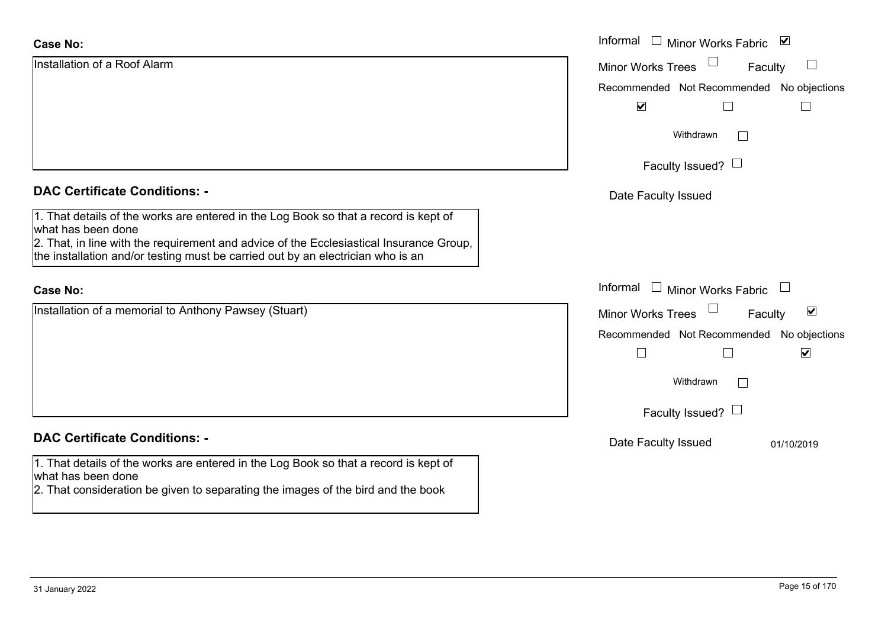| <b>Case No:</b>                                                                                                                                                                                                                                                                          | Informal $\Box$ Minor Works Fabric $\Box$                   |
|------------------------------------------------------------------------------------------------------------------------------------------------------------------------------------------------------------------------------------------------------------------------------------------|-------------------------------------------------------------|
| Installation of a Roof Alarm                                                                                                                                                                                                                                                             | Minor Works Trees<br>ப<br>Faculty                           |
|                                                                                                                                                                                                                                                                                          | Recommended Not Recommended No objections                   |
|                                                                                                                                                                                                                                                                                          | $\blacktriangledown$                                        |
|                                                                                                                                                                                                                                                                                          | Withdrawn                                                   |
|                                                                                                                                                                                                                                                                                          | Faculty Issued? $\Box$                                      |
| <b>DAC Certificate Conditions: -</b>                                                                                                                                                                                                                                                     | Date Faculty Issued                                         |
| 1. That details of the works are entered in the Log Book so that a record is kept of<br>what has been done<br>2. That, in line with the requirement and advice of the Ecclesiastical Insurance Group,<br>the installation and/or testing must be carried out by an electrician who is an |                                                             |
| <b>Case No:</b>                                                                                                                                                                                                                                                                          | Informal<br>$\Box$ Minor Works Fabric $\Box$                |
| Installation of a memorial to Anthony Pawsey (Stuart)                                                                                                                                                                                                                                    | $\blacktriangledown$<br><b>Minor Works Trees</b><br>Faculty |
|                                                                                                                                                                                                                                                                                          | Recommended Not Recommended No objections                   |
|                                                                                                                                                                                                                                                                                          | $\blacktriangledown$<br>$\Box$                              |
|                                                                                                                                                                                                                                                                                          | Withdrawn                                                   |
|                                                                                                                                                                                                                                                                                          | Faculty Issued? $\Box$                                      |
| <b>DAC Certificate Conditions: -</b>                                                                                                                                                                                                                                                     | Date Faculty Issued<br>01/10/2019                           |
| 1. That details of the works are entered in the Log Book so that a record is kept of<br>what has been done<br>2. That consideration be given to separating the images of the bird and the book                                                                                           |                                                             |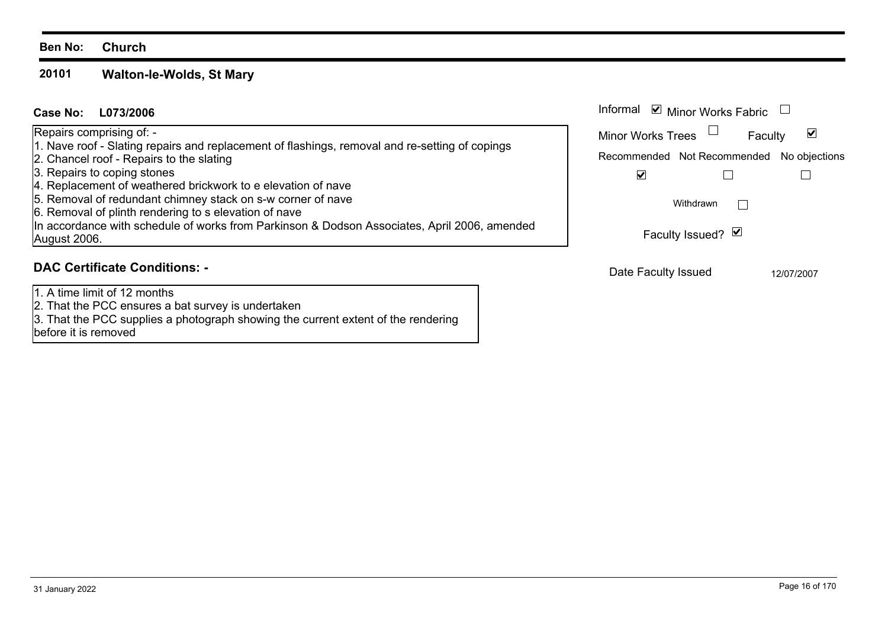#### **Ben No: Church**

#### **20101Walton-le-Wolds, St Mary**

| Case No:<br>L073/2006                                                                                                                                                                | Informal $\blacksquare$ Minor Works Fabric                    |  |
|--------------------------------------------------------------------------------------------------------------------------------------------------------------------------------------|---------------------------------------------------------------|--|
| Repairs comprising of: -                                                                                                                                                             | <b>Minor Works Trees</b><br>$\vert\mathbf{v}\vert$<br>Faculty |  |
| 1. Nave roof - Slating repairs and replacement of flashings, removal and re-setting of copings<br>2. Chancel roof - Repairs to the slating                                           | Recommended Not Recommended No objections                     |  |
| 3. Repairs to coping stones                                                                                                                                                          | M                                                             |  |
| 4. Replacement of weathered brickwork to e elevation of nave<br>5. Removal of redundant chimney stack on s-w corner of nave<br>6. Removal of plinth rendering to s elevation of nave | Withdrawn                                                     |  |
| In accordance with schedule of works from Parkinson & Dodson Associates, April 2006, amended<br>August 2006.                                                                         | Faculty Issued? Ø                                             |  |
| <b>DAC Certificate Conditions: -</b>                                                                                                                                                 | Dota Foculty Iccupal<br>101070007                             |  |

1. A time limit of 12 months

2. That the PCC ensures a bat survey is undertaken

3. That the PCC supplies a photograph showing the current extent of the rendering

before it is removed

Date Faculty Issued 12/07/2007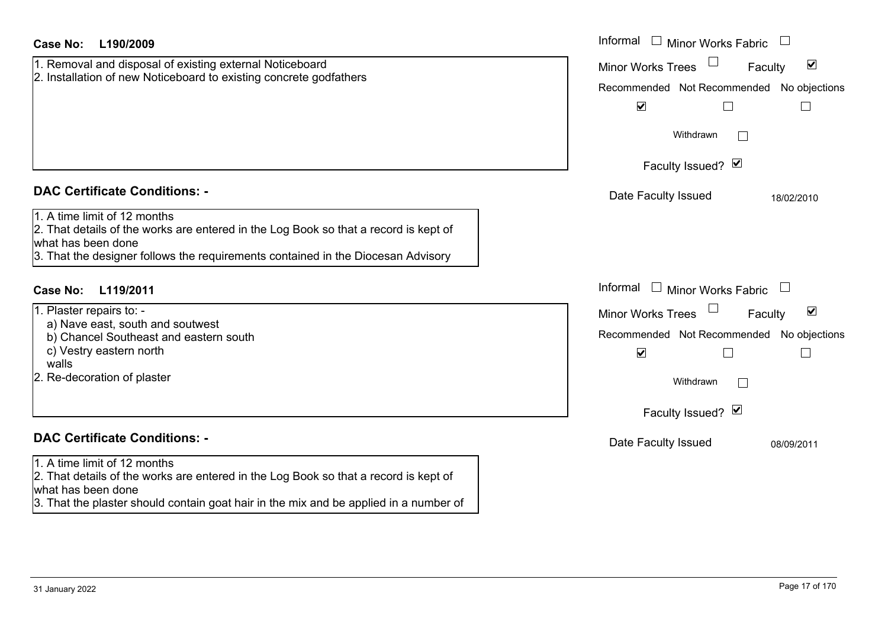| <b>Case No:</b><br>L190/2009                                                                                                                                                                                                                                           | Informal □ Minor Works Fabric                                                                                                                                                                      |
|------------------------------------------------------------------------------------------------------------------------------------------------------------------------------------------------------------------------------------------------------------------------|----------------------------------------------------------------------------------------------------------------------------------------------------------------------------------------------------|
| 1. Removal and disposal of existing external Noticeboard<br>2. Installation of new Noticeboard to existing concrete godfathers                                                                                                                                         | $\blacktriangledown$<br><b>Minor Works Trees</b><br>Faculty<br>Recommended Not Recommended No objections<br>$\blacktriangledown$<br>$\mathbf{L}$<br>$\mathbf{I}$<br>Withdrawn<br>Faculty Issued? Ø |
|                                                                                                                                                                                                                                                                        |                                                                                                                                                                                                    |
| <b>DAC Certificate Conditions: -</b><br>1. A time limit of 12 months<br>2. That details of the works are entered in the Log Book so that a record is kept of<br>what has been done<br>3. That the designer follows the requirements contained in the Diocesan Advisory | Date Faculty Issued<br>18/02/2010                                                                                                                                                                  |
| Case No:<br>L119/2011                                                                                                                                                                                                                                                  | Informal<br>$\Box$<br>Minor Works Fabric                                                                                                                                                           |
| 1. Plaster repairs to: -<br>a) Nave east, south and soutwest<br>b) Chancel Southeast and eastern south<br>c) Vestry eastern north<br>walls<br>2. Re-decoration of plaster                                                                                              | $\blacktriangledown$<br><b>Minor Works Trees</b><br>Faculty<br>Recommended Not Recommended<br>No objections<br>$\blacktriangledown$<br>$\Box$<br>$\Box$<br>Withdrawn<br>Faculty Issued? Ø          |
| <b>DAC Certificate Conditions: -</b>                                                                                                                                                                                                                                   | Date Faculty Issued<br>08/09/2011                                                                                                                                                                  |
| 1. A time limit of 12 months<br>2. That details of the works are entered in the Log Book so that a record is kept of<br>what has been done<br>3. That the plaster should contain goat hair in the mix and be applied in a number of                                    |                                                                                                                                                                                                    |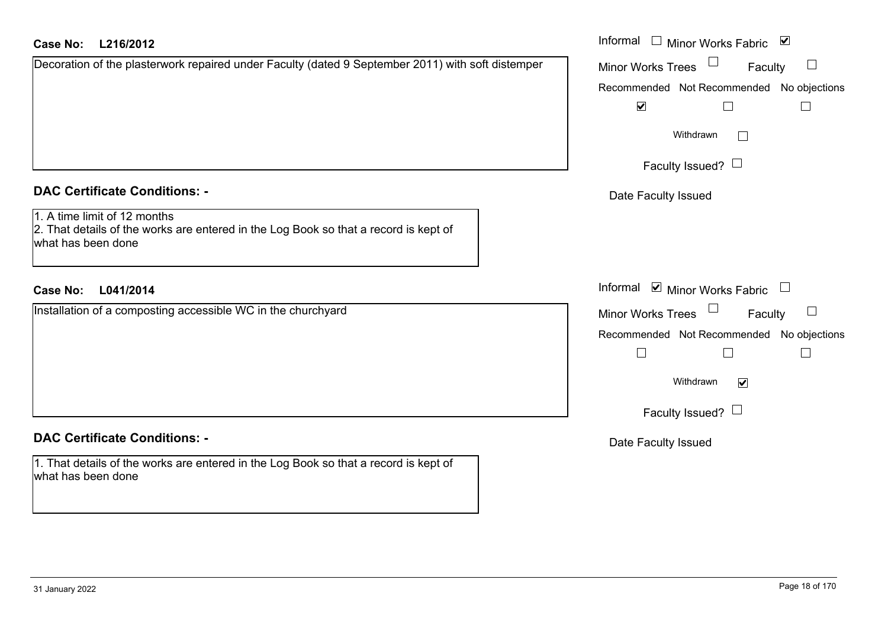| Case No: | L216/2012 |  |
|----------|-----------|--|
|          |           |  |

| Decoration of the plasterwork repaired under Faculty (dated 9 September 2011) with soft distemper |  |
|---------------------------------------------------------------------------------------------------|--|
|                                                                                                   |  |
|                                                                                                   |  |
|                                                                                                   |  |
|                                                                                                   |  |

### **DAC Certificate Conditions: -**

#### 1. A time limit of 12 months

2. That details of the works are entered in the Log Book so that a record is kept of what has been done

## **L041/2014Case No:** Informal

Installation of a composting accessible WC in the churchyard

### **DAC Certificate Conditions: -**

1. That details of the works are entered in the Log Book so that a record is kept of what has been done

| L216/2012                                                                                                      | Informal □ Minor Works Fabric ☑           |
|----------------------------------------------------------------------------------------------------------------|-------------------------------------------|
| on of the plasterwork repaired under Faculty (dated 9 September 2011) with soft distemper                      | Minor Works Trees<br>Faculty              |
|                                                                                                                | Recommended Not Recommended No objections |
|                                                                                                                | $\blacktriangledown$                      |
|                                                                                                                | Withdrawn                                 |
|                                                                                                                | Faculty Issued?                           |
| rtificate Conditions: -                                                                                        | Date Faculty Issued                       |
| limit of 12 months<br>etails of the works are entered in the Log Book so that a record is kept of<br>been done |                                           |
| L041/2014                                                                                                      | Informal ⊠ Minor Works Fabric □           |
| on of a composting accessible WC in the churchyard                                                             | Minor Works Trees<br>Faculty              |
|                                                                                                                | Recommended Not Recommended No objections |
|                                                                                                                | $\Box$                                    |
|                                                                                                                | Withdrawn<br>$\blacktriangledown$         |
|                                                                                                                | Faculty Issued? $\Box$                    |
| rtificate Conditions: -                                                                                        | Date Faculty Issued                       |
|                                                                                                                |                                           |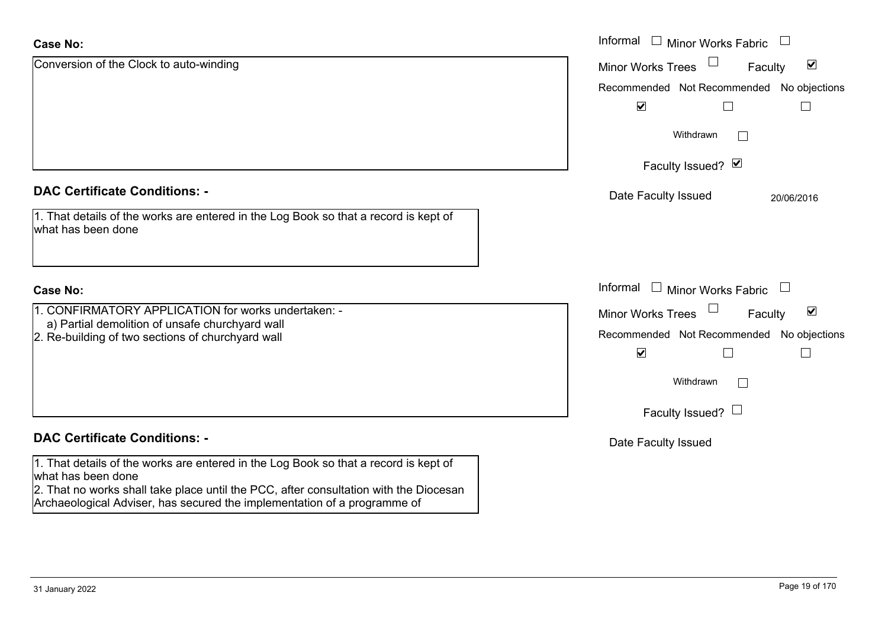| <b>Case No:</b>                                                                                             | Informal $\Box$<br><b>Minor Works Fabric</b>                |
|-------------------------------------------------------------------------------------------------------------|-------------------------------------------------------------|
| Conversion of the Clock to auto-winding                                                                     | $\blacktriangledown$<br><b>Minor Works Trees</b><br>Faculty |
|                                                                                                             | Recommended Not Recommended No objections                   |
|                                                                                                             | $\blacktriangledown$                                        |
|                                                                                                             | Withdrawn                                                   |
|                                                                                                             | Faculty Issued? Ø                                           |
| <b>DAC Certificate Conditions: -</b>                                                                        | Date Faculty Issued<br>20/06/2016                           |
| 1. That details of the works are entered in the Log Book so that a record is kept of<br>what has been done  |                                                             |
| <b>Case No:</b>                                                                                             | Informal □ Minor Works Fabric                               |
| 1. CONFIRMATORY APPLICATION for works undertaken: -<br>a) Partial demolition of unsafe churchyard wall      | $\blacktriangledown$<br><b>Minor Works Trees</b><br>Faculty |
| 2. Re-building of two sections of churchyard wall                                                           | Recommended Not Recommended No objections                   |
|                                                                                                             | $\blacktriangledown$<br>$\Box$                              |
|                                                                                                             | Withdrawn<br>$\mathbf{L}$                                   |
|                                                                                                             | Faculty Issued? $\Box$                                      |
| <b>DAC Certificate Conditions: -</b>                                                                        | Date Faculty Issued                                         |
| 1. That details of the works are entered in the Log Book so that a record is kept of                        |                                                             |
| what has been done<br>2. That no works shall take place until the PCC, after consultation with the Diocesan |                                                             |
| Archaeological Adviser, has secured the implementation of a programme of                                    |                                                             |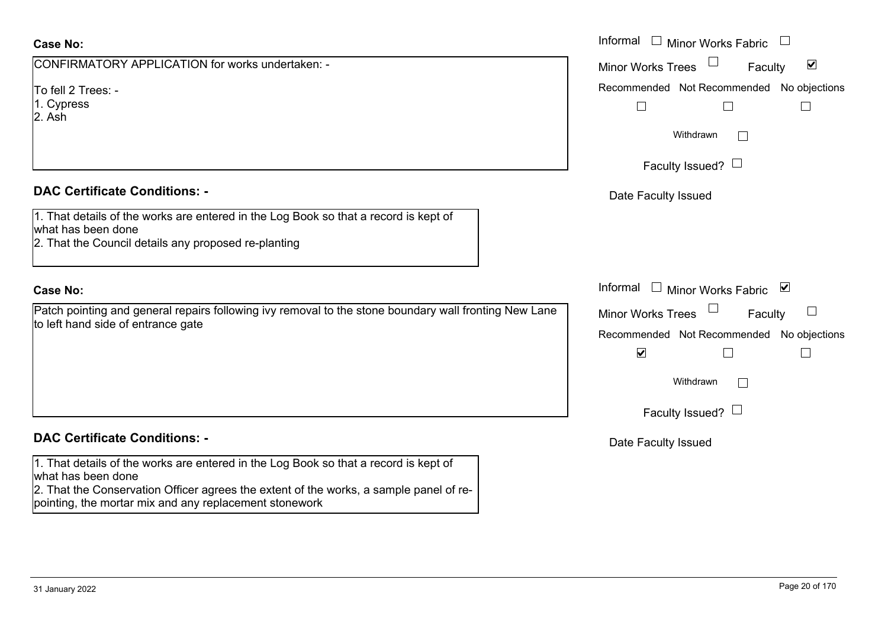#### **Case No:**

| CONFIRMATORY APPLICATION for works undertaken: - |  |
|--------------------------------------------------|--|
|--------------------------------------------------|--|

To fell 2 Trees: -

1. Cypress

2. Ash

#### **DAC Certificate Conditions: -**

1. That details of the works are entered in the Log Book so that a record is kept of what has been done

2. That the Council details any proposed re-planting

#### **Case No:**

Patch pointing and general repairs following ivy removal to the stone boundary wall fronting New to left hand side of entrance gate

## **DAC Certificate Conditions: -**

1. That details of the works are entered in the Log Book so that a record is kept of what has been done

2. That the Conservation Officer agrees the extent of the works, a sample panel of repointing, the mortar mix and any replacement stonework

|                                                                                                                                        | Informal $\square$<br>Minor Works Fabric                                                                                                 |
|----------------------------------------------------------------------------------------------------------------------------------------|------------------------------------------------------------------------------------------------------------------------------------------|
| MATORY APPLICATION for works undertaken: -                                                                                             | $\blacktriangledown$<br>Minor Works Trees<br>Faculty                                                                                     |
| Trees: -<br>SS.                                                                                                                        | Recommended Not Recommended No objections<br>$\Box$<br>Withdrawn                                                                         |
|                                                                                                                                        | Faculty Issued? $\Box$                                                                                                                   |
| rtificate Conditions: -                                                                                                                | Date Faculty Issued                                                                                                                      |
| etails of the works are entered in the Log Book so that a record is kept of<br>been done<br>e Council details any proposed re-planting |                                                                                                                                          |
|                                                                                                                                        | Informal<br>□ Minor Works Fabric $\vert \mathbf{v} \vert$                                                                                |
| inting and general repairs following ivy removal to the stone boundary wall fronting New Lane<br>nd side of entrance gate              | Minor Works Trees<br>Faculty<br>Recommended Not Recommended No objections<br>$\blacktriangledown$<br>Withdrawn<br>Faculty Issued? $\Box$ |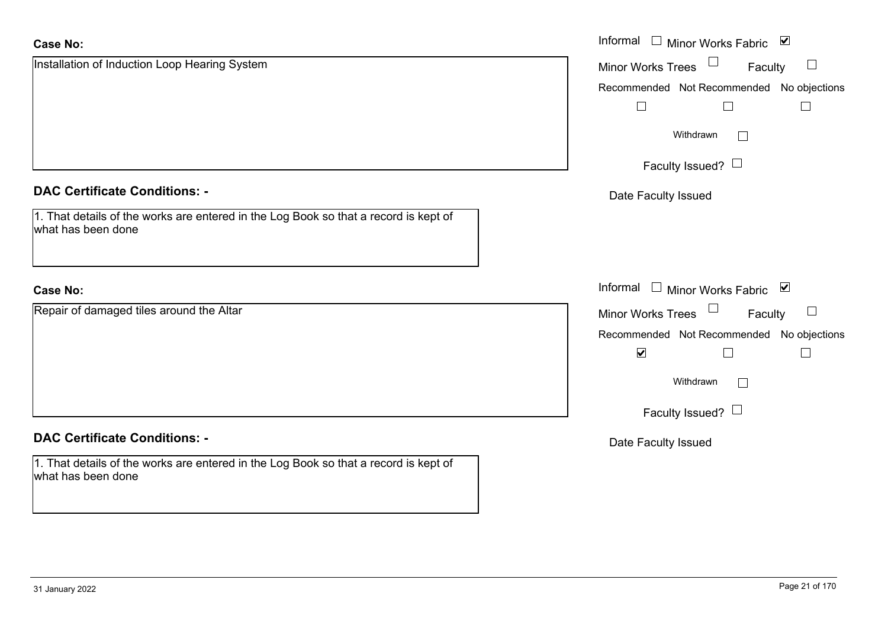| <b>Case No:</b>                                                                                            | Informal $\Box$ Minor Works Fabric $\Box$ |
|------------------------------------------------------------------------------------------------------------|-------------------------------------------|
| Installation of Induction Loop Hearing System                                                              | Minor Works Trees<br>$\Box$<br>Faculty    |
|                                                                                                            | Recommended Not Recommended No objections |
|                                                                                                            | $\mathbb{R}^n$                            |
|                                                                                                            | Withdrawn<br>$\sim$                       |
|                                                                                                            | Faculty Issued? $\Box$                    |
| <b>DAC Certificate Conditions: -</b>                                                                       | Date Faculty Issued                       |
| 1. That details of the works are entered in the Log Book so that a record is kept of<br>what has been done |                                           |
|                                                                                                            |                                           |
| <b>Case No:</b>                                                                                            | Informal □ Minor Works Fabric ⊠           |
| Repair of damaged tiles around the Altar                                                                   | Minor Works Trees<br>$\Box$<br>Faculty    |
|                                                                                                            | Recommended Not Recommended No objections |
|                                                                                                            | $\blacktriangledown$                      |
|                                                                                                            | Withdrawn<br>$\mathcal{L}^{\mathcal{A}}$  |
|                                                                                                            | Faculty Issued? $\Box$                    |
| <b>DAC Certificate Conditions: -</b>                                                                       | Date Faculty Issued                       |
| 1. That details of the works are entered in the Log Book so that a record is kept of<br>what has been done |                                           |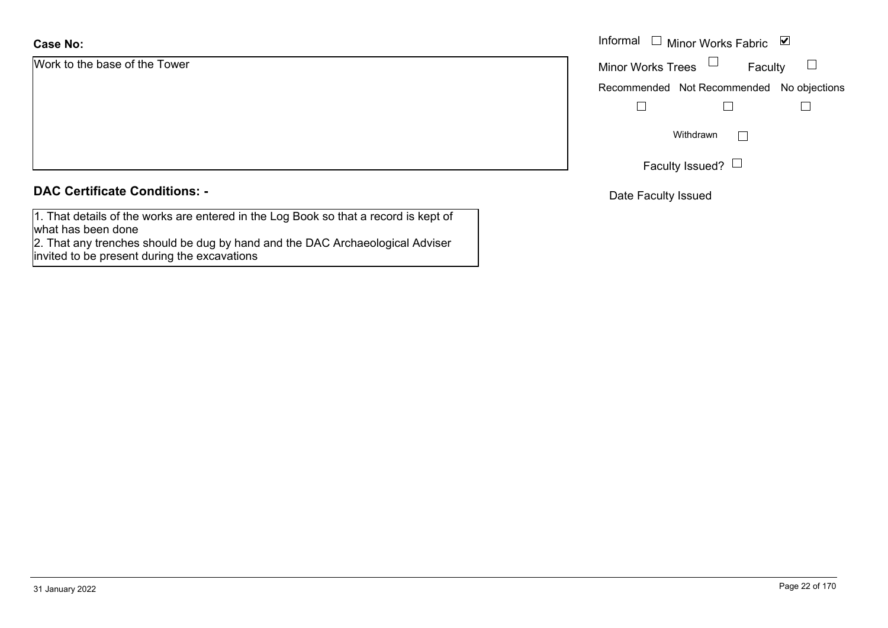## **Case No:**

Work to the base of the Tower

|  |  | <b>DAC Certificate Conditions: -</b> |
|--|--|--------------------------------------|
|--|--|--------------------------------------|

1. That details of the works are entered in the Log Book so that a record is kept of what has been done

 2. That any trenches should be dug by hand and the DAC Archaeological Adviser invited to be present during the excavations

|                      | Informal $\Box$ Minor Works Fabric $\Box$ |  |  |
|----------------------|-------------------------------------------|--|--|
| he base of the Tower | Minor Works Trees $\Box$<br>Faculty       |  |  |
|                      | Recommended Not Recommended No objections |  |  |
|                      |                                           |  |  |
|                      | Withdrawn                                 |  |  |
|                      | Faculty Issued? $\Box$                    |  |  |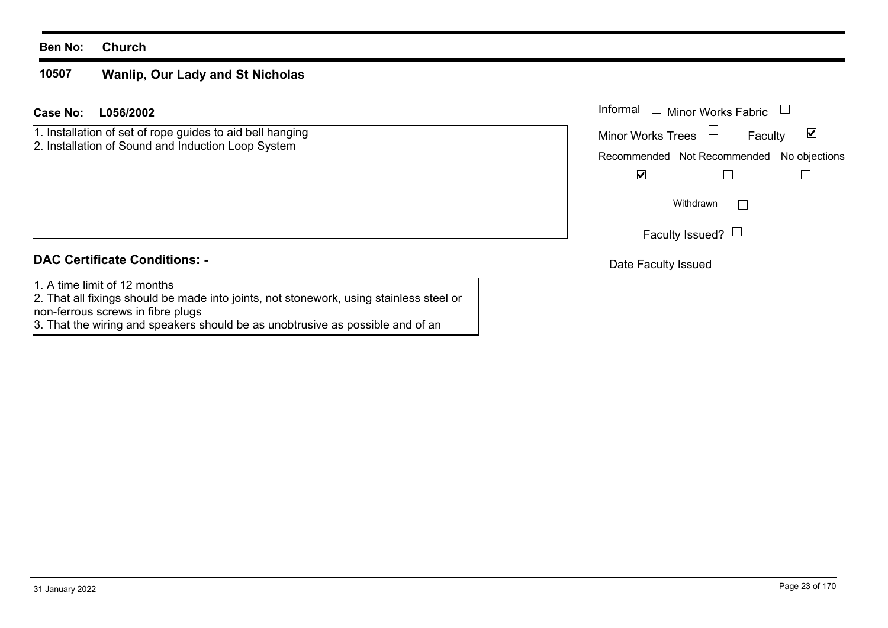#### **Ben No: Church**

#### **10507Wanlip, Our Lady and St Nicholas**

#### **L056/2002Case No:** Informal

1. Installation of set of rope guides to aid bell hanging 2. Installation of Sound and Induction Loop System

## **DAC Certificate Conditions: -**

1. A time limit of 12 months

 2. That all fixings should be made into joints, not stonework, using stainless steel or non-ferrous screws in fibre plugs

3. That the wiring and speakers should be as unobtrusive as possible and of an

| Informal $\;\;\Box\;$ Minor Works Fabric  |                        |         |   |
|-------------------------------------------|------------------------|---------|---|
| <b>Minor Works Trees</b>                  |                        | Faculty | M |
| Recommended Not Recommended No objections |                        |         |   |
|                                           |                        |         |   |
|                                           | Withdrawn              |         |   |
|                                           | Faculty Issued? $\Box$ |         |   |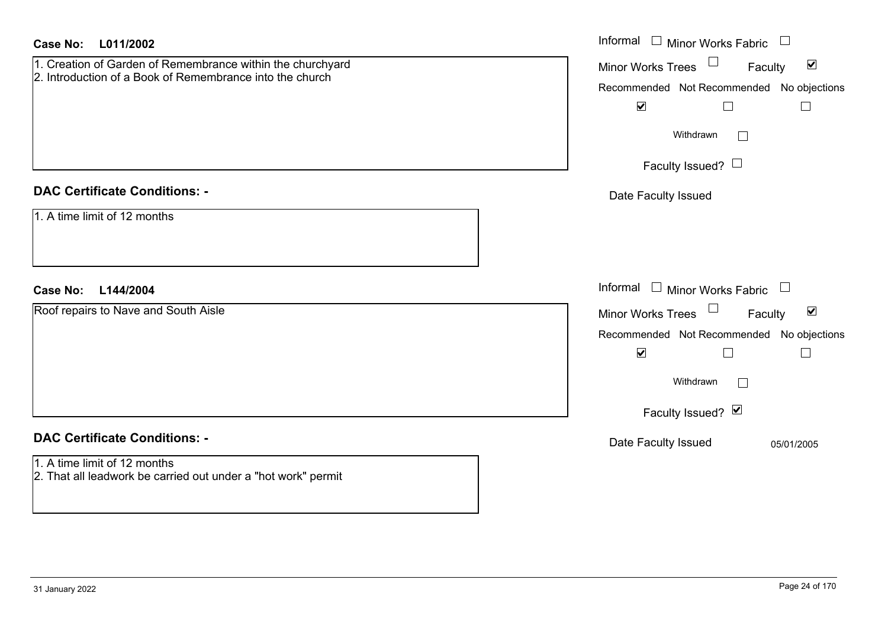| <b>Case No:</b><br>L011/2002                                                                                           | Informal $\Box$ Minor Works Fabric $\Box$                                                                                                                                                      |
|------------------------------------------------------------------------------------------------------------------------|------------------------------------------------------------------------------------------------------------------------------------------------------------------------------------------------|
| 1. Creation of Garden of Remembrance within the churchyard<br>2. Introduction of a Book of Remembrance into the church | Minor Works Trees<br>$\blacktriangledown$<br>Faculty<br>Recommended Not Recommended No objections<br>$\blacktriangledown$<br>$\Box$<br>$\Box$<br>Withdrawn<br>$\Box$<br>Faculty Issued? $\Box$ |
| <b>DAC Certificate Conditions: -</b>                                                                                   | Date Faculty Issued                                                                                                                                                                            |
| 1. A time limit of 12 months                                                                                           |                                                                                                                                                                                                |
| L144/2004<br><b>Case No:</b>                                                                                           | Informal<br>$\Box$ Minor Works Fabric $\Box$                                                                                                                                                   |
| Roof repairs to Nave and South Aisle                                                                                   | Minor Works Trees<br>$\blacktriangledown$<br>Faculty<br>Recommended Not Recommended No objections<br>$\blacktriangledown$<br>$\perp$<br>$\Box$<br>Withdrawn<br>$\Box$<br>Faculty Issued? Ø     |
| <b>DAC Certificate Conditions: -</b>                                                                                   | Date Faculty Issued<br>05/01/2005                                                                                                                                                              |
| 1. A time limit of 12 months<br>2. That all leadwork be carried out under a "hot work" permit                          |                                                                                                                                                                                                |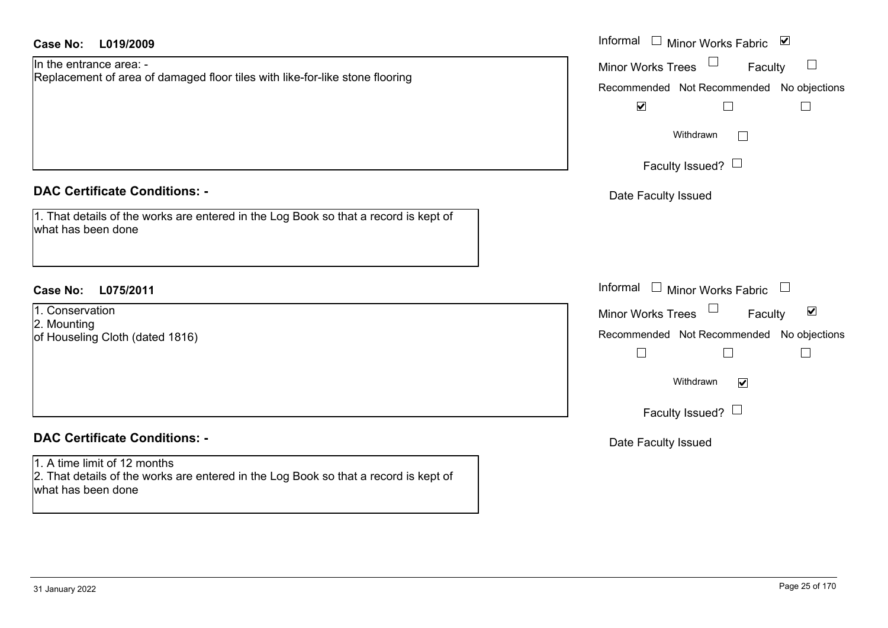| <b>Case No:</b><br>L019/2009                                                                                                               | Informal $\Box$ Minor Works Fabric $\Box$                          |  |  |
|--------------------------------------------------------------------------------------------------------------------------------------------|--------------------------------------------------------------------|--|--|
| In the entrance area: -<br>Replacement of area of damaged floor tiles with like-for-like stone flooring                                    | $\mathcal{L}_{\mathcal{A}}$<br><b>Minor Works Trees</b><br>Faculty |  |  |
|                                                                                                                                            | Recommended Not Recommended No objections                          |  |  |
|                                                                                                                                            | $\blacktriangledown$<br>$\Box$<br>$\Box$                           |  |  |
|                                                                                                                                            | Withdrawn<br>$\Box$                                                |  |  |
|                                                                                                                                            | Faculty Issued? $\Box$                                             |  |  |
| <b>DAC Certificate Conditions: -</b>                                                                                                       | Date Faculty Issued                                                |  |  |
| 1. That details of the works are entered in the Log Book so that a record is kept of<br>what has been done                                 |                                                                    |  |  |
| <b>Case No:</b><br>L075/2011                                                                                                               | Informal $\Box$ Minor Works Fabric $\Box$                          |  |  |
| 1. Conservation                                                                                                                            | $\blacktriangledown$<br>Faculty<br><b>Minor Works Trees</b>        |  |  |
| 2. Mounting<br>of Houseling Cloth (dated 1816)                                                                                             | Recommended Not Recommended No objections                          |  |  |
|                                                                                                                                            | $\Box$<br>$\Box$<br>$\Box$                                         |  |  |
|                                                                                                                                            | Withdrawn<br>$\overline{\mathbf{v}}$                               |  |  |
|                                                                                                                                            | Faculty Issued? $\Box$                                             |  |  |
| <b>DAC Certificate Conditions: -</b>                                                                                                       | Date Faculty Issued                                                |  |  |
| 1. A time limit of 12 months<br>2. That details of the works are entered in the Log Book so that a record is kept of<br>what has been done |                                                                    |  |  |
|                                                                                                                                            |                                                                    |  |  |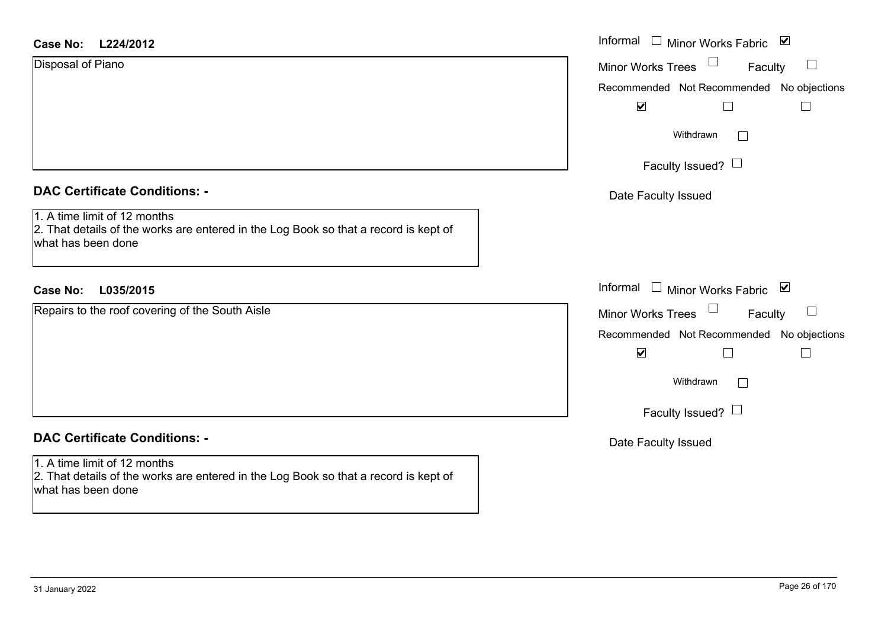| <b>Case No:</b> | L224/2012 |
|-----------------|-----------|
|-----------------|-----------|

| Disposal of Piano |  |  |
|-------------------|--|--|
|-------------------|--|--|

### **DAC Certificate Conditions: -**

#### **DAC Certificate Conditions: -**

1. A time limit of 12 months 2. That details of the works are entered in the Log Book so that a record is kept of what has been done

| Case No:<br>L224/2012                                                                                                                                                              | Informal □ Minor Works Fabric ☑                                                                                                                                             |  |  |
|------------------------------------------------------------------------------------------------------------------------------------------------------------------------------------|-----------------------------------------------------------------------------------------------------------------------------------------------------------------------------|--|--|
| Disposal of Piano                                                                                                                                                                  | Minor Works Trees $\Box$<br>Faculty<br>$\Box$<br>Recommended Not Recommended No objections<br>$\blacktriangledown$<br>Withdrawn<br>$\mathbb{R}^n$<br>Faculty Issued? $\Box$ |  |  |
| <b>DAC Certificate Conditions: -</b><br>1. A time limit of 12 months<br>2. That details of the works are entered in the Log Book so that a record is kept of<br>what has been done | Date Faculty Issued                                                                                                                                                         |  |  |
| <b>Case No:</b><br>L035/2015                                                                                                                                                       | Informal □ Minor Works Fabric ⊠                                                                                                                                             |  |  |
| Repairs to the roof covering of the South Aisle                                                                                                                                    | Minor Works Trees $\Box$<br>Faculty<br>$\Box$<br>Recommended Not Recommended No objections<br>$\blacktriangledown$<br>Withdrawn<br>Faculty Issued? $\Box$                   |  |  |
| <b>DAC Certificate Conditions: -</b>                                                                                                                                               | Date Faculty Issued                                                                                                                                                         |  |  |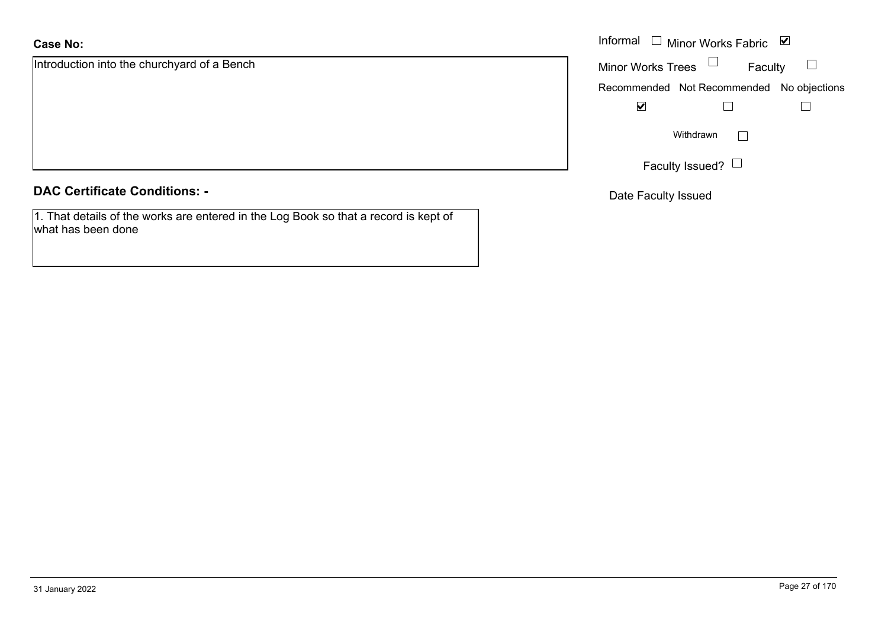## **Case No:**

Introduction into the churchyard of a Bench

#### **DAC Certificate Conditions: -**

1. That details of the works are entered in the Log Book so that a record is kept of what has been done

|                                    | Informal $\Box$ Minor Works Fabric $\Box$ |                                           |  |
|------------------------------------|-------------------------------------------|-------------------------------------------|--|
| ion into the churchyard of a Bench | <b>Minor Works Trees</b>                  | Faculty                                   |  |
|                                    |                                           | Recommended Not Recommended No objections |  |
|                                    | $\blacktriangledown$                      |                                           |  |
|                                    |                                           | Withdrawn                                 |  |
|                                    |                                           | Faculty Issued? L                         |  |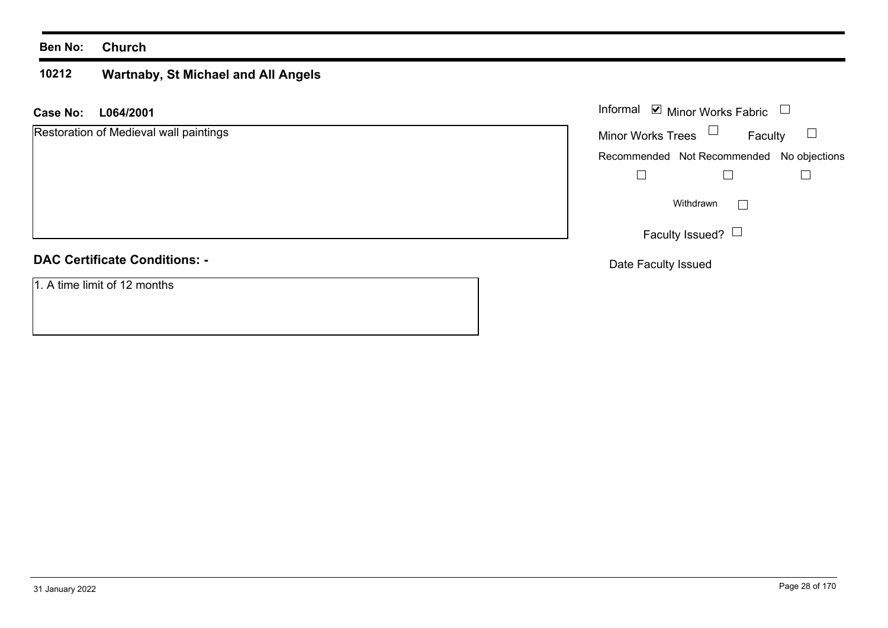#### **Ben No: Church**

#### **10212 Wartnaby, St Michael and All Angels**

**L064/2001 Case No:** Informal

| Restoration of Medieval wall paintings | <b>Minor Works Trees</b><br>Faculty       |
|----------------------------------------|-------------------------------------------|
|                                        | Recommended Not Recommended No objections |
|                                        |                                           |
|                                        | Withdrawn                                 |
|                                        | Faculty Issued? $\Box$                    |
| <b>DAC Certificate Conditions: -</b>   | Date Faculty Issued                       |

1. A time limit of 12 months

Minor Works Fabric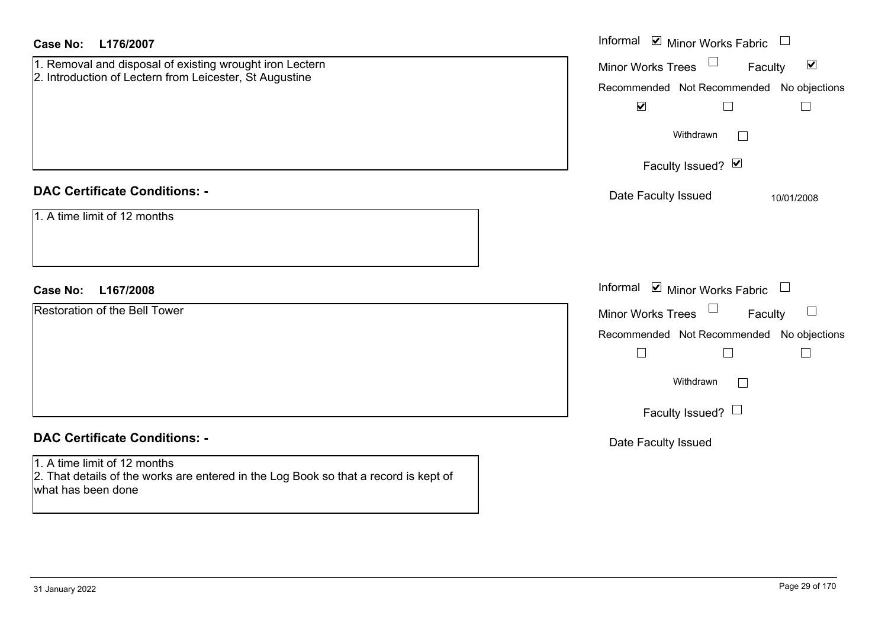| <b>Case No:</b><br>L176/2007                                                                                                               | Informal $\blacksquare$ Minor Works Fabric $\Box$                                                 |
|--------------------------------------------------------------------------------------------------------------------------------------------|---------------------------------------------------------------------------------------------------|
| 1. Removal and disposal of existing wrought iron Lectern<br>2. Introduction of Lectern from Leicester, St Augustine                        | $\blacktriangledown$<br>Minor Works Trees<br>Faculty<br>Recommended Not Recommended No objections |
|                                                                                                                                            | $\blacktriangledown$<br>$\Box$<br>$\Box$                                                          |
|                                                                                                                                            | Withdrawn                                                                                         |
|                                                                                                                                            | Faculty Issued? Ø                                                                                 |
| <b>DAC Certificate Conditions: -</b>                                                                                                       | Date Faculty Issued<br>10/01/2008                                                                 |
| 1. A time limit of 12 months                                                                                                               |                                                                                                   |
| <b>Case No:</b><br>L167/2008                                                                                                               | Informal $\blacksquare$ Minor Works Fabric $\Box$                                                 |
| <b>Restoration of the Bell Tower</b>                                                                                                       | Minor Works Trees<br>Faculty                                                                      |
|                                                                                                                                            | Recommended Not Recommended No objections                                                         |
|                                                                                                                                            | $\Box$<br>$\Box$<br>$\overline{\phantom{a}}$                                                      |
|                                                                                                                                            | Withdrawn                                                                                         |
|                                                                                                                                            | Faculty Issued? $\Box$                                                                            |
| <b>DAC Certificate Conditions: -</b>                                                                                                       | Date Faculty Issued                                                                               |
| 1. A time limit of 12 months<br>2. That details of the works are entered in the Log Book so that a record is kept of<br>what has been done |                                                                                                   |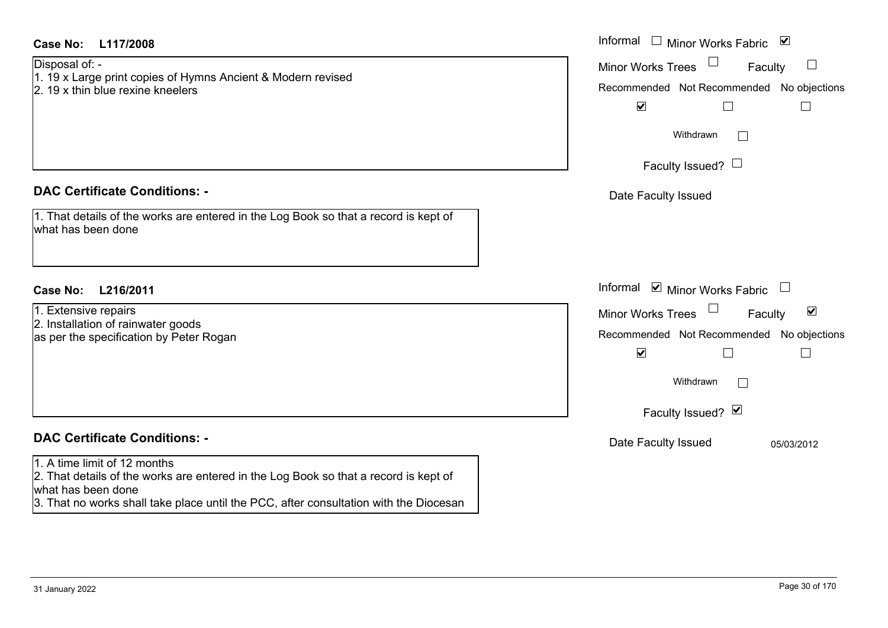| Case No:<br>L117/2008                                                                                                                                                                                                               | Informal $\Box$ Minor Works Fabric<br>$\blacktriangledown$                                                                                                                                                        |
|-------------------------------------------------------------------------------------------------------------------------------------------------------------------------------------------------------------------------------------|-------------------------------------------------------------------------------------------------------------------------------------------------------------------------------------------------------------------|
| Disposal of: -<br>1. 19 x Large print copies of Hymns Ancient & Modern revised<br>2. 19 x thin blue rexine kneelers                                                                                                                 | ⊔<br><b>Minor Works Trees</b><br>Faculty<br>Recommended Not Recommended No objections<br>$\blacktriangledown$<br>$\Box$<br>$\Box$                                                                                 |
|                                                                                                                                                                                                                                     | Withdrawn<br>Faculty Issued? $\Box$                                                                                                                                                                               |
| <b>DAC Certificate Conditions: -</b>                                                                                                                                                                                                | Date Faculty Issued                                                                                                                                                                                               |
| 1. That details of the works are entered in the Log Book so that a record is kept of<br>what has been done                                                                                                                          |                                                                                                                                                                                                                   |
| <b>Case No:</b><br>L216/2011                                                                                                                                                                                                        | Informal ☑ Minor Works Fabric<br>$\begin{array}{c} \hline \end{array}$                                                                                                                                            |
| 1. Extensive repairs<br>2. Installation of rainwater goods<br>as per the specification by Peter Rogan                                                                                                                               | Minor Works Trees<br>$\blacktriangledown$<br>Faculty<br>Recommended Not Recommended No objections<br>$\blacktriangledown$<br>$\Box$<br>$\overline{\phantom{a}}$<br>Withdrawn<br>$\mathbf{L}$<br>Faculty Issued? Ø |
| <b>DAC Certificate Conditions: -</b>                                                                                                                                                                                                | Date Faculty Issued<br>05/03/2012                                                                                                                                                                                 |
| 1. A time limit of 12 months<br>2. That details of the works are entered in the Log Book so that a record is kept of<br>what has been done<br>3. That no works shall take place until the PCC, after consultation with the Diocesan |                                                                                                                                                                                                                   |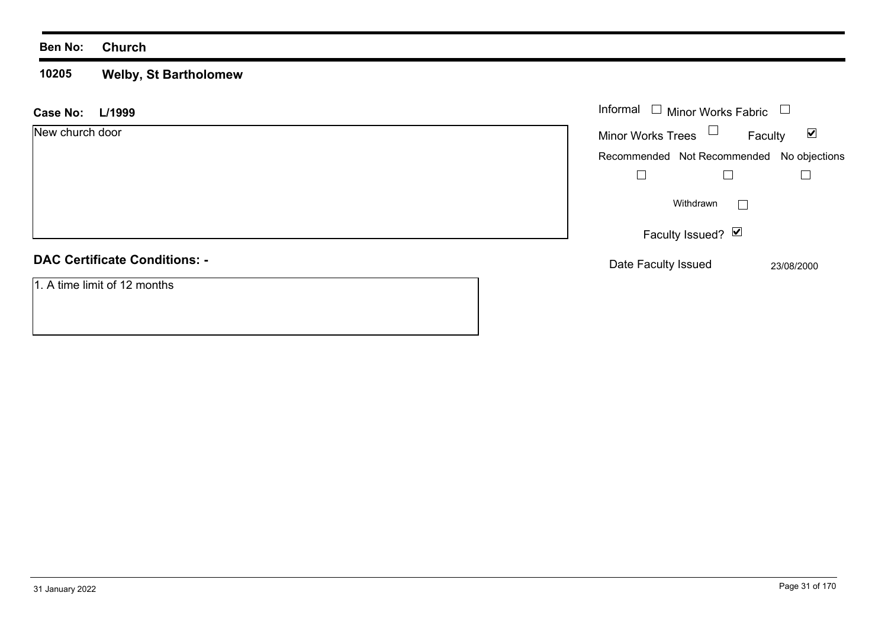#### **Ben No: Church**

#### **10205 Welby, St Bartholomew**

| L/1999<br><b>Case No:</b>            | Informal $\Box$ Minor Works Fabric                          |
|--------------------------------------|-------------------------------------------------------------|
| New church door                      | Minor Works Trees $\Box$<br>$\blacktriangledown$<br>Faculty |
|                                      | Recommended Not Recommended No objections                   |
|                                      |                                                             |
|                                      | Withdrawn                                                   |
|                                      | Faculty Issued? $\boxed{\triangleright}$                    |
| <b>DAC Certificate Conditions: -</b> | Date Faculty Issued<br>23/08/2000                           |
| 1. A time limit of 12 months         |                                                             |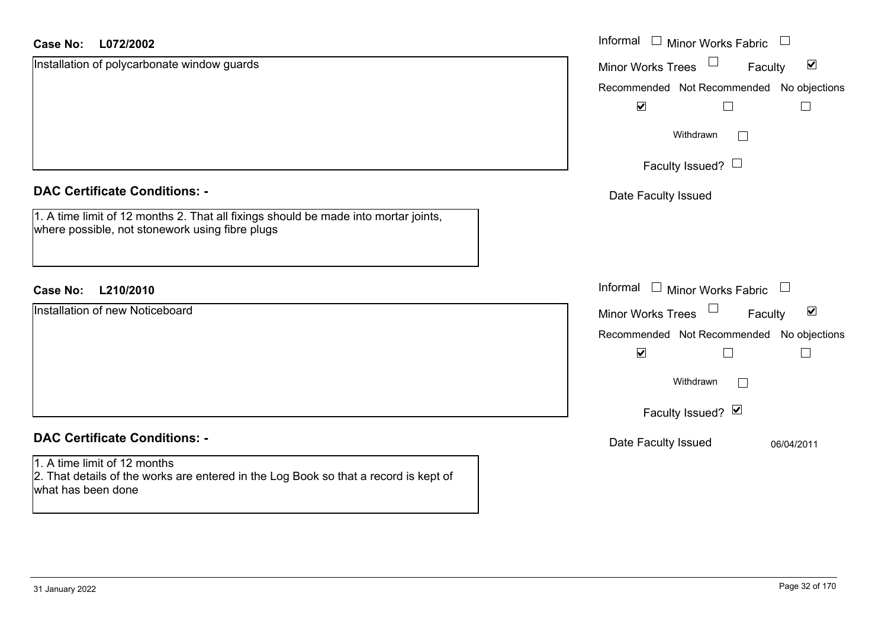| <b>Case No:</b><br>L072/2002                                                                                                               | Informal<br>$\Box$ Minor Works Fabric<br>$\Box$             |
|--------------------------------------------------------------------------------------------------------------------------------------------|-------------------------------------------------------------|
| Installation of polycarbonate window guards                                                                                                | $\blacktriangledown$<br><b>Minor Works Trees</b><br>Faculty |
|                                                                                                                                            | Recommended Not Recommended No objections                   |
|                                                                                                                                            | $\blacktriangledown$                                        |
|                                                                                                                                            | Withdrawn<br>$\sim$                                         |
|                                                                                                                                            | Faculty Issued? $\Box$                                      |
| <b>DAC Certificate Conditions: -</b>                                                                                                       | Date Faculty Issued                                         |
| 1. A time limit of 12 months 2. That all fixings should be made into mortar joints,<br>where possible, not stonework using fibre plugs     |                                                             |
| <b>Case No:</b><br>L210/2010                                                                                                               | Informal<br>$\Box$ Minor Works Fabric<br>$\Box$             |
| Installation of new Noticeboard                                                                                                            | $\blacktriangledown$<br><b>Minor Works Trees</b><br>Faculty |
|                                                                                                                                            | Recommended Not Recommended No objections                   |
|                                                                                                                                            | $\blacktriangledown$                                        |
|                                                                                                                                            | Withdrawn<br>Г                                              |
|                                                                                                                                            | Faculty Issued? Ø                                           |
| <b>DAC Certificate Conditions: -</b>                                                                                                       | Date Faculty Issued<br>06/04/2011                           |
| 1. A time limit of 12 months<br>2. That details of the works are entered in the Log Book so that a record is kept of<br>what has been done |                                                             |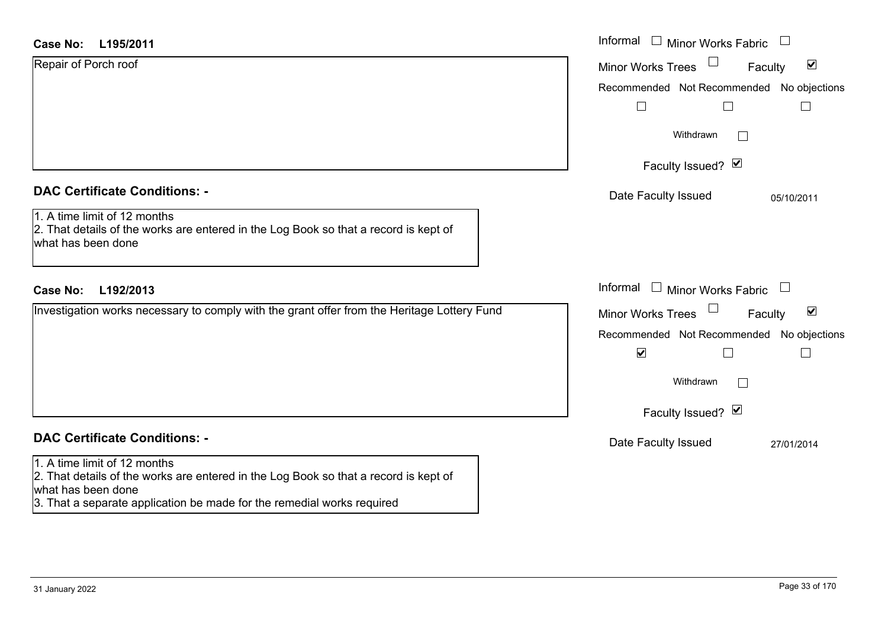| <b>DAC Certificate Conditions: -</b> |  |
|--------------------------------------|--|
|--------------------------------------|--|

## **DAC Certificate Conditions: -**

#### 1. A time limit of 12 months

2. That details of the works are entered in the Log Book so that a record is kept of what has been done

3. That a separate application be made for the remedial works required

| <b>Case No:</b><br>L195/2011                                                                                                               | Informal $\Box$ Minor Works Fabric $\Box$                                                                |
|--------------------------------------------------------------------------------------------------------------------------------------------|----------------------------------------------------------------------------------------------------------|
| Repair of Porch roof                                                                                                                       | $\blacktriangledown$<br><b>Minor Works Trees</b><br>Faculty<br>Recommended Not Recommended No objections |
|                                                                                                                                            | Withdrawn<br>$\Box$                                                                                      |
|                                                                                                                                            | Faculty Issued? Ø                                                                                        |
| <b>DAC Certificate Conditions: -</b>                                                                                                       | Date Faculty Issued<br>05/10/2011                                                                        |
| 1. A time limit of 12 months<br>2. That details of the works are entered in the Log Book so that a record is kept of<br>what has been done |                                                                                                          |
| L192/2013<br><b>Case No:</b>                                                                                                               | Informal $\Box$ Minor Works Fabric $\Box$                                                                |
| Investigation works necessary to comply with the grant offer from the Heritage Lottery Fund                                                | $\blacktriangledown$<br><b>Minor Works Trees</b><br>Faculty                                              |
|                                                                                                                                            | Recommended Not Recommended No objections<br>$\blacktriangledown$                                        |
|                                                                                                                                            | Withdrawn                                                                                                |
|                                                                                                                                            | Faculty Issued? Ø                                                                                        |
| <b>DAC Certificate Conditions: -</b>                                                                                                       | Date Faculty Issued<br>27/01/2014                                                                        |
| 1. A time limit of 12 months<br>2. That dataile of the worke are optered in the Lea Rook eo that a record is kopt of                       |                                                                                                          |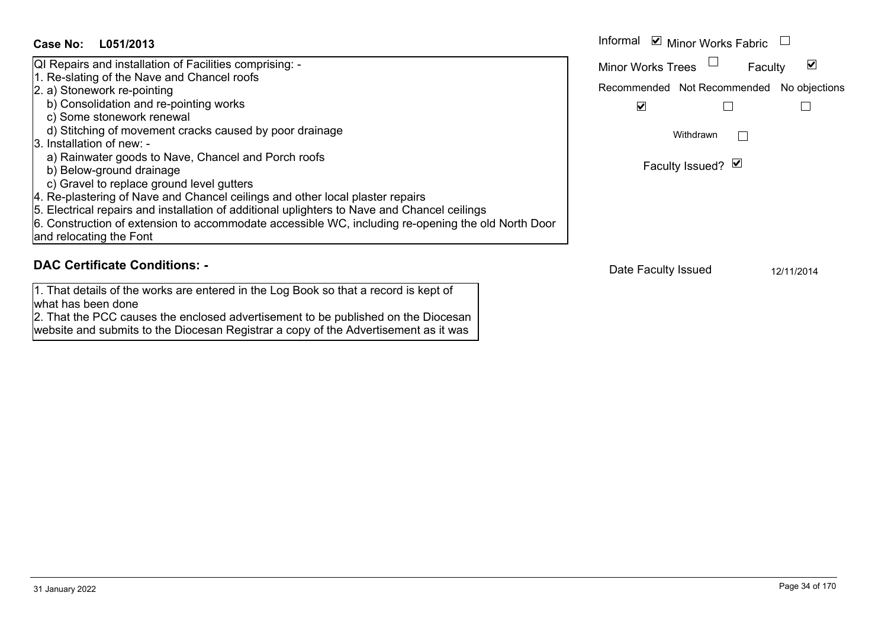#### Informal  $\vee$  Minor Works Fabric  $\Box$ **L051/2013Case No:** Informal QI Repairs and installation of Facilities comprising: -  $\blacktriangledown$ Faculty Minor Works Trees 1. Re-slating of the Nave and Chancel roofs 2. a) Stonework re-pointing Recommended Not Recommended No objections b) Consolidation and re-pointing works  $\overline{\mathbf{v}}$  $\Box$  $\Box$  c) Some stonework renewal d) Stitching of movement cracks caused by poor drainage Withdrawn $\Box$ 3. Installation of new: a) Rainwater goods to Nave, Chancel and Porch roofs Faculty Issued? Ø b) Below-ground drainage c) Gravel to replace ground level gutters 4. Re-plastering of Nave and Chancel ceilings and other local plaster repairs 5. Electrical repairs and installation of additional uplighters to Nave and Chancel ceilings 6. Construction of extension to accommodate accessible WC, including re-opening the old North Door and relocating the Font

## **DAC Certificate Conditions: -**

1. That details of the works are entered in the Log Book so that a record is kept of what has been done

2. That the PCC causes the enclosed advertisement to be published on the Diocesan website and submits to the Diocesan Registrar a copy of the Advertisement as it was

Date Faculty Issued 12/11/2014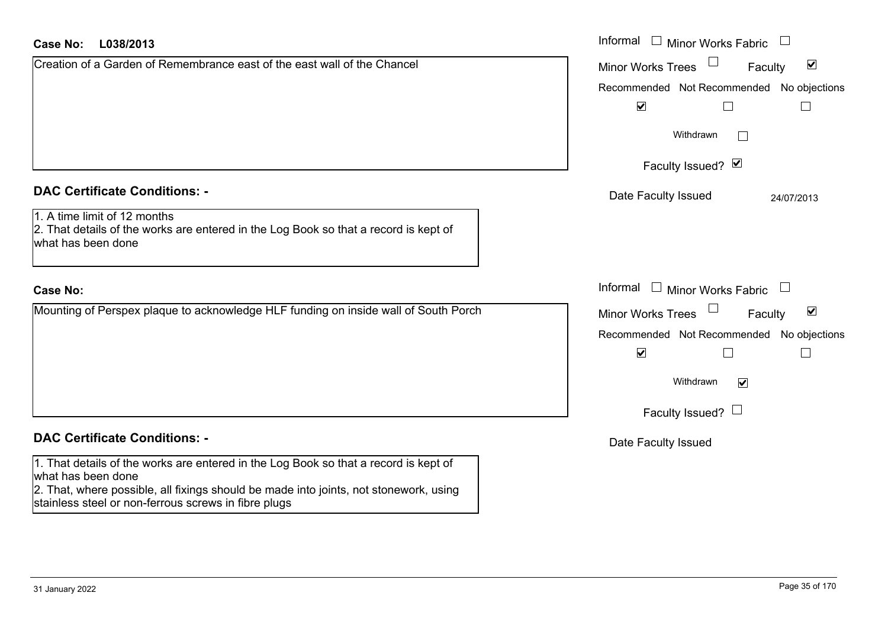| <b>Case No:</b><br>L038/2013                                                                                                                                                                        | Informal $\Box$ Minor Works Fabric                   |
|-----------------------------------------------------------------------------------------------------------------------------------------------------------------------------------------------------|------------------------------------------------------|
| Creation of a Garden of Remembrance east of the east wall of the Chancel                                                                                                                            | Minor Works Trees<br>$\blacktriangledown$<br>Faculty |
|                                                                                                                                                                                                     | Recommended Not Recommended No objections            |
|                                                                                                                                                                                                     | $\blacktriangledown$                                 |
|                                                                                                                                                                                                     | Withdrawn                                            |
|                                                                                                                                                                                                     | Faculty Issued? Ø                                    |
| <b>DAC Certificate Conditions: -</b>                                                                                                                                                                | Date Faculty Issued<br>24/07/2013                    |
| 1. A time limit of 12 months<br>2. That details of the works are entered in the Log Book so that a record is kept of<br>what has been done                                                          |                                                      |
| <b>Case No:</b>                                                                                                                                                                                     | Informal $\Box$ Minor Works Fabric                   |
| Mounting of Perspex plaque to acknowledge HLF funding on inside wall of South Porch                                                                                                                 | $\blacktriangledown$<br>Minor Works Trees<br>Faculty |
|                                                                                                                                                                                                     | Recommended Not Recommended No objections            |
|                                                                                                                                                                                                     | $\blacktriangledown$                                 |
|                                                                                                                                                                                                     | Withdrawn<br>$\overline{\mathbf{v}}$                 |
|                                                                                                                                                                                                     | Faculty Issued? $\Box$                               |
| <b>DAC Certificate Conditions: -</b>                                                                                                                                                                | Date Faculty Issued                                  |
| 1. That details of the works are entered in the Log Book so that a record is kept of<br>what has been done<br>2. That, where possible, all fixings should be made into joints, not stonework, using |                                                      |

stainless steel or non-ferrous screws in fibre plugs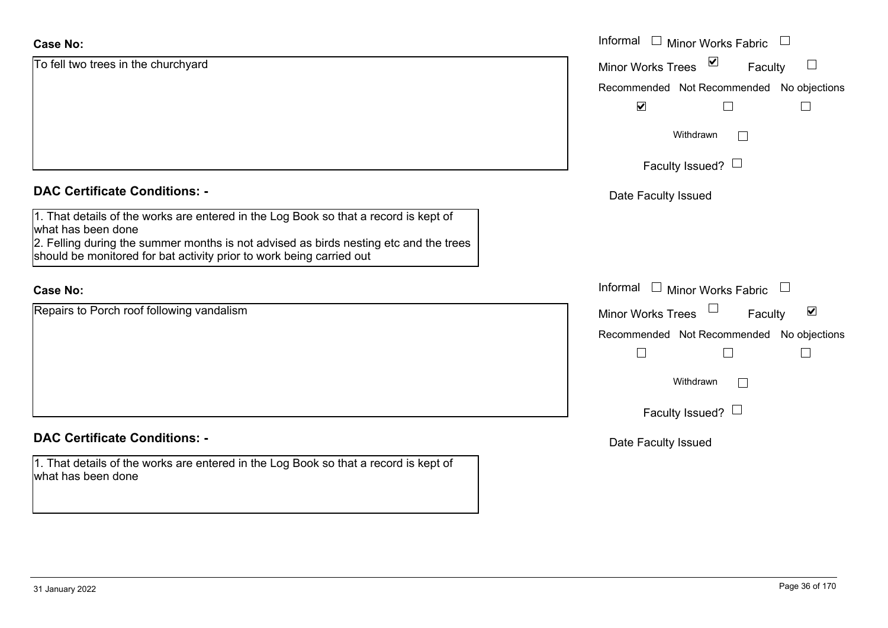| <b>Case No:</b>                                                                                                                                                                                                                                                             | Informal $\Box$ Minor Works Fabric                                    |
|-----------------------------------------------------------------------------------------------------------------------------------------------------------------------------------------------------------------------------------------------------------------------------|-----------------------------------------------------------------------|
| To fell two trees in the churchyard                                                                                                                                                                                                                                         | $\blacktriangledown$<br><b>Minor Works Trees</b><br>$\Box$<br>Faculty |
|                                                                                                                                                                                                                                                                             | Recommended Not Recommended No objections                             |
|                                                                                                                                                                                                                                                                             | $\blacktriangledown$                                                  |
|                                                                                                                                                                                                                                                                             | Withdrawn<br>$\Box$                                                   |
|                                                                                                                                                                                                                                                                             | Faculty Issued? $\Box$                                                |
| <b>DAC Certificate Conditions: -</b>                                                                                                                                                                                                                                        | Date Faculty Issued                                                   |
| 1. That details of the works are entered in the Log Book so that a record is kept of<br>what has been done<br>2. Felling during the summer months is not advised as birds nesting etc and the trees<br>should be monitored for bat activity prior to work being carried out |                                                                       |
| <b>Case No:</b>                                                                                                                                                                                                                                                             | Informal $\Box$ Minor Works Fabric $\Box$                             |
| Repairs to Porch roof following vandalism                                                                                                                                                                                                                                   | Minor Works Trees<br>$\blacktriangledown$<br>Faculty                  |
|                                                                                                                                                                                                                                                                             | Recommended Not Recommended No objections                             |
|                                                                                                                                                                                                                                                                             | $\mathbf{I}$<br>$\overline{\phantom{a}}$                              |
|                                                                                                                                                                                                                                                                             | Withdrawn<br>$\Box$                                                   |
|                                                                                                                                                                                                                                                                             | Faculty Issued? $\Box$                                                |
| <b>DAC Certificate Conditions: -</b>                                                                                                                                                                                                                                        | Date Faculty Issued                                                   |
| 1. That details of the works are entered in the Log Book so that a record is kept of<br>what has been done                                                                                                                                                                  |                                                                       |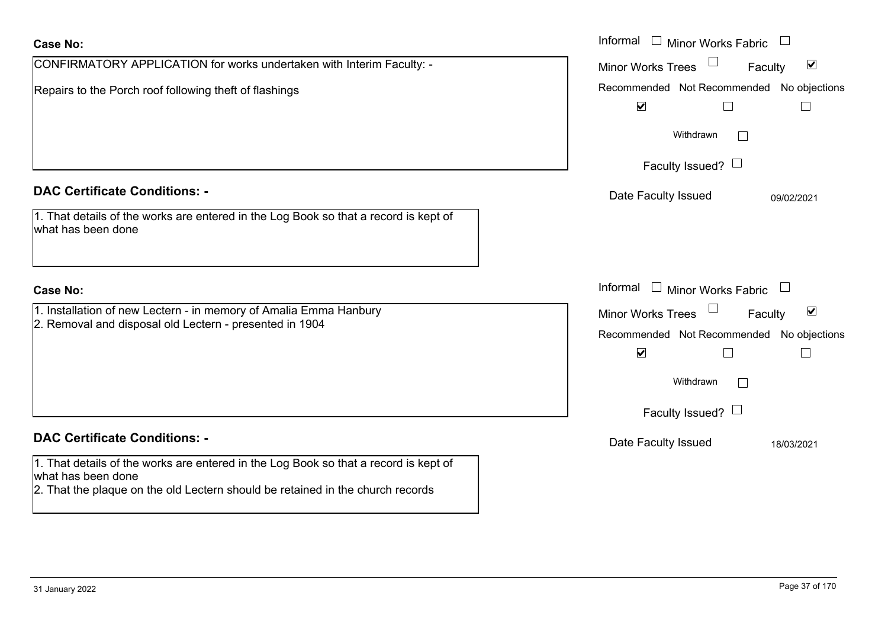| <b>Case No:</b>                                                                                                                                                                              | Informal □ Minor Works Fabric                                                          |
|----------------------------------------------------------------------------------------------------------------------------------------------------------------------------------------------|----------------------------------------------------------------------------------------|
| CONFIRMATORY APPLICATION for works undertaken with Interim Faculty: -                                                                                                                        | $\Box$<br>$\blacktriangledown$<br><b>Minor Works Trees</b><br>Faculty                  |
| Repairs to the Porch roof following theft of flashings                                                                                                                                       | Recommended Not Recommended No objections<br>$\blacktriangledown$<br>$\vert \ \ \vert$ |
|                                                                                                                                                                                              | Withdrawn<br>$\perp$                                                                   |
|                                                                                                                                                                                              | Faculty Issued? $\Box$                                                                 |
| <b>DAC Certificate Conditions: -</b>                                                                                                                                                         | Date Faculty Issued<br>09/02/2021                                                      |
| 1. That details of the works are entered in the Log Book so that a record is kept of<br>what has been done                                                                                   |                                                                                        |
| <b>Case No:</b>                                                                                                                                                                              | Informal $\Box$ Minor Works Fabric                                                     |
| 1. Installation of new Lectern - in memory of Amalia Emma Hanbury                                                                                                                            | Minor Works Trees<br>$\blacktriangledown$<br>Faculty                                   |
| 2. Removal and disposal old Lectern - presented in 1904                                                                                                                                      | Recommended Not Recommended No objections                                              |
|                                                                                                                                                                                              | $\blacktriangledown$<br>$\vert \ \ \vert$                                              |
|                                                                                                                                                                                              | Withdrawn<br>$\perp$                                                                   |
|                                                                                                                                                                                              | Faculty Issued? $\Box$                                                                 |
| <b>DAC Certificate Conditions: -</b>                                                                                                                                                         | Date Faculty Issued<br>18/03/2021                                                      |
| 1. That details of the works are entered in the Log Book so that a record is kept of<br>what has been done<br>2. That the plaque on the old Lectern should be retained in the church records |                                                                                        |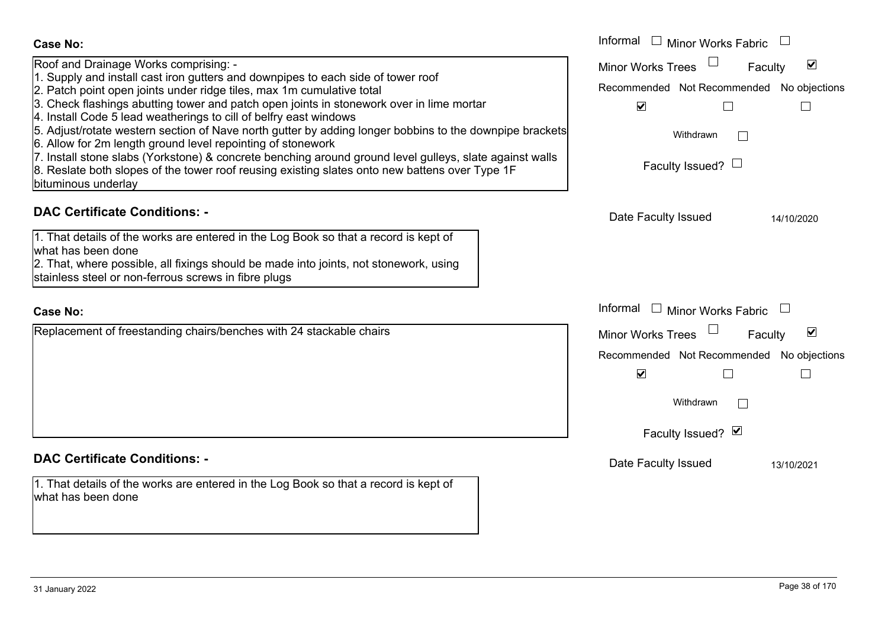| <b>Case No:</b><br>Roof and Drainage Works comprising: -<br>1. Supply and install cast iron gutters and downpipes to each side of tower roof<br>2. Patch point open joints under ridge tiles, max 1m cumulative total<br>3. Check flashings abutting tower and patch open joints in stonework over in lime mortar<br>4. Install Code 5 lead weatherings to cill of belfry east windows<br>5. Adjust/rotate western section of Nave north gutter by adding longer bobbins to the downpipe brackets<br>6. Allow for 2m length ground level repointing of stonework<br>7. Install stone slabs (Yorkstone) & concrete benching around ground level gulleys, slate against walls<br>8. Reslate both slopes of the tower roof reusing existing slates onto new battens over Type 1F<br>bituminous underlay | Informal $\Box$ Minor Works Fabric<br>$\blacktriangledown$<br><b>Minor Works Trees</b><br>Faculty<br>Recommended Not Recommended No objections<br>$\blacktriangledown$<br>Withdrawn<br>Faculty Issued? |
|------------------------------------------------------------------------------------------------------------------------------------------------------------------------------------------------------------------------------------------------------------------------------------------------------------------------------------------------------------------------------------------------------------------------------------------------------------------------------------------------------------------------------------------------------------------------------------------------------------------------------------------------------------------------------------------------------------------------------------------------------------------------------------------------------|--------------------------------------------------------------------------------------------------------------------------------------------------------------------------------------------------------|
| <b>DAC Certificate Conditions: -</b><br>1. That details of the works are entered in the Log Book so that a record is kept of<br>what has been done<br>2. That, where possible, all fixings should be made into joints, not stonework, using<br>stainless steel or non-ferrous screws in fibre plugs                                                                                                                                                                                                                                                                                                                                                                                                                                                                                                  | Date Faculty Issued<br>14/10/2020                                                                                                                                                                      |
| Case No:                                                                                                                                                                                                                                                                                                                                                                                                                                                                                                                                                                                                                                                                                                                                                                                             | Informal $\square$<br><b>Minor Works Fabric</b>                                                                                                                                                        |
| Replacement of freestanding chairs/benches with 24 stackable chairs                                                                                                                                                                                                                                                                                                                                                                                                                                                                                                                                                                                                                                                                                                                                  | ☑<br><b>Minor Works Trees</b><br>Faculty<br>Recommended Not Recommended No objections<br>$\blacktriangledown$<br>Withdrawn<br>$\Box$<br>Faculty Issued? Ø                                              |
| <b>DAC Certificate Conditions: -</b>                                                                                                                                                                                                                                                                                                                                                                                                                                                                                                                                                                                                                                                                                                                                                                 | Date Faculty Issued<br>13/10/2021                                                                                                                                                                      |
| 1. That details of the works are entered in the Log Book so that a record is kept of<br>what has been done                                                                                                                                                                                                                                                                                                                                                                                                                                                                                                                                                                                                                                                                                           |                                                                                                                                                                                                        |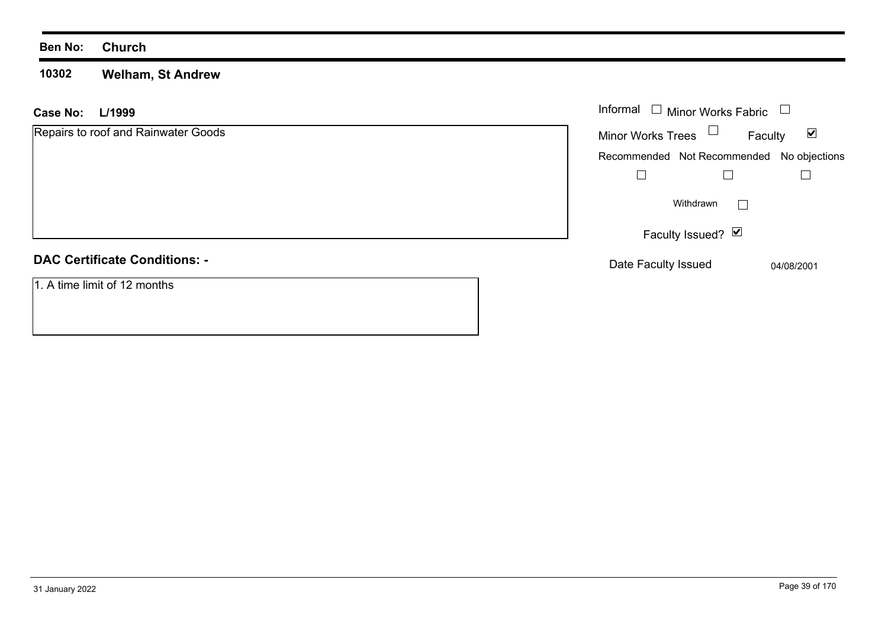#### **10302 Welham, St Andrew**

| <b>Case No:</b><br>L/1999            | Informal $\Box$ Minor Works Fabric $\Box$                   |
|--------------------------------------|-------------------------------------------------------------|
| Repairs to roof and Rainwater Goods  | Minor Works Trees $\Box$<br>$\blacktriangledown$<br>Faculty |
|                                      | Recommended Not Recommended No objections                   |
|                                      |                                                             |
|                                      | Withdrawn<br>L                                              |
|                                      | Faculty Issued? Ø                                           |
| <b>DAC Certificate Conditions: -</b> | Date Faculty Issued<br>04/08/2001                           |
| 1. A time limit of 12 months         |                                                             |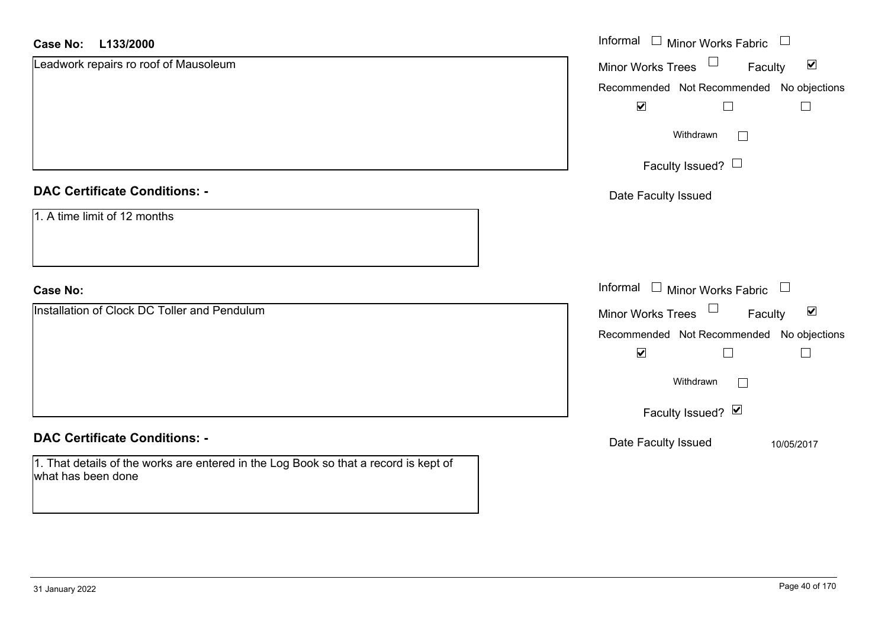| <b>Case No:</b><br>L133/2000                                                                               | Informal □ Minor Works Fabric □                      |
|------------------------------------------------------------------------------------------------------------|------------------------------------------------------|
| Leadwork repairs ro roof of Mausoleum                                                                      | Minor Works Trees<br>$\blacktriangledown$<br>Faculty |
|                                                                                                            | Recommended Not Recommended No objections            |
|                                                                                                            | $\blacktriangledown$<br>$\Box$                       |
|                                                                                                            | Withdrawn<br>I.                                      |
|                                                                                                            | Faculty Issued? $\Box$                               |
| <b>DAC Certificate Conditions: -</b>                                                                       | Date Faculty Issued                                  |
| 1. A time limit of 12 months                                                                               |                                                      |
| <b>Case No:</b>                                                                                            | Informal $\Box$ Minor Works Fabric $\Box$            |
| Installation of Clock DC Toller and Pendulum                                                               | Minor Works Trees<br>$\blacktriangledown$<br>Faculty |
|                                                                                                            | Recommended Not Recommended No objections            |
|                                                                                                            | $\blacktriangledown$<br>$\Box$                       |
|                                                                                                            | Withdrawn<br>I.                                      |
|                                                                                                            | Faculty Issued? Ø                                    |
| <b>DAC Certificate Conditions: -</b>                                                                       | Date Faculty Issued<br>10/05/2017                    |
| 1. That details of the works are entered in the Log Book so that a record is kept of<br>what has been done |                                                      |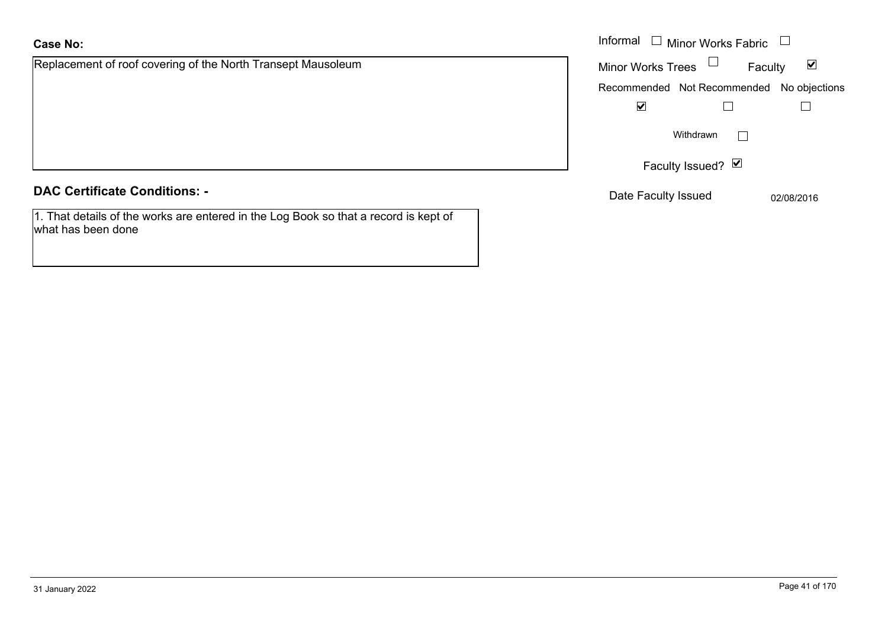Replacement of roof covering of the North Transept Mausoleum

**DAC Certificate Conditions: -**

1. That details of the works are entered in the Log Book so that a record is kept of what has been done

|                                                       | Informal $\Box$ Minor Works Fabric $\Box$                   |  |
|-------------------------------------------------------|-------------------------------------------------------------|--|
| nent of roof covering of the North Transept Mausoleum | Minor Works Trees $\Box$<br>$\blacktriangledown$<br>Faculty |  |
|                                                       | Recommended Not Recommended No objections                   |  |
|                                                       | $\blacktriangledown$                                        |  |
|                                                       | Withdrawn                                                   |  |
|                                                       | Faculty Issued? Ø                                           |  |
| rtificate Conditions: -                               | Date Faculty Issued<br>02/08/2016                           |  |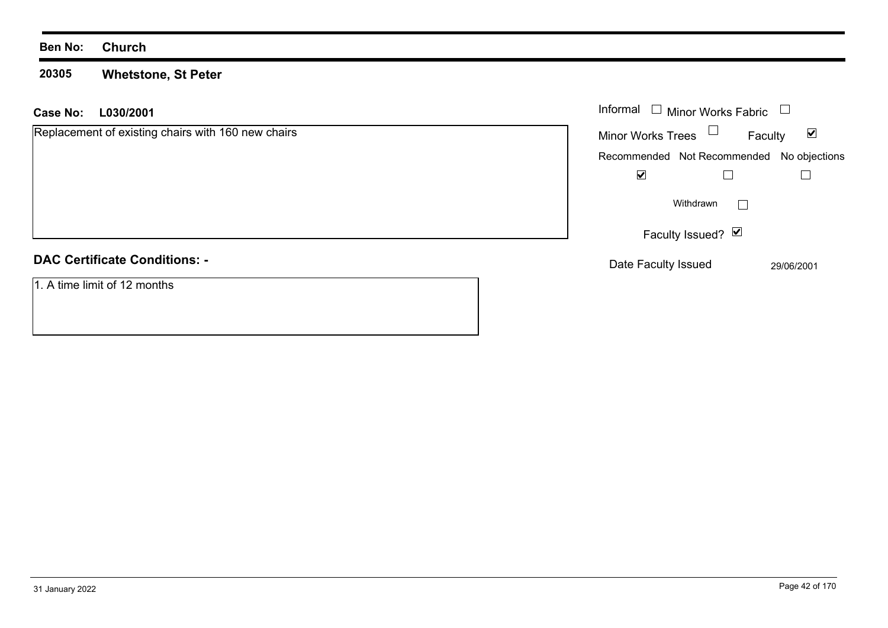#### **20305 Whetstone, St Peter**

| L030/2001<br>Case No:                              | Informal $\Box$ Minor Works Fabric                          |
|----------------------------------------------------|-------------------------------------------------------------|
| Replacement of existing chairs with 160 new chairs | Minor Works Trees $\Box$<br>$\blacktriangledown$<br>Faculty |
|                                                    | Recommended Not Recommended No objections                   |
|                                                    | ☑                                                           |
|                                                    | Withdrawn                                                   |
|                                                    | Faculty Issued? $\boxed{\triangleright}$                    |
| <b>DAC Certificate Conditions: -</b>               | Date Faculty Issued<br>29/06/2001                           |
| 1. A time limit of 12 months                       |                                                             |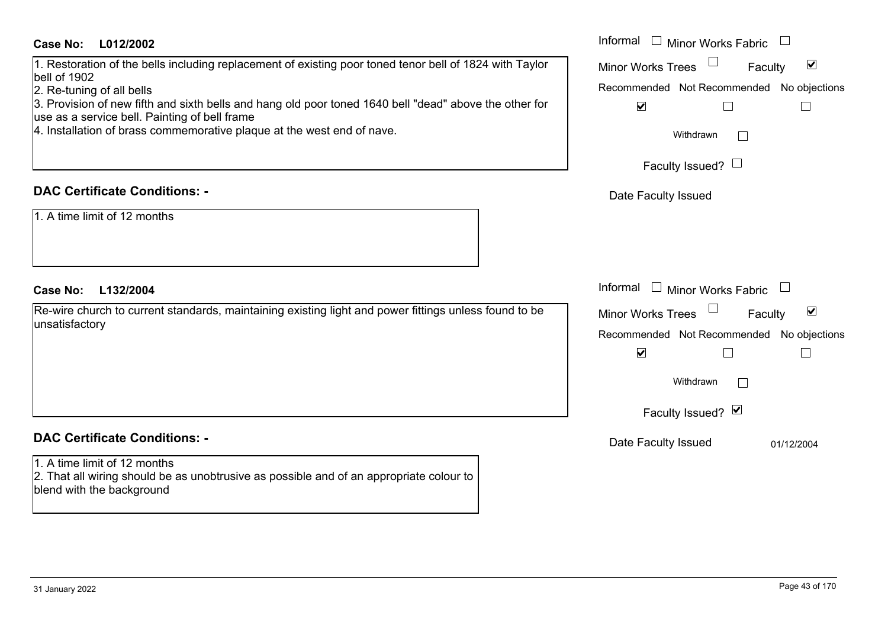## **L012/2002Case No:** Informal

1. Restoration of the bells including replacement of existing poor toned tenor bell of 1824 with Taylor bell of 1902

2. Re-tuning of all bells

3. Provision of new fifth and sixth bells and hang old poor toned 1640 bell "dead" above the other for use as a service bell. Painting of bell frame

4. Installation of brass commemorative plaque at the west end of nave.

# **DAC Certificate Conditions: -**

1. A time limit of 12 months

## **L132/2004Case No:** Informal

Re-wire church to current standards, maintaining existing light and power fittings unless found to be unsatisfactory

# **DAC Certificate Conditions: -**

1. A time limit of 12 months2. That all wiring should be as unobtrusive as possible and of an appropriate colour to blend with the background

|   | Informal<br><b>Minor Works Fabric</b>                                |
|---|----------------------------------------------------------------------|
| r | $\blacktriangledown$<br><b>Minor Works Trees</b><br>Faculty          |
| r | Recommended Not Recommended No objections<br>$\overline{\mathbf{v}}$ |
|   | Withdrawn                                                            |
|   | Faculty Issued? $\Box$                                               |
|   | Date Faculty Issued                                                  |
|   |                                                                      |
|   |                                                                      |
|   | Informal<br><b>Minor Works Fabric</b>                                |
|   | ☑<br><b>Minor Works Trees</b><br>Faculty                             |
|   | Recommended Not Recommended No objections<br>$\blacktriangledown$    |
|   | Withdrawn                                                            |
|   | Faculty Issued? Ø                                                    |
|   | Date Faculty Issued<br>01/12/2004                                    |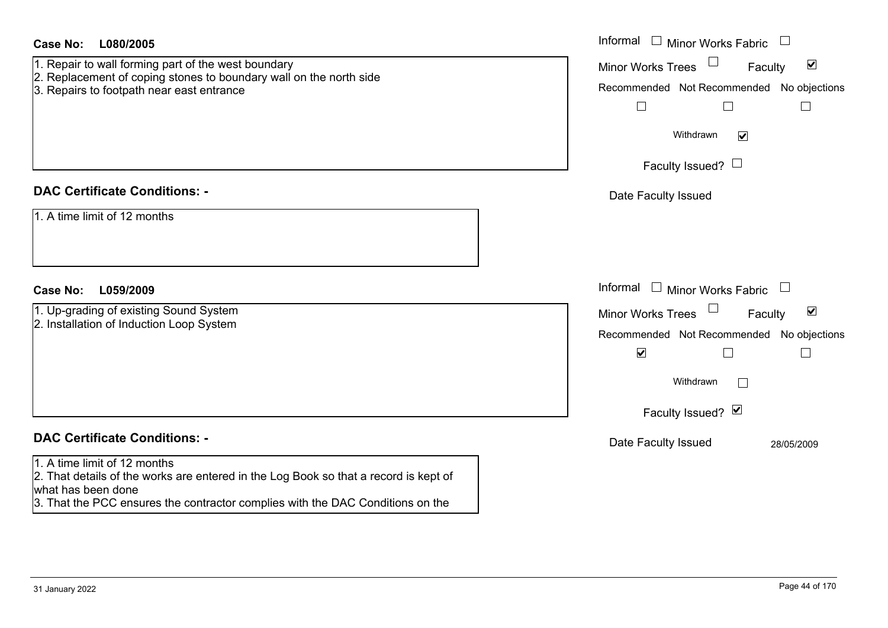| <b>Case No:</b><br>L080/2005                                                                                                                                                                                                 | Informal $\Box$ Minor Works Fabric $\Box$                                                                                                                                                                  |
|------------------------------------------------------------------------------------------------------------------------------------------------------------------------------------------------------------------------------|------------------------------------------------------------------------------------------------------------------------------------------------------------------------------------------------------------|
| 1. Repair to wall forming part of the west boundary<br>2. Replacement of coping stones to boundary wall on the north side<br>3. Repairs to footpath near east entrance                                                       | $\blacktriangledown$<br><b>Minor Works Trees</b><br>Faculty<br>Recommended Not Recommended No objections<br>$\Box$<br>⊔<br>$\Box$<br>Withdrawn<br>$\blacktriangledown$<br>Faculty Issued? $\Box$           |
| <b>DAC Certificate Conditions: -</b>                                                                                                                                                                                         | Date Faculty Issued                                                                                                                                                                                        |
| 1. A time limit of 12 months                                                                                                                                                                                                 |                                                                                                                                                                                                            |
| <b>Case No:</b><br>L059/2009                                                                                                                                                                                                 | Informal<br>$\mathrel{\boxdot}$ Minor Works Fabric $\mathrel{\boxdot}$                                                                                                                                     |
| 1. Up-grading of existing Sound System<br>2. Installation of Induction Loop System                                                                                                                                           | Minor Works Trees<br>$\blacktriangledown$<br>Faculty<br>Recommended Not Recommended No objections<br>$\blacktriangledown$<br>$\Box$<br>$\mathbf{I}$<br>Withdrawn<br>$\vert \ \ \vert$<br>Faculty Issued? Ø |
| <b>DAC Certificate Conditions: -</b>                                                                                                                                                                                         | Date Faculty Issued<br>28/05/2009                                                                                                                                                                          |
| 1. A time limit of 12 months<br>2. That details of the works are entered in the Log Book so that a record is kept of<br>what has been done<br>3. That the PCC ensures the contractor complies with the DAC Conditions on the |                                                                                                                                                                                                            |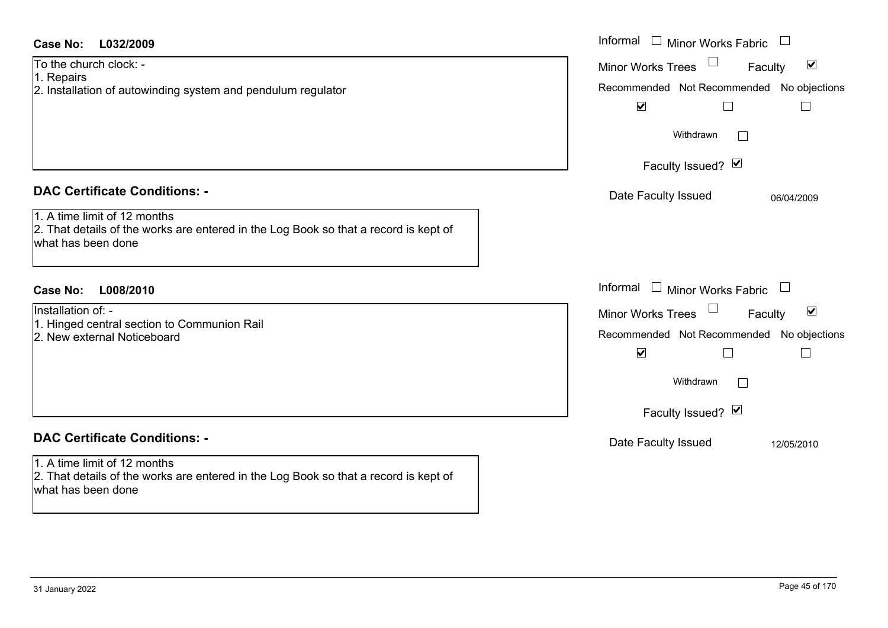| Case No:<br>L032/2009                                                                                                                                                              | Informal $\Box$ Minor Works Fabric $\Box$                                                                                                                                             |
|------------------------------------------------------------------------------------------------------------------------------------------------------------------------------------|---------------------------------------------------------------------------------------------------------------------------------------------------------------------------------------|
| To the church clock: -<br>1. Repairs<br>2. Installation of autowinding system and pendulum regulator                                                                               | Minor Works Trees<br>$\blacktriangledown$<br>Faculty<br>Recommended Not Recommended No objections<br>$\blacktriangledown$<br>$\Box$                                                   |
|                                                                                                                                                                                    | Withdrawn                                                                                                                                                                             |
|                                                                                                                                                                                    | Faculty Issued? Ø                                                                                                                                                                     |
| <b>DAC Certificate Conditions: -</b><br>1. A time limit of 12 months<br>2. That details of the works are entered in the Log Book so that a record is kept of<br>what has been done | Date Faculty Issued<br>06/04/2009                                                                                                                                                     |
| <b>Case No:</b><br>L008/2010                                                                                                                                                       | Informal<br>$\Box$ Minor Works Fabric $\Box$                                                                                                                                          |
| Installation of: -<br>1. Hinged central section to Communion Rail<br>2. New external Noticeboard                                                                                   | Minor Works Trees<br>$\blacktriangledown$<br>Faculty<br>Recommended Not Recommended No objections<br>$\blacktriangledown$<br>П<br>$\vert \ \ \vert$<br>Withdrawn<br>Faculty Issued? Ø |
| <b>DAC Certificate Conditions: -</b>                                                                                                                                               | Date Faculty Issued<br>12/05/2010                                                                                                                                                     |
| 1. A time limit of 12 months<br>2. That details of the works are entered in the Log Book so that a record is kept of<br>what has been done                                         |                                                                                                                                                                                       |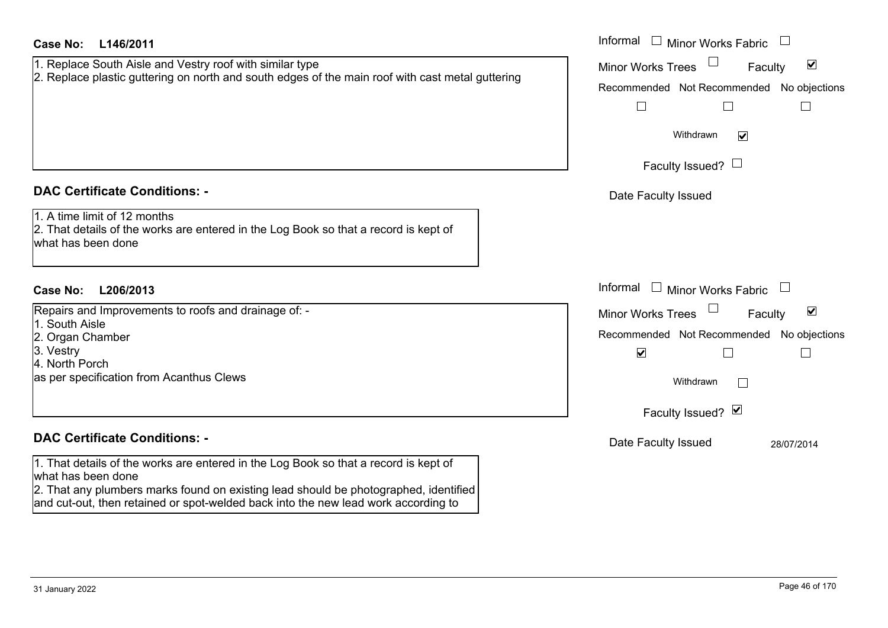| <b>Case No:</b><br>L146/2011                                                                                                                                                                                                                                                                                                     | Informal $\Box$ Minor Works Fabric $\Box$                                                                                                                                         |
|----------------------------------------------------------------------------------------------------------------------------------------------------------------------------------------------------------------------------------------------------------------------------------------------------------------------------------|-----------------------------------------------------------------------------------------------------------------------------------------------------------------------------------|
| 1. Replace South Aisle and Vestry roof with similar type<br>2. Replace plastic guttering on north and south edges of the main roof with cast metal guttering                                                                                                                                                                     | $\blacktriangledown$<br><b>Minor Works Trees</b><br>Faculty<br>Recommended Not Recommended No objections<br>$\Box$<br>Withdrawn<br>$\blacktriangledown$<br>Faculty Issued? $\Box$ |
| <b>DAC Certificate Conditions: -</b>                                                                                                                                                                                                                                                                                             | Date Faculty Issued                                                                                                                                                               |
| 1. A time limit of 12 months<br>2. That details of the works are entered in the Log Book so that a record is kept of<br>what has been done                                                                                                                                                                                       |                                                                                                                                                                                   |
| <b>Case No:</b><br>L206/2013                                                                                                                                                                                                                                                                                                     | Informal<br>$\Box$ Minor Works Fabric $\Box$                                                                                                                                      |
| Repairs and Improvements to roofs and drainage of: -<br>1. South Aisle<br>2. Organ Chamber<br>3. Vestry<br>4. North Porch<br>as per specification from Acanthus Clews                                                                                                                                                            | $\blacktriangledown$<br><b>Minor Works Trees</b><br>Faculty<br>Recommended Not Recommended No objections<br>$\blacktriangledown$<br>$\Box$<br>Withdrawn                           |
|                                                                                                                                                                                                                                                                                                                                  | Faculty Issued? Ø                                                                                                                                                                 |
| <b>DAC Certificate Conditions: -</b><br>1. That details of the works are entered in the Log Book so that a record is kept of<br>what has been done<br>2. That any plumbers marks found on existing lead should be photographed, identified<br>and cut-out, then retained or spot-welded back into the new lead work according to | Date Faculty Issued<br>28/07/2014                                                                                                                                                 |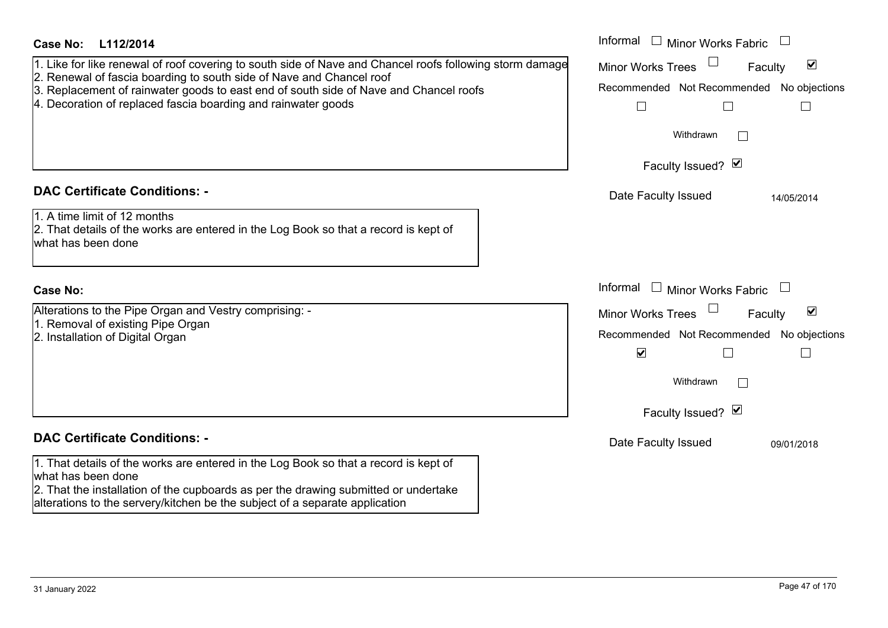| <b>Case No:</b><br>L112/2014                                                                                                                                  | Informal $\Box$ Minor Works Fabric                          |
|---------------------------------------------------------------------------------------------------------------------------------------------------------------|-------------------------------------------------------------|
| 1. Like for like renewal of roof covering to south side of Nave and Chancel roofs following storm damage                                                      | $\blacktriangledown$<br><b>Minor Works Trees</b><br>Faculty |
| 2. Renewal of fascia boarding to south side of Nave and Chancel roof<br>3. Replacement of rainwater goods to east end of south side of Nave and Chancel roofs | Recommended Not Recommended No objections                   |
| 4. Decoration of replaced fascia boarding and rainwater goods                                                                                                 | $\Box$<br>$\mathbb{R}^n$<br>$\Box$                          |
|                                                                                                                                                               | Withdrawn                                                   |
|                                                                                                                                                               | Faculty Issued? Ø                                           |
| <b>DAC Certificate Conditions: -</b>                                                                                                                          | Date Faculty Issued<br>14/05/2014                           |
| 1. A time limit of 12 months                                                                                                                                  |                                                             |
| 2. That details of the works are entered in the Log Book so that a record is kept of<br>what has been done                                                    |                                                             |
|                                                                                                                                                               |                                                             |
| <b>Case No:</b>                                                                                                                                               | Informal<br>$\Box$ Minor Works Fabric                       |
| Alterations to the Pipe Organ and Vestry comprising: -                                                                                                        | $\blacktriangledown$<br><b>Minor Works Trees</b><br>Faculty |
| 1. Removal of existing Pipe Organ<br>2. Installation of Digital Organ                                                                                         | Recommended Not Recommended No objections                   |
|                                                                                                                                                               | $\blacktriangledown$<br>$\Box$<br>$\overline{\phantom{a}}$  |
|                                                                                                                                                               | Withdrawn                                                   |
|                                                                                                                                                               | Faculty Issued? Ø                                           |
| <b>DAC Certificate Conditions: -</b>                                                                                                                          | Date Faculty Issued<br>09/01/2018                           |
| 1. That details of the works are entered in the Log Book so that a record is kept of<br>what has been done                                                    |                                                             |
| 2. That the installation of the cupboards as per the drawing submitted or undertake                                                                           |                                                             |
| alterations to the servery/kitchen be the subject of a separate application                                                                                   |                                                             |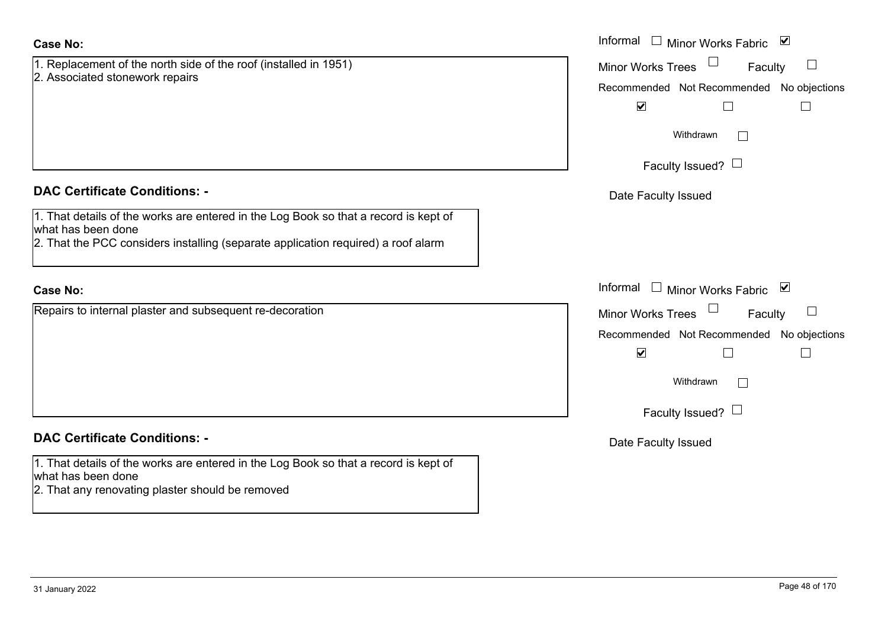| 1. Replacement of the north side of the roof (installed in 1951) |  |
|------------------------------------------------------------------|--|
| 2. Associated stonework repairs                                  |  |

# **DAC Certificate Conditions: -**

1. That details of the works are entered in the Log Book so that a record is kept of what has been done

2. That the PCC considers installing (separate application required) a roof alarm

## **Case No:**

Repairs to internal plaster and subsequent re-decoration

# **DAC Certificate Conditions: -**

1. That details of the works are entered in the Log Book so that a record is kept of what has been done

2. That any renovating plaster should be removed

|                                                                                                                                                                      | Informal <u>I</u> Minor Works Fabric ⊠                                                        |
|----------------------------------------------------------------------------------------------------------------------------------------------------------------------|-----------------------------------------------------------------------------------------------|
| cement of the north side of the roof (installed in 1951)<br>ated stonework repairs                                                                                   | $\Box$<br>Minor Works Trees<br>Faculty                                                        |
|                                                                                                                                                                      | Recommended Not Recommended No objections                                                     |
|                                                                                                                                                                      | $\blacktriangledown$                                                                          |
|                                                                                                                                                                      | Withdrawn                                                                                     |
|                                                                                                                                                                      | Faculty Issued? $\Box$                                                                        |
| rtificate Conditions: -                                                                                                                                              | Date Faculty Issued                                                                           |
| etails of the works are entered in the Log Book so that a record is kept of<br>been done<br>ne PCC considers installing (separate application required) a roof alarm |                                                                                               |
|                                                                                                                                                                      | Informal<br>□ Minor Works Fabric $\vert \mathbf{v} \vert$                                     |
| o internal plaster and subsequent re-decoration                                                                                                                      | Minor Works Trees $\Box$<br>$\Box$<br>Faculty                                                 |
|                                                                                                                                                                      | Recommended Not Recommended No objections<br>$\blacktriangledown$<br>$\overline{\phantom{a}}$ |
|                                                                                                                                                                      | Withdrawn                                                                                     |
|                                                                                                                                                                      | Faculty Issued? $\Box$                                                                        |
| rtificate Conditions: -                                                                                                                                              | Date Faculty Issued                                                                           |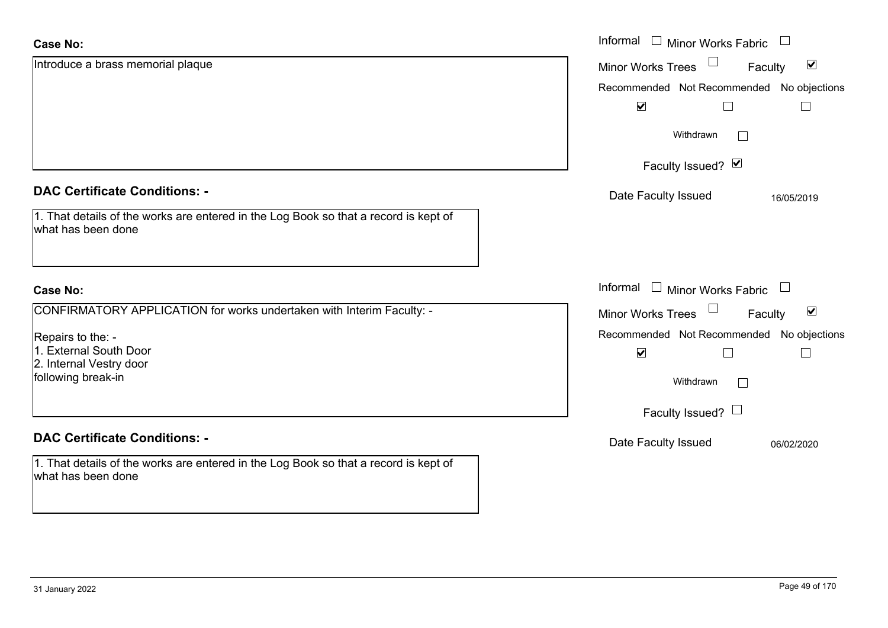| <b>Case No:</b>                                                                                            | Informal<br>$\begin{array}{c} \boxed{1} \\ \boxed{1} \end{array}$<br><b>Minor Works Fabric</b> |
|------------------------------------------------------------------------------------------------------------|------------------------------------------------------------------------------------------------|
| Introduce a brass memorial plaque                                                                          | $\blacktriangledown$<br><b>Minor Works Trees</b><br>Faculty                                    |
|                                                                                                            | Recommended Not Recommended No objections                                                      |
|                                                                                                            | $\blacktriangledown$                                                                           |
|                                                                                                            | Withdrawn<br>$\perp$                                                                           |
|                                                                                                            | Faculty Issued? Ø                                                                              |
| <b>DAC Certificate Conditions: -</b>                                                                       | Date Faculty Issued<br>16/05/2019                                                              |
| 1. That details of the works are entered in the Log Book so that a record is kept of<br>what has been done |                                                                                                |
| <b>Case No:</b>                                                                                            | Informal<br>$\Box$<br>Minor Works Fabric $\Box$                                                |
| CONFIRMATORY APPLICATION for works undertaken with Interim Faculty: -                                      |                                                                                                |
|                                                                                                            | $\blacktriangledown$<br>Minor Works Trees<br>Faculty                                           |
| Repairs to the: -                                                                                          | Recommended Not Recommended No objections                                                      |
| 1. External South Door                                                                                     | $\blacktriangledown$<br>$\Box$                                                                 |
| 2. Internal Vestry door<br>following break-in                                                              | Withdrawn<br>$\perp$                                                                           |
|                                                                                                            | Faculty Issued? $\Box$                                                                         |
| <b>DAC Certificate Conditions: -</b>                                                                       | Date Faculty Issued<br>06/02/2020                                                              |
| 1. That details of the works are entered in the Log Book so that a record is kept of<br>what has been done |                                                                                                |

 $\sim$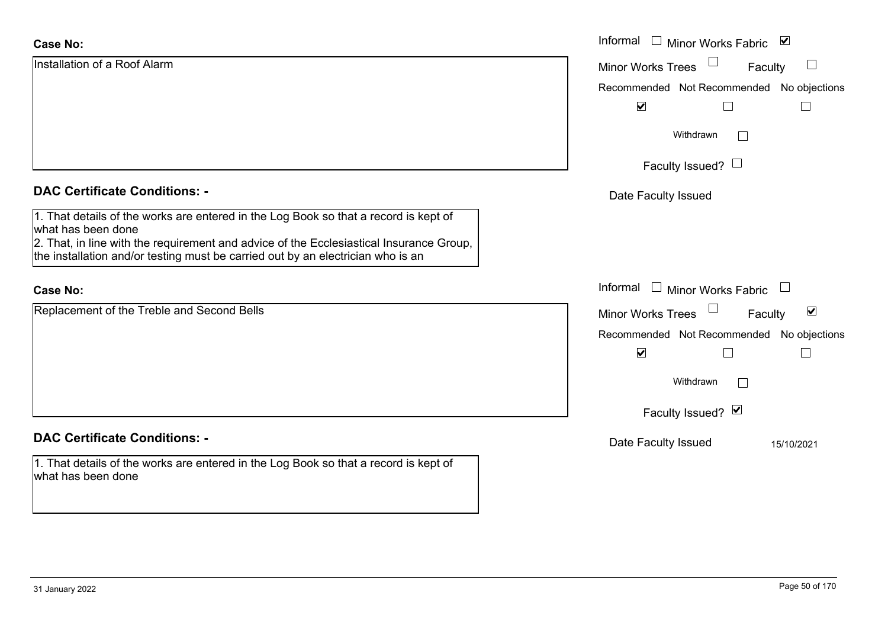| <b>Case No:</b>                                                                                                                                                                                       | Informal $\Box$ Minor Works Fabric $\Box$                   |
|-------------------------------------------------------------------------------------------------------------------------------------------------------------------------------------------------------|-------------------------------------------------------------|
| Installation of a Roof Alarm                                                                                                                                                                          | Minor Works Trees<br>$\Box$<br>Faculty                      |
|                                                                                                                                                                                                       | Recommended Not Recommended No objections                   |
|                                                                                                                                                                                                       | $\blacktriangledown$                                        |
|                                                                                                                                                                                                       | Withdrawn                                                   |
|                                                                                                                                                                                                       | Faculty Issued? $\Box$                                      |
| <b>DAC Certificate Conditions: -</b>                                                                                                                                                                  | Date Faculty Issued                                         |
| 1. That details of the works are entered in the Log Book so that a record is kept of<br>what has been done<br>2. That, in line with the requirement and advice of the Ecclesiastical Insurance Group, |                                                             |
| the installation and/or testing must be carried out by an electrician who is an                                                                                                                       |                                                             |
| <b>Case No:</b>                                                                                                                                                                                       | Informal<br>$\Box$ Minor Works Fabric $\Box$                |
| Replacement of the Treble and Second Bells                                                                                                                                                            | $\blacktriangledown$<br><b>Minor Works Trees</b><br>Faculty |
|                                                                                                                                                                                                       | Recommended Not Recommended No objections                   |
|                                                                                                                                                                                                       | $\blacktriangledown$<br>П                                   |
|                                                                                                                                                                                                       | Withdrawn                                                   |
|                                                                                                                                                                                                       | Faculty Issued? Ø                                           |
| <b>DAC Certificate Conditions: -</b>                                                                                                                                                                  | Date Faculty Issued<br>15/10/2021                           |
| 1. That details of the works are entered in the Log Book so that a record is kept of<br>what has been done                                                                                            |                                                             |
|                                                                                                                                                                                                       |                                                             |

ш.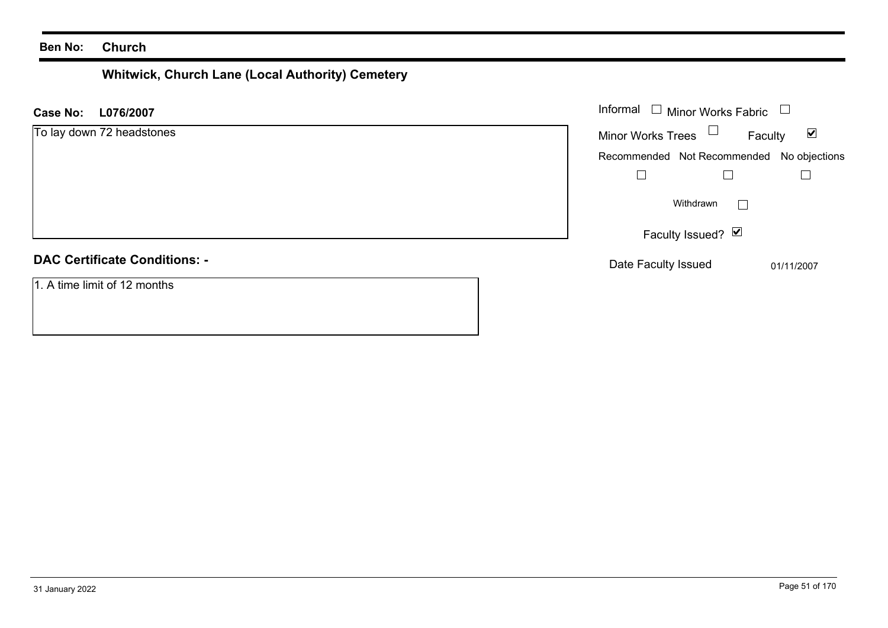# **Whitwick, Church Lane (Local Authority) Cemetery**

| L076/2007<br>Case No:                | Informal $\Box$ Minor Works Fabric                          |
|--------------------------------------|-------------------------------------------------------------|
| To lay down 72 headstones            | Minor Works Trees $\Box$<br>$\blacktriangledown$<br>Faculty |
|                                      | Recommended Not Recommended No objections                   |
|                                      |                                                             |
|                                      | Withdrawn                                                   |
|                                      | Faculty Issued? $\boxed{\triangleright}$                    |
| <b>DAC Certificate Conditions: -</b> | Date Faculty Issued<br>01/11/2007                           |
| 1. A time limit of 12 months         |                                                             |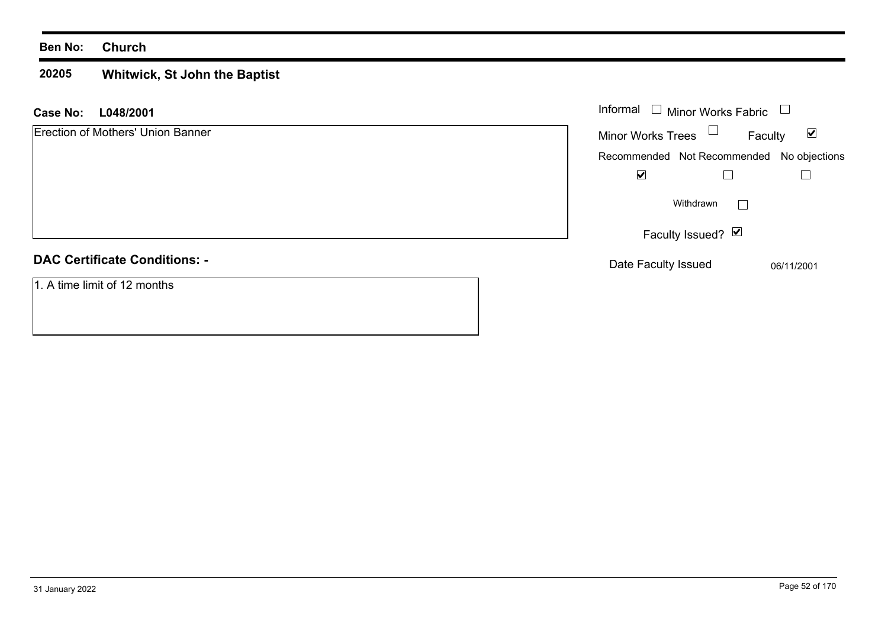#### **20205 Whitwick, St John the Baptist**

| L048/2001<br><b>Case No:</b>         | Informal $\Box$ Minor Works Fabric                          |
|--------------------------------------|-------------------------------------------------------------|
| Erection of Mothers' Union Banner    | Minor Works Trees $\Box$<br>$\blacktriangledown$<br>Faculty |
|                                      | Recommended Not Recommended No objections                   |
|                                      | ☑                                                           |
|                                      | Withdrawn<br>$\vert$ $\vert$                                |
|                                      | Faculty Issued? Ø                                           |
| <b>DAC Certificate Conditions: -</b> | Date Faculty Issued<br>06/11/2001                           |
| 1. A time limit of 12 months         |                                                             |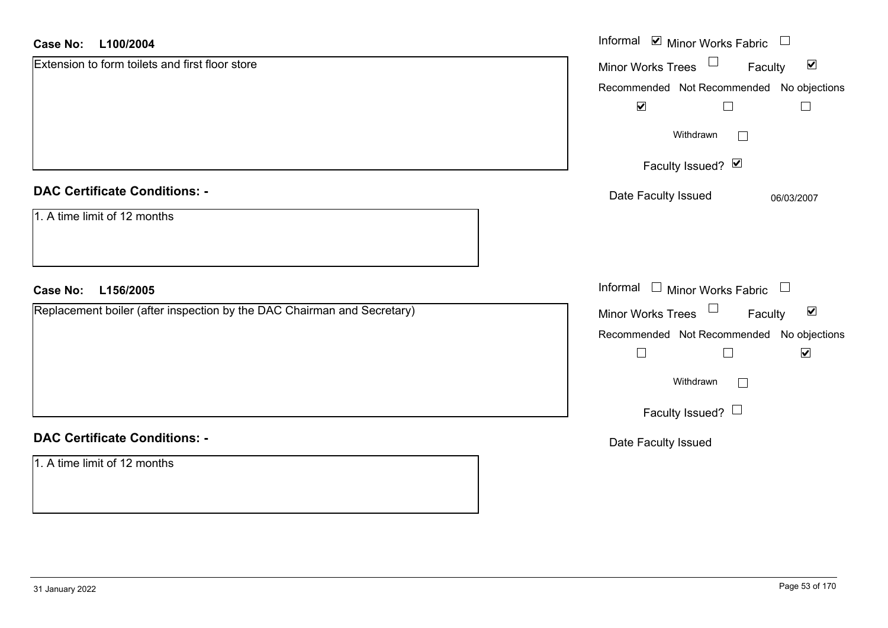#### **L100/2004Case No:**

| L100/2004<br><b>Case No:</b>                                            | Informal Ø Minor Works Fabric □                                |
|-------------------------------------------------------------------------|----------------------------------------------------------------|
| Extension to form toilets and first floor store                         | $\Box$<br>$\blacktriangledown$<br>Minor Works Trees<br>Faculty |
|                                                                         | Recommended Not Recommended No objections                      |
|                                                                         | $\blacktriangledown$<br>$\Box$<br>$\overline{\phantom{a}}$     |
|                                                                         | Withdrawn                                                      |
|                                                                         | Faculty Issued? Ø                                              |
| <b>DAC Certificate Conditions: -</b>                                    | Date Faculty Issued<br>06/03/2007                              |
| 1. A time limit of 12 months                                            |                                                                |
| <b>Case No:</b><br>L156/2005                                            | Informal □ Minor Works Fabric □                                |
| Replacement boiler (after inspection by the DAC Chairman and Secretary) | $\Box$<br>$\blacktriangledown$<br>Minor Works Trees<br>Faculty |
|                                                                         | Recommended Not Recommended No objections                      |
|                                                                         | $\blacktriangledown$<br>$\Box$<br>$\Box$                       |
|                                                                         | Withdrawn<br>$\Box$                                            |
|                                                                         | Faculty Issued? $\Box$                                         |
| <b>DAC Certificate Conditions: -</b>                                    | Date Faculty Issued                                            |
| 1. A time limit of 12 months                                            |                                                                |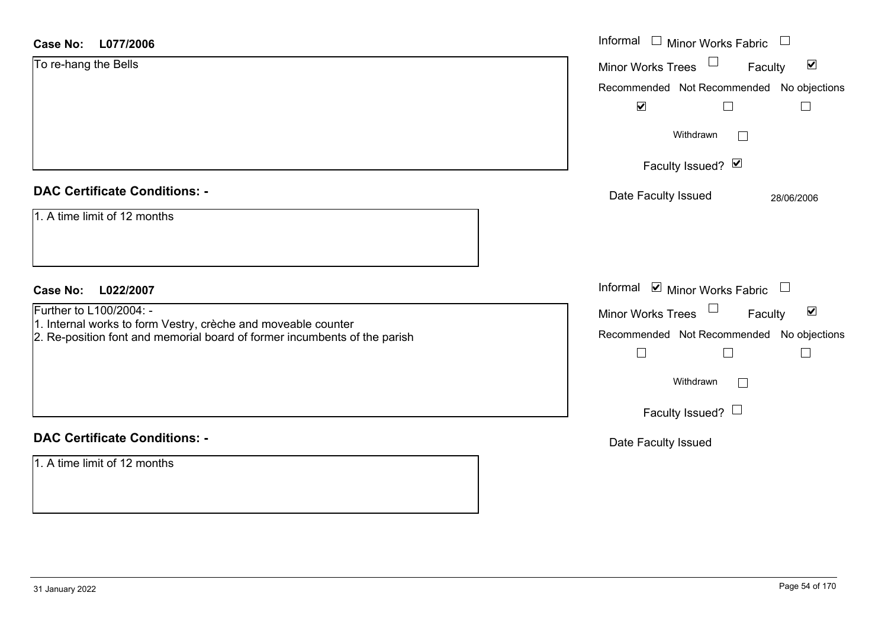| <b>Case No:</b><br>L077/2006                                                                                                                                                                          | Informal $\Box$ Minor Works Fabric                                                                                                                                                                                   |
|-------------------------------------------------------------------------------------------------------------------------------------------------------------------------------------------------------|----------------------------------------------------------------------------------------------------------------------------------------------------------------------------------------------------------------------|
| To re-hang the Bells                                                                                                                                                                                  | $\blacktriangledown$<br><b>Minor Works Trees</b><br>Faculty<br>Recommended Not Recommended No objections<br>$\blacktriangledown$<br>Г<br>Withdrawn<br>Faculty Issued? Ø                                              |
| <b>DAC Certificate Conditions: -</b><br>1. A time limit of 12 months                                                                                                                                  | Date Faculty Issued<br>28/06/2006                                                                                                                                                                                    |
| <b>Case No:</b><br>L022/2007<br>Further to L100/2004: -<br>1. Internal works to form Vestry, crèche and moveable counter<br>2. Re-position font and memorial board of former incumbents of the parish | Informal $\blacksquare$ Minor Works Fabric $\blacksquare$<br>$\blacktriangledown$<br>Minor Works Trees<br>Faculty<br>Recommended Not Recommended No objections<br>L<br>$\Box$<br>Withdrawn<br>Faculty Issued? $\Box$ |
| <b>DAC Certificate Conditions: -</b><br>1. A time limit of 12 months                                                                                                                                  | Date Faculty Issued                                                                                                                                                                                                  |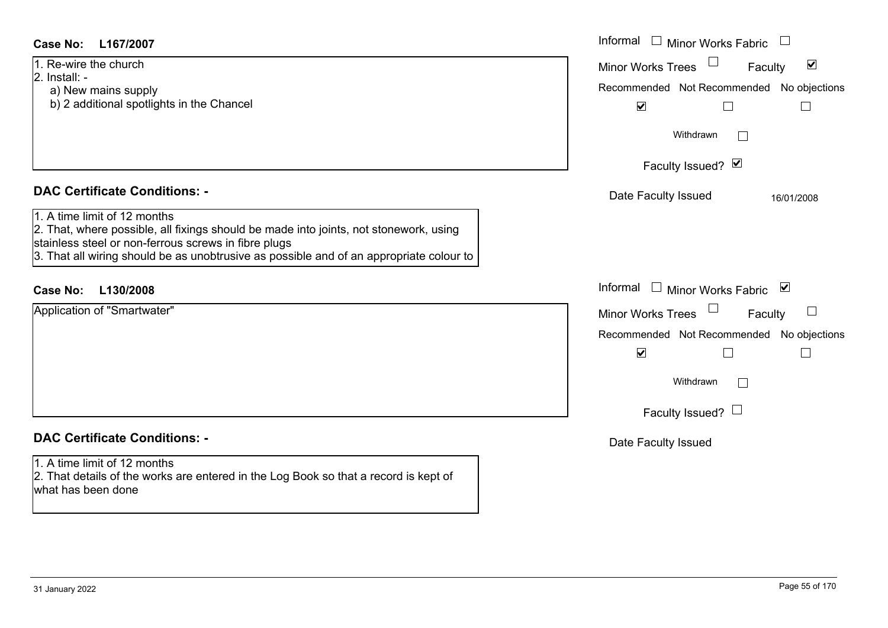| <b>Case No:</b><br>L167/2007                                                                                                                                                                                                                                                                                     | Informal □ Minor Works Fabric                                                                                                                                |
|------------------------------------------------------------------------------------------------------------------------------------------------------------------------------------------------------------------------------------------------------------------------------------------------------------------|--------------------------------------------------------------------------------------------------------------------------------------------------------------|
| 1. Re-wire the church<br>2. Install: -<br>a) New mains supply<br>b) 2 additional spotlights in the Chancel                                                                                                                                                                                                       | $\blacktriangledown$<br><b>Minor Works Trees</b><br>Faculty<br>Recommended Not Recommended No objections<br>$\blacktriangledown$                             |
|                                                                                                                                                                                                                                                                                                                  | Withdrawn<br>Faculty Issued? Ø                                                                                                                               |
| <b>DAC Certificate Conditions: -</b><br>1. A time limit of 12 months<br>2. That, where possible, all fixings should be made into joints, not stonework, using<br>stainless steel or non-ferrous screws in fibre plugs<br>3. That all wiring should be as unobtrusive as possible and of an appropriate colour to | Date Faculty Issued<br>16/01/2008                                                                                                                            |
| <b>Case No:</b><br>L130/2008                                                                                                                                                                                                                                                                                     | Informal $\Box$ Minor Works Fabric<br>⊻                                                                                                                      |
| Application of "Smartwater"                                                                                                                                                                                                                                                                                      | Minor Works Trees<br>$\Box$<br>Faculty<br>Recommended Not Recommended No objections<br>$\blacktriangledown$<br>Withdrawn<br>$\Box$<br>Faculty Issued? $\Box$ |
| <b>DAC Certificate Conditions: -</b>                                                                                                                                                                                                                                                                             | Date Faculty Issued                                                                                                                                          |
| 1. A time limit of 12 months<br>2. That details of the works are entered in the Log Book so that a record is kept of<br>what has been done                                                                                                                                                                       |                                                                                                                                                              |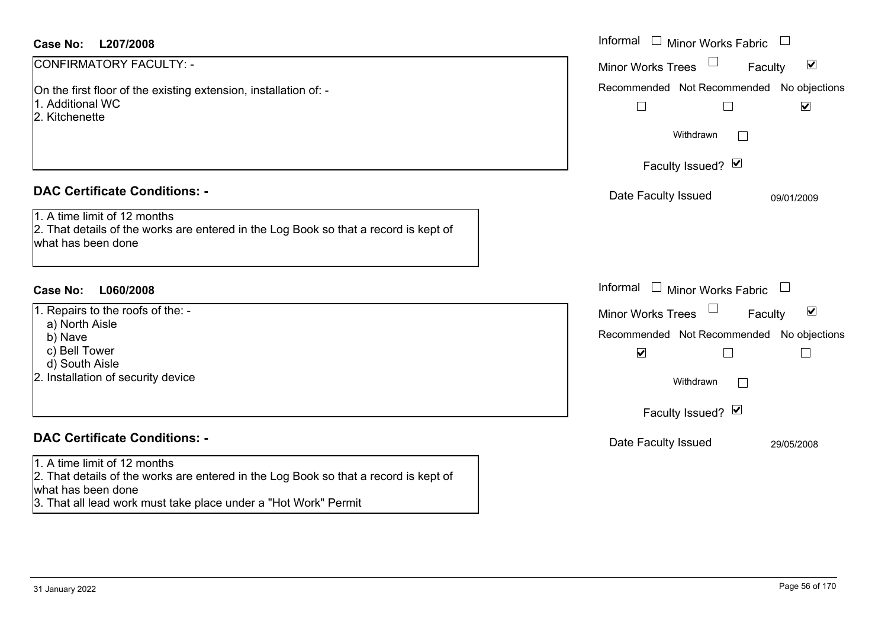| <b>Case No:</b><br>L207/2008                                                                                                               | Informal $\Box$ Minor Works Fabric $\Box$                                             |
|--------------------------------------------------------------------------------------------------------------------------------------------|---------------------------------------------------------------------------------------|
| CONFIRMATORY FACULTY: -                                                                                                                    | $\blacktriangleright$<br>Faculty<br><b>Minor Works Trees</b>                          |
| On the first floor of the existing extension, installation of: -<br>1. Additional WC<br>2. Kitchenette                                     | Recommended Not Recommended No objections<br>$\Box$<br>$\blacktriangledown$<br>$\Box$ |
|                                                                                                                                            | Withdrawn<br>$\perp$                                                                  |
|                                                                                                                                            | Faculty Issued? Ø                                                                     |
| <b>DAC Certificate Conditions: -</b>                                                                                                       | Date Faculty Issued<br>09/01/2009                                                     |
| 1. A time limit of 12 months<br>2. That details of the works are entered in the Log Book so that a record is kept of<br>what has been done |                                                                                       |
| Case No:<br>L060/2008                                                                                                                      | Informal<br>$\Box$ Minor Works Fabric                                                 |
| 1. Repairs to the roofs of the: -<br>a) North Aisle                                                                                        | $\blacktriangledown$<br><b>Minor Works Trees</b><br>Faculty                           |
| b) Nave                                                                                                                                    | Recommended Not Recommended No objections                                             |
| c) Bell Tower<br>d) South Aisle                                                                                                            | $\blacktriangledown$<br>L<br>$\mathbb{R}^n$                                           |
| 2. Installation of security device                                                                                                         | Withdrawn                                                                             |
|                                                                                                                                            | Faculty Issued? Ø                                                                     |
| <b>DAC Certificate Conditions: -</b>                                                                                                       | Date Faculty Issued<br>29/05/2008                                                     |
| 1. A time limit of 12 months<br>2. That details of the works are entered in the Log Book so that a record is kept of<br>what has been done |                                                                                       |
| 3. That all lead work must take place under a "Hot Work" Permit                                                                            |                                                                                       |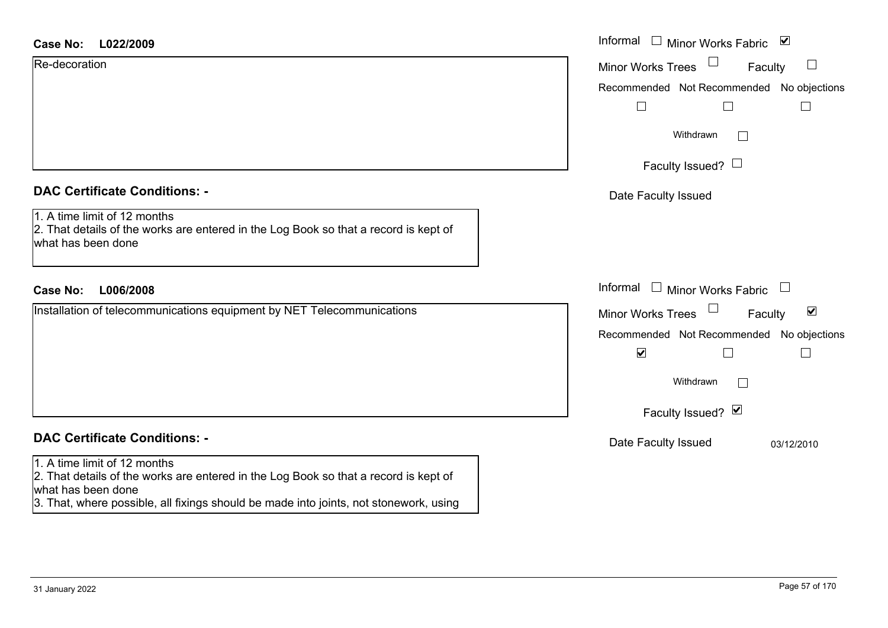| <b>Case No:</b> | L022/2009 |
|-----------------|-----------|
|-----------------|-----------|

Re-decoration

| <b>DAC Certificate Conditions: -</b> |  |  |
|--------------------------------------|--|--|
|--------------------------------------|--|--|

1. A time limit of 12 months

2. That details of the works are entered in the Log Book so that a record is kept of what has been done

# **L006/2008Case No:** Informal

Installation of telecommunications equipment by NET Telecommunications

# **DAC Certificate Conditions: -**

#### 1. A time limit of 12 months

2. That details of the works are entered in the Log Book so that a record is kept of what has been done

3. That, where possible, all fixings should be made into joints, not stonework, using

| L022/2009                                                                                                      | Informal □ Minor Works Fabric ☑                         |
|----------------------------------------------------------------------------------------------------------------|---------------------------------------------------------|
| ation <sup>.</sup>                                                                                             | $\Box$<br><b>Minor Works Trees</b><br>$\Box$<br>Faculty |
|                                                                                                                | Recommended Not Recommended No objections               |
|                                                                                                                | Г                                                       |
|                                                                                                                | Withdrawn                                               |
|                                                                                                                | Faculty Issued? $\Box$                                  |
| rtificate Conditions: -                                                                                        | Date Faculty Issued                                     |
| limit of 12 months<br>etails of the works are entered in the Log Book so that a record is kept of<br>been done |                                                         |
| L006/2008                                                                                                      | Informal $\Box$ Minor Works Fabric $\Box$               |
| on of telecommunications equipment by NET Telecommunications                                                   | Minor Works Trees<br>$\blacktriangledown$<br>Faculty    |
|                                                                                                                | Recommended Not Recommended No objections               |
|                                                                                                                | $\blacktriangledown$                                    |
|                                                                                                                | Withdrawn<br>$\mathbf{I}$                               |
|                                                                                                                | Faculty Issued? Ø                                       |
| rtificate Conditions: -                                                                                        | Date Faculty Issued<br>03/12/2010                       |
| limit of 12 months                                                                                             |                                                         |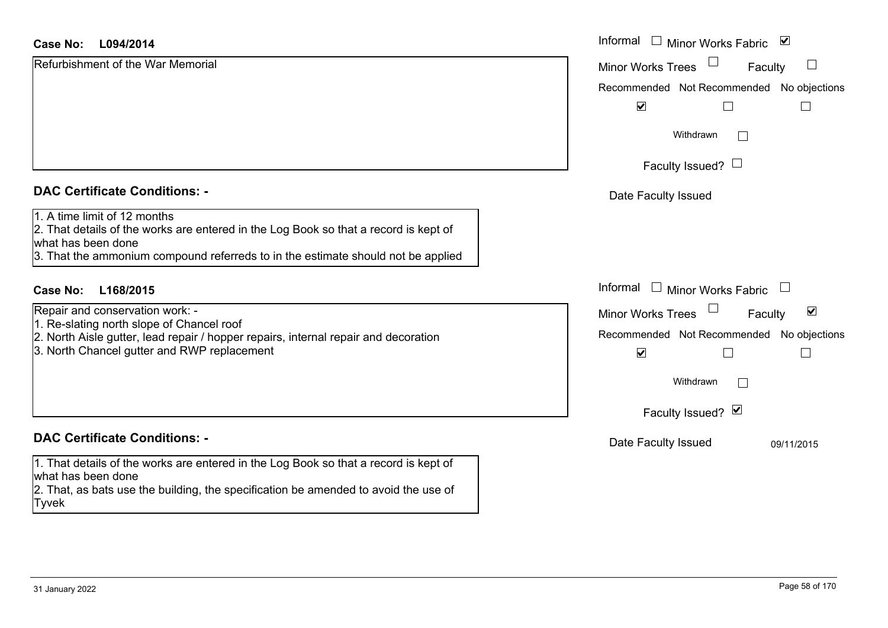| <b>Case No:</b><br>L094/2014                                                                                                                                                                                                   | Informal $\Box$ Minor Works Fabric $\Box$                                                                                 |
|--------------------------------------------------------------------------------------------------------------------------------------------------------------------------------------------------------------------------------|---------------------------------------------------------------------------------------------------------------------------|
| Refurbishment of the War Memorial                                                                                                                                                                                              | $\Box$<br>Faculty<br><b>Minor Works Trees</b>                                                                             |
|                                                                                                                                                                                                                                | Recommended Not Recommended No objections                                                                                 |
|                                                                                                                                                                                                                                | $\blacktriangledown$                                                                                                      |
|                                                                                                                                                                                                                                | Withdrawn                                                                                                                 |
|                                                                                                                                                                                                                                | Faculty Issued? $\Box$                                                                                                    |
| <b>DAC Certificate Conditions: -</b>                                                                                                                                                                                           | Date Faculty Issued                                                                                                       |
| 1. A time limit of 12 months<br>2. That details of the works are entered in the Log Book so that a record is kept of<br>what has been done<br>3. That the ammonium compound referreds to in the estimate should not be applied |                                                                                                                           |
| L168/2015<br>Case No:                                                                                                                                                                                                          | Informal $\Box$ Minor Works Fabric $\Box$                                                                                 |
| Repair and conservation work: -<br>1. Re-slating north slope of Chancel roof<br>2. North Aisle gutter, lead repair / hopper repairs, internal repair and decoration<br>3. North Chancel gutter and RWP replacement             | $\blacktriangledown$<br>Minor Works Trees<br>Faculty<br>Recommended Not Recommended No objections<br>$\blacktriangledown$ |
|                                                                                                                                                                                                                                | Withdrawn                                                                                                                 |
|                                                                                                                                                                                                                                | Faculty Issued? Ø                                                                                                         |
| <b>DAC Certificate Conditions: -</b>                                                                                                                                                                                           | Date Faculty Issued<br>09/11/2015                                                                                         |
| 1. That details of the works are entered in the Log Book so that a record is kept of<br>lwhat has been done                                                                                                                    |                                                                                                                           |

Tyvek

2. That, as bats use the building, the specification be amended to avoid the use of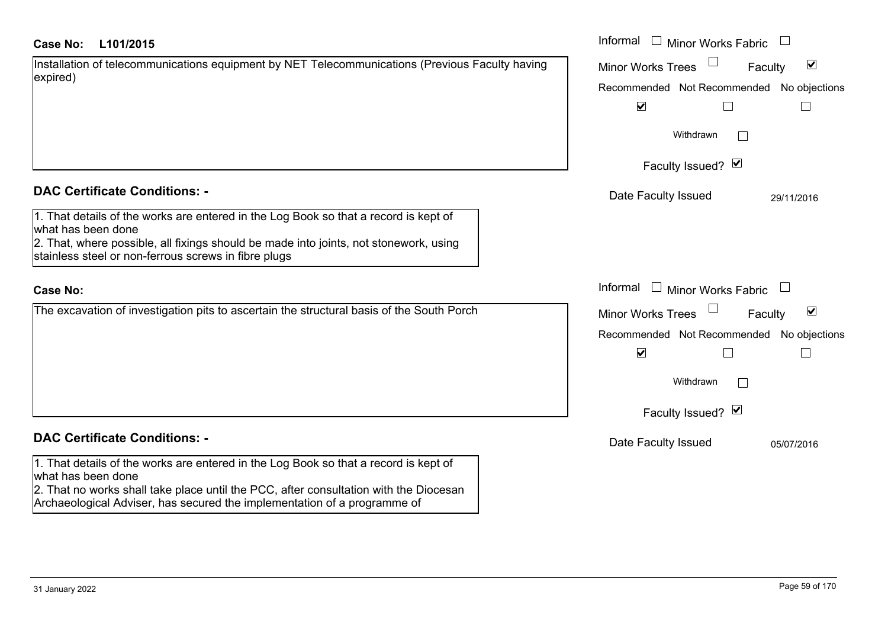| <b>Case No:</b> | L101/2015 |
|-----------------|-----------|
|-----------------|-----------|

| Installation of telecommunications equipment by NET Telecommunications (Previous Faculty having |  |
|-------------------------------------------------------------------------------------------------|--|
| expired)                                                                                        |  |

## **DAC Certificate Conditions: -**

1. That details of the works are entered in the Log Book so that a record is kept of what has been done 2. That, where possible, all fixings should be made into joints, not stonework, using

stainless steel or non-ferrous screws in fibre plugs

### **Case No:**

The excavation of investigation pits to ascertain the structural basis of the South Porch

# **DAC Certificate Conditions: -**

1. That details of the works are entered in the Log Book so that a record is kept of what has been done

2. That no works shall take place until the PCC, after consultation with the Diocesan Archaeological Adviser, has secured the implementation of a programme of

| L101/2015                                                                                                                  | Informal $\Box$ Minor Works Fabric $\Box$                   |
|----------------------------------------------------------------------------------------------------------------------------|-------------------------------------------------------------|
| on of telecommunications equipment by NET Telecommunications (Previous Faculty having                                      | $\blacktriangledown$<br><b>Minor Works Trees</b><br>Faculty |
|                                                                                                                            | Recommended Not Recommended No objections                   |
|                                                                                                                            | $\overline{\mathbf{v}}$                                     |
|                                                                                                                            | Withdrawn                                                   |
|                                                                                                                            | Faculty Issued? Ø                                           |
| rtificate Conditions: -                                                                                                    | Date Faculty Issued<br>29/11/2016                           |
| etails of the works are entered in the Log Book so that a record is kept of<br>been done                                   |                                                             |
| vhere possible, all fixings should be made into joints, not stonework, using<br>steel or non-ferrous screws in fibre plugs |                                                             |
|                                                                                                                            | Informal $\Box$ Minor Works Fabric $\Box$                   |
| ivation of investigation pits to ascertain the structural basis of the South Porch                                         | $\blacktriangledown$<br>Minor Works Trees<br>Faculty        |
|                                                                                                                            | Recommended Not Recommended No objections                   |
|                                                                                                                            | $\blacktriangledown$<br>L                                   |
|                                                                                                                            | Withdrawn                                                   |
|                                                                                                                            | Faculty Issued? Ø                                           |
| rtificate Conditions: -                                                                                                    | Date Faculty Issued<br>05/07/2016                           |
| etails of the works are entered in the Log Book so that a record is kept of<br>heen done                                   |                                                             |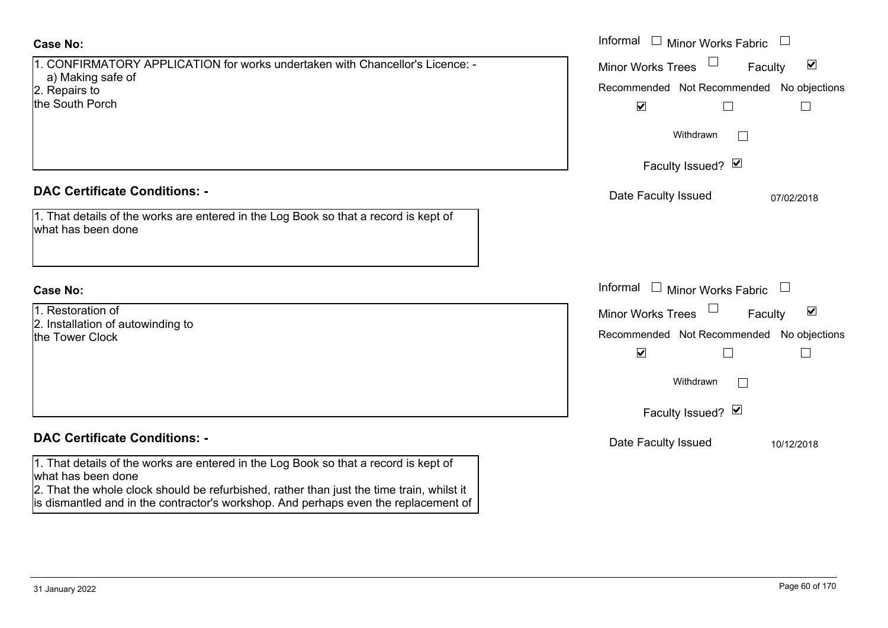# **Case No:**

| 1. CONFIRMATORY APPLICATION for works undertaken with Chancellor's Licence: - |
|-------------------------------------------------------------------------------|
| a) Making safe of                                                             |
| 2. Repairs to                                                                 |
| the South Porch                                                               |
|                                                                               |
|                                                                               |
|                                                                               |
|                                                                               |
|                                                                               |

## **DAC Certificate Conditions: -**

| 1. That details of the works are entered in the Log Book so that a record is kept of |  |
|--------------------------------------------------------------------------------------|--|
| what has been done                                                                   |  |

## **Case No:**

| 1. Restoration of                 |
|-----------------------------------|
| 2. Installation of autowinding to |
| the Tower Clock                   |

# **DAC Certificate Conditions: -**

1. That details of the works are entered in the Log Book so that a record is kept of what has been done

2. That the whole clock should be refurbished, rather than just the time train, whilst it is dismantled and in the contractor's workshop. And perhaps even the replacement of

|                                                                                                                  | Informal $\Box$ Minor Works Fabric $\Box$                                                                                        |
|------------------------------------------------------------------------------------------------------------------|----------------------------------------------------------------------------------------------------------------------------------|
| <b>IRMATORY APPLICATION for works undertaken with Chancellor's Licence: -</b><br>cing safe of<br>s to<br>า Porch | $\blacktriangledown$<br><b>Minor Works Trees</b><br>Faculty<br>Recommended Not Recommended No objections<br>$\blacktriangledown$ |
|                                                                                                                  | Withdrawn<br>$\vert \ \ \vert$                                                                                                   |
|                                                                                                                  | Faculty Issued? Ø                                                                                                                |
| rtificate Conditions: -                                                                                          | Date Faculty Issued<br>07/02/2018                                                                                                |
| etails of the works are entered in the Log Book so that a record is kept of<br>been done                         |                                                                                                                                  |
|                                                                                                                  | Informal $\Box$ Minor Works Fabric $\Box$                                                                                        |
| ation of<br>ation of autowinding to<br>r Clock                                                                   | Minor Works Trees<br>$\blacktriangledown$<br>Faculty<br>Recommended Not Recommended No objections<br>$\blacktriangledown$        |
|                                                                                                                  | Withdrawn<br>$\vert \ \ \vert$                                                                                                   |
|                                                                                                                  | Faculty Issued? Ø                                                                                                                |
| rtificate Conditions: -                                                                                          | Date Faculty Issued<br>10/12/2018                                                                                                |
| etails of the works are entered in the Log Book so that a record is kept of                                      |                                                                                                                                  |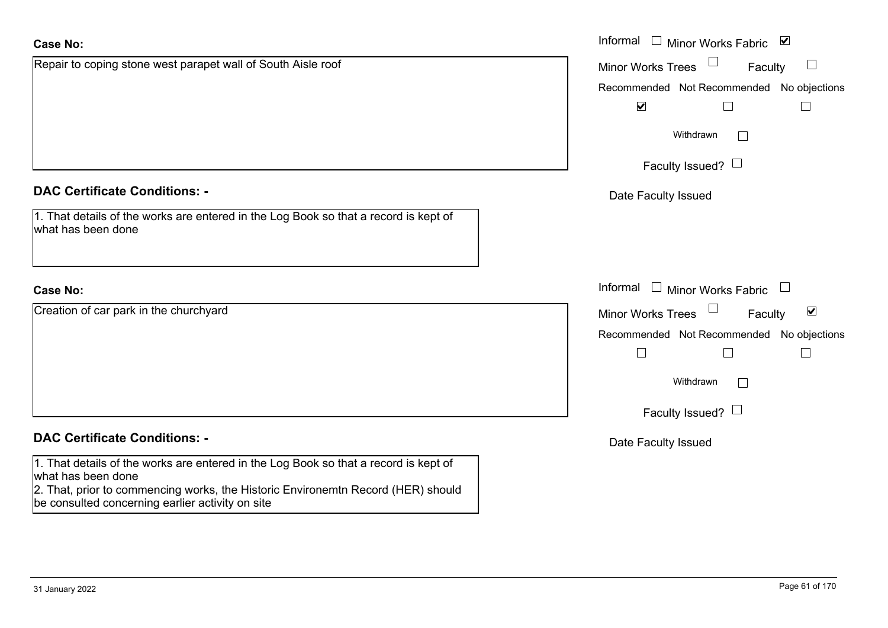| <b>Case No:</b>                                                                                                                                                                                                                                    | Informal □ Minor Works Fabric ☑                             |
|----------------------------------------------------------------------------------------------------------------------------------------------------------------------------------------------------------------------------------------------------|-------------------------------------------------------------|
| Repair to coping stone west parapet wall of South Aisle roof                                                                                                                                                                                       | <b>Minor Works Trees</b><br>Faculty                         |
|                                                                                                                                                                                                                                                    | Recommended Not Recommended No objections                   |
|                                                                                                                                                                                                                                                    | $\blacktriangledown$<br>$\Box$                              |
|                                                                                                                                                                                                                                                    | Withdrawn                                                   |
|                                                                                                                                                                                                                                                    | Faculty Issued?                                             |
| <b>DAC Certificate Conditions: -</b>                                                                                                                                                                                                               | Date Faculty Issued                                         |
| 1. That details of the works are entered in the Log Book so that a record is kept of<br>what has been done                                                                                                                                         |                                                             |
| <b>Case No:</b>                                                                                                                                                                                                                                    | Informal $\Box$ Minor Works Fabric $\Box$                   |
| Creation of car park in the churchyard                                                                                                                                                                                                             | $\blacktriangledown$<br><b>Minor Works Trees</b><br>Faculty |
|                                                                                                                                                                                                                                                    | Recommended Not Recommended No objections                   |
|                                                                                                                                                                                                                                                    | $\mathbb{R}^n$                                              |
|                                                                                                                                                                                                                                                    | Withdrawn                                                   |
|                                                                                                                                                                                                                                                    | Faculty Issued? $\Box$                                      |
| <b>DAC Certificate Conditions: -</b>                                                                                                                                                                                                               | Date Faculty Issued                                         |
| 1. That details of the works are entered in the Log Book so that a record is kept of<br>what has been done<br>2. That, prior to commencing works, the Historic Environemtn Record (HER) should<br>be consulted concerning earlier activity on site |                                                             |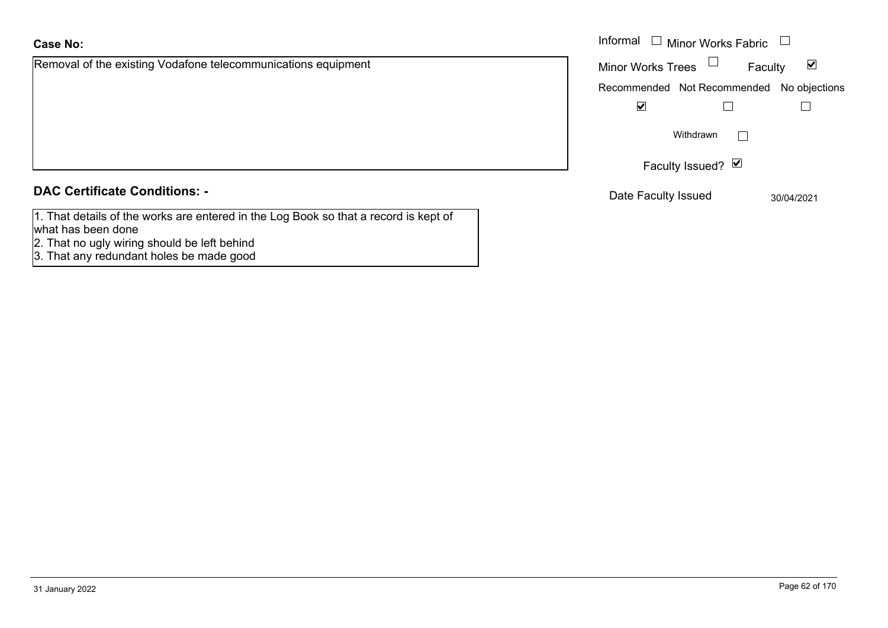# **Case No:**

Removal of the existing Vodafone telecommunications equipment

# **DAC Certificate Conditions: -**

- 1. That details of the works are entered in the Log Book so that a record is kept of what has been done
- 2. That no ugly wiring should be left behind
- 3. That any redundant holes be made good

|                                                       | Informal $\Box$ Minor Works Fabric                             |
|-------------------------------------------------------|----------------------------------------------------------------|
| of the existing Vodafone telecommunications equipment | $\overline{\mathbf{v}}$<br><b>Minor Works Trees</b><br>Faculty |
|                                                       | Recommended Not Recommended No objections                      |
|                                                       | ☑                                                              |
|                                                       | Withdrawn<br>$\mathbf{I}$                                      |
|                                                       | Faculty Issued? Ø                                              |
| rtificate Conditions: -                               | Date Faculty Issued<br>30/04/2021                              |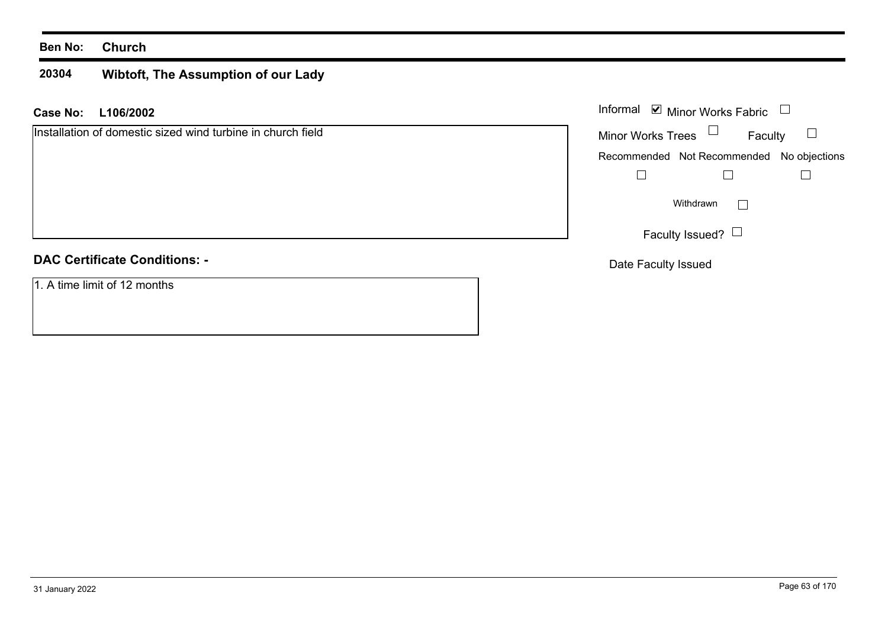#### **20304Wibtoft, The Assumption of our Lady**

**L106/2002 Case No:** Informal

Installation of domestic sized wind turbine in church field

# **DAC Certificate Conditions: -**

1. A time limit of 12 months

| Informal<br>$\blacksquare$ Minor Works Fabric |                                           |  |
|-----------------------------------------------|-------------------------------------------|--|
| <b>Minor Works Trees</b>                      | Faculty                                   |  |
|                                               | Recommended Not Recommended No objections |  |
|                                               |                                           |  |
| Withdrawn                                     |                                           |  |
| Faculty Issued?                               |                                           |  |

Date Faculty Issued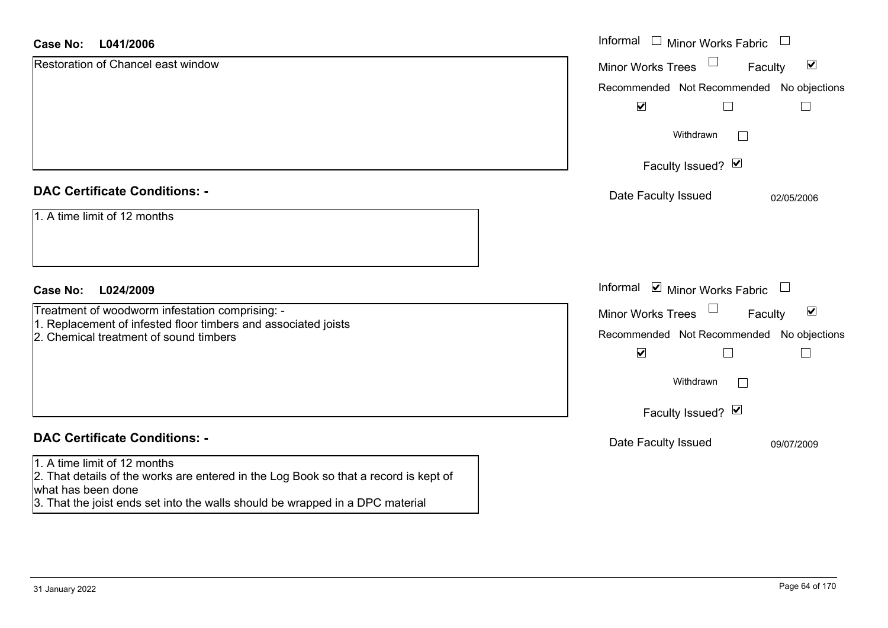# **L041/2006Case No:** Informal

| <b>Case No:</b><br>L041/2006                                                                                                               | Informal $\Box$ Minor Works Fabric $\Box$                      |
|--------------------------------------------------------------------------------------------------------------------------------------------|----------------------------------------------------------------|
| <b>Restoration of Chancel east window</b>                                                                                                  | $\Box$<br>$\blacktriangledown$<br>Minor Works Trees<br>Faculty |
|                                                                                                                                            | Recommended Not Recommended No objections                      |
|                                                                                                                                            | $\blacktriangledown$                                           |
|                                                                                                                                            | Withdrawn<br>$\Box$                                            |
|                                                                                                                                            | Faculty Issued? Ø                                              |
| <b>DAC Certificate Conditions: -</b>                                                                                                       | Date Faculty Issued<br>02/05/2006                              |
| 1. A time limit of 12 months                                                                                                               |                                                                |
| <b>Case No:</b><br>L024/2009                                                                                                               | Informal Ø Minor Works Fabric □                                |
| Treatment of woodworm infestation comprising: -                                                                                            | $\Box$<br>$\blacktriangledown$<br>Minor Works Trees<br>Faculty |
| 1. Replacement of infested floor timbers and associated joists<br>2. Chemical treatment of sound timbers                                   | Recommended Not Recommended No objections                      |
|                                                                                                                                            | $\blacktriangledown$                                           |
|                                                                                                                                            | Withdrawn<br>$\sim$                                            |
|                                                                                                                                            | Faculty Issued? Ø                                              |
| <b>DAC Certificate Conditions: -</b>                                                                                                       | Date Faculty Issued<br>09/07/2009                              |
| 1. A time limit of 12 months<br>2. That details of the works are entered in the Log Book so that a record is kept of<br>what has been done |                                                                |

3. That the joist ends set into the walls should be wrapped in a DPC material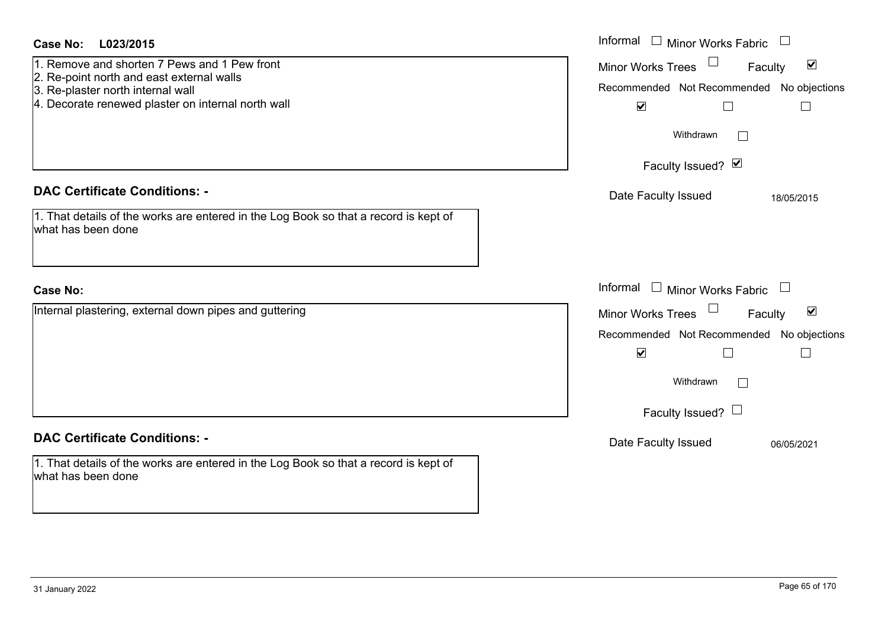| <b>Case No:</b><br>L023/2015                                                                                                                                                         | Informal $\Box$ Minor Works Fabric $\Box$                                                                                                                                    |
|--------------------------------------------------------------------------------------------------------------------------------------------------------------------------------------|------------------------------------------------------------------------------------------------------------------------------------------------------------------------------|
| 1. Remove and shorten 7 Pews and 1 Pew front<br>2. Re-point north and east external walls<br>3. Re-plaster north internal wall<br>4. Decorate renewed plaster on internal north wall | $\Box$<br>$\blacktriangledown$<br>Minor Works Trees<br>Faculty<br>Recommended Not Recommended No objections<br>$\blacktriangledown$<br>$\Box$                                |
|                                                                                                                                                                                      | Withdrawn<br>$\vert \ \ \vert$                                                                                                                                               |
|                                                                                                                                                                                      | Faculty Issued? Ø                                                                                                                                                            |
| <b>DAC Certificate Conditions: -</b><br>1. That details of the works are entered in the Log Book so that a record is kept of<br>what has been done                                   | Date Faculty Issued<br>18/05/2015                                                                                                                                            |
| <b>Case No:</b>                                                                                                                                                                      | Informal $\Box$ Minor Works Fabric $\Box$                                                                                                                                    |
| Internal plastering, external down pipes and guttering                                                                                                                               | $\blacktriangledown$<br><b>Minor Works Trees</b><br>Faculty<br>Recommended Not Recommended No objections<br>$\blacktriangledown$<br>П<br>Withdrawn<br>Faculty Issued? $\Box$ |
| <b>DAC Certificate Conditions: -</b>                                                                                                                                                 | Date Faculty Issued<br>06/05/2021                                                                                                                                            |
| 1. That details of the works are entered in the Log Book so that a record is kept of<br>what has been done                                                                           |                                                                                                                                                                              |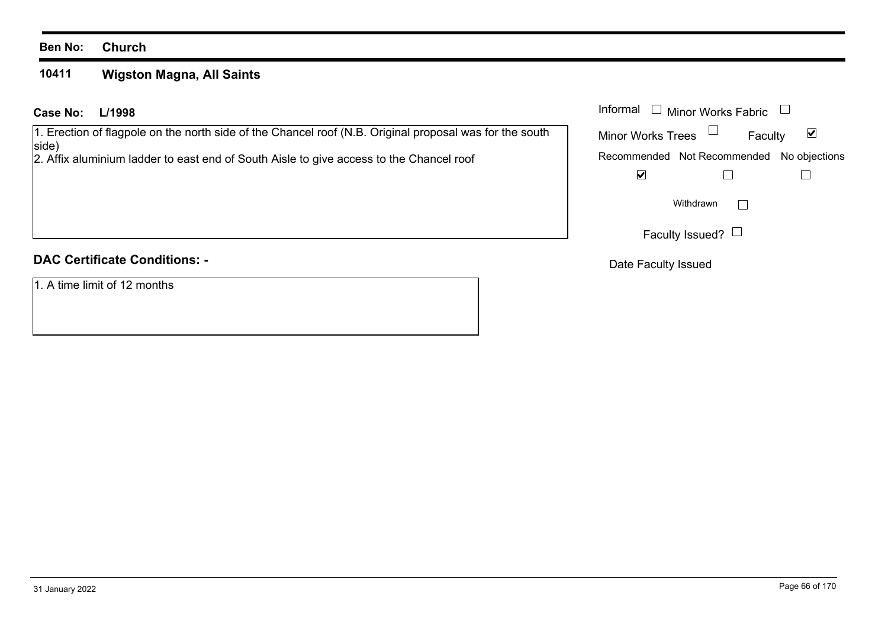#### **10411Wigston Magna, All Saints**

# **L/1998 Case No:** Informal

1. Erection of flagpole on the north side of the Chancel roof (N.B. Original proposal was for the south side)

2. Affix aluminium ladder to east end of South Aisle to give access to the Chancel roof

# **DAC Certificate Conditions: -**

1. A time limit of 12 months

| Informal                 | □ Minor Works Fabric                      |         |
|--------------------------|-------------------------------------------|---------|
| <b>Minor Works Trees</b> |                                           | Faculty |
|                          | Recommended Not Recommended No objections |         |
|                          |                                           |         |
|                          | Withdrawn                                 |         |
|                          | Faculty Issued?                           |         |

Date Faculty Issued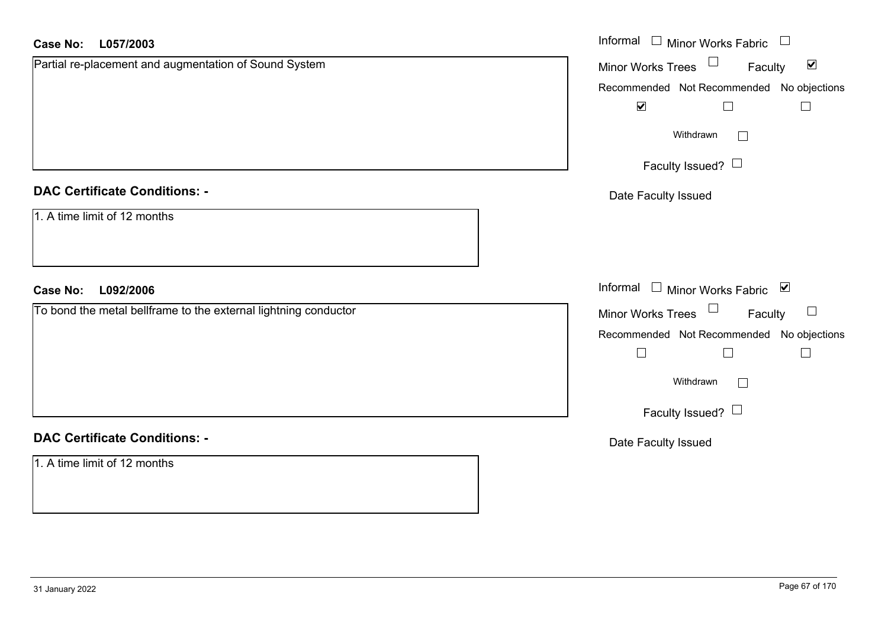| <b>Case No:</b><br>L057/2003                                    | Informal □ Minor Works Fabric □                             |
|-----------------------------------------------------------------|-------------------------------------------------------------|
| Partial re-placement and augmentation of Sound System           | Minor Works Trees $\Box$<br>$\blacktriangledown$<br>Faculty |
|                                                                 | Recommended Not Recommended No objections                   |
|                                                                 | $\blacktriangledown$<br>$\Box$<br>$\Box$                    |
|                                                                 | Withdrawn<br>$\Box$                                         |
|                                                                 | Faculty Issued?                                             |
| <b>DAC Certificate Conditions: -</b>                            | Date Faculty Issued                                         |
| 1. A time limit of 12 months                                    |                                                             |
|                                                                 |                                                             |
| L092/2006<br><b>Case No:</b>                                    | Informal Minor Works Fabric V                               |
| To bond the metal bellframe to the external lightning conductor | Minor Works Trees<br>$\Box$<br>Faculty                      |
|                                                                 | Recommended Not Recommended No objections                   |
|                                                                 | $\Box$<br>$\sqcup$                                          |
|                                                                 | Withdrawn<br>$\Box$                                         |
|                                                                 | Faculty Issued? $\Box$                                      |
| <b>DAC Certificate Conditions: -</b>                            | Date Faculty Issued                                         |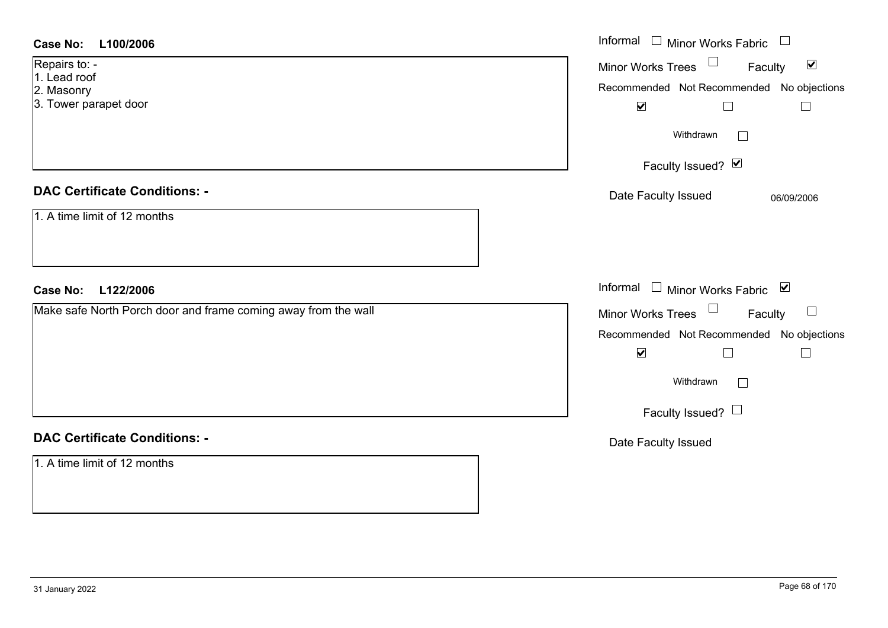| <b>Case No:</b><br>L100/2006                                   | Informal $\Box$ Minor Works Fabric $\Box$                                   |
|----------------------------------------------------------------|-----------------------------------------------------------------------------|
| Repairs to: -<br>1. Lead roof                                  | Minor Works Trees<br>$\blacktriangledown$<br>Faculty                        |
| 2. Masonry                                                     | Recommended Not Recommended No objections                                   |
| 3. Tower parapet door                                          | $\blacktriangledown$<br>$\Box$<br>$\Box$                                    |
|                                                                | Withdrawn                                                                   |
|                                                                | Faculty Issued? Ø                                                           |
| <b>DAC Certificate Conditions: -</b>                           | Date Faculty Issued<br>06/09/2006                                           |
| 1. A time limit of 12 months                                   |                                                                             |
|                                                                |                                                                             |
|                                                                |                                                                             |
|                                                                |                                                                             |
| Case No: L122/2006                                             | Informal $\Box$ Minor Works Fabric $\Box$                                   |
| Make safe North Porch door and frame coming away from the wall | $\Box$<br>Faculty                                                           |
|                                                                | Minor Works Trees $\Box$                                                    |
|                                                                | Recommended Not Recommended No objections<br>$\blacktriangledown$<br>$\Box$ |
|                                                                | Withdrawn<br>$\Box$                                                         |
|                                                                | Faculty Issued?                                                             |
| <b>DAC Certificate Conditions: -</b>                           | Date Faculty Issued                                                         |
| 1. A time limit of 12 months                                   |                                                                             |
|                                                                |                                                                             |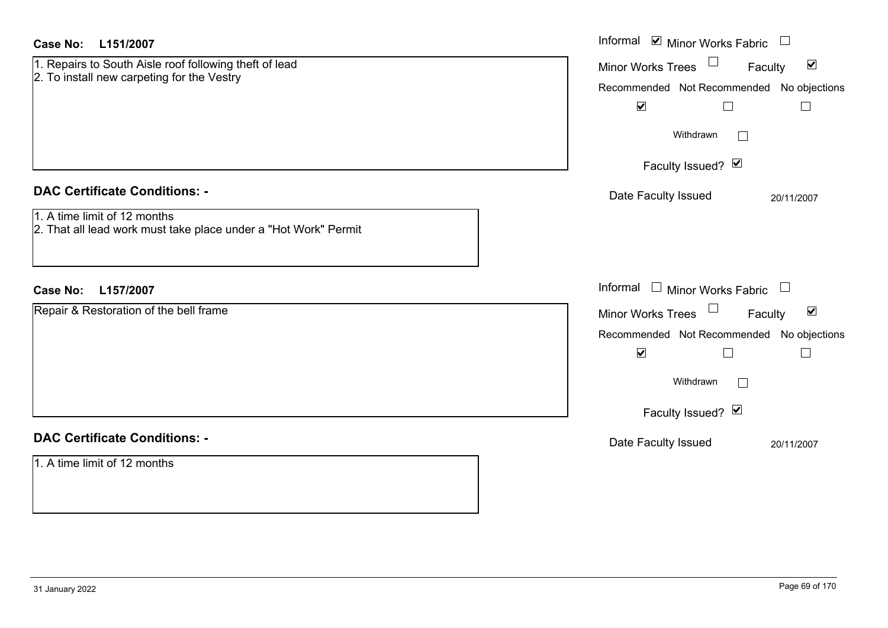| <b>Case No:</b><br>L151/2007                                                                                                            | Informal $\blacksquare$ Minor Works Fabric $\blacksquare$                                                                                                                                 |
|-----------------------------------------------------------------------------------------------------------------------------------------|-------------------------------------------------------------------------------------------------------------------------------------------------------------------------------------------|
| 1. Repairs to South Aisle roof following theft of lead<br>2. To install new carpeting for the Vestry                                    | Minor Works Trees<br>$\blacktriangledown$<br>Faculty<br>Recommended Not Recommended No objections<br>$\blacktriangledown$<br>$\Box$<br>$\Box$                                             |
|                                                                                                                                         | Withdrawn<br>$\overline{\phantom{a}}$                                                                                                                                                     |
|                                                                                                                                         | Faculty Issued? Ø                                                                                                                                                                         |
| <b>DAC Certificate Conditions: -</b><br>1. A time limit of 12 months<br>2. That all lead work must take place under a "Hot Work" Permit | Date Faculty Issued<br>20/11/2007                                                                                                                                                         |
| <b>Case No:</b><br>L157/2007                                                                                                            | Informal $\Box$ Minor Works Fabric $\Box$                                                                                                                                                 |
| Repair & Restoration of the bell frame                                                                                                  | Minor Works Trees<br>$\blacktriangledown$<br>Faculty<br>Recommended Not Recommended No objections<br>$\blacktriangledown$<br>$\Box$<br>$\Box$<br>Withdrawn<br>$\Box$<br>Faculty Issued? Ø |
| <b>DAC Certificate Conditions: -</b>                                                                                                    | Date Faculty Issued<br>20/11/2007                                                                                                                                                         |
| 1. A time limit of 12 months                                                                                                            |                                                                                                                                                                                           |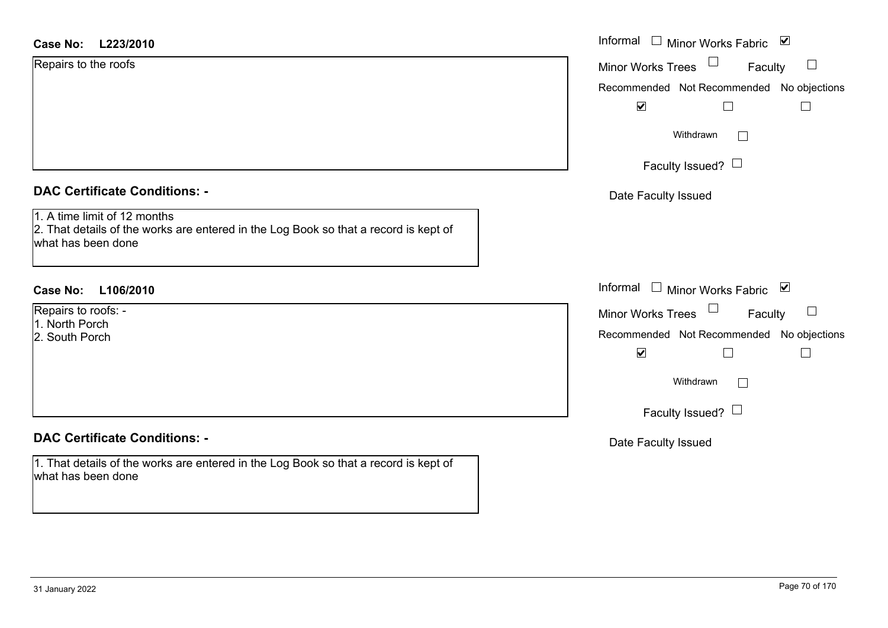| Case No: | L223/2010 |
|----------|-----------|
|----------|-----------|

| <b>DAC Certificate Conditions: -</b>                                                                                                       |  |  |  |
|--------------------------------------------------------------------------------------------------------------------------------------------|--|--|--|
| 1. A time limit of 12 months<br>2. That details of the works are entered in the Log Book so that a record is kept of<br>what has been done |  |  |  |

# **DAC Certificate Conditions: -**

1. That details of the works are entered in the Log Book so that a record is kept of what has been done

| <b>Case No:</b><br>L223/2010                                                                                                               | Informal $\Box$ Minor Works Fabric $\Box$                                                                                       |
|--------------------------------------------------------------------------------------------------------------------------------------------|---------------------------------------------------------------------------------------------------------------------------------|
| Repairs to the roofs                                                                                                                       | $\Box$<br><b>Minor Works Trees</b><br>Faculty<br>Recommended Not Recommended No objections<br>$\blacktriangledown$<br>$\Box$    |
|                                                                                                                                            | Withdrawn<br>$\Box$                                                                                                             |
|                                                                                                                                            | Faculty Issued? $\Box$                                                                                                          |
| <b>DAC Certificate Conditions: -</b>                                                                                                       | Date Faculty Issued                                                                                                             |
| 1. A time limit of 12 months<br>2. That details of the works are entered in the Log Book so that a record is kept of<br>what has been done |                                                                                                                                 |
| L106/2010<br>Case No:                                                                                                                      | Informal $\Box$ Minor Works Fabric $\Box$                                                                                       |
| Repairs to roofs: -<br>1. North Porch<br>2. South Porch                                                                                    | $\Box$<br>$\Box$<br>Minor Works Trees<br>Faculty<br>Recommended Not Recommended No objections<br>$\blacktriangledown$<br>$\Box$ |
|                                                                                                                                            | Withdrawn<br>$\Box$                                                                                                             |
|                                                                                                                                            | Faculty Issued? $\Box$                                                                                                          |
| <b>DAC Certificate Conditions: -</b>                                                                                                       | Date Faculty Issued                                                                                                             |
| 1. That details of the works are entered in the Log Book so that a record is kept of                                                       |                                                                                                                                 |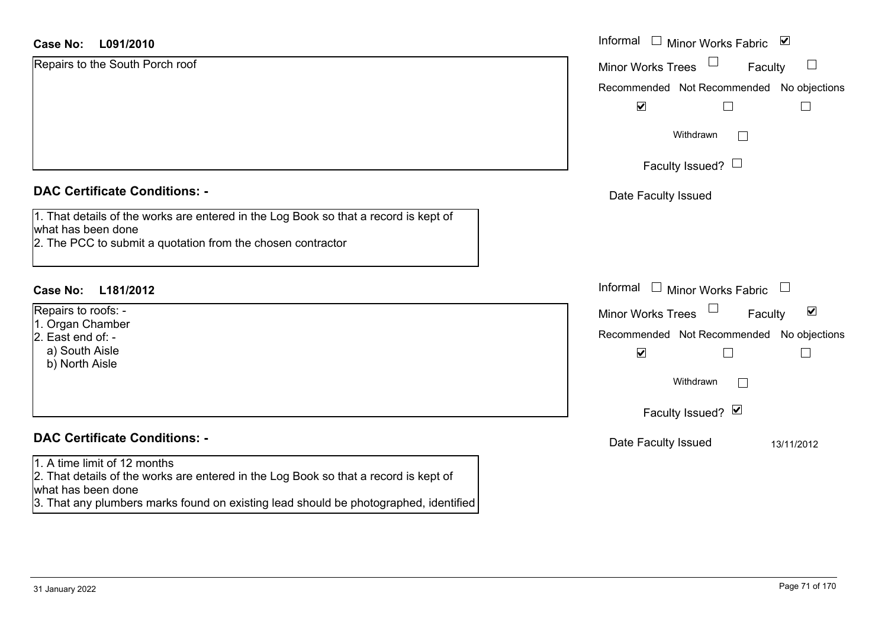| <b>Case No:</b><br>L091/2010                                                                                                                                              | Informal $\quad \Box$ Minor Works Fabric<br>⊻               |
|---------------------------------------------------------------------------------------------------------------------------------------------------------------------------|-------------------------------------------------------------|
| Repairs to the South Porch roof                                                                                                                                           | $\Box$<br><b>Minor Works Trees</b><br>Faculty               |
|                                                                                                                                                                           | Recommended Not Recommended No objections                   |
|                                                                                                                                                                           | $\blacktriangledown$                                        |
|                                                                                                                                                                           | Withdrawn<br>$\Box$                                         |
|                                                                                                                                                                           | Faculty Issued? $\Box$                                      |
| <b>DAC Certificate Conditions: -</b>                                                                                                                                      | Date Faculty Issued                                         |
| 1. That details of the works are entered in the Log Book so that a record is kept of<br>what has been done<br>2. The PCC to submit a quotation from the chosen contractor |                                                             |
| <b>Case No:</b><br>L181/2012                                                                                                                                              | Informal □ Minor Works Fabric                               |
| Repairs to roofs: -<br>1. Organ Chamber                                                                                                                                   | $\blacktriangledown$<br><b>Minor Works Trees</b><br>Faculty |
| 2. East end of: -                                                                                                                                                         | Recommended Not Recommended No objections                   |
| a) South Aisle<br>b) North Aisle                                                                                                                                          | $\blacktriangledown$                                        |
|                                                                                                                                                                           | Withdrawn<br>$\Box$                                         |
|                                                                                                                                                                           | Faculty Issued? Ø                                           |
| <b>DAC Certificate Conditions: -</b>                                                                                                                                      | Date Faculty Issued<br>13/11/2012                           |
| 1. A time limit of 12 months<br>2. That details of the works are entered in the Log Book so that a record is kept of<br>what has been done                                |                                                             |
| 3. That any plumbers marks found on existing lead should be photographed, identified                                                                                      |                                                             |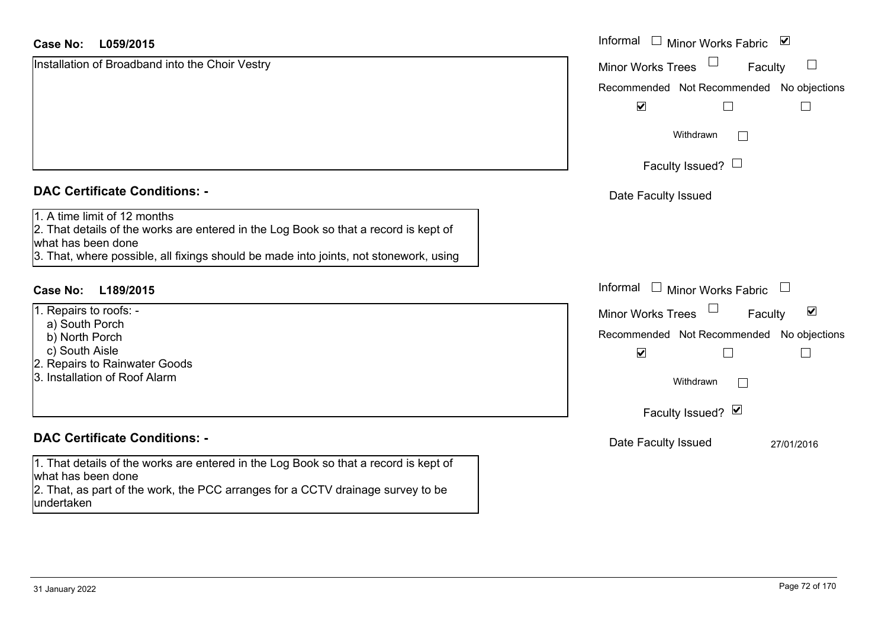| <b>Case No:</b><br>L059/2015                                                                                                                                                                                                        | Informal<br>⊻<br><b>Minor Works Fabric</b>                                     |
|-------------------------------------------------------------------------------------------------------------------------------------------------------------------------------------------------------------------------------------|--------------------------------------------------------------------------------|
| Installation of Broadband into the Choir Vestry                                                                                                                                                                                     | <b>Minor Works Trees</b><br>Faculty                                            |
|                                                                                                                                                                                                                                     | Recommended Not Recommended No objections                                      |
|                                                                                                                                                                                                                                     | $\blacktriangledown$                                                           |
|                                                                                                                                                                                                                                     | Withdrawn<br>$\Box$                                                            |
|                                                                                                                                                                                                                                     | Faculty Issued? $\Box$                                                         |
| <b>DAC Certificate Conditions: -</b>                                                                                                                                                                                                | Date Faculty Issued                                                            |
| 1. A time limit of 12 months<br>2. That details of the works are entered in the Log Book so that a record is kept of<br>what has been done<br>3. That, where possible, all fixings should be made into joints, not stonework, using |                                                                                |
| <b>Case No:</b><br>L189/2015                                                                                                                                                                                                        | Informal<br><b>Minor Works Fabric</b><br>$\begin{array}{c} \hline \end{array}$ |
| 1. Repairs to roofs: -                                                                                                                                                                                                              | $\blacktriangledown$<br><b>Minor Works Trees</b><br>Faculty                    |
| a) South Porch<br>b) North Porch                                                                                                                                                                                                    | Recommended Not Recommended No objections                                      |
| c) South Aisle                                                                                                                                                                                                                      | $\blacktriangledown$<br>$\mathbf{L}$<br>$\mathbf{I}$                           |
| 2. Repairs to Rainwater Goods<br>3. Installation of Roof Alarm                                                                                                                                                                      | Withdrawn<br>$\Box$                                                            |
|                                                                                                                                                                                                                                     | Faculty Issued? Ø                                                              |
| <b>DAC Certificate Conditions: -</b>                                                                                                                                                                                                | Date Faculty Issued<br>27/01/2016                                              |
| 1. That details of the works are entered in the Log Book so that a record is kept of                                                                                                                                                |                                                                                |
| what has been done                                                                                                                                                                                                                  |                                                                                |
| 2. That, as part of the work, the PCC arranges for a CCTV drainage survey to be<br>undertaken                                                                                                                                       |                                                                                |

 $\sim$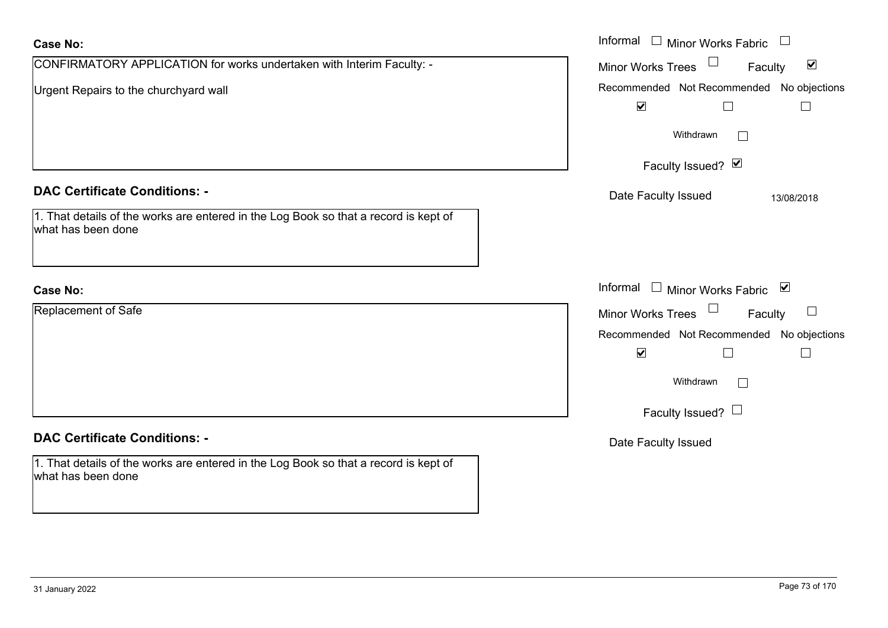| <b>Case No:</b>                                                                                                              | Informal □ Minor Works Fabric                                                          |
|------------------------------------------------------------------------------------------------------------------------------|----------------------------------------------------------------------------------------|
| CONFIRMATORY APPLICATION for works undertaken with Interim Faculty: -                                                        | $\blacktriangledown$<br><b>Minor Works Trees</b><br>Faculty                            |
| Urgent Repairs to the churchyard wall                                                                                        | Recommended Not Recommended No objections<br>$\blacktriangledown$<br>$\vert \ \ \vert$ |
|                                                                                                                              | Withdrawn<br>$\Box$                                                                    |
|                                                                                                                              | Faculty Issued? Ø                                                                      |
| <b>DAC Certificate Conditions: -</b><br>1. That details of the works are entered in the Log Book so that a record is kept of | Date Faculty Issued<br>13/08/2018                                                      |
| what has been done                                                                                                           |                                                                                        |
| <b>Case No:</b>                                                                                                              | Informal<br>□ Minor Works Fabric $\vert \blacktriangleright$                           |
| Replacement of Safe                                                                                                          | Minor Works Trees<br>Faculty<br>$\Box$                                                 |
|                                                                                                                              | Recommended Not Recommended No objections                                              |
|                                                                                                                              | $\blacktriangledown$<br>$\mathsf{L}$                                                   |
|                                                                                                                              | Withdrawn<br>$\perp$                                                                   |
|                                                                                                                              | Faculty Issued? $\Box$                                                                 |
| <b>DAC Certificate Conditions: -</b>                                                                                         | Date Faculty Issued                                                                    |
| 1. That details of the works are entered in the Log Book so that a record is kept of<br>what has been done                   |                                                                                        |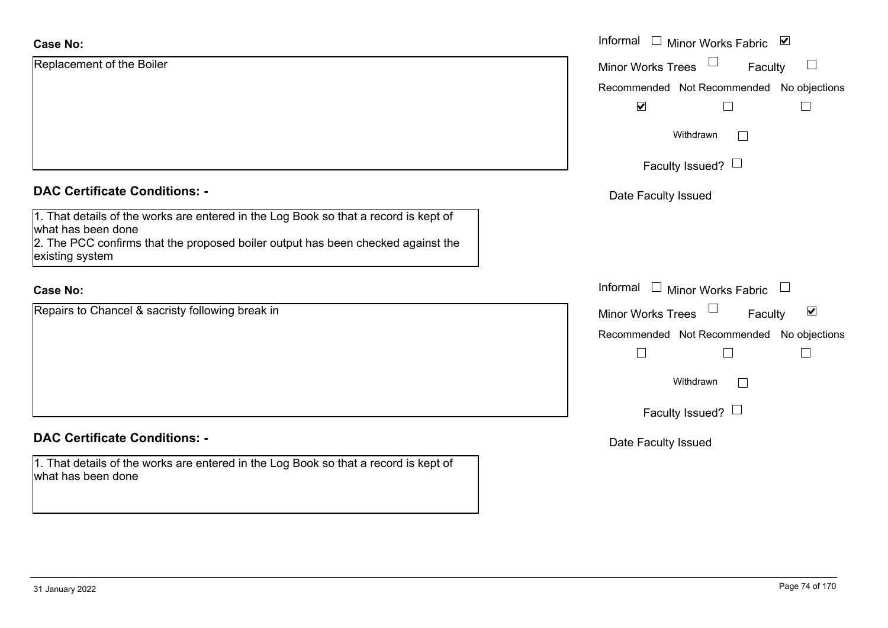| <b>Case No:</b>                                                                                                                                                                                                   | Informal □ Minor Works Fabric ⊠                             |
|-------------------------------------------------------------------------------------------------------------------------------------------------------------------------------------------------------------------|-------------------------------------------------------------|
| Replacement of the Boiler                                                                                                                                                                                         | Minor Works Trees<br>Faculty                                |
|                                                                                                                                                                                                                   | Recommended Not Recommended No objections                   |
|                                                                                                                                                                                                                   | $\blacktriangledown$<br>H                                   |
|                                                                                                                                                                                                                   | Withdrawn                                                   |
|                                                                                                                                                                                                                   | Faculty Issued? $\Box$                                      |
| <b>DAC Certificate Conditions: -</b>                                                                                                                                                                              | Date Faculty Issued                                         |
| 1. That details of the works are entered in the Log Book so that a record is kept of<br>what has been done<br>2. The PCC confirms that the proposed boiler output has been checked against the<br>existing system |                                                             |
| <b>Case No:</b>                                                                                                                                                                                                   | Informal $\Box$ Minor Works Fabric $\Box$                   |
| Repairs to Chancel & sacristy following break in                                                                                                                                                                  | $\blacktriangledown$<br><b>Minor Works Trees</b><br>Faculty |
|                                                                                                                                                                                                                   | Recommended Not Recommended No objections                   |
|                                                                                                                                                                                                                   | $\Box$<br>$\Box$<br>$\overline{\phantom{a}}$                |
|                                                                                                                                                                                                                   | Withdrawn                                                   |
|                                                                                                                                                                                                                   | Faculty Issued? $\Box$                                      |
| <b>DAC Certificate Conditions: -</b>                                                                                                                                                                              | Date Faculty Issued                                         |
| 1. That details of the works are entered in the Log Book so that a record is kept of<br>what has been done                                                                                                        |                                                             |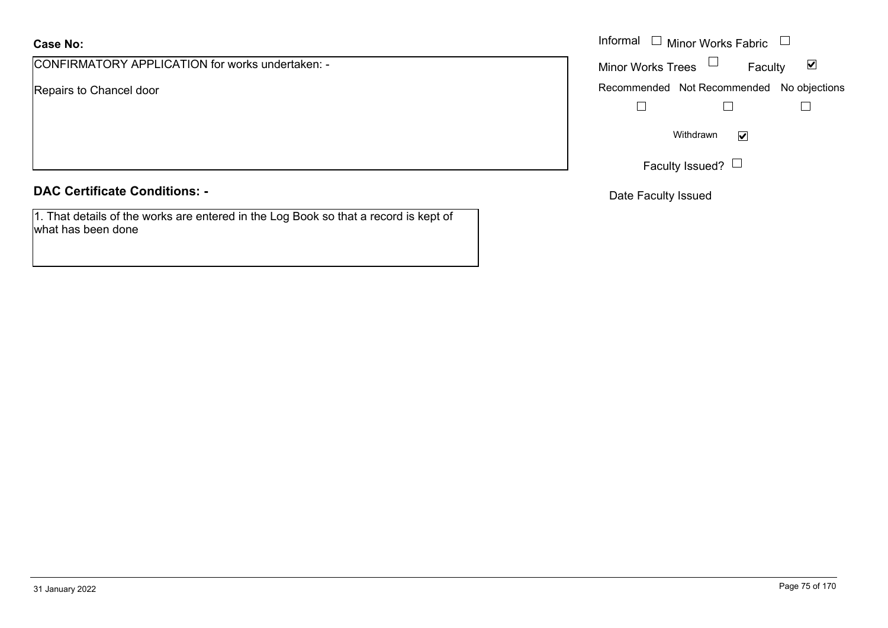CONFIRMATORY APPLICATION for works undertaken: -

Repairs to Chancel door

## **DAC Certificate Conditions: -**

1. That details of the works are entered in the Log Book so that a record is kept of what has been done

|                                            | Informal $\Box$ Minor Works Fabric $\Box$ |
|--------------------------------------------|-------------------------------------------|
| MATORY APPLICATION for works undertaken: - | Minor Works Trees $\Box$<br>Faculty<br>⊻  |
| o Chancel door                             | Recommended Not Recommended No objections |
|                                            |                                           |
|                                            | Withdrawn<br>$\blacktriangledown$         |
|                                            | Faculty Issued? L                         |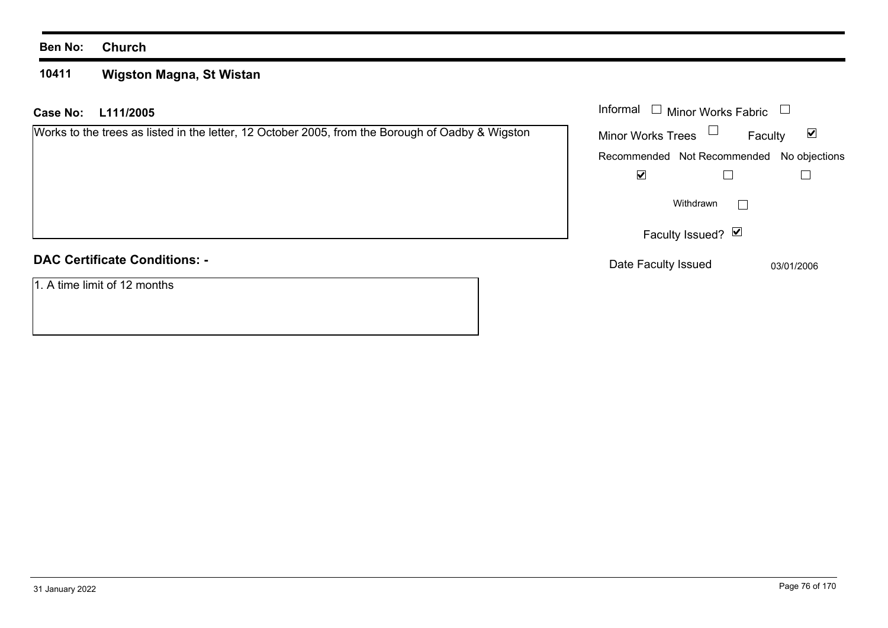#### **10411 Wigston Magna, St Wistan**

| <b>Case No:</b><br>L111/2005                                                                     | Informal<br><b>Minor Works Fabric</b>                       |
|--------------------------------------------------------------------------------------------------|-------------------------------------------------------------|
| Works to the trees as listed in the letter, 12 October 2005, from the Borough of Oadby & Wigston | <b>Minor Works Trees</b><br>$\blacktriangledown$<br>Faculty |
|                                                                                                  | Recommended Not Recommended No objections                   |
|                                                                                                  | $\blacktriangledown$                                        |
|                                                                                                  | Withdrawn<br>$\mathbf{I}$                                   |
|                                                                                                  | Faculty Issued? Ø                                           |
| <b>DAC Certificate Conditions: -</b>                                                             | Date Faculty Issued<br>03/01/2006                           |
| 1. A time limit of 12 months                                                                     |                                                             |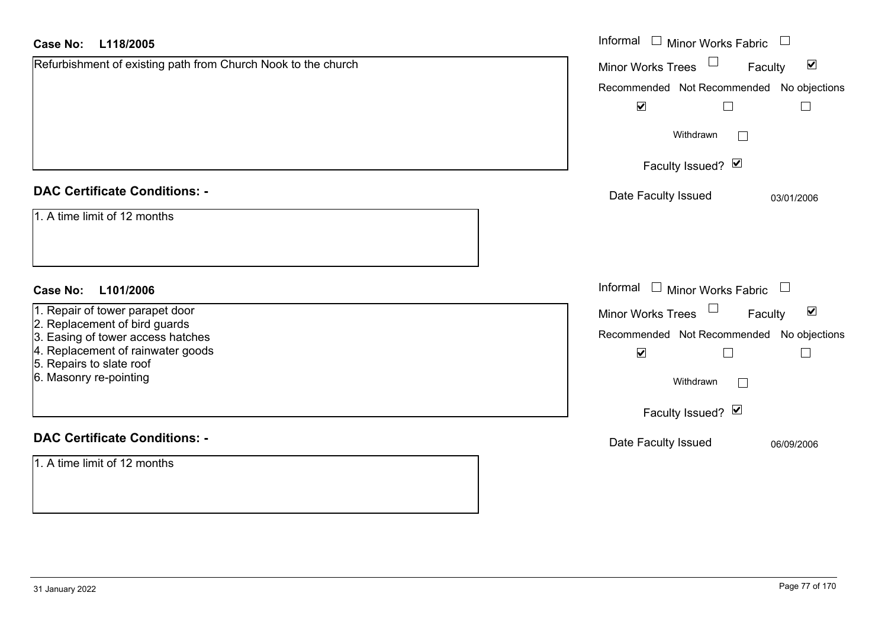| Case No:<br>L118/2005                                              | Informal<br>$\Box$ Minor Works Fabric $\;\cup\;$     |
|--------------------------------------------------------------------|------------------------------------------------------|
| Refurbishment of existing path from Church Nook to the church      | Minor Works Trees<br>$\blacktriangledown$<br>Faculty |
|                                                                    | Recommended Not Recommended No objections            |
|                                                                    | $\blacktriangledown$<br>$\Box$<br>$\Box$             |
|                                                                    | Withdrawn                                            |
|                                                                    | Faculty Issued? Ø                                    |
| <b>DAC Certificate Conditions: -</b>                               | Date Faculty Issued<br>03/01/2006                    |
| 1. A time limit of 12 months                                       |                                                      |
|                                                                    |                                                      |
|                                                                    |                                                      |
| <b>Case No:</b><br>L101/2006                                       | Informal $\Box$ Minor Works Fabric $\Box$            |
| 1. Repair of tower parapet door                                    | Minor Works Trees<br>$\blacktriangledown$<br>Faculty |
| 2. Replacement of bird guards<br>3. Easing of tower access hatches | Recommended Not Recommended No objections            |
| 4. Replacement of rainwater goods                                  | $\blacktriangledown$<br>$\Box$<br>$\Box$             |
| 5. Repairs to slate roof<br>6. Masonry re-pointing                 | Withdrawn                                            |
|                                                                    | Faculty Issued? Ø                                    |
| <b>DAC Certificate Conditions: -</b>                               | Date Faculty Issued<br>06/09/2006                    |
| 1. A time limit of 12 months                                       |                                                      |
|                                                                    |                                                      |
|                                                                    |                                                      |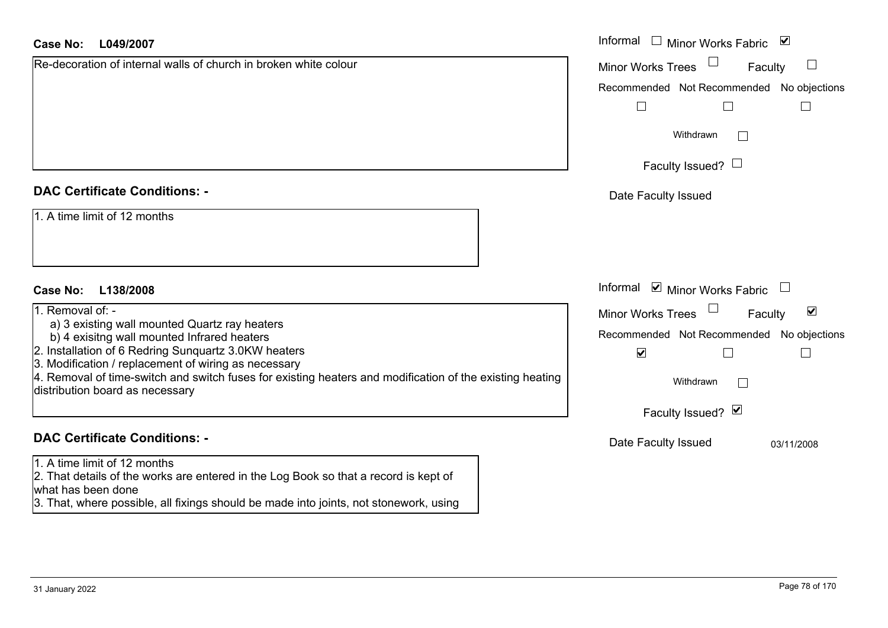| Case No:<br>L049/2007                                                                                                                                                                                                               | Informal $\Box$ Minor Works Fabric $\Box$            |
|-------------------------------------------------------------------------------------------------------------------------------------------------------------------------------------------------------------------------------------|------------------------------------------------------|
| Re-decoration of internal walls of church in broken white colour                                                                                                                                                                    | Minor Works Trees<br>Faculty                         |
|                                                                                                                                                                                                                                     | Recommended Not Recommended No objections            |
|                                                                                                                                                                                                                                     | $\overline{\phantom{a}}$                             |
|                                                                                                                                                                                                                                     | Withdrawn<br>$\mathbf{L}$                            |
|                                                                                                                                                                                                                                     | Faculty Issued? $\Box$                               |
| <b>DAC Certificate Conditions: -</b>                                                                                                                                                                                                | Date Faculty Issued                                  |
| 1. A time limit of 12 months                                                                                                                                                                                                        |                                                      |
| <b>Case No:</b><br>L138/2008                                                                                                                                                                                                        | Informal ⊠ Minor Works Fabric □                      |
| 1. Removal $of:-$                                                                                                                                                                                                                   | $\blacktriangledown$<br>Minor Works Trees<br>Faculty |
| a) 3 existing wall mounted Quartz ray heaters                                                                                                                                                                                       | Recommended Not Recommended No objections            |
| b) 4 exisitng wall mounted Infrared heaters<br>2. Installation of 6 Redring Sunquartz 3.0KW heaters                                                                                                                                 | $\blacktriangledown$<br>$\Box$                       |
| 3. Modification / replacement of wiring as necessary                                                                                                                                                                                |                                                      |
| 4. Removal of time-switch and switch fuses for existing heaters and modification of the existing heating<br>distribution board as necessary                                                                                         | Withdrawn                                            |
|                                                                                                                                                                                                                                     | Faculty Issued? Ø                                    |
| <b>DAC Certificate Conditions: -</b>                                                                                                                                                                                                | Date Faculty Issued<br>03/11/2008                    |
| 1. A time limit of 12 months<br>2. That details of the works are entered in the Log Book so that a record is kept of<br>what has been done<br>3. That, where possible, all fixings should be made into joints, not stonework, using |                                                      |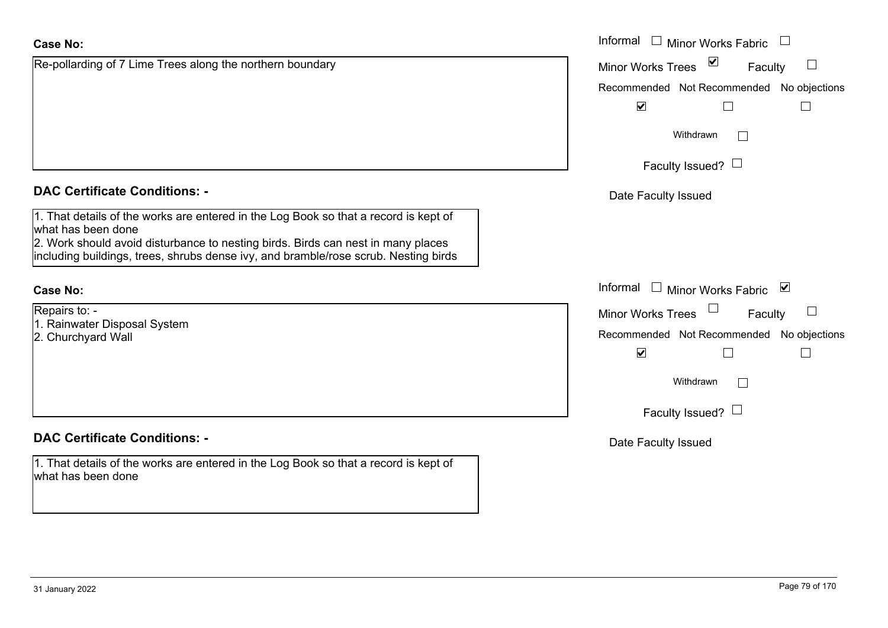# Re-pollarding of 7 Lime Trees along the northern boundary **Case No:**Informal

# **DAC Certificate Conditions: -**

1. That details of the works are entered in the Log Book so that a record is kept of what has been done

2. Work should avoid disturbance to nesting birds. Birds can nest in many places including buildings, trees, shrubs dense ivy, and bramble/rose scrub. Nesting birds

## **Case No:**

Repairs to: -

- 1. Rainwater Disposal System
- 2. Churchyard Wall

# **DAC Certificate Conditions: -**

1. That details of the works are entered in the Log Book so that a record is kept of what has been done

|                                                                                                                                                                                                                                                   | Informal □ Minor Works Fabric                 |
|---------------------------------------------------------------------------------------------------------------------------------------------------------------------------------------------------------------------------------------------------|-----------------------------------------------|
| ding of 7 Lime Trees along the northern boundary                                                                                                                                                                                                  | $\vee$<br><b>Minor Works Trees</b><br>Faculty |
|                                                                                                                                                                                                                                                   | Recommended Not Recommended No objections     |
|                                                                                                                                                                                                                                                   | $\blacktriangledown$                          |
|                                                                                                                                                                                                                                                   | Withdrawn                                     |
|                                                                                                                                                                                                                                                   | Faculty Issued? $\Box$                        |
| rtificate Conditions: -                                                                                                                                                                                                                           | Date Faculty Issued                           |
| etails of the works are entered in the Log Book so that a record is kept of<br>been done<br>should avoid disturbance to nesting birds. Birds can nest in many places<br>buildings, trees, shrubs dense ivy, and bramble/rose scrub. Nesting birds |                                               |
|                                                                                                                                                                                                                                                   | Informal □ Minor Works Fabric ⊠               |
| 0:                                                                                                                                                                                                                                                | <b>Minor Works Trees</b><br>Faculty           |
| ater Disposal System<br>าyard Wall                                                                                                                                                                                                                | Recommended Not Recommended No objections     |
|                                                                                                                                                                                                                                                   | $\blacktriangledown$                          |
|                                                                                                                                                                                                                                                   | Withdrawn                                     |
|                                                                                                                                                                                                                                                   | Faculty Issued? $\Box$                        |
| rtificate Conditions: -                                                                                                                                                                                                                           | Date Faculty Issued                           |
| etails of the works are entered in the Log Book so that a record is kept of                                                                                                                                                                       |                                               |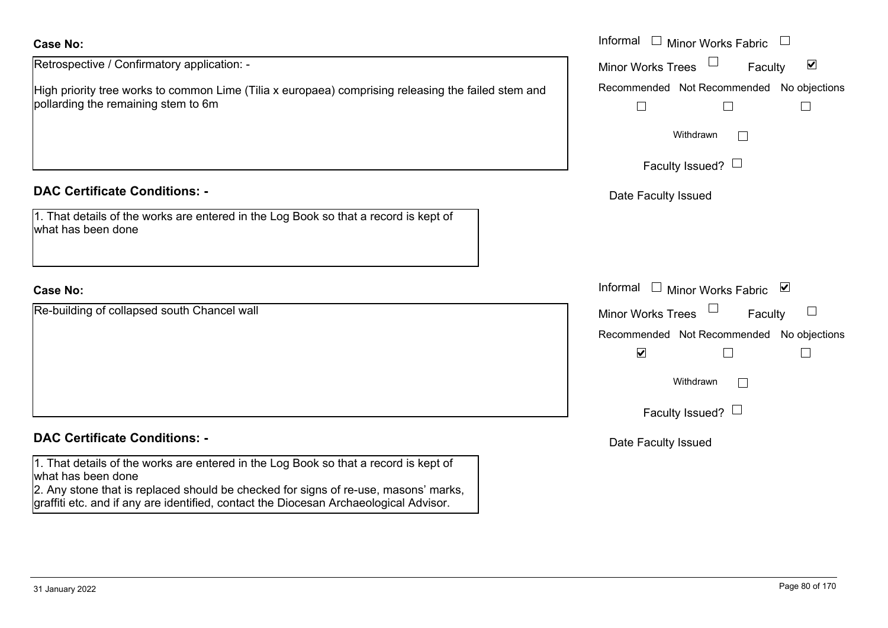Retrospective / Confirmatory application: -

High priority tree works to common Lime (Tilia x europaea) comprising releasing the failed stem and pollarding the remaining stem to 6m

## **DAC Certificate Conditions: -**

| 1. That details of the works are entered in the Log Book so that a record is kept of |  |
|--------------------------------------------------------------------------------------|--|
| what has been done                                                                   |  |

## **Case No:**

Re-building of collapsed south Chancel wall

## **DAC Certificate Conditions: -**

1. That details of the works are entered in the Log Book so that a record is kept of what has been done

2. Any stone that is replaced should be checked for signs of re-use, masons' marks, graffiti etc. and if any are identified, contact the Diocesan Archaeological Advisor.

|                                                                                                                          | Informal $\square$<br>Minor Works Fabric $\Box$                   |
|--------------------------------------------------------------------------------------------------------------------------|-------------------------------------------------------------------|
| ctive / Confirmatory application: -                                                                                      | $\blacktriangledown$<br>Minor Works Trees<br>Faculty              |
| rity tree works to common Lime (Tilia x europaea) comprising releasing the failed stem and<br>g the remaining stem to 6m | Recommended Not Recommended No objections                         |
|                                                                                                                          | Withdrawn                                                         |
|                                                                                                                          | Faculty Issued? $\Box$                                            |
| rtificate Conditions: -                                                                                                  | Date Faculty Issued                                               |
| etails of the works are entered in the Log Book so that a record is kept of<br>been done                                 |                                                                   |
|                                                                                                                          | Informal $\Box$<br>Minor Works Fabric ⊠                           |
| ng of collapsed south Chancel wall                                                                                       | Minor Works Trees<br>Faculty                                      |
|                                                                                                                          | Recommended Not Recommended No objections<br>$\blacktriangledown$ |
|                                                                                                                          | Withdrawn                                                         |
|                                                                                                                          | Faculty Issued? $\Box$                                            |
| rtificate Conditions: -                                                                                                  | Date Faculty Issued                                               |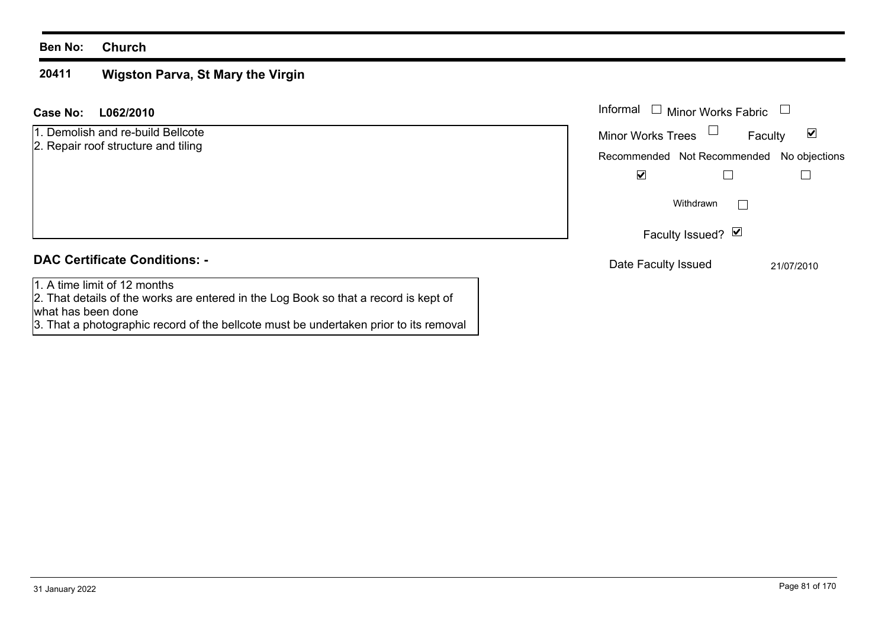#### **20411 Wigston Parva, St Mary the Virgin**

| Case No:<br>L062/2010                                                                                                                      | Informal<br><b>Minor Works Fabric</b>        |
|--------------------------------------------------------------------------------------------------------------------------------------------|----------------------------------------------|
| 1. Demolish and re-build Bellcote                                                                                                          | ☑<br>Minor Works Trees<br>Faculty            |
| 2. Repair roof structure and tiling                                                                                                        | Recommended Not Recommended<br>No objections |
|                                                                                                                                            | ⊻                                            |
|                                                                                                                                            | Withdrawn                                    |
|                                                                                                                                            | Faculty Issued? Ø                            |
| <b>DAC Certificate Conditions: -</b>                                                                                                       | Date Faculty Issued<br>21/07/2010            |
| 1. A time limit of 12 months<br>2. That details of the works are entered in the Log Book so that a record is kept of<br>what has been done |                                              |

3. That a photographic record of the bellcote must be undertaken prior to its removal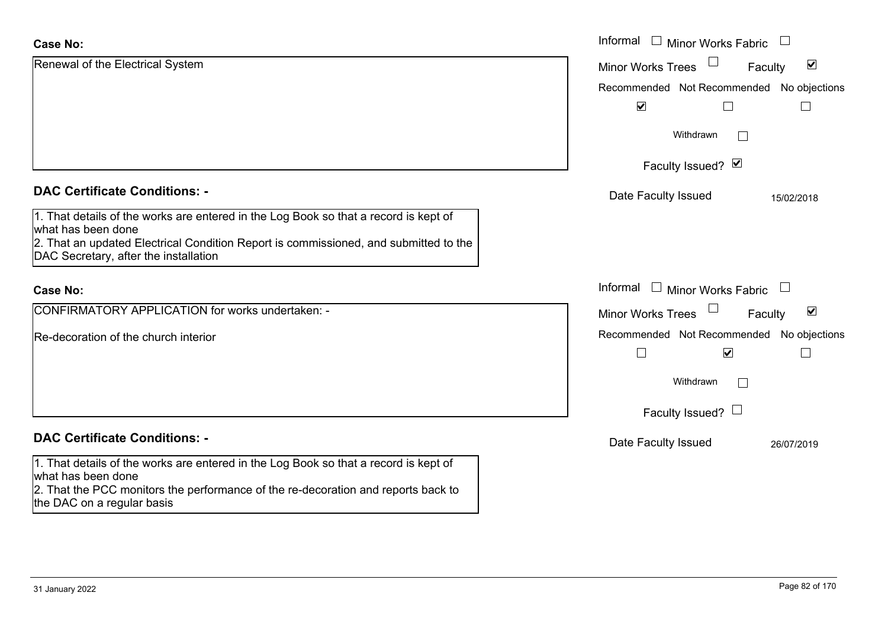| <b>Case No:</b>                                                                                                                                                                                 | Informal □ Minor Works Fabric                                                            |
|-------------------------------------------------------------------------------------------------------------------------------------------------------------------------------------------------|------------------------------------------------------------------------------------------|
| Renewal of the Electrical System                                                                                                                                                                | $\blacktriangledown$<br>Minor Works Trees<br>Faculty                                     |
|                                                                                                                                                                                                 | Recommended Not Recommended No objections                                                |
|                                                                                                                                                                                                 | $\blacktriangledown$                                                                     |
|                                                                                                                                                                                                 | Withdrawn<br>$\mathbb{R}^n$                                                              |
|                                                                                                                                                                                                 | Faculty Issued? Ø                                                                        |
| <b>DAC Certificate Conditions: -</b>                                                                                                                                                            | Date Faculty Issued<br>15/02/2018                                                        |
| 1. That details of the works are entered in the Log Book so that a record is kept of<br>what has been done                                                                                      |                                                                                          |
| 2. That an updated Electrical Condition Report is commissioned, and submitted to the<br>DAC Secretary, after the installation                                                                   |                                                                                          |
| <b>Case No:</b>                                                                                                                                                                                 | Informal<br>$\Box$<br><b>Minor Works Fabric</b><br>$\begin{array}{c} \hline \end{array}$ |
| CONFIRMATORY APPLICATION for works undertaken: -                                                                                                                                                | $\blacktriangledown$<br><b>Minor Works Trees</b><br>Faculty                              |
| Re-decoration of the church interior                                                                                                                                                            | Recommended Not Recommended No objections                                                |
|                                                                                                                                                                                                 | $\overline{\mathbf{v}}$                                                                  |
|                                                                                                                                                                                                 | Withdrawn<br>$\overline{a}$                                                              |
|                                                                                                                                                                                                 | Faculty Issued? $\Box$                                                                   |
| <b>DAC Certificate Conditions: -</b>                                                                                                                                                            | Date Faculty Issued<br>26/07/2019                                                        |
| 1. That details of the works are entered in the Log Book so that a record is kept of<br>what has been done<br>2. That the PCC monitors the performance of the re-decoration and reports back to |                                                                                          |
| the DAC on a regular basis                                                                                                                                                                      |                                                                                          |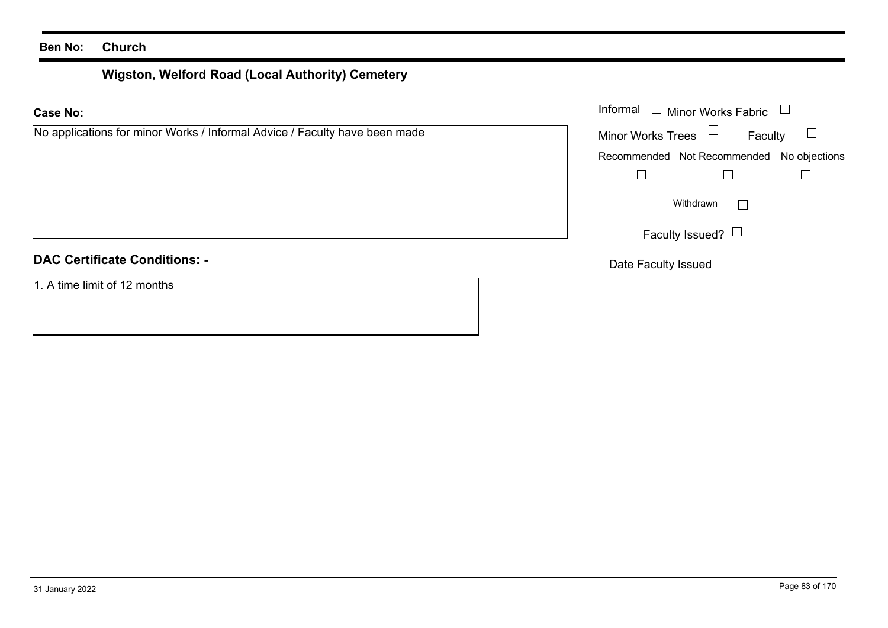# **Wigston, Welford Road (Local Authority) Cemetery**

|  | No applications for minor Works / Informal Advice / Faculty have been made |  |  |  |  |  |  |  |  |
|--|----------------------------------------------------------------------------|--|--|--|--|--|--|--|--|
|--|----------------------------------------------------------------------------|--|--|--|--|--|--|--|--|

## **DAC Certificate Conditions: -**

1. A time limit of 12 months

|                                                                    | Informal $\Box$ Minor Works Fabric $\Box$ |  |  |
|--------------------------------------------------------------------|-------------------------------------------|--|--|
| cations for minor Works / Informal Advice / Faculty have been made | Minor Works Trees $\Box$<br>Faculty       |  |  |
|                                                                    | Recommended Not Recommended No objections |  |  |
|                                                                    |                                           |  |  |
|                                                                    | Withdrawn<br>$\mathbf{L}$                 |  |  |
|                                                                    | Faculty Issued? $\Box$                    |  |  |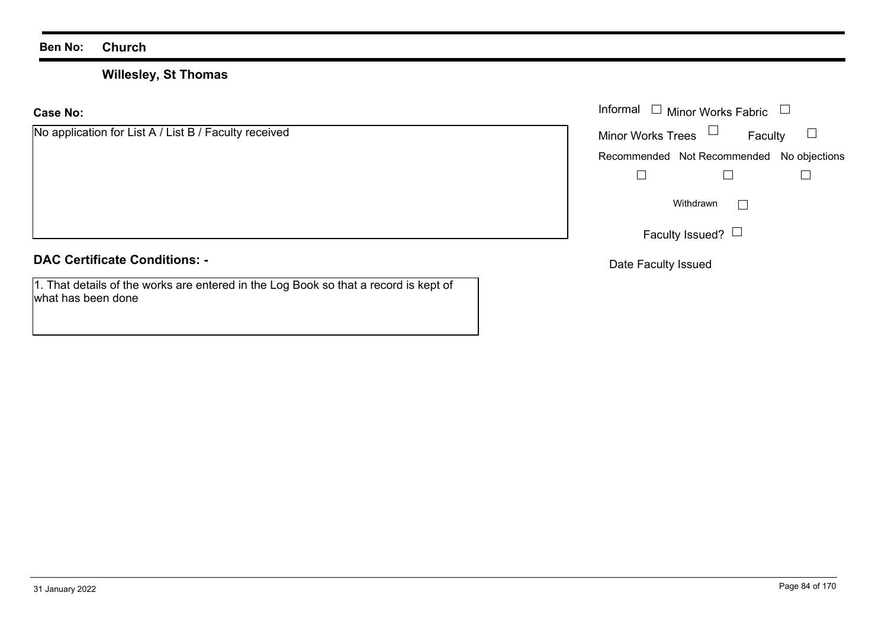## **Willesley, St Thomas**

**Case No:**

|  | No application for List A / List B / Faculty received |  |  |  |  |  |
|--|-------------------------------------------------------|--|--|--|--|--|
|--|-------------------------------------------------------|--|--|--|--|--|

## **DAC Certificate Conditions: -**

1. That details of the works are entered in the Log Book so that a record is kept of what has been done

|                                               | Informal $\Box$ Minor Works Fabric $\Box$ |
|-----------------------------------------------|-------------------------------------------|
| cation for List A / List B / Faculty received | Faculty<br>Minor Works Trees              |
|                                               | Recommended Not Recommended No objections |
|                                               |                                           |
|                                               | Withdrawn                                 |
|                                               | Faculty Issued? $\Box$                    |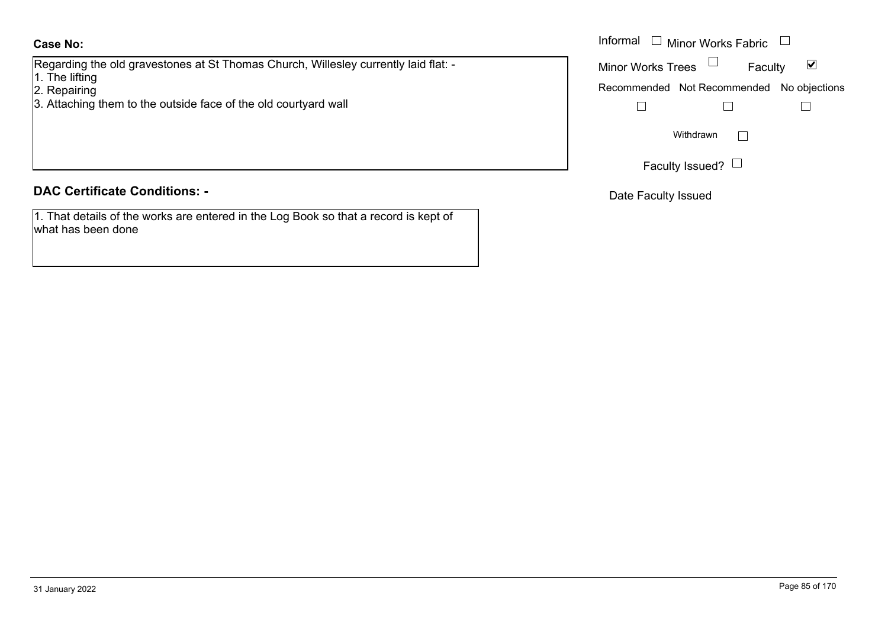Regarding the old gravestones at St Thomas Church, Willesley currently laid flat: -

- 1. The lifting
- 2. Repairing
- 3. Attaching them to the outside face of the old courtyard wall

## **DAC Certificate Conditions: -**

1. That details of the works are entered in the Log Book so that a record is kept of what has been done

|                                                                             | Informal $\Box$ Minor Works Fabric $\Box$ |
|-----------------------------------------------------------------------------|-------------------------------------------|
| g the old gravestones at St Thomas Church, Willesley currently laid flat: - | ⊻<br><b>Minor Works Trees</b><br>Faculty  |
| ting<br>ing<br>ing them to the outside face of the old courtyard wall       | Recommended Not Recommended No objections |
|                                                                             | Withdrawn                                 |
|                                                                             | Faculty Issued?                           |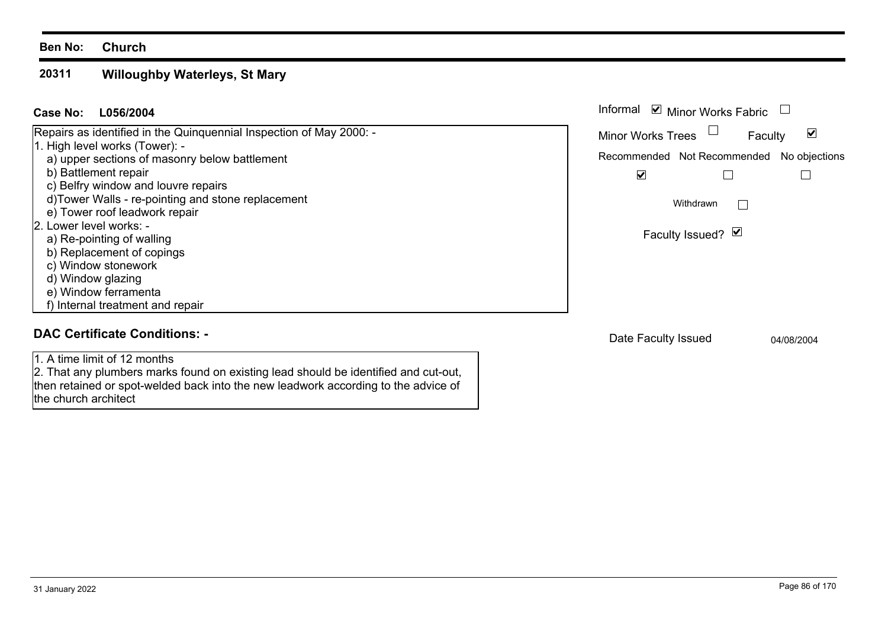#### **20311 Willoughby Waterleys, St Mary**

| L056/2004<br>Case No:                                                                                 | Informal <b>☑</b> Minor Works Fabric      |         |            |
|-------------------------------------------------------------------------------------------------------|-------------------------------------------|---------|------------|
| Repairs as identified in the Quinquennial Inspection of May 2000: -<br>1. High level works (Tower): - | Minor Works Trees                         | Faculty | ☑          |
| a) upper sections of masonry below battlement                                                         | Recommended Not Recommended No objections |         |            |
| b) Battlement repair                                                                                  | $\blacktriangledown$                      |         |            |
| c) Belfry window and louvre repairs                                                                   |                                           |         |            |
| d)Tower Walls - re-pointing and stone replacement<br>e) Tower roof leadwork repair                    | Withdrawn                                 |         |            |
| 2. Lower level works: -<br>a) Re-pointing of walling                                                  | Faculty Issued? Ø                         |         |            |
| b) Replacement of copings                                                                             |                                           |         |            |
| c) Window stonework                                                                                   |                                           |         |            |
| d) Window glazing                                                                                     |                                           |         |            |
| e) Window ferramenta                                                                                  |                                           |         |            |
| f) Internal treatment and repair                                                                      |                                           |         |            |
| <b>DAC Certificate Conditions: -</b>                                                                  | Date Faculty Issued                       |         | 04/08/2004 |
| 1. A time limit of 12 months                                                                          |                                           |         |            |
| 2. That any plumbers marks found on existing lead should be identified and cut-out,                   |                                           |         |            |
| then retained or spot-welded back into the new leadwork according to the advice of                    |                                           |         |            |

the church architect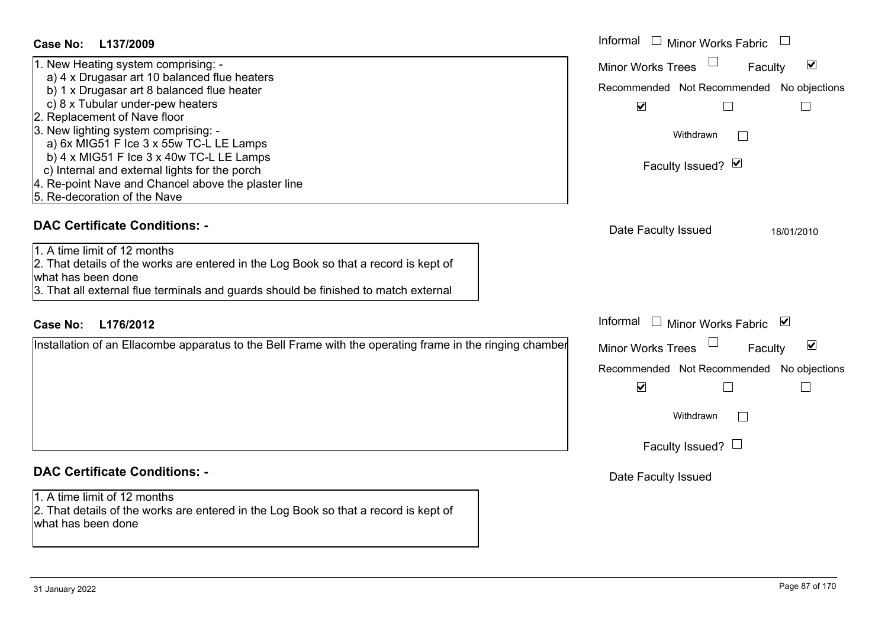| Case No: L137/2009                                                                                                                                                                                                                | Informal □ Minor Works Fabric                                                                                             |
|-----------------------------------------------------------------------------------------------------------------------------------------------------------------------------------------------------------------------------------|---------------------------------------------------------------------------------------------------------------------------|
| 1. New Heating system comprising: -<br>a) 4 x Drugasar art 10 balanced flue heaters<br>b) 1 x Drugasar art 8 balanced flue heater                                                                                                 | $\blacktriangledown$<br><b>Minor Works Trees</b><br>Faculty<br>Recommended Not Recommended No objections                  |
| c) 8 x Tubular under-pew heaters<br>2. Replacement of Nave floor<br>3. New lighting system comprising: -<br>a) 6x MIG51 F Ice 3 x 55w TC-L LE Lamps                                                                               | $\blacktriangledown$<br>Withdrawn<br>$\mathbf{1}$                                                                         |
| b) $4 \times MIG51$ F Ice $3 \times 40$ w TC-L LE Lamps<br>c) Internal and external lights for the porch<br>4. Re-point Nave and Chancel above the plaster line                                                                   | Faculty Issued? Ø                                                                                                         |
| 5. Re-decoration of the Nave<br><b>DAC Certificate Conditions: -</b>                                                                                                                                                              |                                                                                                                           |
| 1. A time limit of 12 months<br>2. That details of the works are entered in the Log Book so that a record is kept of<br>what has been done<br>3. That all external flue terminals and guards should be finished to match external | Date Faculty Issued<br>18/01/2010                                                                                         |
| <b>Case No:</b><br>L176/2012                                                                                                                                                                                                      | Informal $\Box$ Minor Works Fabric $\Box$                                                                                 |
| Installation of an Ellacombe apparatus to the Bell Frame with the operating frame in the ringing chamber                                                                                                                          | Minor Works Trees<br>$\blacktriangledown$<br>Faculty<br>Recommended Not Recommended No objections<br>$\blacktriangledown$ |
|                                                                                                                                                                                                                                   | Withdrawn<br>$\Box$                                                                                                       |
|                                                                                                                                                                                                                                   | Faculty Issued? $\Box$                                                                                                    |
| <b>DAC Certificate Conditions: -</b>                                                                                                                                                                                              | Date Faculty Issued                                                                                                       |
| 1. A time limit of 12 months<br>2. That details of the works are entered in the Log Book so that a record is kept of<br>what has been done                                                                                        |                                                                                                                           |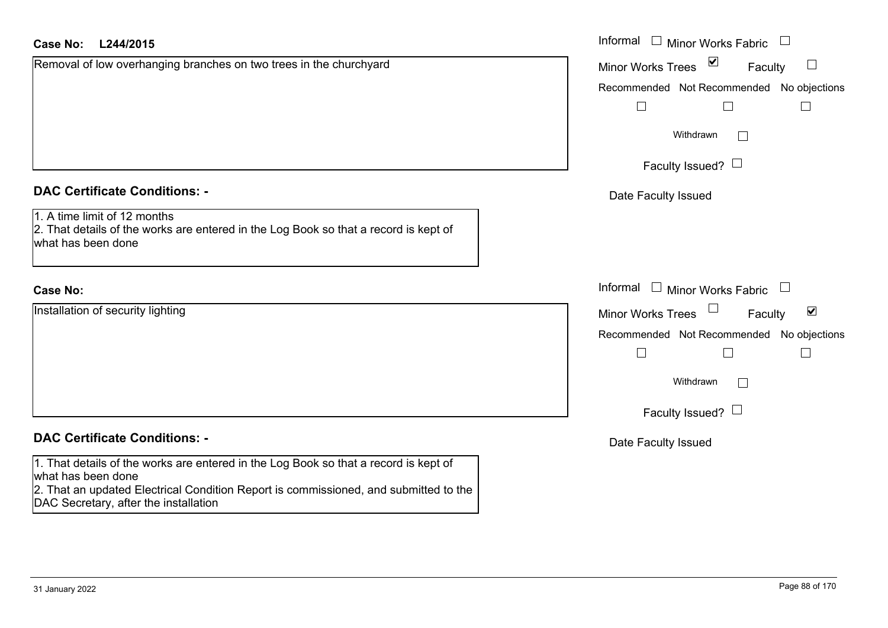| <b>Case No:</b><br>L244/2015                                                                                                                                                                                                                | Informal $\Box$ Minor Works Fabric<br>$\Box$                |
|---------------------------------------------------------------------------------------------------------------------------------------------------------------------------------------------------------------------------------------------|-------------------------------------------------------------|
| Removal of low overhanging branches on two trees in the churchyard                                                                                                                                                                          | $\sum$<br><b>Minor Works Trees</b><br>Faculty<br>$\Box$     |
|                                                                                                                                                                                                                                             | Recommended Not Recommended No objections                   |
|                                                                                                                                                                                                                                             | $\Box$<br>$\Box$                                            |
|                                                                                                                                                                                                                                             | Withdrawn                                                   |
|                                                                                                                                                                                                                                             | Faculty Issued? $\Box$                                      |
| <b>DAC Certificate Conditions: -</b>                                                                                                                                                                                                        | Date Faculty Issued                                         |
| 1. A time limit of 12 months<br>2. That details of the works are entered in the Log Book so that a record is kept of<br>what has been done                                                                                                  |                                                             |
| <b>Case No:</b>                                                                                                                                                                                                                             | Informal<br>$\Box$ Minor Works Fabric<br>$\Box$             |
| Installation of security lighting                                                                                                                                                                                                           | $\blacktriangledown$<br><b>Minor Works Trees</b><br>Faculty |
|                                                                                                                                                                                                                                             | Recommended Not Recommended No objections                   |
|                                                                                                                                                                                                                                             |                                                             |
|                                                                                                                                                                                                                                             | Withdrawn                                                   |
|                                                                                                                                                                                                                                             | Faculty Issued? $\Box$                                      |
| <b>DAC Certificate Conditions: -</b>                                                                                                                                                                                                        | Date Faculty Issued                                         |
| 1. That details of the works are entered in the Log Book so that a record is kept of<br>what has been done<br>2. That an updated Electrical Condition Report is commissioned, and submitted to the<br>DAC Secretary, after the installation |                                                             |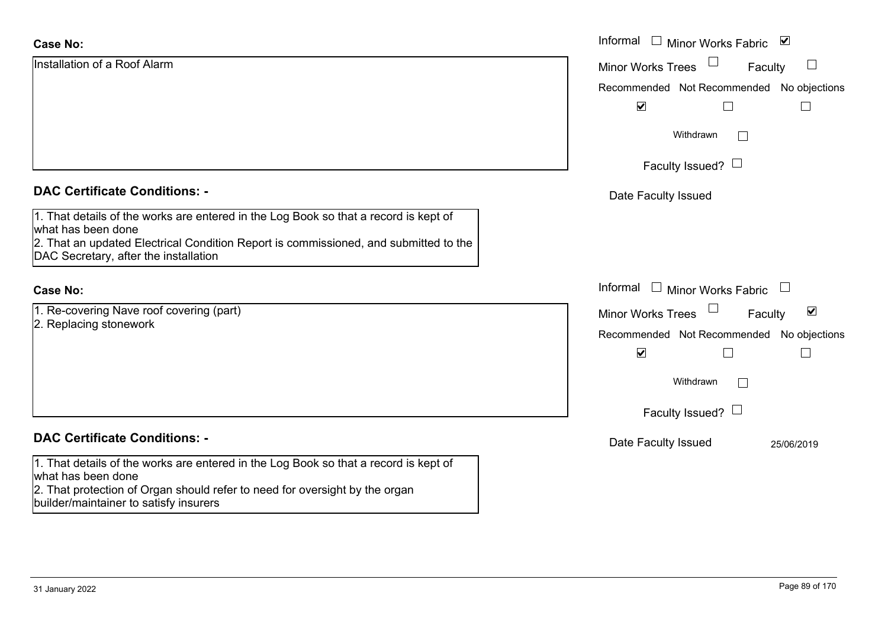| <b>Case No:</b>                                                                                                               | Informal<br>$\mathbb{R}^n$<br>⊻<br><b>Minor Works Fabric</b>         |
|-------------------------------------------------------------------------------------------------------------------------------|----------------------------------------------------------------------|
| Installation of a Roof Alarm                                                                                                  | $\Box$<br><b>Minor Works Trees</b><br>Faculty                        |
|                                                                                                                               | Recommended Not Recommended No objections                            |
|                                                                                                                               | $\blacktriangledown$                                                 |
|                                                                                                                               | Withdrawn<br>$\perp$                                                 |
|                                                                                                                               | Faculty Issued? $\Box$                                               |
| <b>DAC Certificate Conditions: -</b>                                                                                          | Date Faculty Issued                                                  |
| 1. That details of the works are entered in the Log Book so that a record is kept of<br>what has been done                    |                                                                      |
| 2. That an updated Electrical Condition Report is commissioned, and submitted to the<br>DAC Secretary, after the installation |                                                                      |
| Case No:                                                                                                                      | Informal $\square$<br>Minor Works Fabric<br>$\overline{\phantom{a}}$ |
| 1. Re-covering Nave roof covering (part)                                                                                      | $\blacktriangledown$<br><b>Minor Works Trees</b><br>Faculty          |
| 2. Replacing stonework                                                                                                        | Recommended Not Recommended No objections                            |
|                                                                                                                               | $\blacktriangledown$<br>Г                                            |
|                                                                                                                               | Withdrawn<br>$\Box$                                                  |
|                                                                                                                               | Faculty Issued? $\Box$                                               |
| <b>DAC Certificate Conditions: -</b>                                                                                          | Date Faculty Issued<br>25/06/2019                                    |
| 1. That details of the works are entered in the Log Book so that a record is kept of<br>what has been done                    |                                                                      |
| 2. That protection of Organ should refer to need for oversight by the organ<br>builder/maintainer to satisfy insurers         |                                                                      |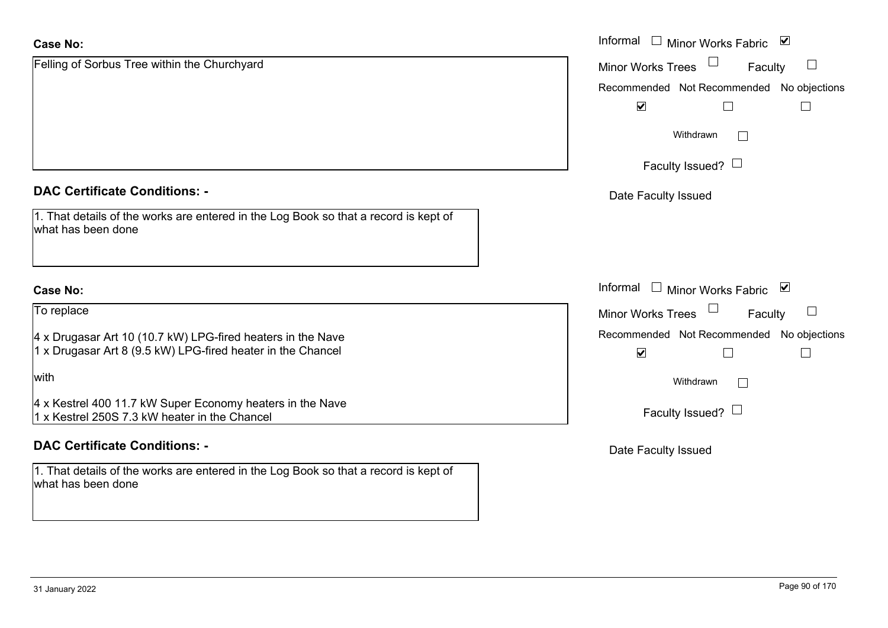| <b>Case No:</b>                                                                                                            | Informal<br>Minor Works Fabric ⊠                                                      |
|----------------------------------------------------------------------------------------------------------------------------|---------------------------------------------------------------------------------------|
| Felling of Sorbus Tree within the Churchyard                                                                               | <b>Minor Works Trees</b><br>$\Box$<br>Faculty                                         |
|                                                                                                                            | Recommended Not Recommended No objections                                             |
|                                                                                                                            | $\blacktriangledown$<br>$\Box$                                                        |
|                                                                                                                            | Withdrawn                                                                             |
|                                                                                                                            | Faculty Issued? $\Box$                                                                |
| <b>DAC Certificate Conditions: -</b>                                                                                       | Date Faculty Issued                                                                   |
| 1. That details of the works are entered in the Log Book so that a record is kept of<br>what has been done                 |                                                                                       |
| <b>Case No:</b>                                                                                                            | Informal □ Minor Works Fabric ⊠                                                       |
| To replace                                                                                                                 | $\Box$<br><b>Minor Works Trees</b><br>Faculty                                         |
| 4 x Drugasar Art 10 (10.7 kW) LPG-fired heaters in the Nave<br>1 x Drugasar Art 8 (9.5 kW) LPG-fired heater in the Chancel | Recommended Not Recommended No objections<br>$\blacktriangledown$<br>$\Box$<br>$\Box$ |
| with                                                                                                                       | Withdrawn<br>$\Box$                                                                   |
| 4 x Kestrel 400 11.7 kW Super Economy heaters in the Nave<br>1 x Kestrel 250S 7.3 kW heater in the Chancel                 | Faculty Issued? $\Box$                                                                |
| <b>DAC Certificate Conditions: -</b>                                                                                       | Date Faculty Issued                                                                   |
| 1. That details of the works are entered in the Log Book so that a record is kept of<br>what has been done                 |                                                                                       |
|                                                                                                                            |                                                                                       |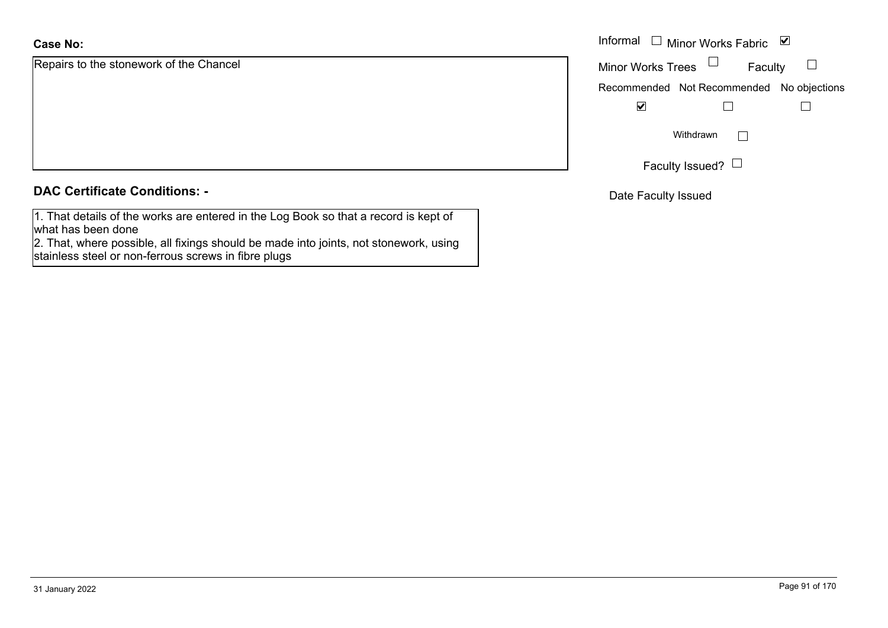Repairs to the stonework of the Chancel

## **DAC Certificate Conditions: -**

1. That details of the works are entered in the Log Book so that a record is kept of what has been done

2. That, where possible, all fixings should be made into joints, not stonework, using stainless steel or non-ferrous screws in fibre plugs

|                                | Informal $\Box$ Minor Works Fabric $\Box$ |
|--------------------------------|-------------------------------------------|
| o the stonework of the Chancel | Minor Works Trees $\quad \Box$<br>Faculty |
|                                | Recommended Not Recommended No objections |
|                                | ⊻                                         |
|                                | Withdrawn                                 |
|                                | Faculty Issued? $\Box$                    |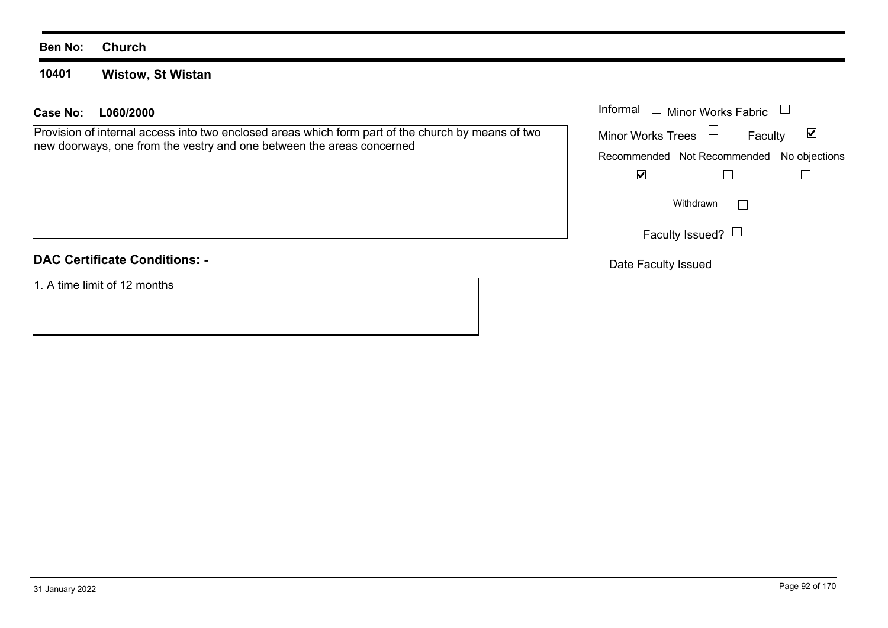#### **10401Wistow, St Wistan**

## **L060/2000Case No:** Informal

Provision of internal access into two enclosed areas which form part of the church by means of two new doorways, one from the vestry and one between the areas concerned

## **DAC Certificate Conditions: -**

1. A time limit of 12 months

| Informal                 | Minor Works Fabric                        |   |
|--------------------------|-------------------------------------------|---|
| <b>Minor Works Trees</b> | Faculty                                   | M |
|                          | Recommended Not Recommended No objections |   |
|                          |                                           |   |
|                          | Withdrawn                                 |   |
|                          | Faculty Issued?                           |   |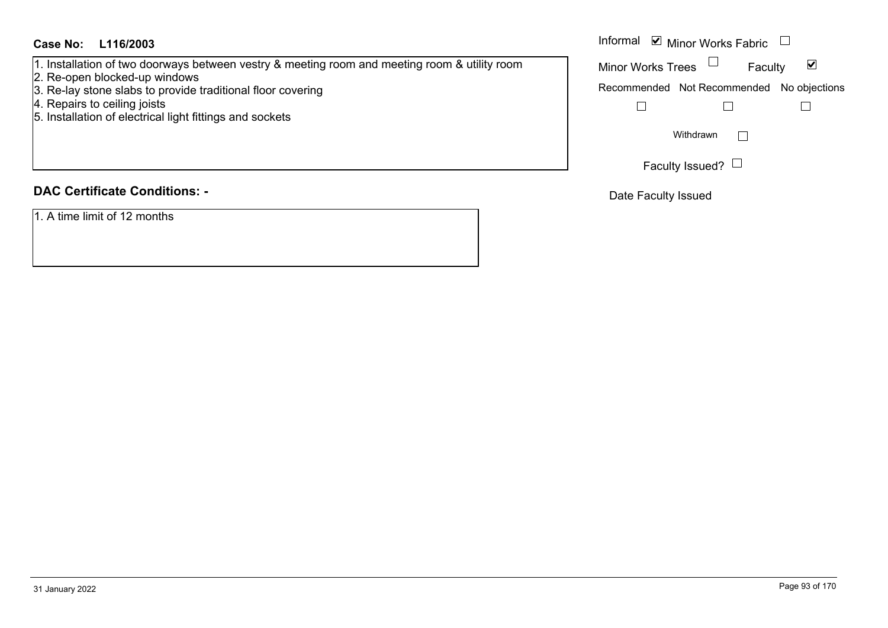## **L116/2003Case No:** Informal

- 1. Installation of two doorways between vestry & meeting room and meeting room & utility room
- 2. Re-open blocked-up windows
- 3. Re-lay stone slabs to provide traditional floor covering
- 4. Repairs to ceiling joists
- 5. Installation of electrical light fittings and sockets

## **DAC Certificate Conditions: -**

1. A time limit of 12 months

#### Informal  $\vee$  Minor Works Fabric  $\Box$ Faculty  $\blacktriangledown$ Minor Works Trees Recommended Not Recommended No objections  $\Box$  $\Box$  $\Box$  $\Box$ Withdrawn Faculty Issued?  $\Box$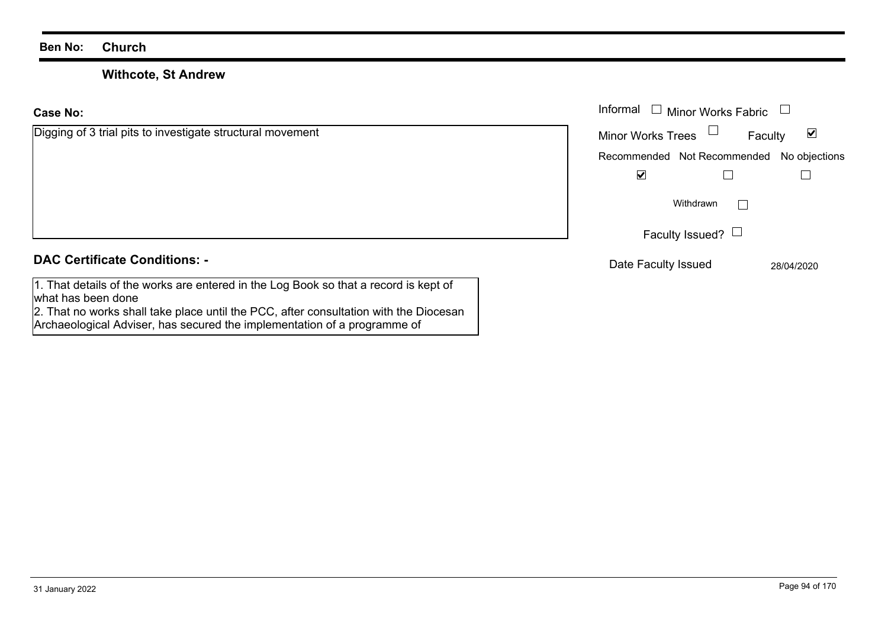what has been done

## **Withcote, St Andrew**

2. That no works shall take place until the PCC, after consultation with the Diocesan

Archaeological Adviser, has secured the implementation of a programme of

**Case No:**Informal

| Digging of 3 trial pits to investigate structural movement                           | <b>Minor Works Trees</b> | Faculty                                   | ⊻          |
|--------------------------------------------------------------------------------------|--------------------------|-------------------------------------------|------------|
|                                                                                      |                          | Recommended Not Recommended No objections |            |
|                                                                                      | ⊻                        |                                           |            |
|                                                                                      |                          | Withdrawn                                 |            |
|                                                                                      |                          | Faculty Issued? $\Box$                    |            |
| <b>DAC Certificate Conditions: -</b>                                                 | Date Faculty Issued      |                                           | 28/04/2020 |
| 1. That details of the works are entered in the Log Book so that a record is kept of |                          |                                           |            |

Minor Works Fabric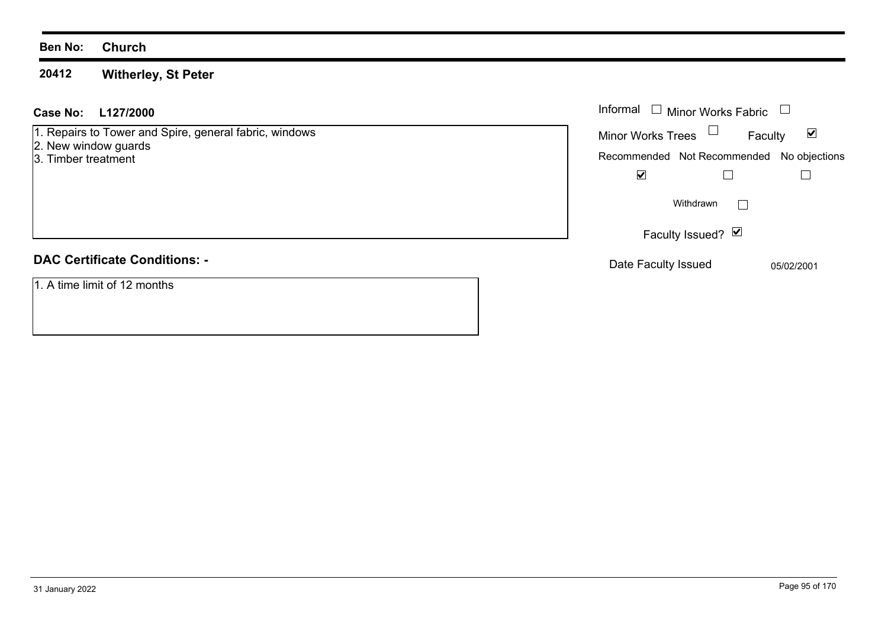#### **20412Witherley, St Peter**

## **L127/2000Case No:** Informal

1. Repairs to Tower and Spire, general fabric, windows

- 2. New window guards
- 3. Timber treatment

## **DAC Certificate Conditions: -**

1. A time limit of 12 months

| Informal                 | <b>Minor Works Fabric</b> |                                           |
|--------------------------|---------------------------|-------------------------------------------|
| <b>Minor Works Trees</b> |                           | M<br>Faculty                              |
|                          |                           | Recommended Not Recommended No objections |
|                          |                           |                                           |
|                          | Withdrawn                 |                                           |
|                          | Faculty Issued? Ø         |                                           |
| Date Faculty Issued      |                           | 05/02/2001                                |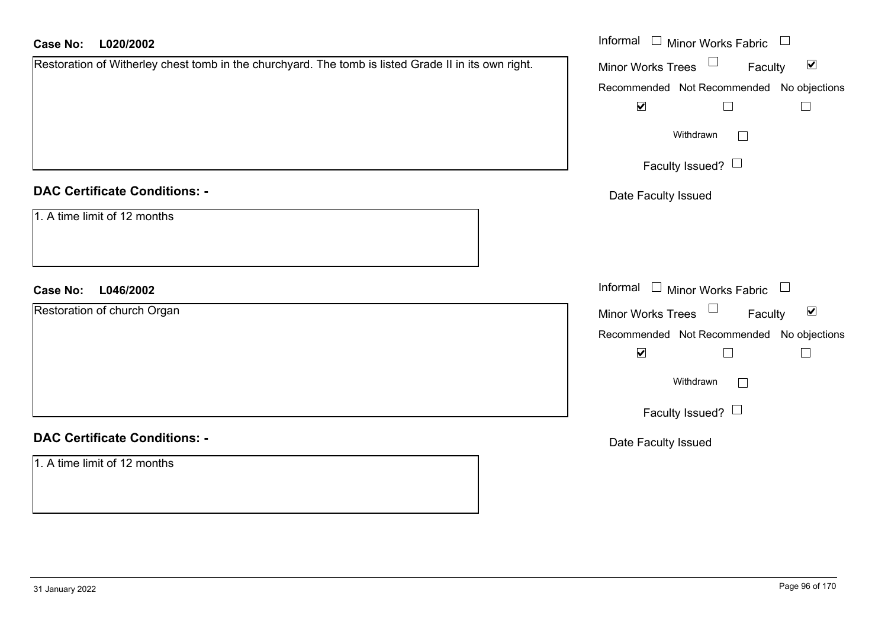| L020/2002<br><b>Case No:</b>                                                                         | Informal $\Box$ Minor Works Fabric $\Box$                         |  |  |
|------------------------------------------------------------------------------------------------------|-------------------------------------------------------------------|--|--|
| Restoration of Witherley chest tomb in the churchyard. The tomb is listed Grade II in its own right. | Minor Works Trees <sup>1</sup><br>$\blacktriangledown$<br>Faculty |  |  |
|                                                                                                      | Recommended Not Recommended No objections                         |  |  |
|                                                                                                      | $\blacktriangledown$<br>$\Box$<br>$\Box$                          |  |  |
|                                                                                                      | Withdrawn<br>$\Box$                                               |  |  |
|                                                                                                      | Faculty Issued? $\Box$                                            |  |  |
| <b>DAC Certificate Conditions: -</b>                                                                 | Date Faculty Issued                                               |  |  |
| 1. A time limit of 12 months                                                                         |                                                                   |  |  |
| L046/2002<br><b>Case No:</b>                                                                         | Informal $\Box$ Minor Works Fabric $\Box$                         |  |  |
| Restoration of church Organ                                                                          | Minor Works Trees $\Box$<br>$\blacktriangledown$<br>Faculty       |  |  |
|                                                                                                      | Recommended Not Recommended No objections                         |  |  |
|                                                                                                      | $\blacktriangledown$<br>$\Box$<br>$\Box$                          |  |  |
|                                                                                                      | Withdrawn                                                         |  |  |
|                                                                                                      | Faculty Issued? $\Box$                                            |  |  |
| <b>DAC Certificate Conditions: -</b>                                                                 | Date Faculty Issued                                               |  |  |
| 1. A time limit of 12 months                                                                         |                                                                   |  |  |
|                                                                                                      |                                                                   |  |  |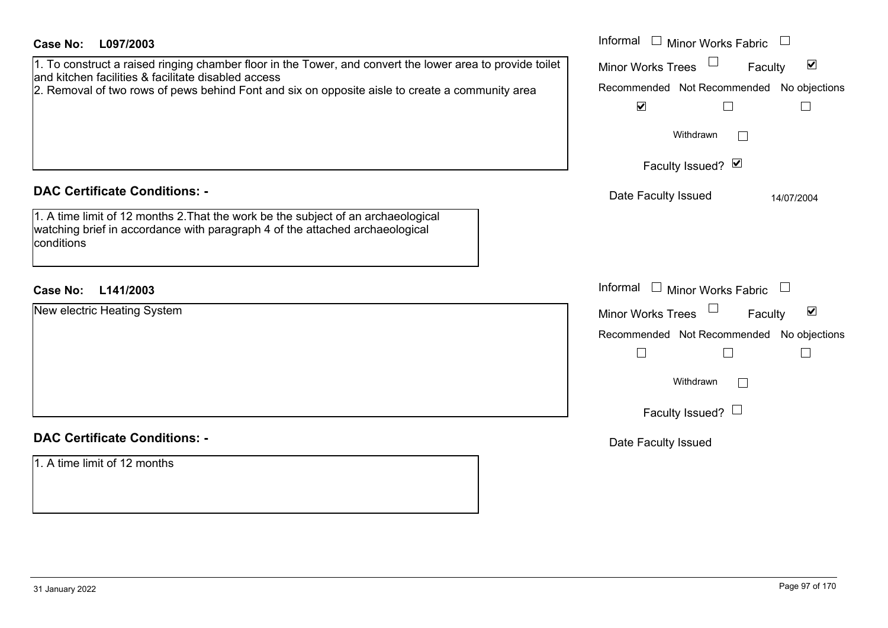| <b>Case No:</b><br>L097/2003                                                                                                                                                                                                                                        | Informal<br>$\Box$ Minor Works Fabric $\Box$                                                             |
|---------------------------------------------------------------------------------------------------------------------------------------------------------------------------------------------------------------------------------------------------------------------|----------------------------------------------------------------------------------------------------------|
| 1. To construct a raised ringing chamber floor in the Tower, and convert the lower area to provide toilet<br>and kitchen facilities & facilitate disabled access<br>2. Removal of two rows of pews behind Font and six on opposite aisle to create a community area | $\blacktriangledown$<br><b>Minor Works Trees</b><br>Faculty<br>Recommended Not Recommended No objections |
|                                                                                                                                                                                                                                                                     | $\blacktriangledown$<br>$\Box$                                                                           |
|                                                                                                                                                                                                                                                                     | Withdrawn<br>$\perp$                                                                                     |
|                                                                                                                                                                                                                                                                     | Faculty Issued? Ø                                                                                        |
| <b>DAC Certificate Conditions: -</b>                                                                                                                                                                                                                                | Date Faculty Issued<br>14/07/2004                                                                        |
| 1. A time limit of 12 months 2. That the work be the subject of an archaeological<br>watching brief in accordance with paragraph 4 of the attached archaeological<br>conditions                                                                                     |                                                                                                          |
| L141/2003<br><b>Case No:</b>                                                                                                                                                                                                                                        | Informal $\Box$ Minor Works Fabric $\Box$                                                                |
| New electric Heating System                                                                                                                                                                                                                                         | Minor Works Trees<br>$\blacktriangledown$<br>Faculty                                                     |
|                                                                                                                                                                                                                                                                     | Recommended Not Recommended No objections                                                                |
|                                                                                                                                                                                                                                                                     |                                                                                                          |
|                                                                                                                                                                                                                                                                     | Withdrawn<br>$\Box$                                                                                      |
|                                                                                                                                                                                                                                                                     | Faculty Issued? $\Box$                                                                                   |
|                                                                                                                                                                                                                                                                     |                                                                                                          |
| <b>DAC Certificate Conditions: -</b>                                                                                                                                                                                                                                | Date Faculty Issued                                                                                      |
| 1. A time limit of 12 months                                                                                                                                                                                                                                        |                                                                                                          |
|                                                                                                                                                                                                                                                                     |                                                                                                          |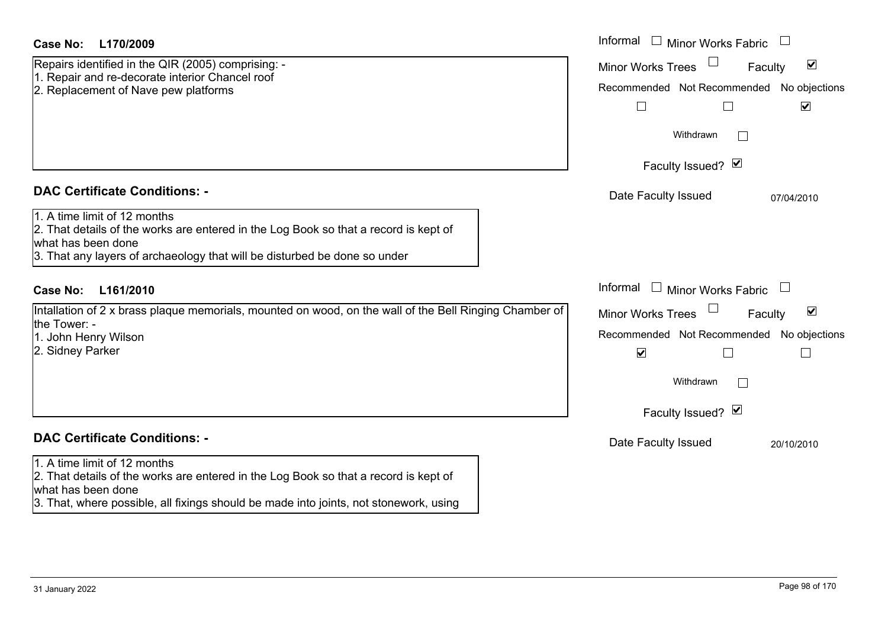## **DAC Certificate Conditions: -**

## **DAC Certificate Conditions: -**

## 1. A time limit of 12 months

2. That details of the works are entered in the Log Book so that a record is kept of what has been done

3. That, where possible, all fixings should be made into joints, not stonework, using

| <b>Case No:</b><br>L170/2009                                                                                                                                                                                                                                                                                        | Informal Informal Minor Works Fabric                                                              |
|---------------------------------------------------------------------------------------------------------------------------------------------------------------------------------------------------------------------------------------------------------------------------------------------------------------------|---------------------------------------------------------------------------------------------------|
| Repairs identified in the QIR (2005) comprising: -<br>1. Repair and re-decorate interior Chancel roof<br>2. Replacement of Nave pew platforms                                                                                                                                                                       | $\blacktriangledown$<br>Minor Works Trees<br>Faculty<br>Recommended Not Recommended No objections |
|                                                                                                                                                                                                                                                                                                                     | $\blacktriangledown$<br>Withdrawn                                                                 |
|                                                                                                                                                                                                                                                                                                                     | Faculty Issued? Ø                                                                                 |
| <b>DAC Certificate Conditions: -</b>                                                                                                                                                                                                                                                                                | Date Faculty Issued<br>07/04/2010                                                                 |
| 1. A time limit of 12 months<br>2. That details of the works are entered in the Log Book so that a record is kept of<br>what has been done<br>3. That any layers of archaeology that will be disturbed be done so under                                                                                             |                                                                                                   |
| L161/2010<br><b>Case No:</b>                                                                                                                                                                                                                                                                                        | Informal $\Box$ Minor Works Fabric $\Box$                                                         |
| Intallation of 2 x brass plaque memorials, mounted on wood, on the wall of the Bell Ringing Chamber of<br>the Tower: -                                                                                                                                                                                              | $\blacktriangledown$<br>Minor Works Trees<br>Faculty                                              |
| 1. John Henry Wilson<br>2. Sidney Parker                                                                                                                                                                                                                                                                            | Recommended Not Recommended No objections<br>$\blacktriangledown$                                 |
|                                                                                                                                                                                                                                                                                                                     | Withdrawn                                                                                         |
|                                                                                                                                                                                                                                                                                                                     | Faculty Issued? Ø                                                                                 |
| <b>DAC Certificate Conditions: -</b>                                                                                                                                                                                                                                                                                | Date Faculty Issued<br>20/10/2010                                                                 |
| 1. A time limit of 12 months<br>$\cap$ . The statistic state $\cap$ for the $\cap$<br>to a consideration of the constitution of the construction of the constitution of the construction of the construction of the construction of the construction of the construction of the construction of the construction of |                                                                                                   |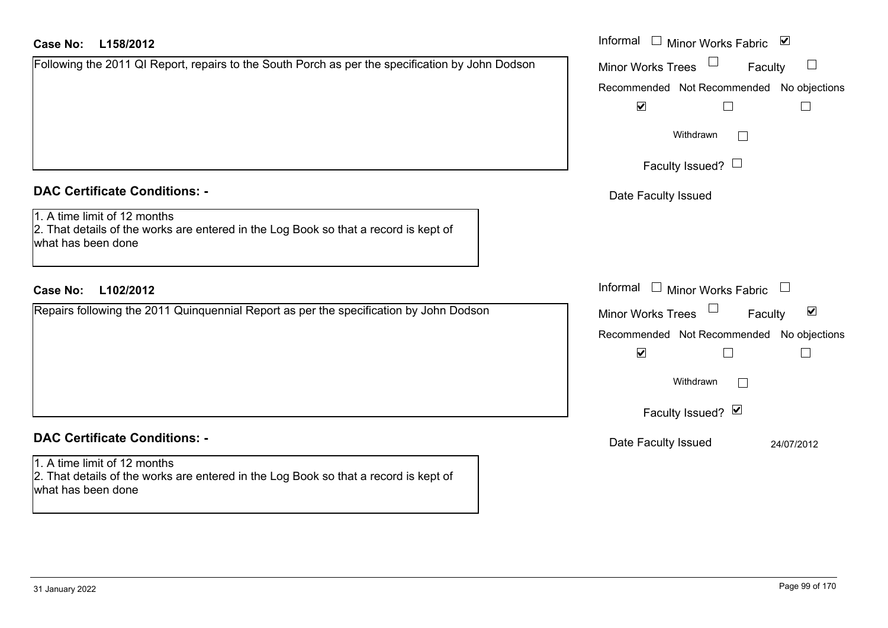## **L158/2012Case No:** Informal

|  | Following the 2011 QI Report, repairs to the South Porch as per the specification by John Dodson |  |
|--|--------------------------------------------------------------------------------------------------|--|
|  |                                                                                                  |  |
|  |                                                                                                  |  |
|  |                                                                                                  |  |
|  |                                                                                                  |  |
|  |                                                                                                  |  |

## **DAC Certificate Conditions: -**

# 1. A time limit of 12 months

2. That details of the works are entered in the Log Book so that a record is kept of what has been done

## **L102/2012Case No:** Informal

Repairs following the 2011 Quinquennial Report as per the specification by John Dodson

# **DAC Certificate Conditions: -**

1. A time limit of 12 months 2. That details of the works are entered in the Log Book so that a record is kept of what has been done

| Informal<br>$\overline{\mathbf{v}}$<br>Minor Works Fabric         |
|-------------------------------------------------------------------|
| <b>Minor Works Trees</b><br>Faculty                               |
| Recommended Not Recommended No objections<br>$\blacktriangledown$ |
| Withdrawn                                                         |
| Faculty Issued? $\Box$                                            |
| Date Faculty Issued                                               |
|                                                                   |
| Informal<br><b>Minor Works Fabric</b>                             |
| ⊻<br><b>Minor Works Trees</b><br>Faculty                          |
| Recommended Not Recommended No objections<br>$\blacktriangledown$ |
| Withdrawn                                                         |
| Faculty Issued? Ø                                                 |
| Date Faculty Issued<br>24/07/2012                                 |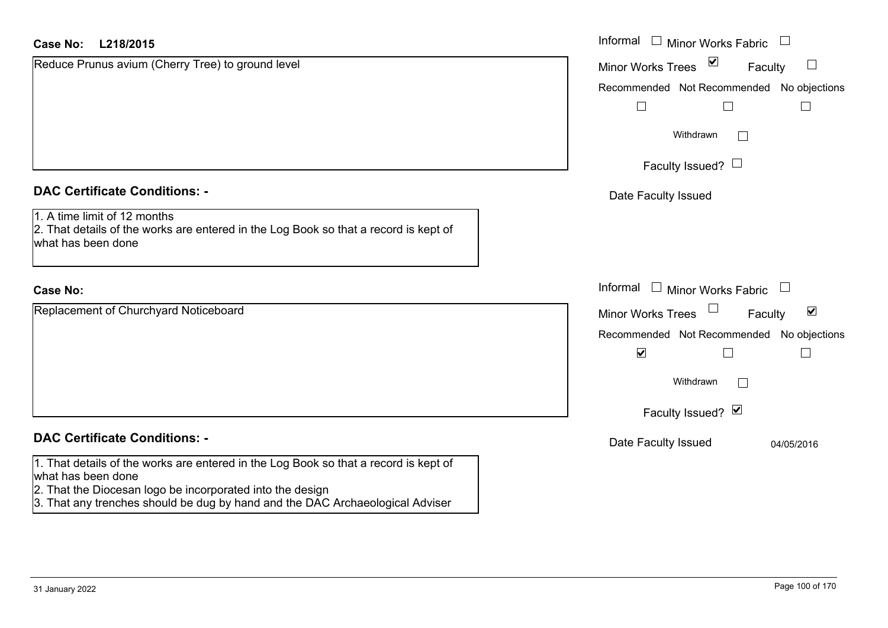| <b>Case No:</b><br>L218/2015                                                                                                                                                                                                                             | Informal □ Minor Works Fabric                               |
|----------------------------------------------------------------------------------------------------------------------------------------------------------------------------------------------------------------------------------------------------------|-------------------------------------------------------------|
| Reduce Prunus avium (Cherry Tree) to ground level                                                                                                                                                                                                        | $\sum$<br>$\Box$<br><b>Minor Works Trees</b><br>Faculty     |
|                                                                                                                                                                                                                                                          | Recommended Not Recommended No objections                   |
|                                                                                                                                                                                                                                                          |                                                             |
|                                                                                                                                                                                                                                                          | Withdrawn                                                   |
|                                                                                                                                                                                                                                                          | Faculty Issued? $\Box$                                      |
| <b>DAC Certificate Conditions: -</b>                                                                                                                                                                                                                     | Date Faculty Issued                                         |
| 1. A time limit of 12 months<br>2. That details of the works are entered in the Log Book so that a record is kept of<br>what has been done                                                                                                               |                                                             |
| <b>Case No:</b>                                                                                                                                                                                                                                          | Informal<br>$\Box$ Minor Works Fabric $\Box$                |
| Replacement of Churchyard Noticeboard                                                                                                                                                                                                                    | $\blacktriangledown$<br>Faculty<br><b>Minor Works Trees</b> |
|                                                                                                                                                                                                                                                          | Recommended Not Recommended No objections                   |
|                                                                                                                                                                                                                                                          | $\blacktriangledown$                                        |
|                                                                                                                                                                                                                                                          | Withdrawn                                                   |
|                                                                                                                                                                                                                                                          | Faculty Issued? Ø                                           |
| <b>DAC Certificate Conditions: -</b>                                                                                                                                                                                                                     | Date Faculty Issued<br>04/05/2016                           |
| 1. That details of the works are entered in the Log Book so that a record is kept of<br>what has been done<br>2. That the Diocesan logo be incorporated into the design<br>3. That any trenches should be dug by hand and the DAC Archaeological Adviser |                                                             |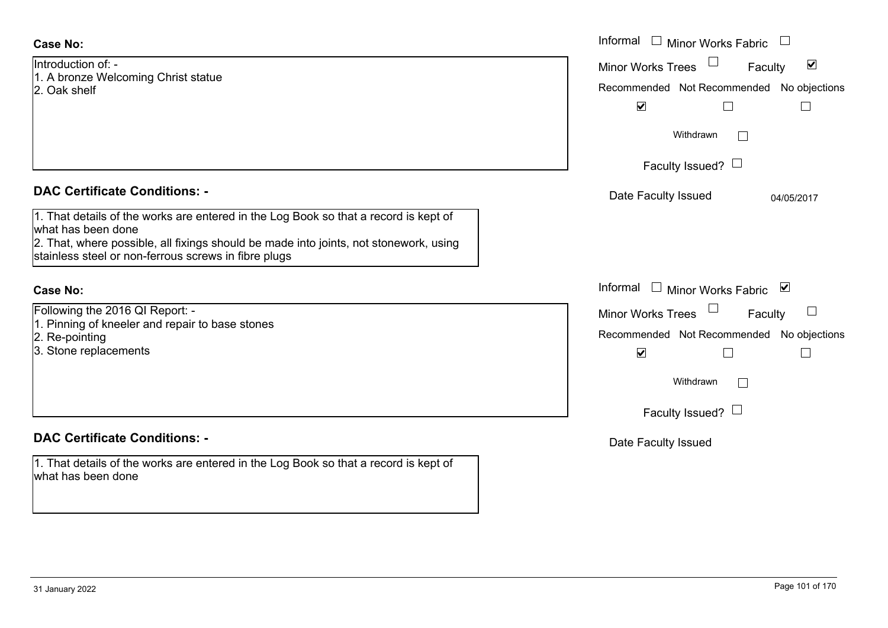Introduction of: -1. A bronze Welcoming Christ statue 2. Oak shelf

## **DAC Certificate Conditions: -**

| 1. That details of the works are entered in the Log Book so that a record is kept of  |
|---------------------------------------------------------------------------------------|
| what has been done                                                                    |
| 2. That, where possible, all fixings should be made into joints, not stonework, using |
| stainless steel or non-ferrous screws in fibre plugs                                  |

## **Case No:**

Following the 2016 QI Report: -

- 1. Pinning of kneeler and repair to base stones
- 2. Re-pointing
- 3. Stone replacements

## **DAC Certificate Conditions: -**

1. That details of the works are entered in the Log Book so that a record is kept of what has been done

|                                                                                                                                                                                                                        | Informal $\Box$ Minor Works Fabric                                                                                             |
|------------------------------------------------------------------------------------------------------------------------------------------------------------------------------------------------------------------------|--------------------------------------------------------------------------------------------------------------------------------|
| ion of: -<br>ze Welcoming Christ statue<br>าelf                                                                                                                                                                        | $\blacktriangledown$<br>Minor Works Trees<br>Faculty<br>Recommended Not Recommended No objections<br>$\blacktriangledown$<br>Г |
|                                                                                                                                                                                                                        | Withdrawn<br>Faculty Issued? $\Box$                                                                                            |
| rtificate Conditions: -                                                                                                                                                                                                | Date Faculty Issued<br>04/05/2017                                                                                              |
| etails of the works are entered in the Log Book so that a record is kept of<br>been done<br>vhere possible, all fixings should be made into joints, not stonework, using<br>steel or non-ferrous screws in fibre plugs |                                                                                                                                |
|                                                                                                                                                                                                                        | Informal<br>□ Minor Works Fabric                                                                                               |
| the 2016 QI Report: -<br>g of kneeler and repair to base stones<br>inting<br>replacements                                                                                                                              | Minor Works Trees<br>$\sqcup$<br>Faculty<br>Recommended Not Recommended No objections<br>$\blacktriangledown$                  |
|                                                                                                                                                                                                                        | Withdrawn                                                                                                                      |
|                                                                                                                                                                                                                        | Faculty Issued? $\Box$                                                                                                         |
| rtificate Conditions: -                                                                                                                                                                                                | Date Faculty Issued                                                                                                            |
| etails of the works are entered in the Log Book so that a record is kept of                                                                                                                                            |                                                                                                                                |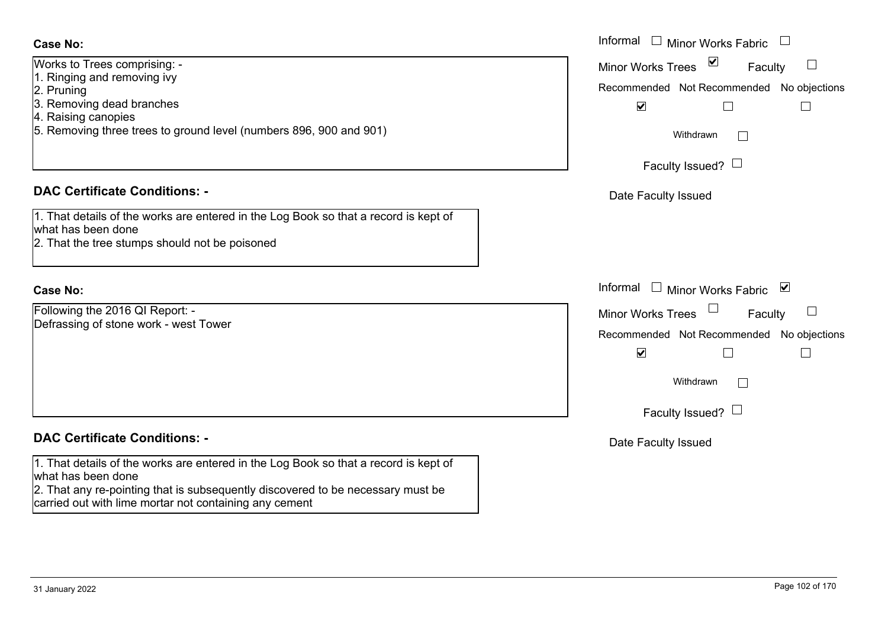Works to Trees comprising: -

- 1. Ringing and removing ivy
- 2. Pruning
- 3. Removing dead branches
- 4. Raising canopies
- 5. Removing three trees to ground level (numbers 896, 900 and 901)

## **DAC Certificate Conditions: -**

| 1. That details of the works are entered in the Log Book so that a record is kept of                                                                                                                                           |  |  |  |
|--------------------------------------------------------------------------------------------------------------------------------------------------------------------------------------------------------------------------------|--|--|--|
| what has been done                                                                                                                                                                                                             |  |  |  |
| 0. Third direction is a company of the solid of the basic control of the set of the set of the set of the set of the set of the set of the set of the set of the set of the set of the set of the set of the set of the set of |  |  |  |

2. That the tree stumps should not be poisoned

## **Case No:**

Following the 2016 QI Report: - Defrassing of stone work - west Tower

## **DAC Certificate Conditions: -**

1. That details of the works are entered in the Log Book so that a record is kept of what has been done

2. That any re-pointing that is subsequently discovered to be necessary must be carried out with lime mortar not containing any cement

| Trees comprising: -<br>g and removing ivy<br>ving dead branches                                                                  | Informal □ Minor Works Fabric<br>$\triangledown$<br>$\overline{\phantom{a}}$<br>Minor Works Trees<br>Faculty<br>Recommended Not Recommended No objections<br>$\blacktriangledown$<br>$\Box$ |
|----------------------------------------------------------------------------------------------------------------------------------|---------------------------------------------------------------------------------------------------------------------------------------------------------------------------------------------|
| g canopies<br>ving three trees to ground level (numbers 896, 900 and 901)                                                        | Withdrawn<br>Faculty Issued? $\Box$                                                                                                                                                         |
| rtificate Conditions: -                                                                                                          | Date Faculty Issued                                                                                                                                                                         |
| etails of the works are entered in the Log Book so that a record is kept of<br>been done<br>e tree stumps should not be poisoned |                                                                                                                                                                                             |
|                                                                                                                                  | Informal<br>⊻<br>$\mathrel{\boxdot}$ Minor Works Fabric                                                                                                                                     |
| the 2016 QI Report: -<br>ng of stone work - west Tower                                                                           | $\mathcal{L}_{\mathcal{A}}$<br>Minor Works Trees<br>Faculty<br>Recommended Not Recommended No objections<br>$\blacktriangledown$<br>Withdrawn                                               |
| rtificate Conditions: -                                                                                                          | Faculty Issued? $\Box$                                                                                                                                                                      |
|                                                                                                                                  | Date Faculty Issued                                                                                                                                                                         |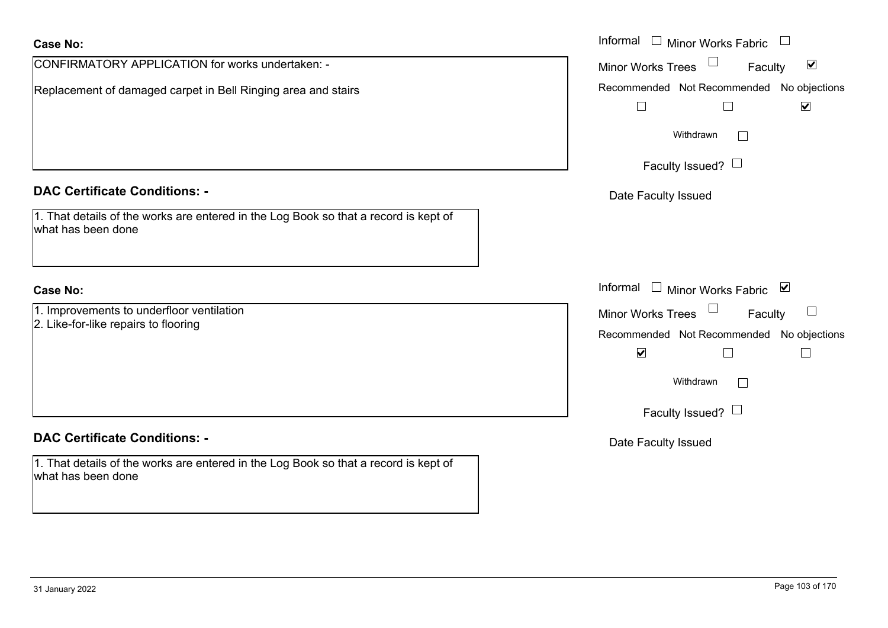| <b>Case No:</b>                                                                                            | Informal $\Box$ Minor Works Fabric $\Box$                                             |
|------------------------------------------------------------------------------------------------------------|---------------------------------------------------------------------------------------|
| CONFIRMATORY APPLICATION for works undertaken: -                                                           | Minor Works Trees<br>$\blacktriangledown$<br>Faculty                                  |
| Replacement of damaged carpet in Bell Ringing area and stairs                                              | Recommended Not Recommended No objections<br>$\blacktriangledown$<br>$\Box$<br>$\Box$ |
|                                                                                                            | Withdrawn                                                                             |
|                                                                                                            | Faculty Issued? $\Box$                                                                |
| <b>DAC Certificate Conditions: -</b>                                                                       | Date Faculty Issued                                                                   |
| 1. That details of the works are entered in the Log Book so that a record is kept of<br>what has been done |                                                                                       |
| <b>Case No:</b>                                                                                            | Informal □ Minor Works Fabric 凶                                                       |
| 1. Improvements to underfloor ventilation                                                                  | Minor Works Trees<br>$\Box$<br>Faculty                                                |
| 2. Like-for-like repairs to flooring                                                                       | Recommended Not Recommended No objections                                             |
|                                                                                                            | $\blacktriangledown$<br>L                                                             |
|                                                                                                            | Withdrawn                                                                             |
|                                                                                                            | Faculty Issued? $\Box$                                                                |
| <b>DAC Certificate Conditions: -</b>                                                                       | Date Faculty Issued                                                                   |
| 1. That details of the works are entered in the Log Book so that a record is kept of<br>what has been done |                                                                                       |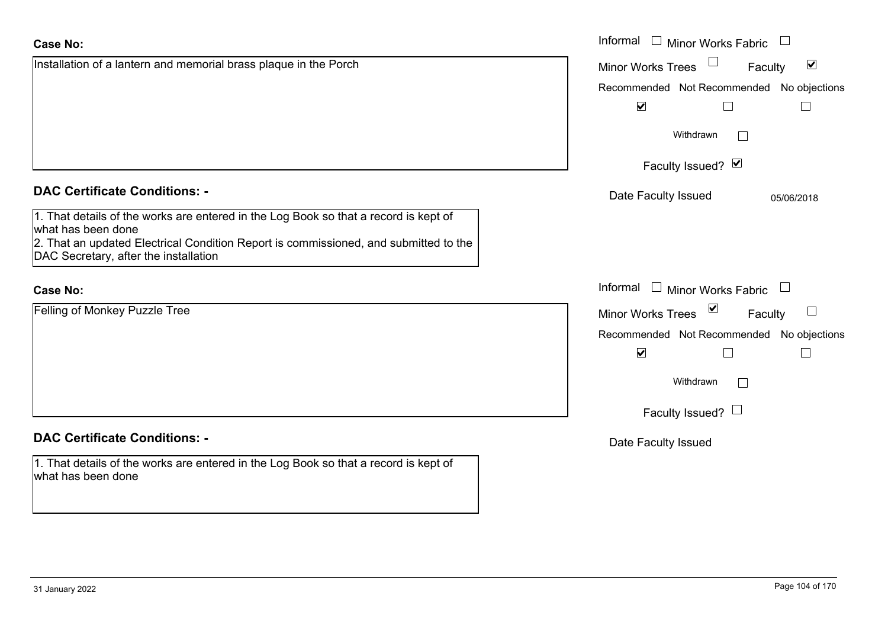what has been done

**Case No:**

|                                                                                                                                                                                                                                             | $\blacktriangledown$                      |                           |                                       |  |
|---------------------------------------------------------------------------------------------------------------------------------------------------------------------------------------------------------------------------------------------|-------------------------------------------|---------------------------|---------------------------------------|--|
|                                                                                                                                                                                                                                             | Withdrawn                                 |                           |                                       |  |
|                                                                                                                                                                                                                                             | Faculty Issued? Ø                         |                           |                                       |  |
| <b>DAC Certificate Conditions: -</b>                                                                                                                                                                                                        | Date Faculty Issued                       |                           | 05/06/2018                            |  |
| 1. That details of the works are entered in the Log Book so that a record is kept of<br>what has been done<br>2. That an updated Electrical Condition Report is commissioned, and submitted to the<br>DAC Secretary, after the installation |                                           |                           |                                       |  |
| <b>Case No:</b>                                                                                                                                                                                                                             | Informal                                  | $\Box$ Minor Works Fabric | $\begin{array}{c} \hline \end{array}$ |  |
| Felling of Monkey Puzzle Tree                                                                                                                                                                                                               | Minor Works Trees ⊠                       |                           | Faculty                               |  |
|                                                                                                                                                                                                                                             | Recommended Not Recommended No objections |                           |                                       |  |
|                                                                                                                                                                                                                                             | $\blacktriangledown$                      |                           |                                       |  |
|                                                                                                                                                                                                                                             | Withdrawn                                 | $\mathbf{L}$              |                                       |  |
|                                                                                                                                                                                                                                             | Faculty Issued? $\Box$                    |                           |                                       |  |
| <b>DAC Certificate Conditions: -</b>                                                                                                                                                                                                        | Date Faculty Issued                       |                           |                                       |  |
| 1. That details of the works are entered in the Log Book so that a record is kept of                                                                                                                                                        |                                           |                           |                                       |  |

Informal

Installation of a lantern and memorial brass plaque in the Porch

Faculty  $\Box$ 

Recommended Not Recommended No objections

Minor Works Fabric

Minor Works Trees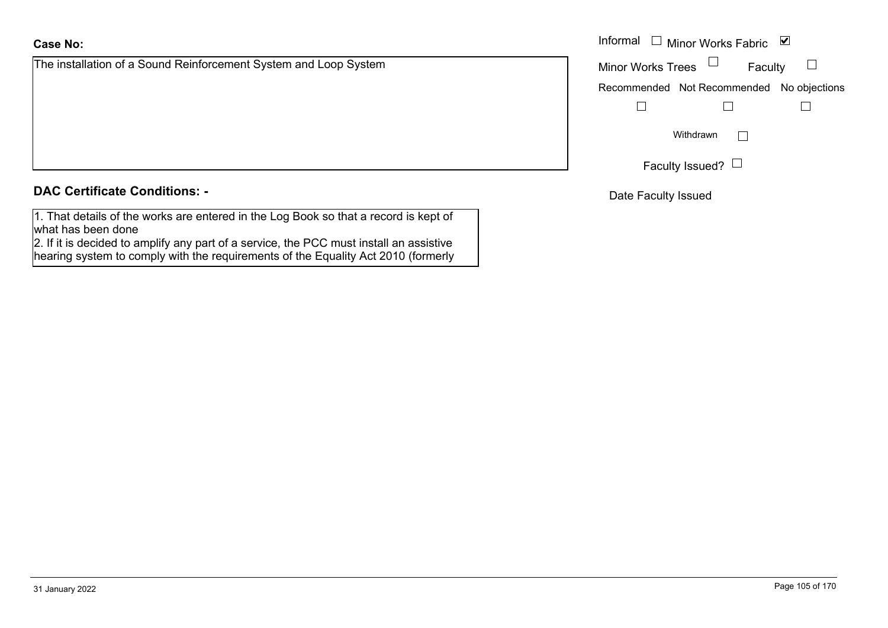**DAC Certificate Conditions: -**

1. That details of the works are entered in the Log Book so that a record is kept of what has been done

2. If it is decided to amplify any part of a service, the PCC must install an assistive hearing system to comply with the requirements of the Equality Act 2010 (formerly

**Case No:**

The installation of a Sound Reinforcement System and Loop System

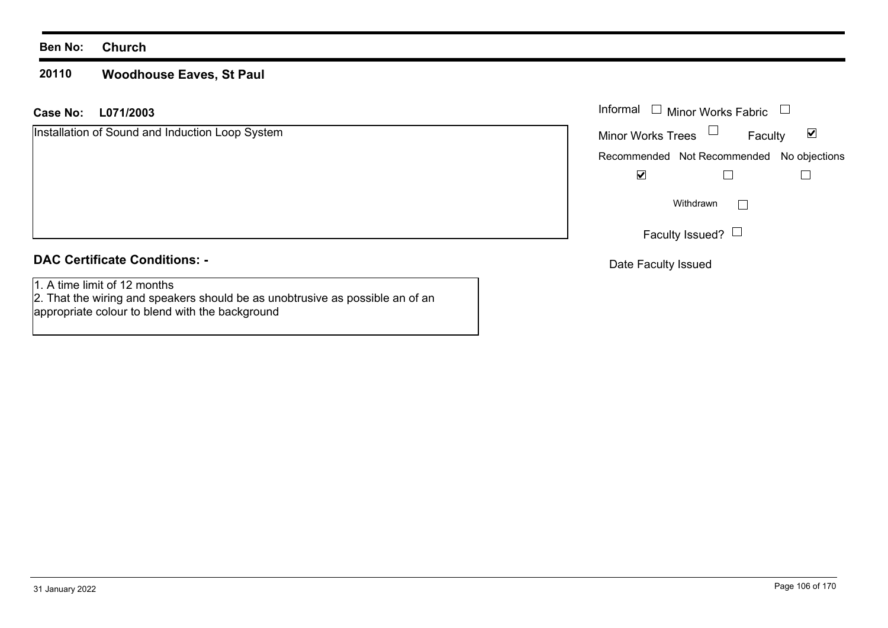#### **20110Woodhouse Eaves, St Paul**

## **L071/2003Case No:** Informal

| Installation of Sound and Induction Loop System | ⊻<br><b>Minor Works Trees</b><br>Faculty  |
|-------------------------------------------------|-------------------------------------------|
|                                                 | Recommended Not Recommended No objections |
|                                                 | ⊻                                         |
|                                                 | Withdrawn                                 |
|                                                 | Faculty Issued? $\Box$                    |
| <b>DAC Certificate Conditions: -</b>            | Dota Foouth Loouad                        |

1. A time limit of 12 months

 2. That the wiring and speakers should be as unobtrusive as possible an of an appropriate colour to blend with the background

Date Faculty Issued

Minor Works Fabric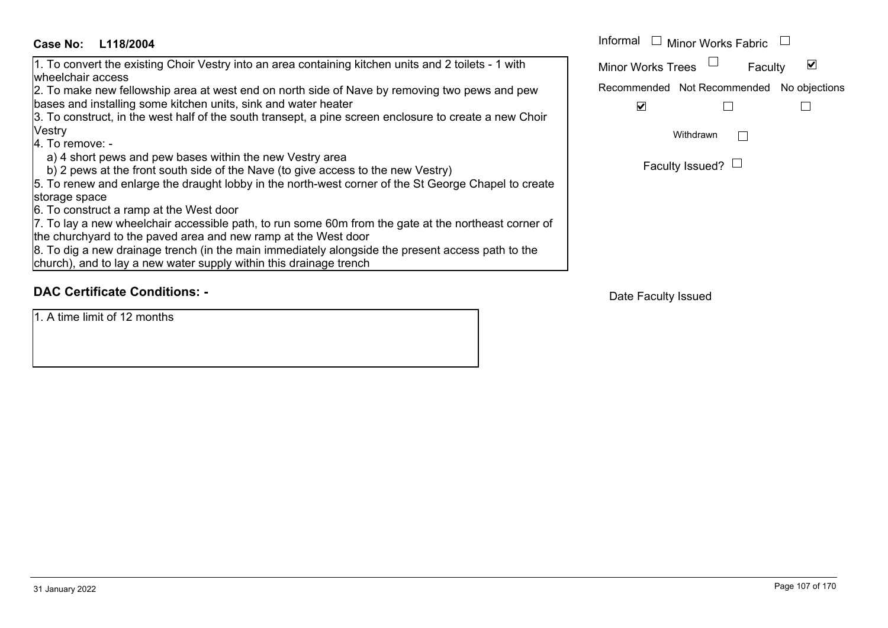| M                                         |  |
|-------------------------------------------|--|
|                                           |  |
| Recommended Not Recommended No objections |  |
|                                           |  |
|                                           |  |
|                                           |  |
|                                           |  |
| Faculty Issued?                           |  |
|                                           |  |
|                                           |  |
|                                           |  |
|                                           |  |
|                                           |  |
|                                           |  |
|                                           |  |

## **DAC Certificate Conditions: -**

1. A time limit of 12 months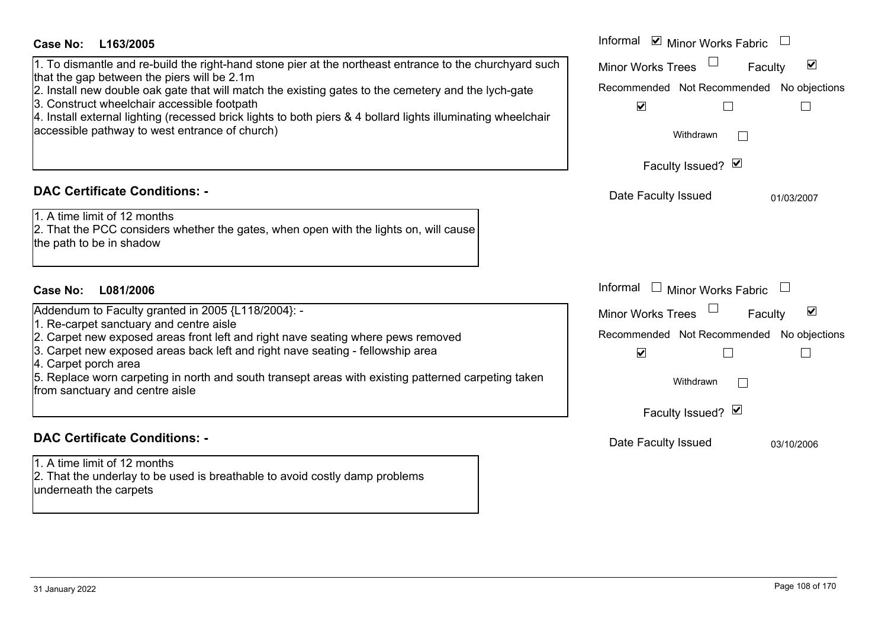| <b>Case No:</b><br>L163/2005                                                                                                                                                                                                                                                                                                                                                                                                                                                   | Informal ☑ Minor Works Fabric                                                                                                                                                                               |
|--------------------------------------------------------------------------------------------------------------------------------------------------------------------------------------------------------------------------------------------------------------------------------------------------------------------------------------------------------------------------------------------------------------------------------------------------------------------------------|-------------------------------------------------------------------------------------------------------------------------------------------------------------------------------------------------------------|
| 1. To dismantle and re-build the right-hand stone pier at the northeast entrance to the churchyard such<br>that the gap between the piers will be 2.1m<br>2. Install new double oak gate that will match the existing gates to the cemetery and the lych-gate<br>3. Construct wheelchair accessible footpath<br>4. Install external lighting (recessed brick lights to both piers & 4 bollard lights illuminating wheelchair<br>accessible pathway to west entrance of church) | $\blacktriangledown$<br><b>Minor Works Trees</b><br>Faculty<br>Recommended Not Recommended No objections<br>$\blacktriangledown$<br>$\Box$<br>Withdrawn                                                     |
|                                                                                                                                                                                                                                                                                                                                                                                                                                                                                | Faculty Issued? Ø                                                                                                                                                                                           |
| <b>DAC Certificate Conditions: -</b><br>1. A time limit of 12 months<br>2. That the PCC considers whether the gates, when open with the lights on, will cause<br>the path to be in shadow                                                                                                                                                                                                                                                                                      | Date Faculty Issued<br>01/03/2007                                                                                                                                                                           |
| <b>Case No:</b><br>L081/2006                                                                                                                                                                                                                                                                                                                                                                                                                                                   | Informal<br>$\Box$ Minor Works Fabric<br>$\mathcal{L}$                                                                                                                                                      |
| Addendum to Faculty granted in 2005 {L118/2004}: -<br>1. Re-carpet sanctuary and centre aisle<br>2. Carpet new exposed areas front left and right nave seating where pews removed<br>3. Carpet new exposed areas back left and right nave seating - fellowship area<br>4. Carpet porch area<br>5. Replace worn carpeting in north and south transept areas with existing patterned carpeting taken<br>from sanctuary and centre aisle                                          | $\blacktriangledown$<br><b>Minor Works Trees</b><br>Faculty<br>Recommended Not Recommended No objections<br>$\blacktriangledown$<br>$\Box$<br>$\Box$<br>Withdrawn<br>$\vert \ \ \vert$<br>Faculty Issued? Ø |
| <b>DAC Certificate Conditions: -</b><br>1. A time limit of 12 months<br>2. That the underlay to be used is breathable to avoid costly damp problems<br>underneath the carpets                                                                                                                                                                                                                                                                                                  | Date Faculty Issued<br>03/10/2006                                                                                                                                                                           |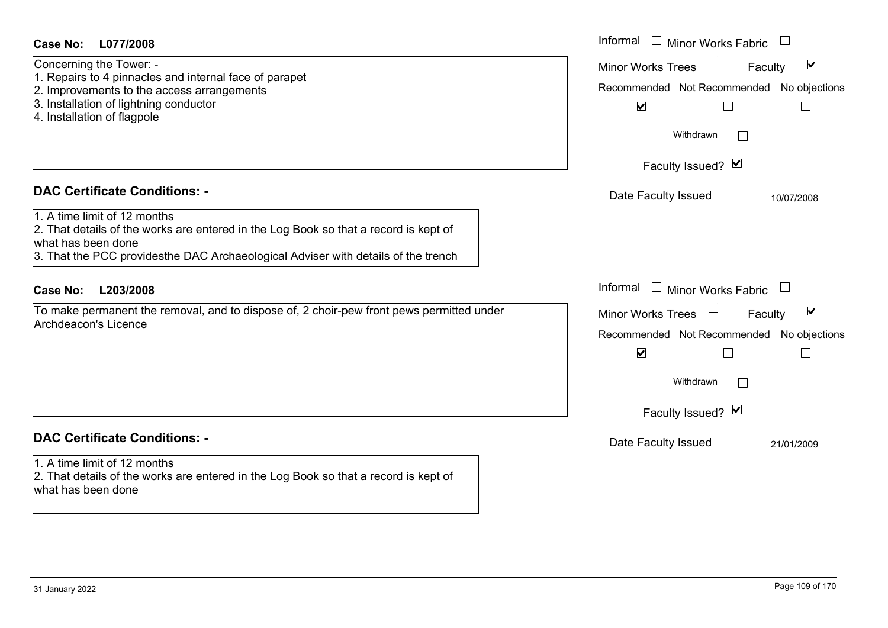| L077/2008<br><b>Case No:</b>                                                                                                                                                                                                    | Informal<br>$\begin{array}{c} \hline \end{array}$<br><b>Minor Works Fabric</b>                                                                                |
|---------------------------------------------------------------------------------------------------------------------------------------------------------------------------------------------------------------------------------|---------------------------------------------------------------------------------------------------------------------------------------------------------------|
| Concerning the Tower: -<br>1. Repairs to 4 pinnacles and internal face of parapet<br>2. Improvements to the access arrangements<br>3. Installation of lightning conductor<br>4. Installation of flagpole                        | $\blacktriangledown$<br><b>Minor Works Trees</b><br>Faculty<br>Recommended Not Recommended No objections<br>$\blacktriangledown$<br>Withdrawn<br>$\mathbf{1}$ |
|                                                                                                                                                                                                                                 | Faculty Issued? Ø                                                                                                                                             |
| <b>DAC Certificate Conditions: -</b>                                                                                                                                                                                            | Date Faculty Issued<br>10/07/2008                                                                                                                             |
| 1. A time limit of 12 months<br>2. That details of the works are entered in the Log Book so that a record is kept of<br>what has been done<br>3. That the PCC providesthe DAC Archaeological Adviser with details of the trench |                                                                                                                                                               |
| <b>Case No:</b><br>L203/2008                                                                                                                                                                                                    | Informal $\square$<br><b>Minor Works Fabric</b><br>$\Box$                                                                                                     |
| To make permanent the removal, and to dispose of, 2 choir-pew front pews permitted under<br><b>Archdeacon's Licence</b>                                                                                                         | $\blacktriangledown$<br>Minor Works Trees<br>Faculty<br>Recommended Not Recommended No objections<br>$\blacktriangledown$<br>Withdrawn<br>$\mathbf{1}$        |
|                                                                                                                                                                                                                                 | Faculty Issued? Ø                                                                                                                                             |
| <b>DAC Certificate Conditions: -</b>                                                                                                                                                                                            | Date Faculty Issued<br>21/01/2009                                                                                                                             |
| 1. A time limit of 12 months<br>2. That details of the works are entered in the Log Book so that a record is kept of                                                                                                            |                                                                                                                                                               |

what has been done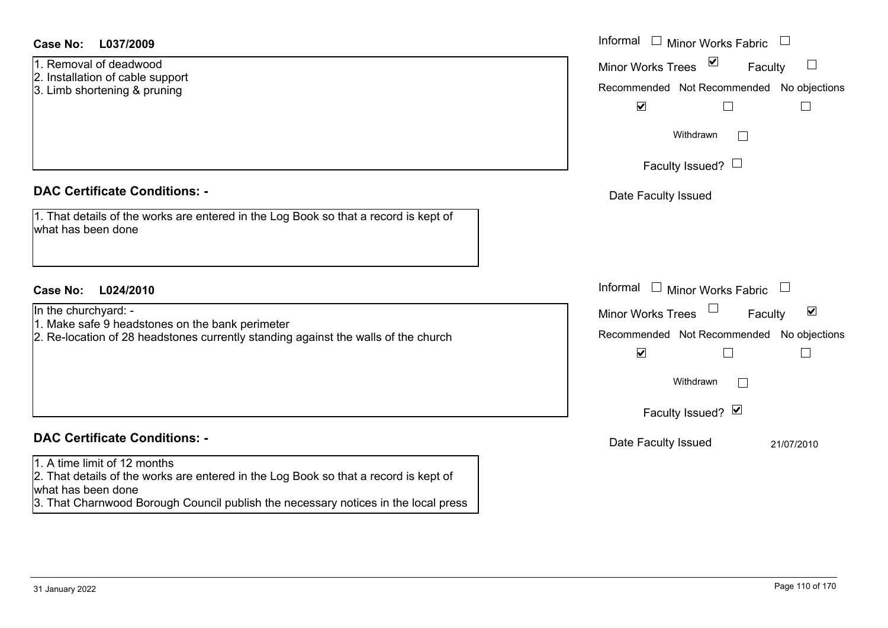#### **L037/2009Case No:** Informal

- 1. Removal of deadwood
- 2. Installation of cable support
- 3. Limb shortening & pruning

## **DAC Certificate Conditions: -**

|                    |  | 1. That details of the works are entered in the Log Book so that a record is kept of |
|--------------------|--|--------------------------------------------------------------------------------------|
| what has been done |  |                                                                                      |

## **L024/2010Case No:** Informal

In the churchyard: -

- 1. Make safe 9 headstones on the bank perimeter
- 2. Re-location of 28 headstones currently standing against the walls of the church

# **DAC Certificate Conditions: -**

#### 1. A time limit of 12 months

2. That details of the works are entered in the Log Book so that a record is kept of what has been done

3. That Charnwood Borough Council publish the necessary notices in the local press

| Informal<br>Minor Works Fabric            |
|-------------------------------------------|
| ⊻<br><b>Minor Works Trees</b><br>Faculty  |
| Recommended Not Recommended No objections |
| $\blacktriangledown$                      |
| Withdrawn                                 |
| Faculty Issued?                           |
| Date Faculty Issued                       |
|                                           |
|                                           |
|                                           |
| Informal<br><b>Minor Works Fabric</b>     |
| ⊻<br><b>Minor Works Trees</b><br>Faculty  |
| Recommended Not Recommended No objections |
| $\blacktriangledown$                      |
| Withdrawn                                 |
| Faculty Issued? Ø                         |
| Date Faculty Issued<br>21/07/2010         |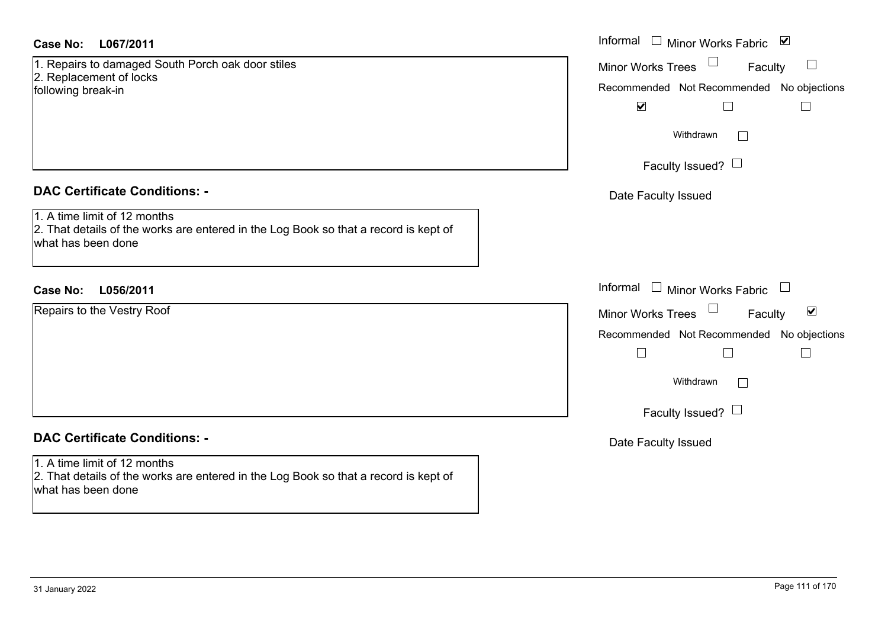### **L067/2011Case No:** Informal

1. Repairs to damaged South Porch oak door stiles 2. Replacement of locks following break-in

## **DAC Certificate Conditions: -**

1. A time limit of 12 months 2. That details of the works are entered in the Log Book so that a record is kept of what has been done

## **L056/2011Case No:** Informal

Repairs to the Vestry Roof

# **DAC Certificate Conditions: -**

1. A time limit of 12 months 2. That details of the works are entered in the Log Book so that a record is kept of what has been done

| Informal<br>⊻<br><b>Minor Works Fabric</b>                         |
|--------------------------------------------------------------------|
| <b>Minor Works Trees</b><br>Faculty                                |
| Recommended Not Recommended No objections                          |
| $\blacktriangledown$                                               |
| Withdrawn                                                          |
| Faculty Issued? L                                                  |
| Date Faculty Issued                                                |
|                                                                    |
|                                                                    |
|                                                                    |
| Informal<br><b>Minor Works Fabric</b>                              |
| $\vert\bm{\mathsf{v}}\vert$<br><b>Minor Works Trees</b><br>Faculty |
| Recommended Not Recommended No objections                          |
|                                                                    |
| Withdrawn                                                          |
| Faculty Issued? L                                                  |
| Date Faculty Issued                                                |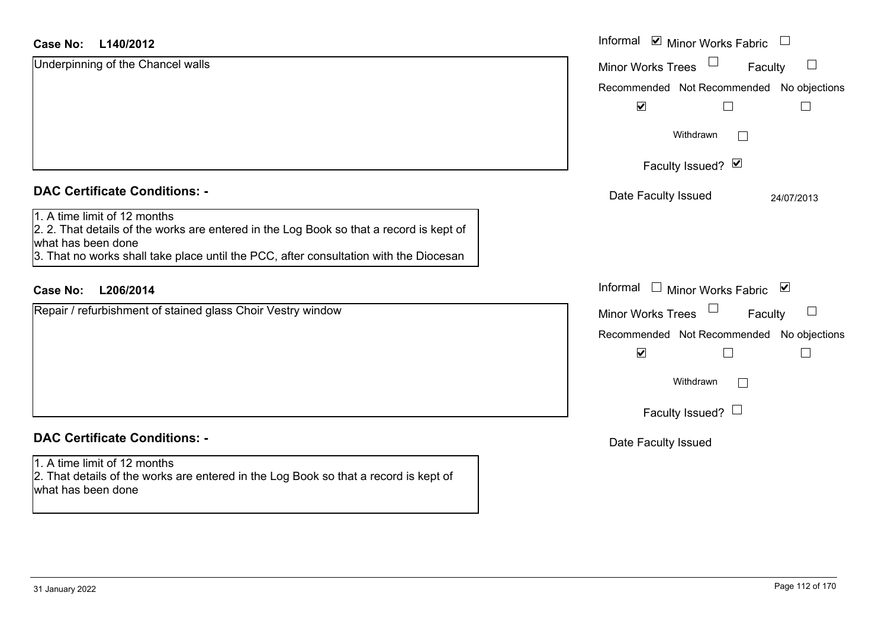#### **L140/2012Case No:**

| <b>Case No:</b><br>L140/2012                                                                                                                                                                                                           | Informal ⊠ Minor Works Fabric □                                   |
|----------------------------------------------------------------------------------------------------------------------------------------------------------------------------------------------------------------------------------------|-------------------------------------------------------------------|
| Underpinning of the Chancel walls                                                                                                                                                                                                      | Minor Works Trees<br>$\Box$<br>Faculty                            |
|                                                                                                                                                                                                                                        | Recommended Not Recommended No objections                         |
|                                                                                                                                                                                                                                        | $\blacktriangledown$                                              |
|                                                                                                                                                                                                                                        | Withdrawn                                                         |
|                                                                                                                                                                                                                                        | Faculty Issued? Ø                                                 |
| <b>DAC Certificate Conditions: -</b>                                                                                                                                                                                                   | Date Faculty Issued<br>24/07/2013                                 |
| 1. A time limit of 12 months<br>2. 2. That details of the works are entered in the Log Book so that a record is kept of<br>what has been done<br>3. That no works shall take place until the PCC, after consultation with the Diocesan |                                                                   |
| <b>Case No:</b><br>L206/2014                                                                                                                                                                                                           | Informal □ Minor Works Fabric ⊠                                   |
| Repair / refurbishment of stained glass Choir Vestry window                                                                                                                                                                            | <b>Minor Works Trees</b><br>Faculty                               |
|                                                                                                                                                                                                                                        | Recommended Not Recommended No objections<br>$\blacktriangledown$ |
|                                                                                                                                                                                                                                        | Withdrawn                                                         |
|                                                                                                                                                                                                                                        | Faculty Issued? $\Box$                                            |
| <b>DAC Certificate Conditions: -</b>                                                                                                                                                                                                   | Date Faculty Issued                                               |
| 1. A time limit of 12 months<br>2. That details of the works are entered in the Log Book so that a record is kept of<br>what has been done                                                                                             |                                                                   |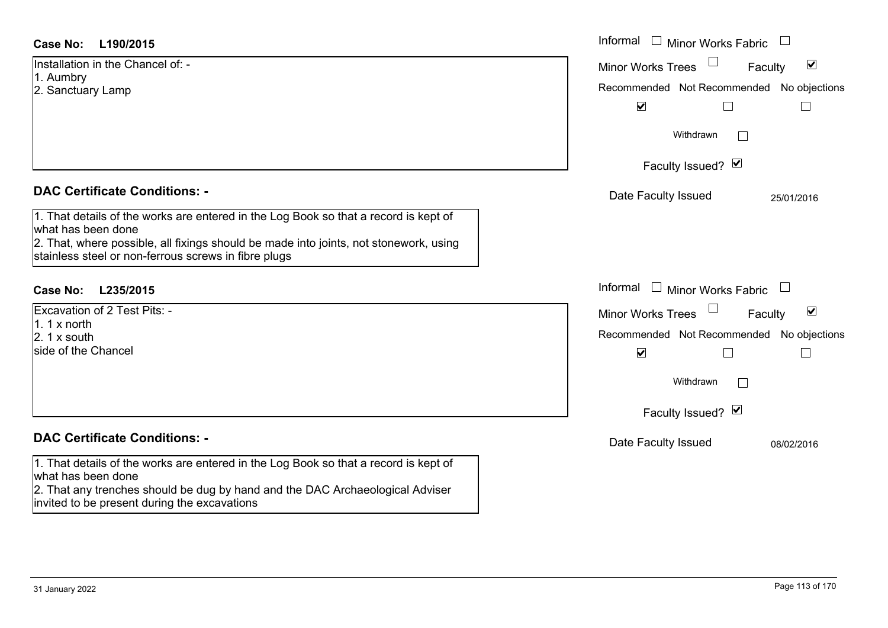#### **L190/2015Case No:**

| <b>Case No:</b><br>L190/2015                                                                                                                  | Informal<br>Minor Works Fabric                              |
|-----------------------------------------------------------------------------------------------------------------------------------------------|-------------------------------------------------------------|
| Installation in the Chancel of: -                                                                                                             | $\blacktriangledown$<br><b>Minor Works Trees</b><br>Faculty |
| 1. Aumbry<br>2. Sanctuary Lamp                                                                                                                | Recommended Not Recommended No objections                   |
|                                                                                                                                               | $\blacktriangledown$                                        |
|                                                                                                                                               | Withdrawn<br>$\Box$                                         |
|                                                                                                                                               | Faculty Issued? Ø                                           |
| <b>DAC Certificate Conditions: -</b>                                                                                                          | Date Faculty Issued<br>25/01/2016                           |
| 1. That details of the works are entered in the Log Book so that a record is kept of<br>what has been done                                    |                                                             |
| 2. That, where possible, all fixings should be made into joints, not stonework, using<br>stainless steel or non-ferrous screws in fibre plugs |                                                             |
| <b>Case No:</b><br>L235/2015                                                                                                                  | Informal<br>$\mathbf{I}$<br><b>Minor Works Fabric</b>       |
| Excavation of 2 Test Pits: -                                                                                                                  | $\blacktriangledown$<br><b>Minor Works Trees</b><br>Faculty |
| 1. $1 \times$ north<br>$2.1x$ south                                                                                                           | Recommended Not Recommended No objections                   |
| side of the Chancel                                                                                                                           | $\blacktriangledown$<br>$\Box$                              |
|                                                                                                                                               | Withdrawn<br>$\Box$                                         |
|                                                                                                                                               | Faculty Issued? Ø                                           |
| <b>DAC Certificate Conditions: -</b>                                                                                                          | Date Faculty Issued<br>08/02/2016                           |
| 1. That details of the works are entered in the Log Book so that a record is kept of<br>what has been done                                    |                                                             |
| 2. That any trenches should be dug by hand and the DAC Archaeological Adviser                                                                 |                                                             |

invited to be present during the excavations

 $\overline{\phantom{0}}$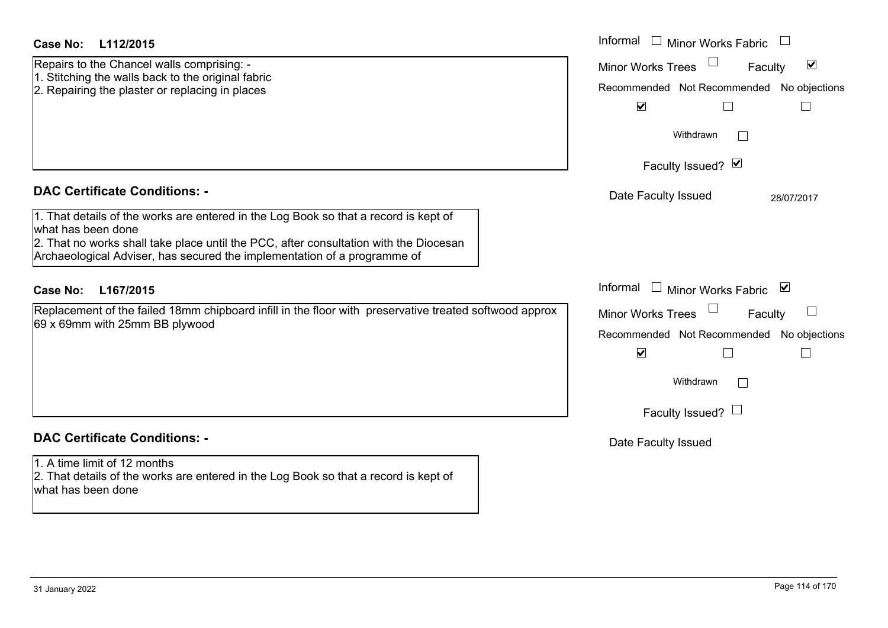| <b>Case No:</b><br>L112/2015                                                                                                                                      | Informal<br>$\Box$ Minor Works Fabric $\Box$                |
|-------------------------------------------------------------------------------------------------------------------------------------------------------------------|-------------------------------------------------------------|
| Repairs to the Chancel walls comprising: -                                                                                                                        | $\blacktriangledown$<br><b>Minor Works Trees</b><br>Faculty |
| 1. Stitching the walls back to the original fabric<br>2. Repairing the plaster or replacing in places                                                             | Recommended Not Recommended No objections                   |
|                                                                                                                                                                   | $\blacktriangledown$                                        |
|                                                                                                                                                                   | Withdrawn<br>$\Box$                                         |
|                                                                                                                                                                   | Faculty Issued? Ø                                           |
| <b>DAC Certificate Conditions: -</b>                                                                                                                              | Date Faculty Issued<br>28/07/2017                           |
| 1. That details of the works are entered in the Log Book so that a record is kept of<br>what has been done                                                        |                                                             |
| 2. That no works shall take place until the PCC, after consultation with the Diocesan<br>Archaeological Adviser, has secured the implementation of a programme of |                                                             |
| <b>Case No:</b><br>L167/2015                                                                                                                                      | Informal<br>$\Box$ Minor Works Fabric $\Box$                |
| Replacement of the failed 18mm chipboard infill in the floor with preservative treated softwood approx<br>69 x 69mm with 25mm BB plywood                          | Minor Works Trees<br>Faculty                                |
|                                                                                                                                                                   | Recommended Not Recommended No objections                   |
|                                                                                                                                                                   | $\blacktriangledown$                                        |
|                                                                                                                                                                   | Withdrawn                                                   |
|                                                                                                                                                                   | Faculty Issued? $\Box$                                      |
| <b>DAC Certificate Conditions: -</b>                                                                                                                              | Date Faculty Issued                                         |
| 1. A time limit of 12 months<br>2. That details of the works are entered in the Log Book so that a record is kept of<br>what has been done                        |                                                             |
|                                                                                                                                                                   |                                                             |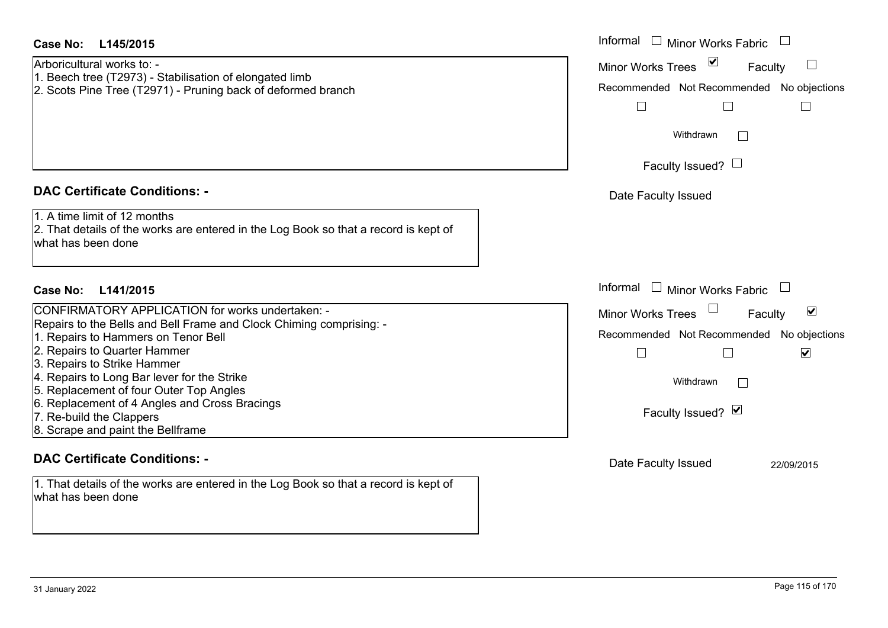| Case No: L145/2015<br>Arboricultural works to: -<br>1. Beech tree (T2973) - Stabilisation of elongated limb<br>2. Scots Pine Tree (T2971) - Pruning back of deformed branch                                                                                                                                                                                                                                                                                        | Informal<br><b>Minor Works Fabric</b><br>Minor Works Trees <b>▽</b><br>Faculty<br>Recommended Not Recommended No objections<br>$\Box$                                                                                                     |
|--------------------------------------------------------------------------------------------------------------------------------------------------------------------------------------------------------------------------------------------------------------------------------------------------------------------------------------------------------------------------------------------------------------------------------------------------------------------|-------------------------------------------------------------------------------------------------------------------------------------------------------------------------------------------------------------------------------------------|
|                                                                                                                                                                                                                                                                                                                                                                                                                                                                    | Withdrawn<br>Faculty Issued? $\Box$                                                                                                                                                                                                       |
| <b>DAC Certificate Conditions: -</b><br>1. A time limit of 12 months<br>2. That details of the works are entered in the Log Book so that a record is kept of<br>what has been done                                                                                                                                                                                                                                                                                 | Date Faculty Issued                                                                                                                                                                                                                       |
| Case No:<br>L141/2015<br>CONFIRMATORY APPLICATION for works undertaken: -<br>Repairs to the Bells and Bell Frame and Clock Chiming comprising: -<br>1. Repairs to Hammers on Tenor Bell<br>2. Repairs to Quarter Hammer<br>3. Repairs to Strike Hammer<br>4. Repairs to Long Bar lever for the Strike<br>5. Replacement of four Outer Top Angles<br>6. Replacement of 4 Angles and Cross Bracings<br>7. Re-build the Clappers<br>8. Scrape and paint the Bellframe | Informal<br><b>Minor Works Fabric</b><br>$\perp$<br>Minor Works Trees<br>$\blacktriangledown$<br>Faculty<br>Recommended Not Recommended No objections<br>$\Box$<br>$\blacktriangledown$<br>Withdrawn<br>$\mathbb{R}$<br>Faculty Issued? Ø |
| <b>DAC Certificate Conditions: -</b><br>1. That details of the works are entered in the Log Book so that a record is kept of<br>what has been done                                                                                                                                                                                                                                                                                                                 | Date Faculty Issued<br>22/09/2015                                                                                                                                                                                                         |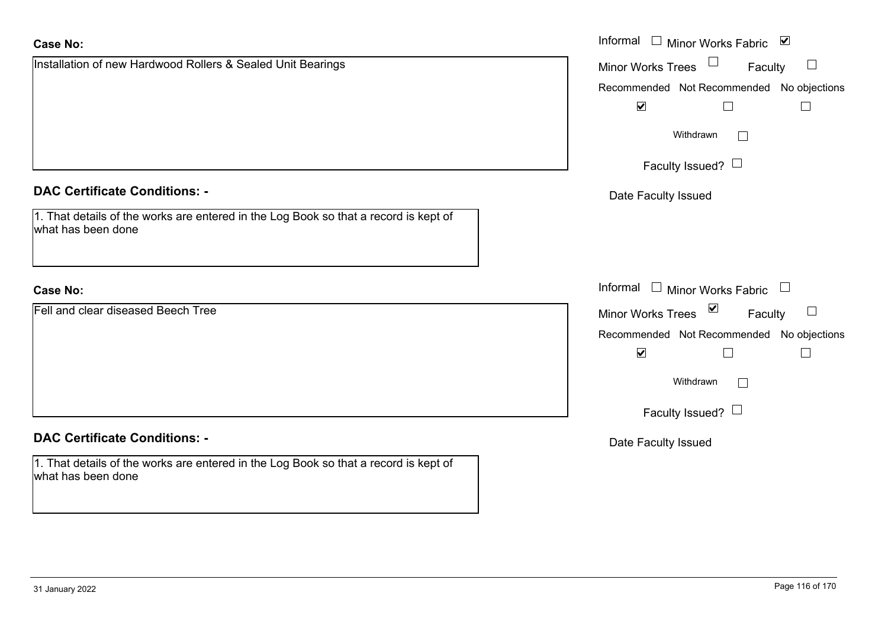| <b>Case No:</b>                                                                                            | Informal $\Box$ Minor Works Fabric $\Box$                         |
|------------------------------------------------------------------------------------------------------------|-------------------------------------------------------------------|
| Installation of new Hardwood Rollers & Sealed Unit Bearings                                                | Minor Works Trees<br>Faculty<br>$\sqcup$                          |
|                                                                                                            | Recommended Not Recommended No objections                         |
|                                                                                                            | $\blacktriangleright$<br>$\overline{\phantom{a}}$                 |
|                                                                                                            | Withdrawn                                                         |
|                                                                                                            | Faculty Issued? $\Box$                                            |
| <b>DAC Certificate Conditions: -</b>                                                                       | Date Faculty Issued                                               |
| 1. That details of the works are entered in the Log Book so that a record is kept of<br>what has been done |                                                                   |
| <b>Case No:</b>                                                                                            | Informal $\Box$ Minor Works Fabric $\Box$                         |
| Fell and clear diseased Beech Tree                                                                         | $\overline{\mathbf{v}}$<br>$\Box$<br>Minor Works Trees<br>Faculty |
|                                                                                                            | No objections<br>Recommended Not Recommended                      |
|                                                                                                            | $\blacktriangledown$<br>$\Box$                                    |
|                                                                                                            | Withdrawn<br>$\Box$                                               |
|                                                                                                            | Faculty Issued? $\Box$                                            |
| <b>DAC Certificate Conditions: -</b>                                                                       | Date Faculty Issued                                               |
| 1. That details of the works are entered in the Log Book so that a record is kept of<br>what has been done |                                                                   |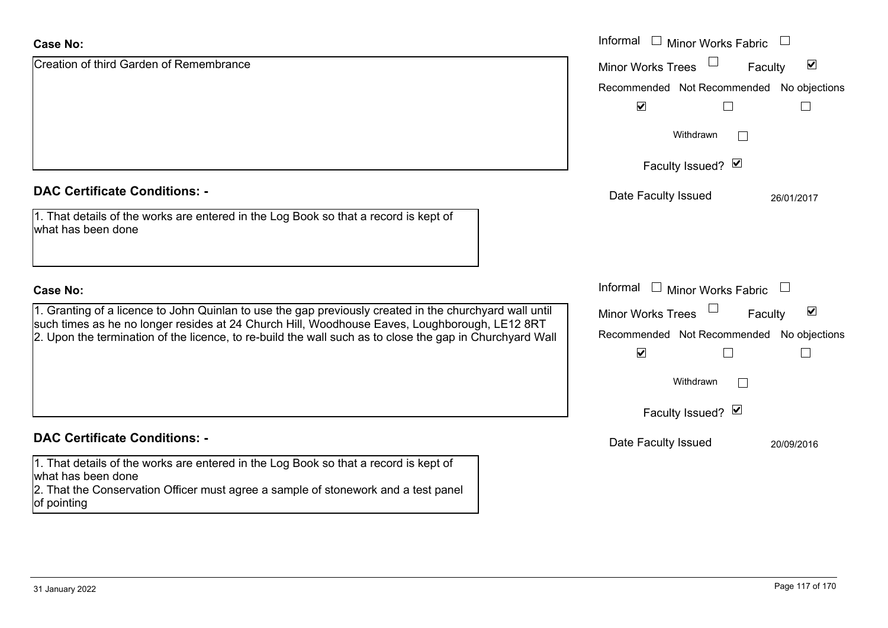| <b>Case No:</b>                                                                                                                                                                                                 | Informal<br><b>Minor Works Fabric</b><br>$\Box$             |
|-----------------------------------------------------------------------------------------------------------------------------------------------------------------------------------------------------------------|-------------------------------------------------------------|
| Creation of third Garden of Remembrance                                                                                                                                                                         | $\blacktriangledown$<br><b>Minor Works Trees</b><br>Faculty |
|                                                                                                                                                                                                                 | Recommended Not Recommended No objections                   |
|                                                                                                                                                                                                                 | $\blacktriangledown$                                        |
|                                                                                                                                                                                                                 | Withdrawn<br>$\mathbb{R}^n$                                 |
|                                                                                                                                                                                                                 | Faculty Issued? Ø                                           |
| <b>DAC Certificate Conditions: -</b>                                                                                                                                                                            | Date Faculty Issued<br>26/01/2017                           |
| 1. That details of the works are entered in the Log Book so that a record is kept of<br>what has been done                                                                                                      |                                                             |
| <b>Case No:</b>                                                                                                                                                                                                 | Informal<br>$\Box$ Minor Works Fabric                       |
| 1. Granting of a licence to John Quinlan to use the gap previously created in the churchyard wall until                                                                                                         | $\blacktriangledown$<br>Faculty<br><b>Minor Works Trees</b> |
| such times as he no longer resides at 24 Church Hill, Woodhouse Eaves, Loughborough, LE12 8RT<br>2. Upon the termination of the licence, to re-build the wall such as to close the gap in Churchyard Wall       | Recommended Not Recommended No objections                   |
|                                                                                                                                                                                                                 | $\blacktriangledown$                                        |
|                                                                                                                                                                                                                 | Withdrawn                                                   |
|                                                                                                                                                                                                                 | Faculty Issued? Ø                                           |
| <b>DAC Certificate Conditions: -</b>                                                                                                                                                                            | Date Faculty Issued<br>20/09/2016                           |
| 1. That details of the works are entered in the Log Book so that a record is kept of<br>what has been done<br>2. That the Conservation Officer must agree a sample of stonework and a test panel<br>of pointing |                                                             |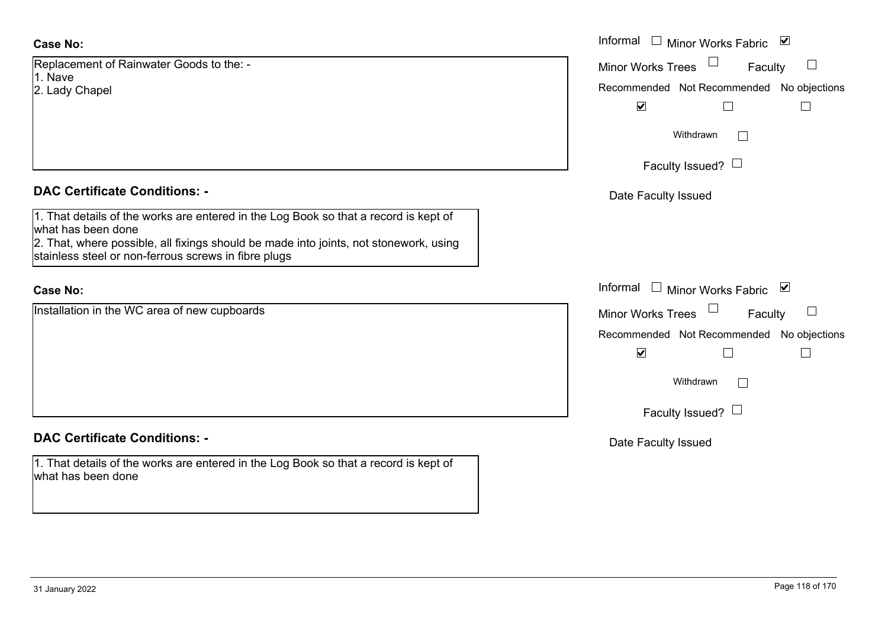Replacement of Rainwater Goods to the: - 1. Nave2. Lady Chapel

#### **DAC Certificate Conditions: -**

1. That details of the works are entered in the Log Book so that a record is kept of what has been done 2. That, where possible, all fixings should be made into joints, not stonework, using

stainless steel or non-ferrous screws in fibre plugs

## **Case No:**

Installation in the WC area of new cupboards

### **DAC Certificate Conditions: -**

1. That details of the works are entered in the Log Book so that a record is kept of what has been done

|                                                                                                                                                                                                                        | Informal □ Minor Works Fabric ⊠                                                                                                            |
|------------------------------------------------------------------------------------------------------------------------------------------------------------------------------------------------------------------------|--------------------------------------------------------------------------------------------------------------------------------------------|
| nent of Rainwater Goods to the: -                                                                                                                                                                                      | <b>Minor Works Trees</b><br>Faculty                                                                                                        |
| Chapel                                                                                                                                                                                                                 | Recommended Not Recommended No objections<br>$\blacktriangledown$                                                                          |
|                                                                                                                                                                                                                        | Withdrawn<br>$\vert \ \ \vert$                                                                                                             |
|                                                                                                                                                                                                                        | Faculty Issued? $\Box$                                                                                                                     |
| rtificate Conditions: -                                                                                                                                                                                                | Date Faculty Issued                                                                                                                        |
| etails of the works are entered in the Log Book so that a record is kept of<br>been done<br>vhere possible, all fixings should be made into joints, not stonework, using<br>steel or non-ferrous screws in fibre plugs |                                                                                                                                            |
|                                                                                                                                                                                                                        | Informal<br>□ Minor Works Fabric $\vert \mathbf{v} \vert$                                                                                  |
| on in the WC area of new cupboards                                                                                                                                                                                     | <b>Minor Works Trees</b><br>Faculty<br>Recommended Not Recommended No objections<br>$\blacktriangledown$<br>Withdrawn<br>$\vert \ \ \vert$ |
|                                                                                                                                                                                                                        | Faculty Issued? $\Box$                                                                                                                     |
| rtificate Conditions: -                                                                                                                                                                                                | Date Faculty Issued                                                                                                                        |
| etails of the works are entered in the Log Book so that a record is kept of                                                                                                                                            |                                                                                                                                            |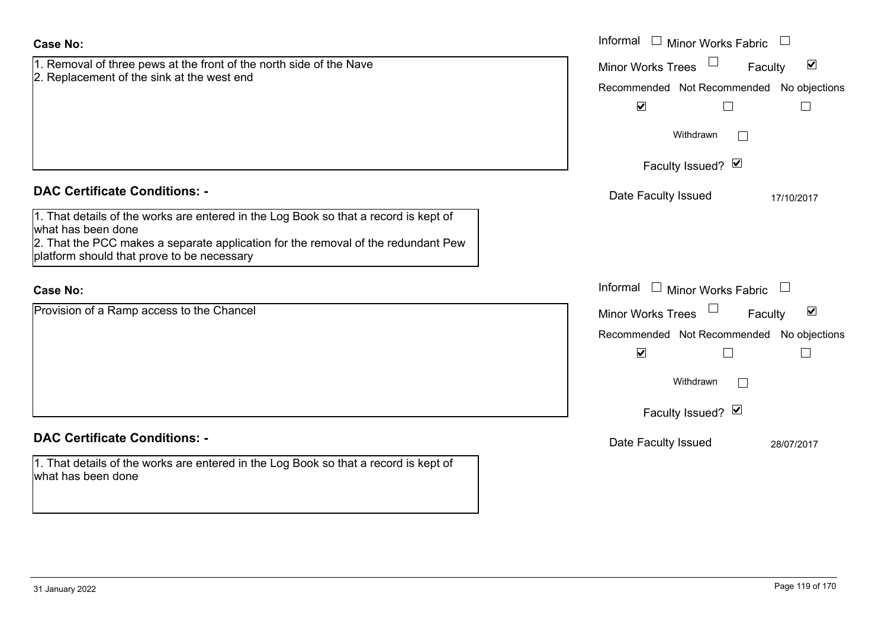| <b>Case No:</b>                                                                                                                                                                                                                               | Informal □ Minor Works Fabric                                                                                                                                      |
|-----------------------------------------------------------------------------------------------------------------------------------------------------------------------------------------------------------------------------------------------|--------------------------------------------------------------------------------------------------------------------------------------------------------------------|
| 1. Removal of three pews at the front of the north side of the Nave<br>2. Replacement of the sink at the west end                                                                                                                             | $\blacktriangledown$<br><b>Minor Works Trees</b><br>Faculty<br>Recommended Not Recommended No objections<br>$\blacktriangledown$<br>$\Box$<br>Withdrawn<br>$\perp$ |
|                                                                                                                                                                                                                                               | Faculty Issued? Ø                                                                                                                                                  |
| <b>DAC Certificate Conditions: -</b>                                                                                                                                                                                                          | Date Faculty Issued<br>17/10/2017                                                                                                                                  |
| 1. That details of the works are entered in the Log Book so that a record is kept of<br>what has been done<br>2. That the PCC makes a separate application for the removal of the redundant Pew<br>platform should that prove to be necessary |                                                                                                                                                                    |
| <b>Case No:</b>                                                                                                                                                                                                                               | Informal<br>$\Box$ Minor Works Fabric $\Box$                                                                                                                       |
| Provision of a Ramp access to the Chancel                                                                                                                                                                                                     | $\blacktriangledown$<br><b>Minor Works Trees</b><br>Faculty                                                                                                        |
|                                                                                                                                                                                                                                               | Recommended Not Recommended No objections                                                                                                                          |
|                                                                                                                                                                                                                                               | $\blacktriangledown$<br>$\Box$<br>$\Box$                                                                                                                           |
|                                                                                                                                                                                                                                               | Withdrawn                                                                                                                                                          |
|                                                                                                                                                                                                                                               | Faculty Issued? Ø                                                                                                                                                  |
| <b>DAC Certificate Conditions: -</b>                                                                                                                                                                                                          | Date Faculty Issued<br>28/07/2017                                                                                                                                  |
| 1. That details of the works are entered in the Log Book so that a record is kept of<br>what has been done                                                                                                                                    |                                                                                                                                                                    |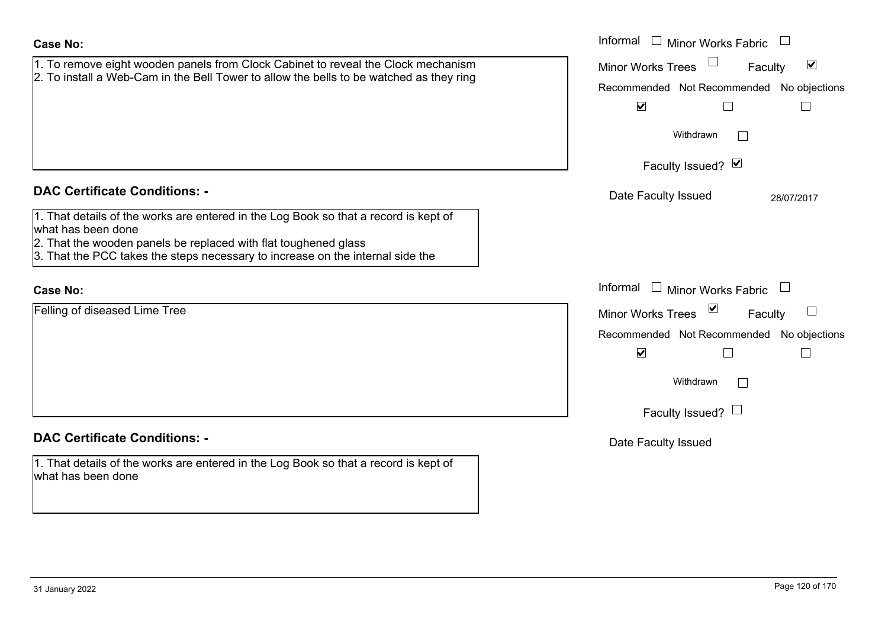| <b>Case No:</b>                                                                                            | Informal<br>□ Minor Works Fabric □                                |
|------------------------------------------------------------------------------------------------------------|-------------------------------------------------------------------|
| 1. To remove eight wooden panels from Clock Cabinet to reveal the Clock mechanism                          | $\blacktriangledown$<br><b>Minor Works Trees</b><br>Faculty       |
| 2. To install a Web-Cam in the Bell Tower to allow the bells to be watched as they ring                    | Recommended Not Recommended No objections                         |
|                                                                                                            | $\blacktriangledown$<br>$\Box$                                    |
|                                                                                                            | Withdrawn                                                         |
|                                                                                                            | Faculty Issued? Ø                                                 |
| <b>DAC Certificate Conditions: -</b>                                                                       | Date Faculty Issued<br>28/07/2017                                 |
| 1. That details of the works are entered in the Log Book so that a record is kept of<br>what has been done |                                                                   |
| 2. That the wooden panels be replaced with flat toughened glass                                            |                                                                   |
| 3. That the PCC takes the steps necessary to increase on the internal side the                             |                                                                   |
| <b>Case No:</b>                                                                                            | Informal<br>$\Box$ Minor Works Fabric<br>$\overline{\phantom{a}}$ |
| Felling of diseased Lime Tree                                                                              | $\sum$<br>Minor Works Trees<br>Faculty                            |
|                                                                                                            | Recommended Not Recommended No objections                         |
|                                                                                                            | $\blacktriangledown$                                              |
|                                                                                                            | Withdrawn                                                         |
|                                                                                                            | Faculty Issued? $\Box$                                            |
| <b>DAC Certificate Conditions: -</b>                                                                       | Date Faculty Issued                                               |
| 1. That details of the works are entered in the Log Book so that a record is kept of<br>what has been done |                                                                   |
|                                                                                                            |                                                                   |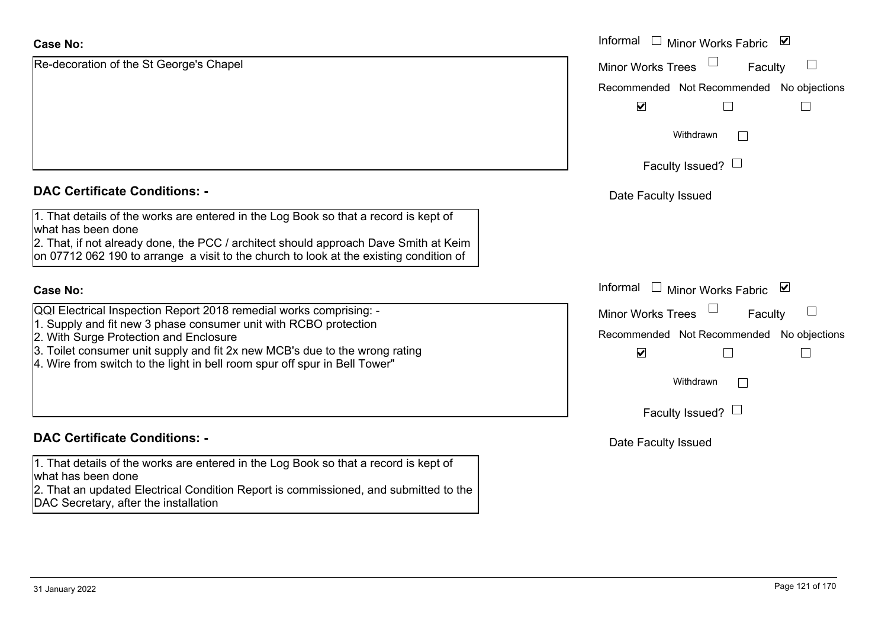| <b>Case No:</b>                                                                                                                                                                | Informal $\square$<br>⊻<br>Minor Works Fabric |
|--------------------------------------------------------------------------------------------------------------------------------------------------------------------------------|-----------------------------------------------|
| Re-decoration of the St George's Chapel                                                                                                                                        | $\Box$<br><b>Minor Works Trees</b><br>Faculty |
|                                                                                                                                                                                | Recommended Not Recommended No objections     |
|                                                                                                                                                                                | $\blacktriangledown$                          |
|                                                                                                                                                                                | Withdrawn                                     |
|                                                                                                                                                                                | Faculty Issued? $\Box$                        |
| <b>DAC Certificate Conditions: -</b>                                                                                                                                           | Date Faculty Issued                           |
| 1. That details of the works are entered in the Log Book so that a record is kept of<br>what has been done                                                                     |                                               |
| 2. That, if not already done, the PCC / architect should approach Dave Smith at Keim<br>on 07712 062 190 to arrange a visit to the church to look at the existing condition of |                                               |
| <b>Case No:</b>                                                                                                                                                                | Informal $\Box$ Minor Works Fabric $\Box$     |
| QQI Electrical Inspection Report 2018 remedial works comprising: -                                                                                                             | <b>Minor Works Trees</b><br>Faculty           |
| 1. Supply and fit new 3 phase consumer unit with RCBO protection<br>2. With Surge Protection and Enclosure                                                                     | Recommended Not Recommended No objections     |
| 3. Toilet consumer unit supply and fit 2x new MCB's due to the wrong rating<br>4. Wire from switch to the light in bell room spur off spur in Bell Tower"                      | $\blacktriangledown$                          |
|                                                                                                                                                                                | Withdrawn                                     |
|                                                                                                                                                                                | Faculty Issued? $\Box$                        |
| <b>DAC Certificate Conditions: -</b>                                                                                                                                           | Date Faculty Issued                           |
| 1. That details of the works are entered in the Log Book so that a record is kept of<br>what has been done                                                                     |                                               |
| 2. That an updated Electrical Condition Report is commissioned, and submitted to the<br>DAC Secretary, after the installation                                                  |                                               |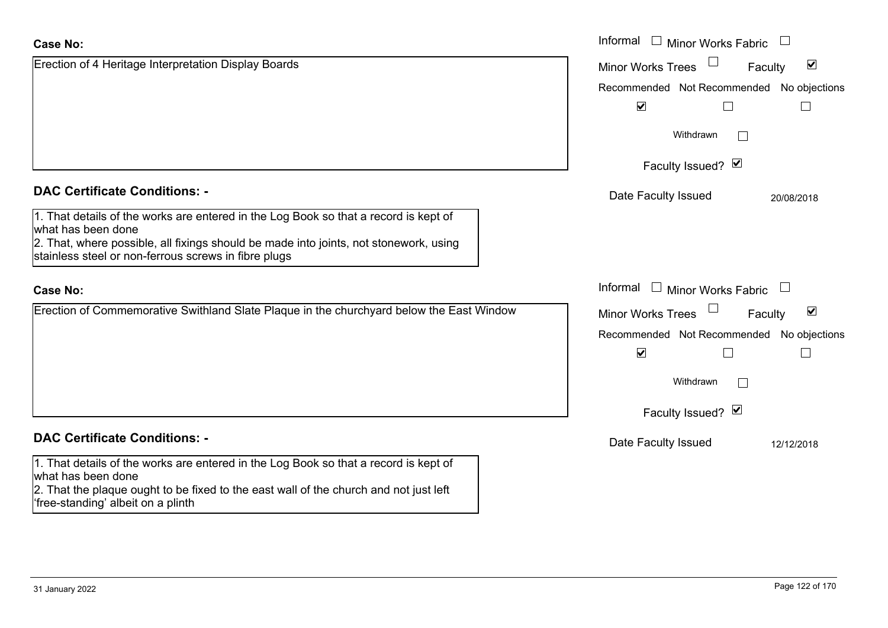| <b>Case No:</b>                                                                                                                               | Informal<br>$\perp$<br><b>Minor Works Fabric</b>            |
|-----------------------------------------------------------------------------------------------------------------------------------------------|-------------------------------------------------------------|
| Erection of 4 Heritage Interpretation Display Boards                                                                                          | $\blacktriangledown$<br><b>Minor Works Trees</b><br>Faculty |
|                                                                                                                                               | Recommended Not Recommended No objections                   |
|                                                                                                                                               | $\blacktriangledown$                                        |
|                                                                                                                                               | Withdrawn<br>$\mathbf{1}$                                   |
|                                                                                                                                               | Faculty Issued? Ø                                           |
| <b>DAC Certificate Conditions: -</b>                                                                                                          | Date Faculty Issued<br>20/08/2018                           |
| 1. That details of the works are entered in the Log Book so that a record is kept of<br>what has been done                                    |                                                             |
| 2. That, where possible, all fixings should be made into joints, not stonework, using<br>stainless steel or non-ferrous screws in fibre plugs |                                                             |
| <b>Case No:</b>                                                                                                                               | Informal<br>$\mathbf{1}$<br>Minor Works Fabric<br>$\Box$    |
| Erection of Commemorative Swithland Slate Plaque in the churchyard below the East Window                                                      | $\blacktriangledown$<br><b>Minor Works Trees</b><br>Faculty |
|                                                                                                                                               | Recommended Not Recommended No objections                   |
|                                                                                                                                               | $\blacktriangledown$                                        |
|                                                                                                                                               | Withdrawn                                                   |
|                                                                                                                                               | Faculty Issued? $\blacksquare$                              |
| <b>DAC Certificate Conditions: -</b>                                                                                                          | Date Faculty Issued<br>12/12/2018                           |
| 1. That details of the works are entered in the Log Book so that a record is kept of<br>what has been done                                    |                                                             |
| 2. That the plaque ought to be fixed to the east wall of the church and not just left<br>free-standing' albeit on a plinth                    |                                                             |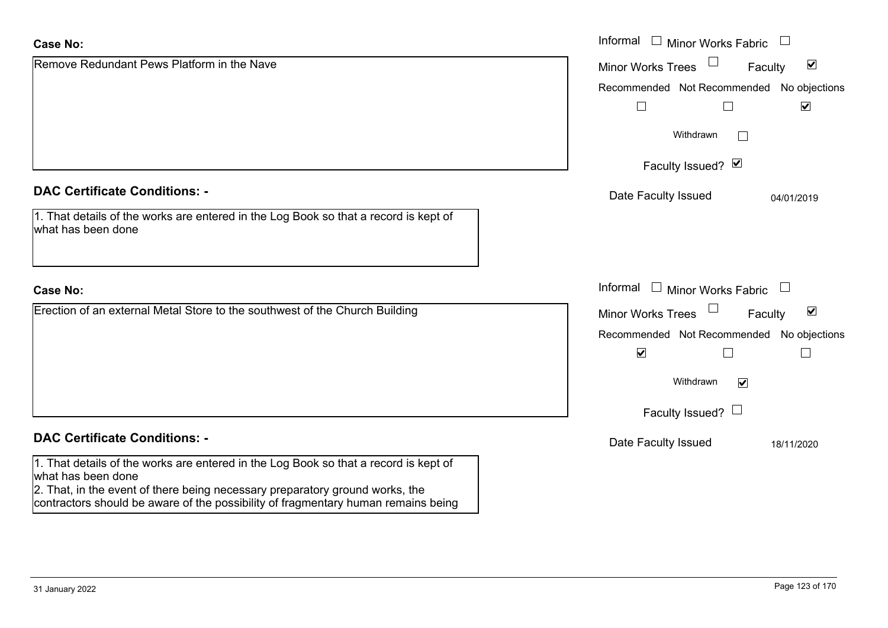| <b>Case No:</b>                                                                                                                                                                                                                                                                 | Informal<br>$\Box$<br><b>Minor Works Fabric</b>                        |
|---------------------------------------------------------------------------------------------------------------------------------------------------------------------------------------------------------------------------------------------------------------------------------|------------------------------------------------------------------------|
| Remove Redundant Pews Platform in the Nave                                                                                                                                                                                                                                      | $\blacktriangledown$<br><b>Minor Works Trees</b><br>Faculty            |
|                                                                                                                                                                                                                                                                                 | Recommended Not Recommended No objections                              |
|                                                                                                                                                                                                                                                                                 | $\blacktriangledown$                                                   |
|                                                                                                                                                                                                                                                                                 | Withdrawn<br>$\mathbf{I}$                                              |
|                                                                                                                                                                                                                                                                                 | Faculty Issued? Ø                                                      |
| <b>DAC Certificate Conditions: -</b>                                                                                                                                                                                                                                            | Date Faculty Issued<br>04/01/2019                                      |
| 1. That details of the works are entered in the Log Book so that a record is kept of<br>what has been done                                                                                                                                                                      |                                                                        |
| <b>Case No:</b>                                                                                                                                                                                                                                                                 | Informal □ Minor Works Fabric<br>$\begin{array}{c} \hline \end{array}$ |
| Erection of an external Metal Store to the southwest of the Church Building                                                                                                                                                                                                     | $\blacktriangledown$<br><b>Minor Works Trees</b><br>Faculty            |
|                                                                                                                                                                                                                                                                                 | Recommended Not Recommended No objections                              |
|                                                                                                                                                                                                                                                                                 | $\blacktriangledown$<br>$\Box$                                         |
|                                                                                                                                                                                                                                                                                 | Withdrawn<br>$\blacktriangledown$                                      |
|                                                                                                                                                                                                                                                                                 | Faculty Issued? $\Box$                                                 |
| <b>DAC Certificate Conditions: -</b>                                                                                                                                                                                                                                            | Date Faculty Issued<br>18/11/2020                                      |
| 1. That details of the works are entered in the Log Book so that a record is kept of<br>what has been done<br>2. That, in the event of there being necessary preparatory ground works, the<br>contractors should be aware of the possibility of fragmentary human remains being |                                                                        |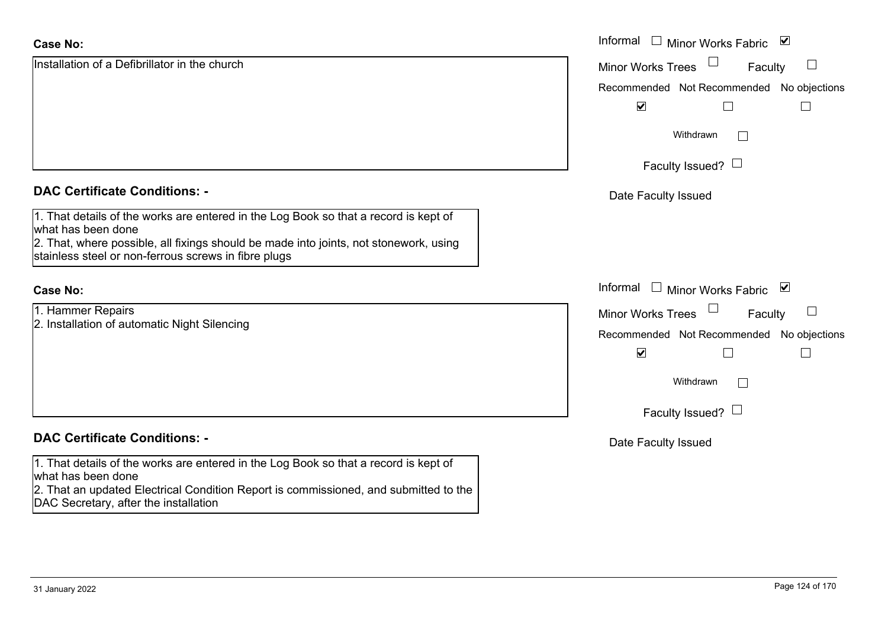| <b>Case No:</b>                                                                                                                                                                                                                                             | Informal $\Box$<br>⊻<br><b>Minor Works Fabric</b> |
|-------------------------------------------------------------------------------------------------------------------------------------------------------------------------------------------------------------------------------------------------------------|---------------------------------------------------|
| Installation of a Defibrillator in the church                                                                                                                                                                                                               | $\Box$<br><b>Minor Works Trees</b><br>Faculty     |
|                                                                                                                                                                                                                                                             | Recommended Not Recommended No objections         |
|                                                                                                                                                                                                                                                             | $\blacktriangledown$                              |
|                                                                                                                                                                                                                                                             | Withdrawn<br>$\perp$                              |
|                                                                                                                                                                                                                                                             | Faculty Issued? $\Box$                            |
| <b>DAC Certificate Conditions: -</b>                                                                                                                                                                                                                        | Date Faculty Issued                               |
| 1. That details of the works are entered in the Log Book so that a record is kept of<br>what has been done<br>2. That, where possible, all fixings should be made into joints, not stonework, using<br>stainless steel or non-ferrous screws in fibre plugs |                                                   |
| <b>Case No:</b>                                                                                                                                                                                                                                             | Informal □ Minor Works Fabric<br>⊻                |
| 1. Hammer Repairs                                                                                                                                                                                                                                           | $\Box$<br><b>Minor Works Trees</b><br>Faculty     |
| 2. Installation of automatic Night Silencing                                                                                                                                                                                                                | Recommended Not Recommended No objections         |
|                                                                                                                                                                                                                                                             | $\blacktriangledown$<br>$\Box$                    |
|                                                                                                                                                                                                                                                             | Withdrawn<br>$\Box$                               |
|                                                                                                                                                                                                                                                             | Faculty Issued? $\Box$                            |
| <b>DAC Certificate Conditions: -</b>                                                                                                                                                                                                                        | Date Faculty Issued                               |
| 1. That details of the works are entered in the Log Book so that a record is kept of<br>what has been done<br>2. That an updated Electrical Condition Report is commissioned, and submitted to the<br>DAC Secretary, after the installation                 |                                                   |
|                                                                                                                                                                                                                                                             |                                                   |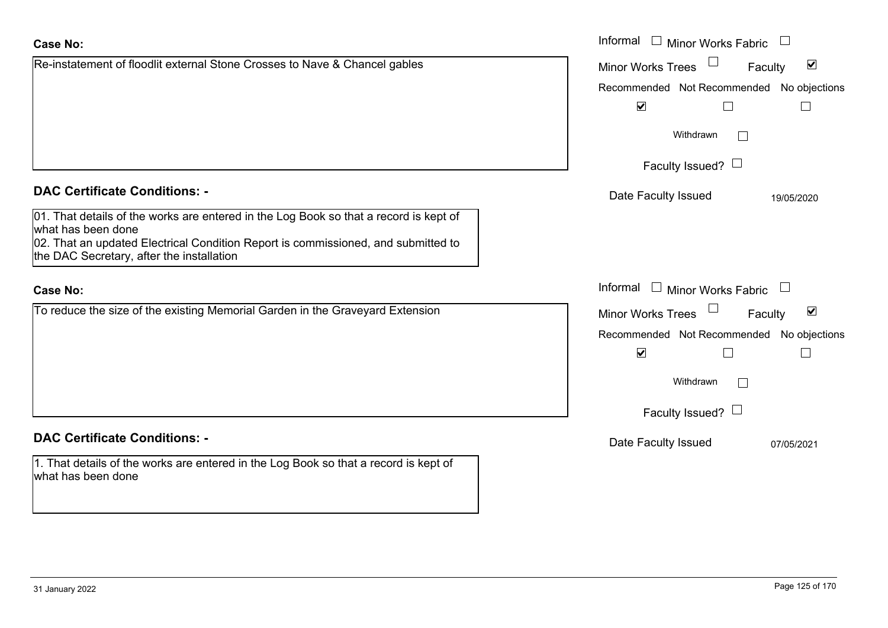| <b>Case No:</b>                                                                                                                                                                                                                               | Informal □ Minor Works Fabric                               |
|-----------------------------------------------------------------------------------------------------------------------------------------------------------------------------------------------------------------------------------------------|-------------------------------------------------------------|
| Re-instatement of floodlit external Stone Crosses to Nave & Chancel gables                                                                                                                                                                    | $\blacktriangledown$<br>Minor Works Trees<br>Faculty        |
|                                                                                                                                                                                                                                               | Recommended Not Recommended No objections                   |
|                                                                                                                                                                                                                                               | $\blacktriangledown$                                        |
|                                                                                                                                                                                                                                               | Withdrawn<br>$\mathbb{R}^n$                                 |
|                                                                                                                                                                                                                                               | Faculty Issued? $\Box$                                      |
| <b>DAC Certificate Conditions: -</b>                                                                                                                                                                                                          | Date Faculty Issued<br>19/05/2020                           |
| 01. That details of the works are entered in the Log Book so that a record is kept of<br>what has been done<br>02. That an updated Electrical Condition Report is commissioned, and submitted to<br>the DAC Secretary, after the installation |                                                             |
| <b>Case No:</b>                                                                                                                                                                                                                               | Informal<br>$\Box$ Minor Works Fabric $\Box$                |
| To reduce the size of the existing Memorial Garden in the Graveyard Extension                                                                                                                                                                 | $\blacktriangledown$<br><b>Minor Works Trees</b><br>Faculty |
|                                                                                                                                                                                                                                               | Recommended Not Recommended No objections                   |
|                                                                                                                                                                                                                                               | $\blacktriangledown$                                        |
|                                                                                                                                                                                                                                               | Withdrawn<br>$\Box$                                         |
|                                                                                                                                                                                                                                               | Faculty Issued? $\Box$                                      |
| <b>DAC Certificate Conditions: -</b>                                                                                                                                                                                                          | Date Faculty Issued<br>07/05/2021                           |
| 1. That details of the works are entered in the Log Book so that a record is kept of<br>what has been done                                                                                                                                    |                                                             |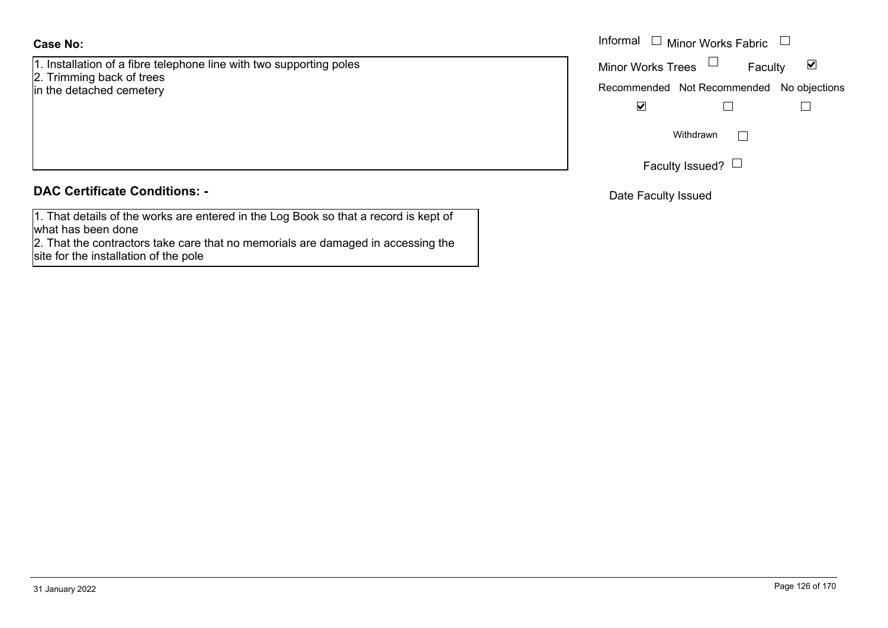1. Installation of a fibre telephone line with two supporting poles 2. Trimming back of trees

in the detached cemetery

## **DAC Certificate Conditions: -**

1. That details of the works are entered in the Log Book so that a record is kept of what has been done

2. That the contractors take care that no memorials are damaged in accessing the site for the installation of the pole

|                                                                                | Informal $\Box$<br>$\vdash$ Minor Works Fabric $\;\;\sqcup\;\;$ |
|--------------------------------------------------------------------------------|-----------------------------------------------------------------|
| ation of a fibre telephone line with two supporting poles<br>ing back of trees | Minor Works Trees $\quad \Box$<br>⊻<br>Faculty                  |
| tached cemetery                                                                | Recommended Not Recommended No objections                       |
|                                                                                | $\blacktriangledown$                                            |
|                                                                                | Withdrawn                                                       |
|                                                                                | Faculty Issued? $\Box$                                          |

Date Faculty Issued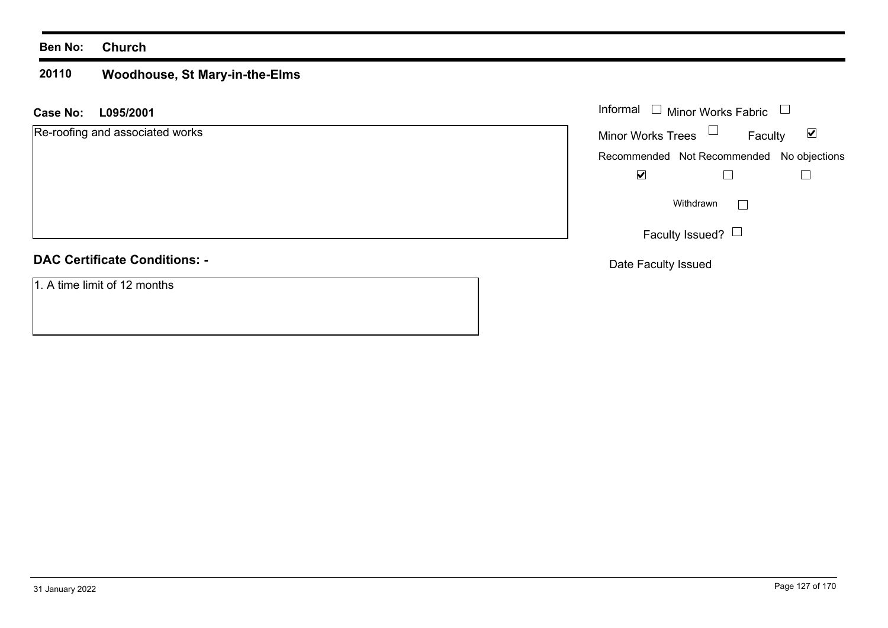#### **20110 Woodhouse, St Mary-in-the-Elms**

**L095/2001 Case No:** Informal

| Re-roofing and associated works |
|---------------------------------|
|                                 |
|                                 |

## **DAC Certificate Conditions: -**

1. A time limit of 12 months

| Informal<br>Minor Works Fabric |                                           |                      |
|--------------------------------|-------------------------------------------|----------------------|
| <b>Minor Works Trees</b>       | Faculty                                   | $\blacktriangledown$ |
|                                | Recommended Not Recommended No objections |                      |
|                                |                                           |                      |
| Withdrawn                      |                                           |                      |
|                                | Faculty Issued?                           |                      |

Date Faculty Issued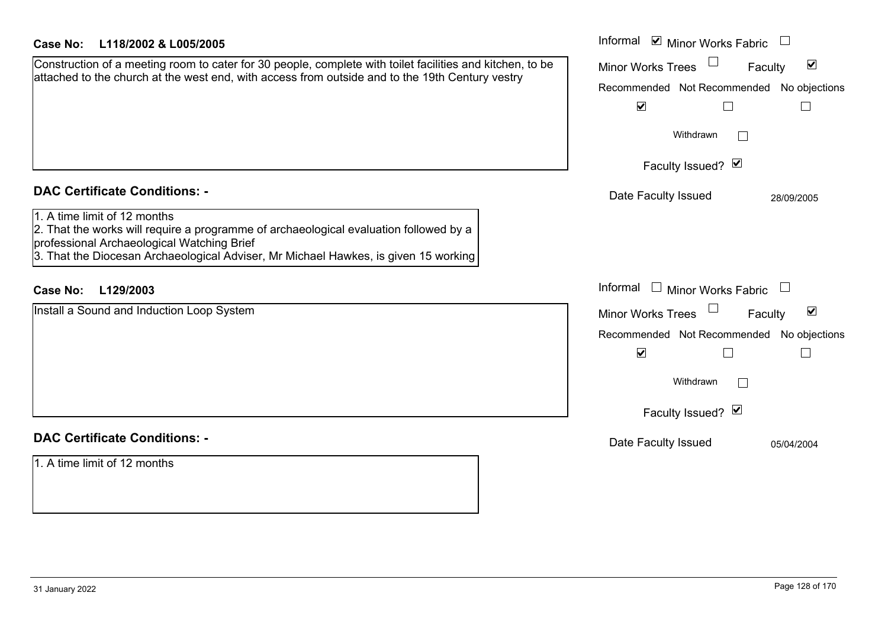| <b>Case No:</b><br>L118/2002 & L005/2005                                                                                                                                                                                                                   | Informal ☑ Minor Works Fabric                               |
|------------------------------------------------------------------------------------------------------------------------------------------------------------------------------------------------------------------------------------------------------------|-------------------------------------------------------------|
| Construction of a meeting room to cater for 30 people, complete with toilet facilities and kitchen, to be<br>attached to the church at the west end, with access from outside and to the 19th Century vestry                                               | $\blacktriangledown$<br><b>Minor Works Trees</b><br>Faculty |
|                                                                                                                                                                                                                                                            | Recommended Not Recommended No objections                   |
|                                                                                                                                                                                                                                                            | $\blacktriangledown$                                        |
|                                                                                                                                                                                                                                                            | Withdrawn                                                   |
|                                                                                                                                                                                                                                                            | Faculty Issued? Ø                                           |
| <b>DAC Certificate Conditions: -</b>                                                                                                                                                                                                                       | Date Faculty Issued<br>28/09/2005                           |
| 1. A time limit of 12 months<br>2. That the works will require a programme of archaeological evaluation followed by a<br>professional Archaeological Watching Brief<br>3. That the Diocesan Archaeological Adviser, Mr Michael Hawkes, is given 15 working |                                                             |
| Case No: L129/2003                                                                                                                                                                                                                                         | Informal $\Box$ Minor Works Fabric                          |
| Install a Sound and Induction Loop System                                                                                                                                                                                                                  | Minor Works Trees<br>$\blacktriangledown$<br>Faculty        |
|                                                                                                                                                                                                                                                            | Recommended Not Recommended No objections                   |
|                                                                                                                                                                                                                                                            | $\blacktriangledown$                                        |
|                                                                                                                                                                                                                                                            | Withdrawn                                                   |
|                                                                                                                                                                                                                                                            | Faculty Issued? Ø                                           |
| <b>DAC Certificate Conditions: -</b>                                                                                                                                                                                                                       | Date Faculty Issued<br>05/04/2004                           |
| 1. A time limit of 12 months                                                                                                                                                                                                                               |                                                             |
|                                                                                                                                                                                                                                                            |                                                             |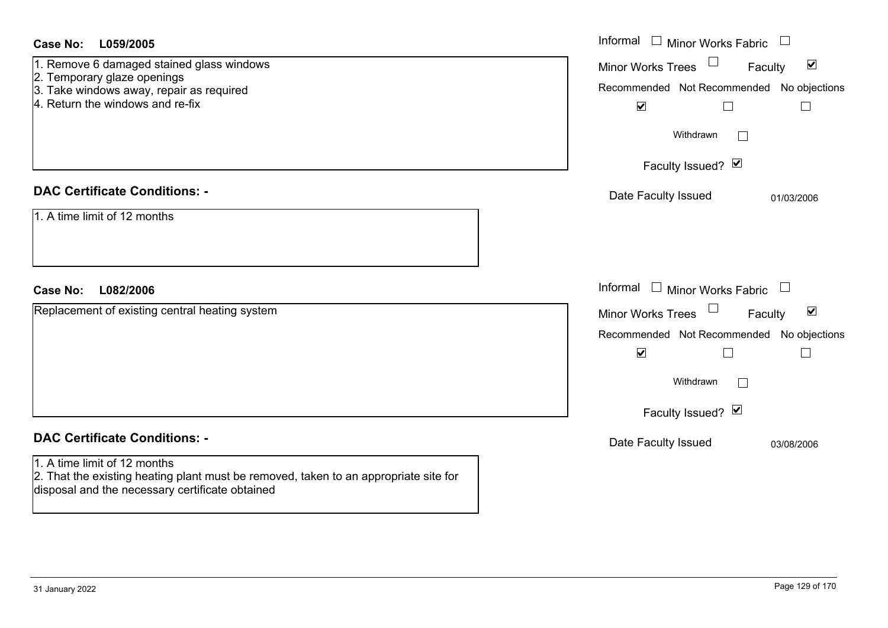| Case No:<br>L059/2005                                                                                                                                                                                           | Informal $\Box$ Minor Works Fabric $\Box$                                                                                                                                                               |
|-----------------------------------------------------------------------------------------------------------------------------------------------------------------------------------------------------------------|---------------------------------------------------------------------------------------------------------------------------------------------------------------------------------------------------------|
| 1. Remove 6 damaged stained glass windows<br>2. Temporary glaze openings<br>3. Take windows away, repair as required<br>4. Return the windows and re-fix                                                        | $\blacktriangledown$<br><b>Minor Works Trees</b><br>Faculty<br>Recommended Not Recommended No objections<br>$\blacktriangledown$<br>$\Box$<br>$\mathcal{L}_{\mathcal{A}}$                               |
|                                                                                                                                                                                                                 | Withdrawn<br>Faculty Issued? Ø                                                                                                                                                                          |
| <b>DAC Certificate Conditions: -</b><br>1. A time limit of 12 months                                                                                                                                            | Date Faculty Issued<br>01/03/2006                                                                                                                                                                       |
| <b>Case No:</b><br>L082/2006                                                                                                                                                                                    | Informal $\Box$ Minor Works Fabric $\Box$                                                                                                                                                               |
| Replacement of existing central heating system                                                                                                                                                                  | $\blacktriangledown$<br><b>Minor Works Trees</b><br>Faculty<br>Recommended Not Recommended<br>No objections<br>$\blacktriangledown$<br>$\mathbf{L}$<br>$\mathbb{R}^n$<br>Withdrawn<br>Faculty Issued? Ø |
| <b>DAC Certificate Conditions: -</b><br>1. A time limit of 12 months<br>2. That the existing heating plant must be removed, taken to an appropriate site for<br>disposal and the necessary certificate obtained | Date Faculty Issued<br>03/08/2006                                                                                                                                                                       |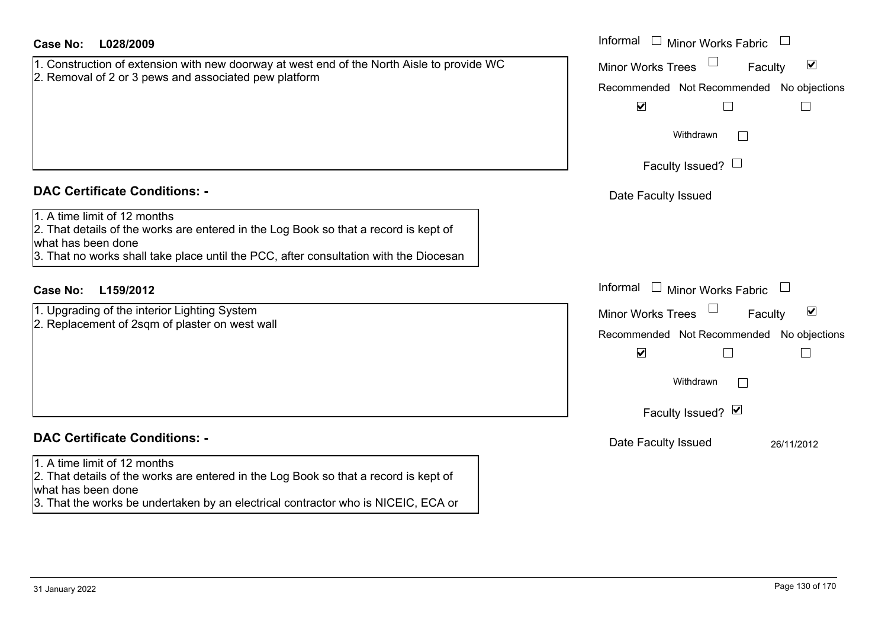| <b>Case No:</b><br>L028/2009                                                                                                                                                                                                        | Informal $\Box$ Minor Works Fabric $\Box$                                                                                                                               |
|-------------------------------------------------------------------------------------------------------------------------------------------------------------------------------------------------------------------------------------|-------------------------------------------------------------------------------------------------------------------------------------------------------------------------|
| 1. Construction of extension with new doorway at west end of the North Aisle to provide WC<br>2. Removal of 2 or 3 pews and associated pew platform                                                                                 | $\blacktriangledown$<br><b>Minor Works Trees</b><br>Faculty<br>Recommended Not Recommended No objections<br>$\blacktriangledown$<br>$\mathsf{L}$                        |
|                                                                                                                                                                                                                                     | Withdrawn<br>Faculty Issued? $\Box$                                                                                                                                     |
| <b>DAC Certificate Conditions: -</b>                                                                                                                                                                                                | Date Faculty Issued                                                                                                                                                     |
| 1. A time limit of 12 months<br>2. That details of the works are entered in the Log Book so that a record is kept of<br>what has been done<br>3. That no works shall take place until the PCC, after consultation with the Diocesan |                                                                                                                                                                         |
| L159/2012<br><b>Case No:</b>                                                                                                                                                                                                        | Informal<br>$\Box$ Minor Works Fabric                                                                                                                                   |
| 1. Upgrading of the interior Lighting System<br>2. Replacement of 2sqm of plaster on west wall                                                                                                                                      | $\blacktriangledown$<br><b>Minor Works Trees</b><br>Faculty<br>Recommended Not Recommended No objections<br>$\blacktriangledown$<br>Г<br>Withdrawn<br>Faculty Issued? Ø |
| <b>DAC Certificate Conditions: -</b>                                                                                                                                                                                                | Date Faculty Issued<br>26/11/2012                                                                                                                                       |
| 1. A time limit of 12 months<br>2. That details of the works are entered in the Log Book so that a record is kept of<br>what has been done<br>3. That the works be undertaken by an electrical contractor who is NICEIC, ECA or     |                                                                                                                                                                         |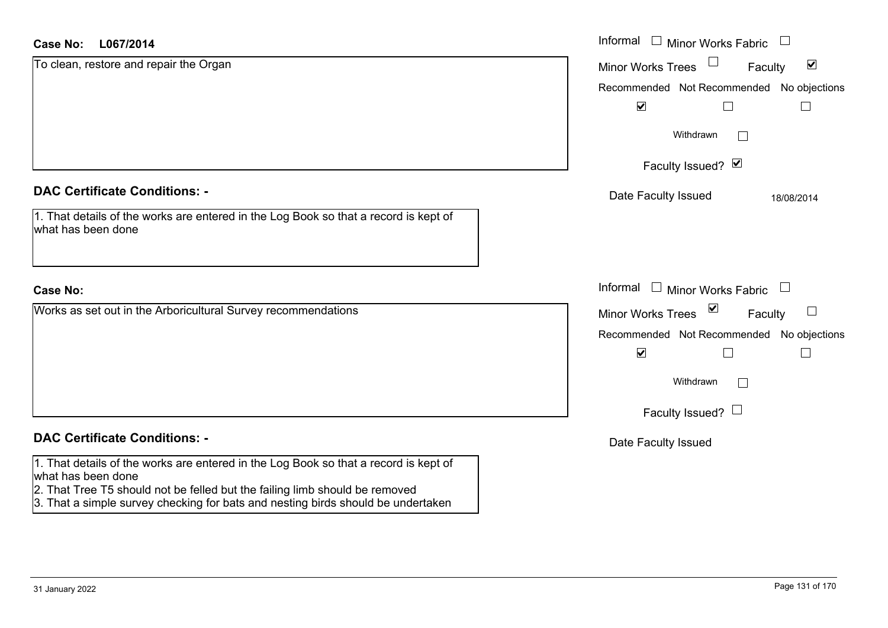| L067/2014<br>Case No:                                                                                                                                                                                                                                                         | Informal □ Minor Works Fabric                                  |
|-------------------------------------------------------------------------------------------------------------------------------------------------------------------------------------------------------------------------------------------------------------------------------|----------------------------------------------------------------|
| To clean, restore and repair the Organ                                                                                                                                                                                                                                        | $\Box$<br>$\blacktriangledown$<br>Minor Works Trees<br>Faculty |
|                                                                                                                                                                                                                                                                               | Recommended Not Recommended No objections                      |
|                                                                                                                                                                                                                                                                               | $\blacktriangledown$                                           |
|                                                                                                                                                                                                                                                                               | Withdrawn<br>$\mathbf{L}$                                      |
|                                                                                                                                                                                                                                                                               | Faculty Issued? Ø                                              |
| <b>DAC Certificate Conditions: -</b>                                                                                                                                                                                                                                          | Date Faculty Issued<br>18/08/2014                              |
| 1. That details of the works are entered in the Log Book so that a record is kept of<br>what has been done                                                                                                                                                                    |                                                                |
| <b>Case No:</b>                                                                                                                                                                                                                                                               | Informal<br>$\Box$ Minor Works Fabric<br>$\Box$                |
| Works as set out in the Arboricultural Survey recommendations                                                                                                                                                                                                                 | $\vee$<br><b>Minor Works Trees</b><br>Faculty                  |
|                                                                                                                                                                                                                                                                               | Recommended Not Recommended No objections                      |
|                                                                                                                                                                                                                                                                               | $\blacktriangledown$<br>$\sim$                                 |
|                                                                                                                                                                                                                                                                               | Withdrawn<br>$\Box$                                            |
|                                                                                                                                                                                                                                                                               | Faculty Issued? $\Box$                                         |
| <b>DAC Certificate Conditions: -</b>                                                                                                                                                                                                                                          | Date Faculty Issued                                            |
| 1. That details of the works are entered in the Log Book so that a record is kept of<br>what has been done<br>2. That Tree T5 should not be felled but the failing limb should be removed<br>3. That a simple survey checking for bats and nesting birds should be undertaken |                                                                |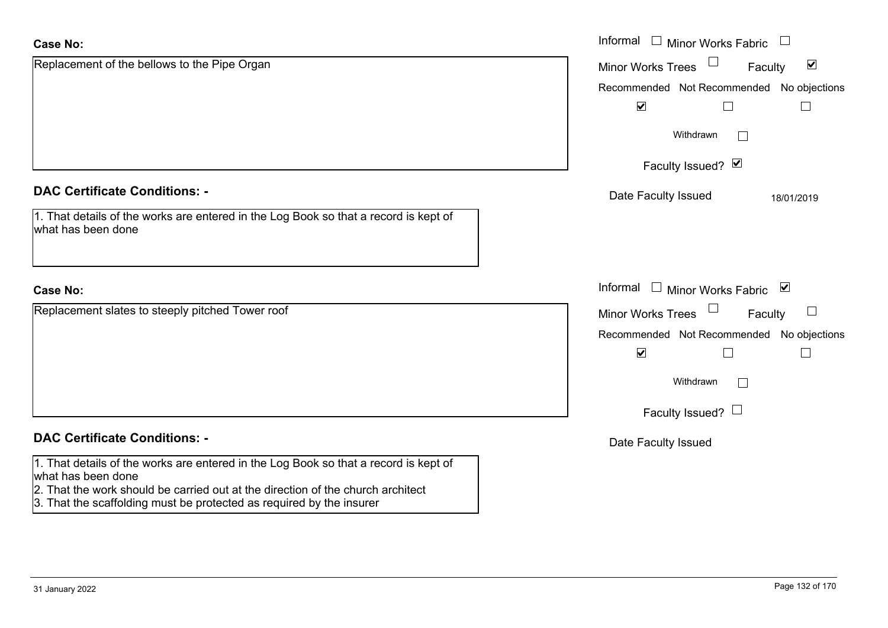| Replacement of the bellows to the Pipe Organ<br>$\blacktriangledown$<br>Minor Works Trees<br>Faculty<br>$\blacktriangledown$<br>Withdrawn<br>Faculty Issued? Ø<br><b>DAC Certificate Conditions: -</b><br>Date Faculty Issued<br>18/01/2019<br>1. That details of the works are entered in the Log Book so that a record is kept of<br>what has been done<br>Informal<br>□ Minor Works Fabric<br><b>Case No:</b><br>Replacement slates to steeply pitched Tower roof<br>Minor Works Trees<br>$\sqcup$<br>Faculty<br>$\blacktriangledown$<br>Withdrawn<br>Faculty Issued? $\Box$<br><b>DAC Certificate Conditions: -</b><br>Date Faculty Issued<br>1. That details of the works are entered in the Log Book so that a record is kept of<br>what has been done<br>2. That the work should be carried out at the direction of the church architect | <b>Case No:</b> | Informal<br>$\Box$<br><b>Minor Works Fabric</b> |
|-------------------------------------------------------------------------------------------------------------------------------------------------------------------------------------------------------------------------------------------------------------------------------------------------------------------------------------------------------------------------------------------------------------------------------------------------------------------------------------------------------------------------------------------------------------------------------------------------------------------------------------------------------------------------------------------------------------------------------------------------------------------------------------------------------------------------------------------------|-----------------|-------------------------------------------------|
|                                                                                                                                                                                                                                                                                                                                                                                                                                                                                                                                                                                                                                                                                                                                                                                                                                                 |                 |                                                 |
|                                                                                                                                                                                                                                                                                                                                                                                                                                                                                                                                                                                                                                                                                                                                                                                                                                                 |                 | Recommended Not Recommended No objections       |
|                                                                                                                                                                                                                                                                                                                                                                                                                                                                                                                                                                                                                                                                                                                                                                                                                                                 |                 |                                                 |
|                                                                                                                                                                                                                                                                                                                                                                                                                                                                                                                                                                                                                                                                                                                                                                                                                                                 |                 |                                                 |
|                                                                                                                                                                                                                                                                                                                                                                                                                                                                                                                                                                                                                                                                                                                                                                                                                                                 |                 |                                                 |
|                                                                                                                                                                                                                                                                                                                                                                                                                                                                                                                                                                                                                                                                                                                                                                                                                                                 |                 |                                                 |
|                                                                                                                                                                                                                                                                                                                                                                                                                                                                                                                                                                                                                                                                                                                                                                                                                                                 |                 |                                                 |
|                                                                                                                                                                                                                                                                                                                                                                                                                                                                                                                                                                                                                                                                                                                                                                                                                                                 |                 |                                                 |
|                                                                                                                                                                                                                                                                                                                                                                                                                                                                                                                                                                                                                                                                                                                                                                                                                                                 |                 |                                                 |
|                                                                                                                                                                                                                                                                                                                                                                                                                                                                                                                                                                                                                                                                                                                                                                                                                                                 |                 | Recommended Not Recommended No objections       |
|                                                                                                                                                                                                                                                                                                                                                                                                                                                                                                                                                                                                                                                                                                                                                                                                                                                 |                 |                                                 |
|                                                                                                                                                                                                                                                                                                                                                                                                                                                                                                                                                                                                                                                                                                                                                                                                                                                 |                 |                                                 |
|                                                                                                                                                                                                                                                                                                                                                                                                                                                                                                                                                                                                                                                                                                                                                                                                                                                 |                 |                                                 |
|                                                                                                                                                                                                                                                                                                                                                                                                                                                                                                                                                                                                                                                                                                                                                                                                                                                 |                 |                                                 |
|                                                                                                                                                                                                                                                                                                                                                                                                                                                                                                                                                                                                                                                                                                                                                                                                                                                 |                 |                                                 |

3. That the scaffolding must be protected as required by the insurer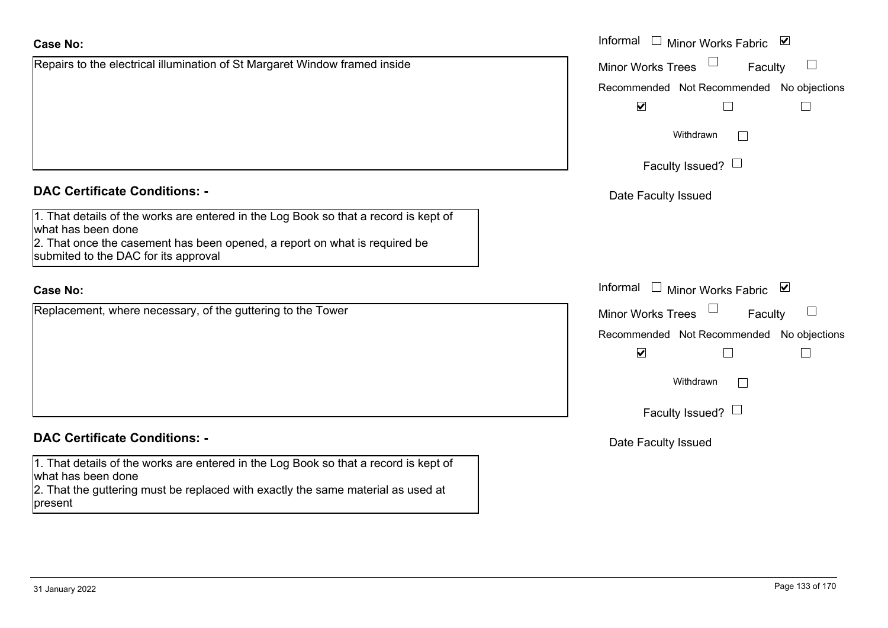1. That details of the works are entered in the Log Book so that a record is kept of what has been done 2. That once the casement has been opened, a report on what is required be submited to the DAC for its approval

#### **Case No:**

Replacement, where necessary, of the guttering to the Tower

# **DAC Certificate Conditions: -**

1. That details of the works are entered in the Log Book so that a record is kept of what has been done

2. That the guttering must be replaced with exactly the same material as used at present

|                                                                                                  | Informal $\square$<br>⊻<br><b>Minor Works Fabric</b>                         |
|--------------------------------------------------------------------------------------------------|------------------------------------------------------------------------------|
| o the electrical illumination of St Margaret Window framed inside                                | Minor Works Trees<br>Faculty<br>$\begin{array}{c} \hline \end{array}$        |
|                                                                                                  | Recommended Not Recommended No objections                                    |
|                                                                                                  | $\blacktriangledown$                                                         |
|                                                                                                  | Withdrawn                                                                    |
|                                                                                                  | Faculty Issued? $\Box$                                                       |
| rtificate Conditions: -                                                                          | Date Faculty Issued                                                          |
| etails of the works are entered in the Log Book so that a record is kept of<br>been done         |                                                                              |
| nce the casement has been opened, a report on what is required be<br>to the DAC for its approval |                                                                              |
|                                                                                                  | Informal<br>⊻<br>$\mathcal{L}^{\text{max}}$<br>Minor Works Fabric            |
| nent, where necessary, of the guttering to the Tower                                             | <b>Minor Works Trees</b><br>$\begin{array}{c} \hline \end{array}$<br>Faculty |
|                                                                                                  | Recommended Not Recommended No objections                                    |
|                                                                                                  | $\blacktriangledown$<br>$\Box$<br>$\Box$                                     |
|                                                                                                  | Withdrawn<br>$\Box$                                                          |
|                                                                                                  | Faculty Issued? $\Box$                                                       |
| rtificate Conditions: -                                                                          | Date Faculty Issued                                                          |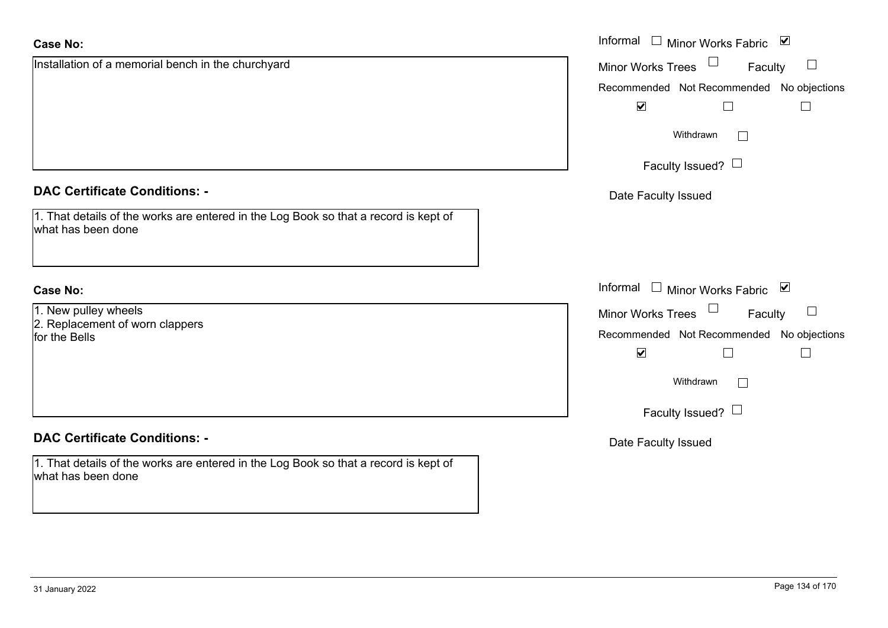| <b>Case No:</b>                                                                                            | Informal <u>I</u> Minor Works Fabric <b>⊻</b> |
|------------------------------------------------------------------------------------------------------------|-----------------------------------------------|
| Installation of a memorial bench in the churchyard                                                         | $\sqcup$<br>Minor Works Trees<br>Faculty      |
|                                                                                                            | Recommended Not Recommended No objections     |
|                                                                                                            | $\blacktriangledown$                          |
|                                                                                                            | Withdrawn<br>$\overline{\phantom{a}}$         |
|                                                                                                            | Faculty Issued? $\Box$                        |
| <b>DAC Certificate Conditions: -</b>                                                                       | Date Faculty Issued                           |
| 1. That details of the works are entered in the Log Book so that a record is kept of<br>what has been done |                                               |
| <b>Case No:</b>                                                                                            | Informal □ Minor Works Fabric ⊠               |
| 1. New pulley wheels                                                                                       | $\Box$<br><b>Minor Works Trees</b><br>Faculty |
| 2. Replacement of worn clappers<br>for the Bells                                                           | Recommended Not Recommended No objections     |
|                                                                                                            | $\blacktriangledown$                          |
|                                                                                                            | Withdrawn<br>$\mathbf{L}$                     |
|                                                                                                            | Faculty Issued? $\Box$                        |
| <b>DAC Certificate Conditions: -</b>                                                                       | Date Faculty Issued                           |
| 1. That details of the works are entered in the Log Book so that a record is kept of<br>what has been done |                                               |

 $\sim$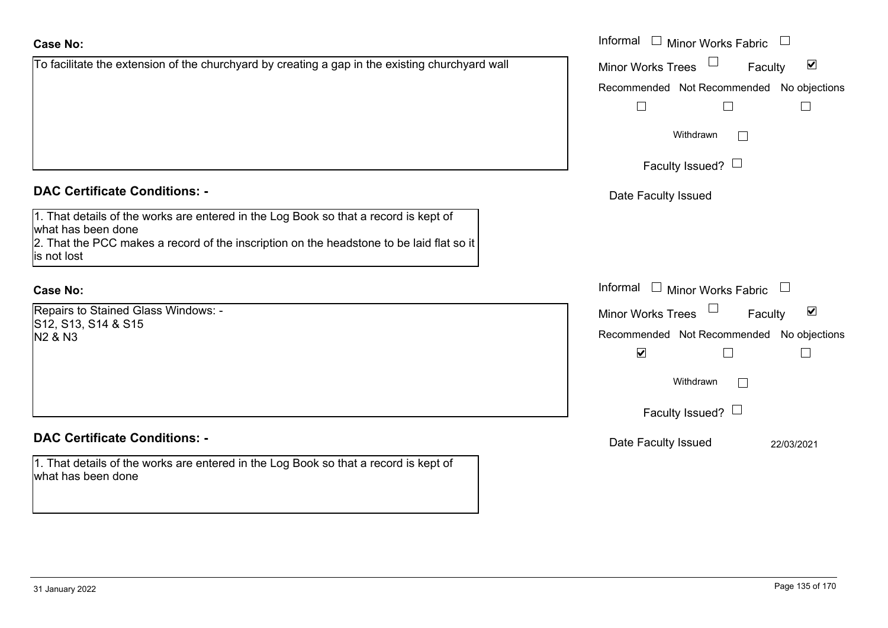|                                                                                                                                                                                                                       | Recomm   |
|-----------------------------------------------------------------------------------------------------------------------------------------------------------------------------------------------------------------------|----------|
|                                                                                                                                                                                                                       |          |
| <b>DAC Certificate Conditions: -</b>                                                                                                                                                                                  | Date I   |
| 1. That details of the works are entered in the Log Book so that a record is kept of<br>what has been done<br>2. That the PCC makes a record of the inscription on the headstone to be laid flat so it<br>is not lost |          |
| <b>Case No:</b>                                                                                                                                                                                                       | Informal |
| Repairs to Stained Glass Windows: -<br>S12, S13, S14 & S15                                                                                                                                                            | Minor W  |
| N <sub>2</sub> & N <sub>3</sub>                                                                                                                                                                                       | Recomm   |
|                                                                                                                                                                                                                       |          |
|                                                                                                                                                                                                                       |          |

To facilitate the extension of the churchyard by creating a gap in the existing churchyard wall

### **DAC Certificate Conditions: -**

1. That details of the works are entered in the Log Book so that a record is kept of what has been done

|                                                                                                                                                                            | Informal $\Box$ Minor Works Fabric $\Box$                   |
|----------------------------------------------------------------------------------------------------------------------------------------------------------------------------|-------------------------------------------------------------|
| ate the extension of the churchyard by creating a gap in the existing churchyard wall                                                                                      | $\blacktriangledown$<br><b>Minor Works Trees</b><br>Faculty |
|                                                                                                                                                                            | Recommended Not Recommended No objections                   |
|                                                                                                                                                                            |                                                             |
|                                                                                                                                                                            | Withdrawn                                                   |
|                                                                                                                                                                            | Faculty Issued? $\Box$                                      |
| rtificate Conditions: -                                                                                                                                                    | Date Faculty Issued                                         |
| etails of the works are entered in the Log Book so that a record is kept of<br>been done<br>e PCC makes a record of the inscription on the headstone to be laid flat so it |                                                             |
|                                                                                                                                                                            | Informal<br>$\Box$ Minor Works Fabric $\Box$                |
| o Stained Glass Windows: -                                                                                                                                                 | $\blacktriangledown$<br>Minor Works Trees<br>Faculty        |
| I, S14 & S15                                                                                                                                                               | Recommended Not Recommended No objections                   |
|                                                                                                                                                                            | $\blacktriangledown$                                        |
|                                                                                                                                                                            | Withdrawn                                                   |
|                                                                                                                                                                            | Faculty Issued? $\Box$                                      |
| rtificate Conditions: -                                                                                                                                                    | Date Faculty Issued<br>22/03/2021                           |
| etails of the works are entered in the Log Book so that a record is kept of                                                                                                |                                                             |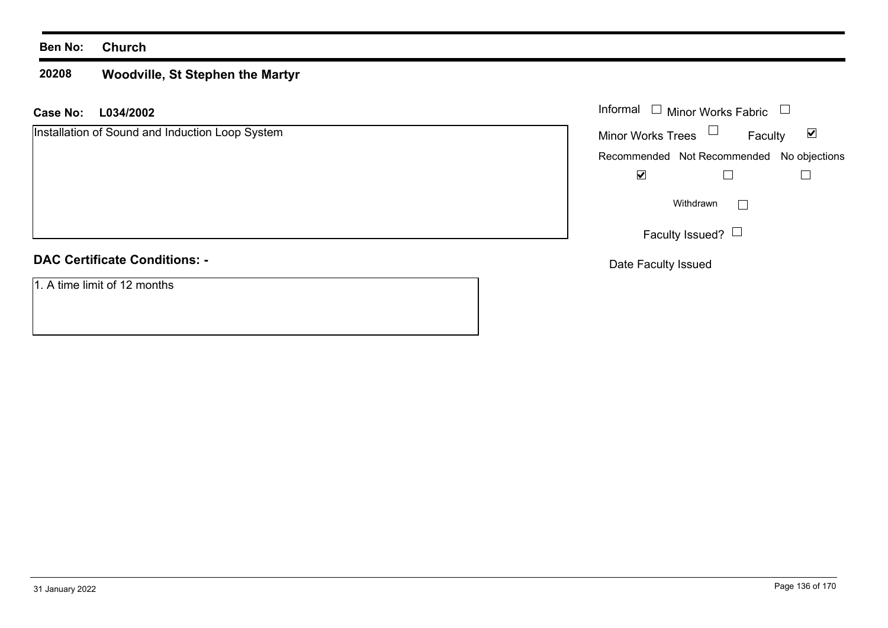#### **20208 Woodville, St Stephen the Martyr**

#### **L034/2002 Case No:** Informal

Installation of Sound and Induction Loop System

# **DAC Certificate Conditions: -**

1. A time limit of 12 months

| Informal<br>$\Box$ Minor Works Fabric |                                           |   |
|---------------------------------------|-------------------------------------------|---|
| <b>Minor Works Trees</b>              | Faculty                                   | V |
|                                       | Recommended Not Recommended No objections |   |
|                                       |                                           |   |
|                                       | Withdrawn                                 |   |
|                                       | Faculty Issued?                           |   |

Date Faculty Issued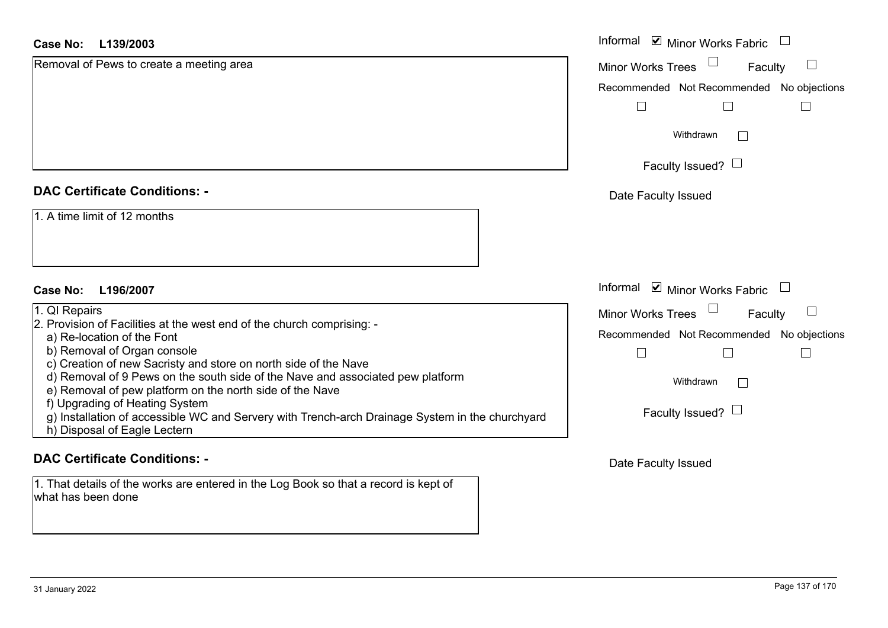| <b>Case No:</b><br>L139/2003                                                                                                                                      | Informal <b>☑</b> Minor Works Fabric          |
|-------------------------------------------------------------------------------------------------------------------------------------------------------------------|-----------------------------------------------|
| Removal of Pews to create a meeting area                                                                                                                          | Faculty<br>$\Box$<br><b>Minor Works Trees</b> |
|                                                                                                                                                                   | Recommended Not Recommended No objections     |
|                                                                                                                                                                   |                                               |
|                                                                                                                                                                   | Withdrawn                                     |
|                                                                                                                                                                   | Faculty Issued? $\Box$                        |
| <b>DAC Certificate Conditions: -</b>                                                                                                                              | Date Faculty Issued                           |
| 1. A time limit of 12 months<br>L196/2007<br>Case No:                                                                                                             | Informal Ø Minor Works Fabric U               |
| 1. QI Repairs                                                                                                                                                     | Minor Works Trees<br>Faculty<br>$\Box$        |
| 2. Provision of Facilities at the west end of the church comprising: -                                                                                            |                                               |
| a) Re-location of the Font<br>b) Removal of Organ console<br>c) Creation of new Sacristy and store on north side of the Nave                                      | Recommended Not Recommended No objections     |
| d) Removal of 9 Pews on the south side of the Nave and associated pew platform<br>e) Removal of pew platform on the north side of the Nave                        | Withdrawn                                     |
| f) Upgrading of Heating System<br>g) Installation of accessible WC and Servery with Trench-arch Drainage System in the churchyard<br>h) Disposal of Eagle Lectern | Faculty Issued? $\Box$                        |
| <b>DAC Certificate Conditions: -</b>                                                                                                                              | Date Faculty Issued                           |

what has been done

1. That details of the works are entered in the Log Book so that a record is kept of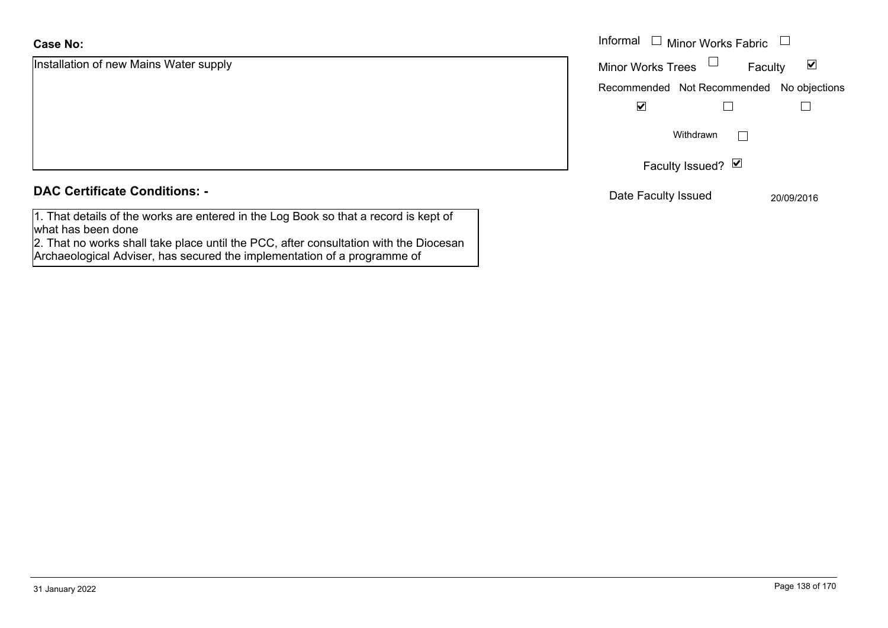Installation of new Mains Water supply Informal **DAC Certificate Conditions: -**

1. That details of the works are entered in the Log Book so that a record is kept of what has been done

2. That no works shall take place until the PCC, after consultation with the Diocesan Archaeological Adviser, has secured the implementation of a programme of

| Informal<br>$\Box$ Minor Works Fabric     |            |
|-------------------------------------------|------------|
| <b>Minor Works Trees</b><br>Faculty       |            |
| Recommended Not Recommended No objections |            |
|                                           |            |
| Withdrawn                                 |            |
| Faculty Issued? Ø                         |            |
| Date Faculty Issued                       | 20/09/2016 |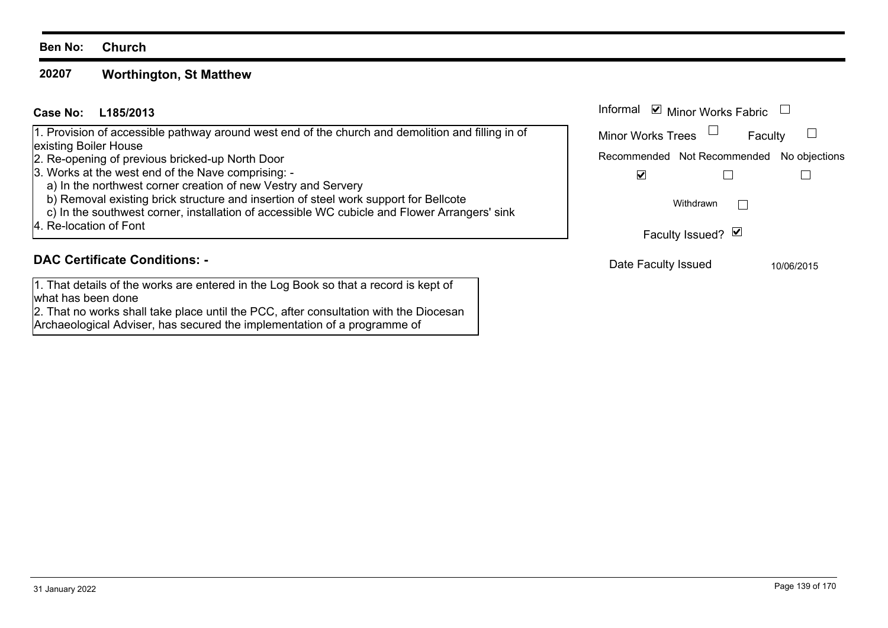#### **20207Worthington, St Matthew**

| Case No: L185/2013 | Informal |
|--------------------|----------|
|--------------------|----------|

1. Provision of accessible pathway around west end of the church and demolition and filling in of existing Boiler House

- 2. Re-opening of previous bricked-up North Door
- 3. Works at the west end of the Nave comprising: -
- a) In the northwest corner creation of new Vestry and Servery
- b) Removal existing brick structure and insertion of steel work support for Bellcote
- c) In the southwest corner, installation of accessible WC cubicle and Flower Arrangers' sink
- 4. Re-location of Font

## **DAC Certificate Conditions: -**

1. That details of the works are entered in the Log Book so that a record is kept of what has been done

2. That no works shall take place until the PCC, after consultation with the Diocesan Archaeological Adviser, has secured the implementation of a programme of

| Informal<br>$\triangleright$ Minor Works Fabric |         |            |
|-------------------------------------------------|---------|------------|
| <b>Minor Works Trees</b>                        | Faculty |            |
| Recommended Not Recommended No objections       |         |            |
|                                                 |         |            |
| Withdrawn                                       |         |            |
| Faculty Issued? Ø                               |         |            |
| Date Faculty Issued                             |         | 10/06/2015 |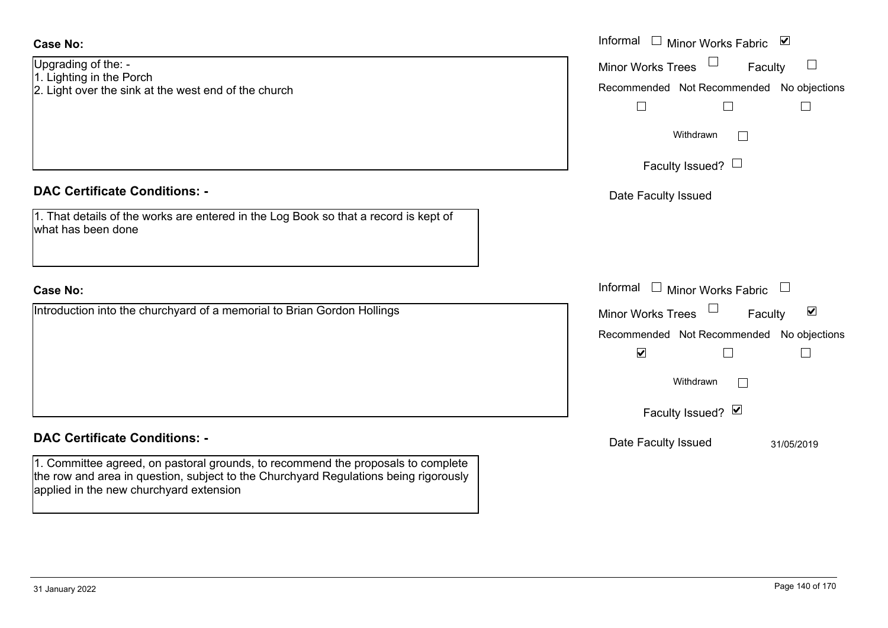| Case No:                                                                                                                                                                                                            | Informal □ Minor Works Fabric ⊠                                                                    |
|---------------------------------------------------------------------------------------------------------------------------------------------------------------------------------------------------------------------|----------------------------------------------------------------------------------------------------|
| Upgrading of the: -<br>1. Lighting in the Porch<br>2. Light over the sink at the west end of the church                                                                                                             | Minor Works Trees<br>$\Box$<br>Faculty<br>Recommended Not Recommended No objections<br>$\Box$<br>⊔ |
|                                                                                                                                                                                                                     | Withdrawn                                                                                          |
|                                                                                                                                                                                                                     | Faculty Issued? $\Box$                                                                             |
| <b>DAC Certificate Conditions: -</b>                                                                                                                                                                                | Date Faculty Issued                                                                                |
| 1. That details of the works are entered in the Log Book so that a record is kept of<br>what has been done                                                                                                          |                                                                                                    |
| <b>Case No:</b>                                                                                                                                                                                                     | Informal $\Box$ Minor Works Fabric $\Box$                                                          |
| Introduction into the churchyard of a memorial to Brian Gordon Hollings                                                                                                                                             | Minor Works Trees<br>$\blacktriangledown$<br>Faculty                                               |
|                                                                                                                                                                                                                     | Recommended Not Recommended No objections                                                          |
|                                                                                                                                                                                                                     | $\blacktriangledown$<br>$\Box$                                                                     |
|                                                                                                                                                                                                                     | Withdrawn<br>$\Box$                                                                                |
|                                                                                                                                                                                                                     | Faculty Issued? Ø                                                                                  |
| <b>DAC Certificate Conditions: -</b>                                                                                                                                                                                | Date Faculty Issued<br>31/05/2019                                                                  |
| 1. Committee agreed, on pastoral grounds, to recommend the proposals to complete<br>the row and area in question, subject to the Churchyard Regulations being rigorously<br>applied in the new churchyard extension |                                                                                                    |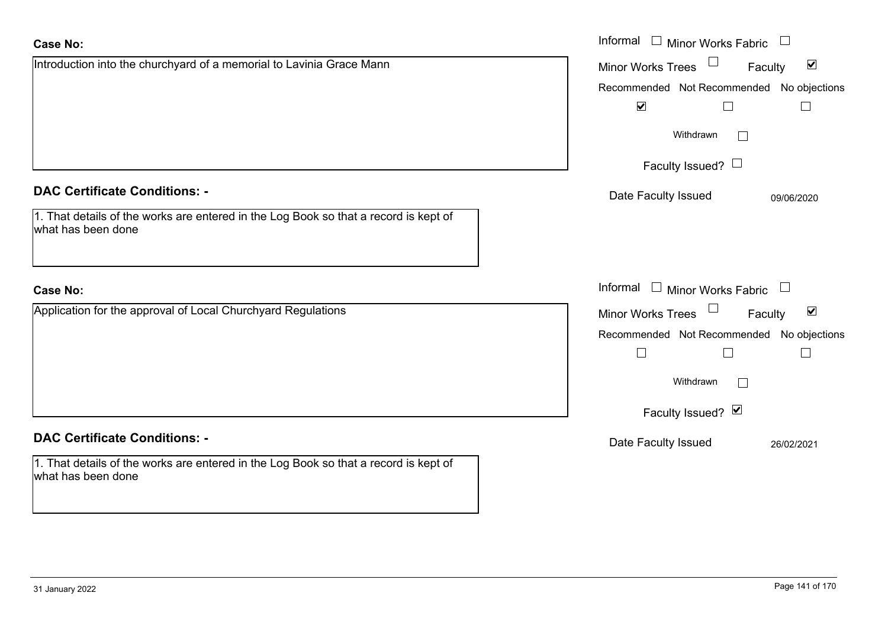| Case No: |  |
|----------|--|
|          |  |

| <b>Case No:</b>                                                                                            | Informal □ Minor Works Fabric □                      |
|------------------------------------------------------------------------------------------------------------|------------------------------------------------------|
| Introduction into the churchyard of a memorial to Lavinia Grace Mann                                       | Minor Works Trees<br>$\blacktriangledown$<br>Faculty |
|                                                                                                            | Recommended Not Recommended No objections            |
|                                                                                                            | $\blacktriangledown$<br>$\Box$<br>$\Box$             |
|                                                                                                            | Withdrawn                                            |
|                                                                                                            | Faculty Issued? $\Box$                               |
| <b>DAC Certificate Conditions: -</b>                                                                       | Date Faculty Issued<br>09/06/2020                    |
| 1. That details of the works are entered in the Log Book so that a record is kept of<br>what has been done |                                                      |
| <b>Case No:</b>                                                                                            | Informal $\Box$ Minor Works Fabric $\Box$            |
| Application for the approval of Local Churchyard Regulations                                               | Minor Works Trees<br>$\blacktriangledown$<br>Faculty |
|                                                                                                            | Recommended Not Recommended No objections            |
|                                                                                                            | $\Box$<br>$\mathbb{R}$                               |
|                                                                                                            | Withdrawn                                            |
|                                                                                                            | Faculty Issued? Ø                                    |
| <b>DAC Certificate Conditions: -</b>                                                                       | Date Faculty Issued<br>26/02/2021                    |
| 1. That details of the works are entered in the Log Book so that a record is kept of<br>what has been done |                                                      |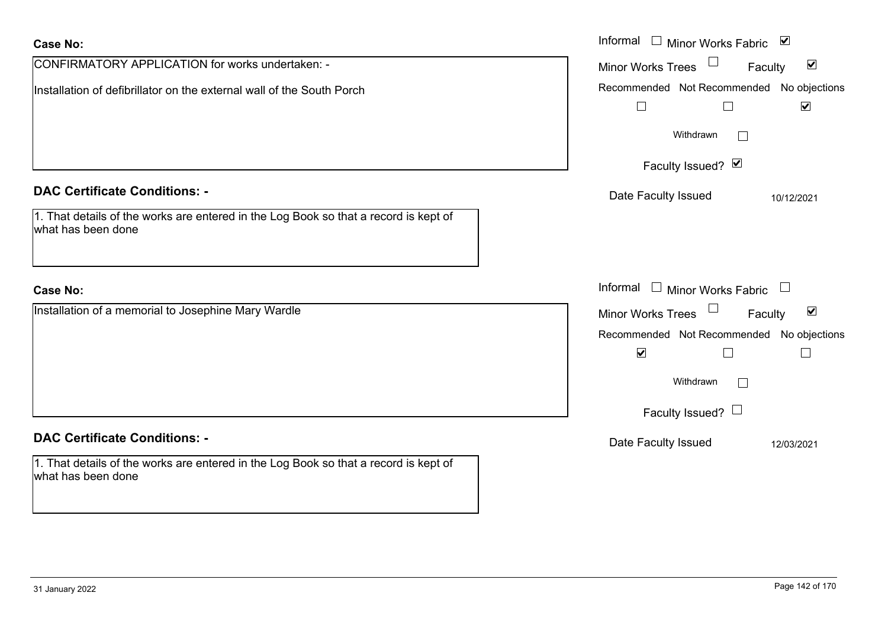| <b>Case No:</b>                                                                                            | Informal<br>$\Box$ Minor Works Fabric $\Box$                                          |
|------------------------------------------------------------------------------------------------------------|---------------------------------------------------------------------------------------|
| CONFIRMATORY APPLICATION for works undertaken: -                                                           | $\blacktriangledown$<br><b>Minor Works Trees</b><br>Faculty                           |
| Installation of defibrillator on the external wall of the South Porch                                      | Recommended Not Recommended No objections<br>$\blacktriangledown$<br>$\Box$<br>$\Box$ |
|                                                                                                            | Withdrawn                                                                             |
|                                                                                                            | Faculty Issued? Ø                                                                     |
| <b>DAC Certificate Conditions: -</b>                                                                       | Date Faculty Issued<br>10/12/2021                                                     |
| 1. That details of the works are entered in the Log Book so that a record is kept of<br>what has been done |                                                                                       |
| <b>Case No:</b>                                                                                            | Informal $\Box$ Minor Works Fabric $\Box$                                             |
| Installation of a memorial to Josephine Mary Wardle                                                        | Minor Works Trees<br>$\blacktriangledown$<br>Faculty                                  |
|                                                                                                            | Recommended Not Recommended No objections                                             |
|                                                                                                            | $\blacktriangledown$                                                                  |
|                                                                                                            | Withdrawn<br>$\perp$                                                                  |
|                                                                                                            | Faculty Issued? $\Box$                                                                |
| <b>DAC Certificate Conditions: -</b>                                                                       | Date Faculty Issued<br>12/03/2021                                                     |
| 1. That details of the works are entered in the Log Book so that a record is kept of<br>what has been done |                                                                                       |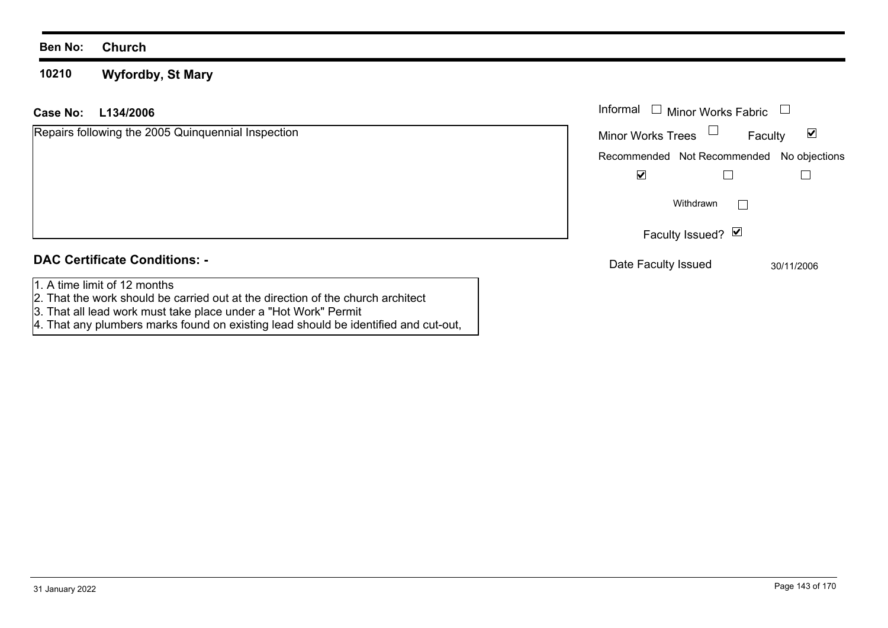#### **10210Wyfordby, St Mary**

#### **L134/2006Case No:** Informal

| Repairs following the 2005 Quinquennial Inspection | ⊻<br><b>Minor Works Trees</b><br>Faculty  |  |
|----------------------------------------------------|-------------------------------------------|--|
|                                                    | Recommended Not Recommended No objections |  |
|                                                    | $\blacktriangledown$                      |  |
|                                                    | Withdrawn                                 |  |
|                                                    | Faculty Issued? Ø                         |  |
| <b>DAC Certificate Conditions: -</b>               | Date Faculty Issued<br>30/11/2006         |  |
| 1. A time limit of 12 months                       |                                           |  |

- 1. A time limit of 12 months 2. That the work should be carried out at the direction of the church architect 3. That all lead work must take place under a "Hot Work" Permit
- 
- 4. That any plumbers marks found on existing lead should be identified and cut-out,

Minor Works Fabric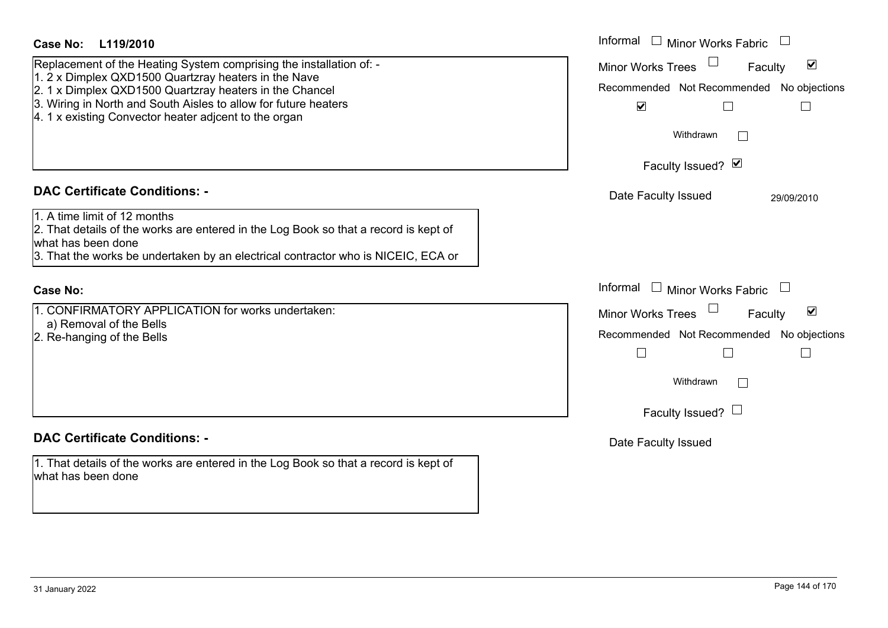| Case No: L119/2010                                                                                                                                                                                                                                                                                                 | Informal<br>$\Box$ Minor Works Fabric                                                                                                                                   |
|--------------------------------------------------------------------------------------------------------------------------------------------------------------------------------------------------------------------------------------------------------------------------------------------------------------------|-------------------------------------------------------------------------------------------------------------------------------------------------------------------------|
| Replacement of the Heating System comprising the installation of: -<br>1. 2 x Dimplex QXD1500 Quartzray heaters in the Nave<br>2. 1 x Dimplex QXD1500 Quartzray heaters in the Chancel<br>3. Wiring in North and South Aisles to allow for future heaters<br>4. 1 x existing Convector heater adjcent to the organ | $\blacktriangledown$<br><b>Minor Works Trees</b><br>Faculty<br>Recommended Not Recommended No objections<br>$\blacktriangledown$<br>$\Box$<br>$\mathbf{I}$<br>Withdrawn |
|                                                                                                                                                                                                                                                                                                                    | Faculty Issued? Ø                                                                                                                                                       |
| <b>DAC Certificate Conditions: -</b><br>1. A time limit of 12 months<br>2. That details of the works are entered in the Log Book so that a record is kept of<br>what has been done<br>3. That the works be undertaken by an electrical contractor who is NICEIC, ECA or                                            | Date Faculty Issued<br>29/09/2010                                                                                                                                       |
| <b>Case No:</b>                                                                                                                                                                                                                                                                                                    | Informal<br>$\Box$ Minor Works Fabric<br>$\Box$                                                                                                                         |
| 1. CONFIRMATORY APPLICATION for works undertaken:<br>a) Removal of the Bells<br>2. Re-hanging of the Bells                                                                                                                                                                                                         | $\blacktriangledown$<br>Minor Works Trees<br>Faculty<br>Recommended Not Recommended No objections<br>$\Box$<br>$\Box$<br>$\Box$<br>Withdrawn<br>Faculty Issued? $\Box$  |
| <b>DAC Certificate Conditions: -</b>                                                                                                                                                                                                                                                                               | Date Faculty Issued                                                                                                                                                     |
| 1. That details of the works are entered in the Log Book so that a record is kept of<br>what has been done                                                                                                                                                                                                         |                                                                                                                                                                         |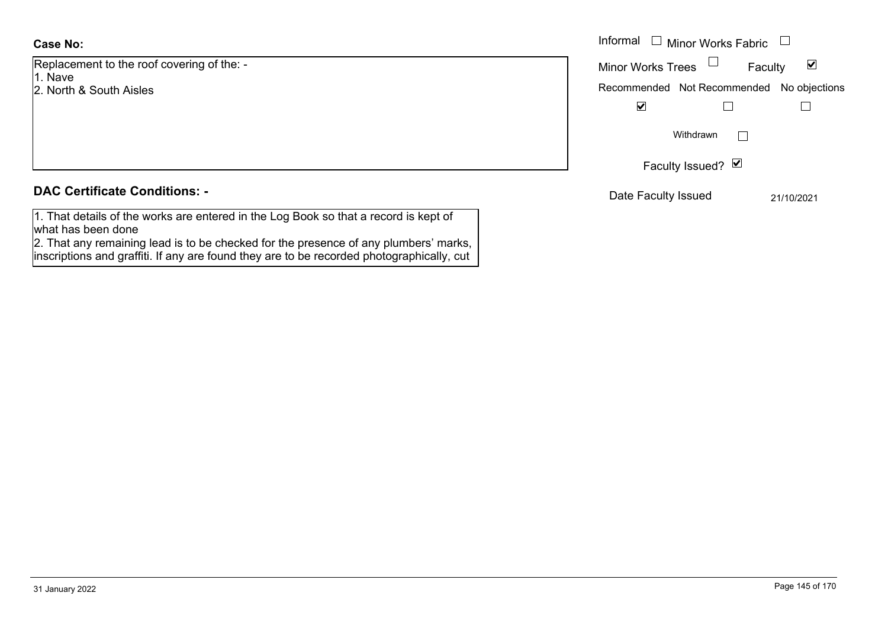## **Case No:**

Replacement to the roof covering of the: - 1. Nave

2. North & South Aisles

### **DAC Certificate Conditions: -**

1. That details of the works are entered in the Log Book so that a record is kept of what has been done

2. That any remaining lead is to be checked for the presence of any plumbers' marks, inscriptions and graffiti. If any are found they are to be recorded photographically, cut

|                                     | Informal<br>Minor Works Fabric $\Box$<br>$\Box$             |
|-------------------------------------|-------------------------------------------------------------|
| nent to the roof covering of the: - | Minor Works Trees $\Box$<br>Faculty<br>$\blacktriangledown$ |
| & South Aisles                      | Recommended Not Recommended No objections                   |
|                                     | $\blacktriangledown$                                        |
|                                     | Withdrawn                                                   |
|                                     | Faculty Issued? Ø                                           |
| rtificate Conditions: -             | Date Faculty Issued<br>21/10/2021                           |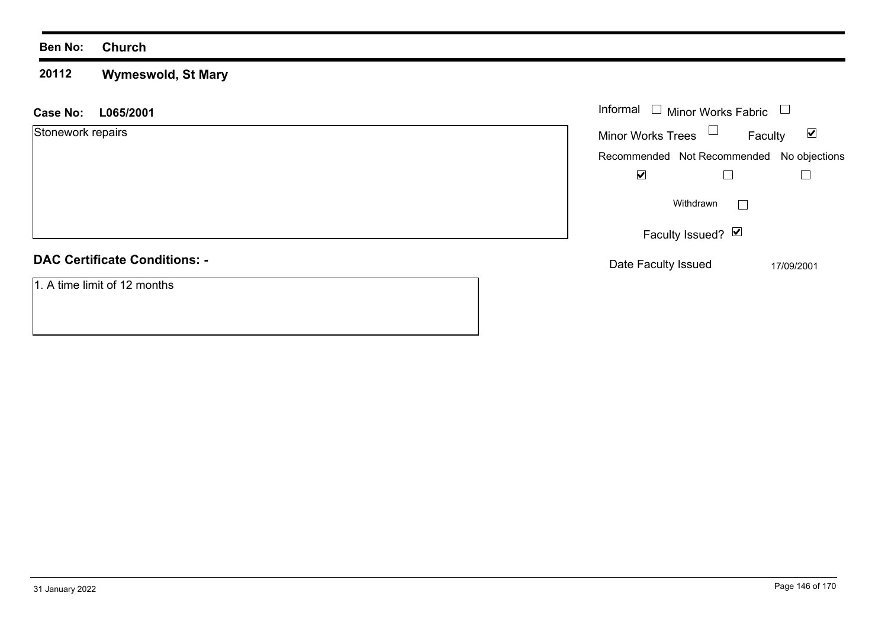### **Ben No: Church**

### **20112 Wymeswold, St Mary**

| L065/2001<br><b>Case No:</b>         | Informal $\Box$ Minor Works Fabric                          |
|--------------------------------------|-------------------------------------------------------------|
| Stonework repairs                    | Minor Works Trees $\Box$<br>$\blacktriangledown$<br>Faculty |
|                                      | Recommended Not Recommended No objections                   |
|                                      | $\blacktriangledown$                                        |
|                                      | Withdrawn                                                   |
|                                      | Faculty Issued? $\vee$                                      |
| <b>DAC Certificate Conditions: -</b> | Date Faculty Issued<br>17/09/2001                           |
| 1. A time limit of 12 months         |                                                             |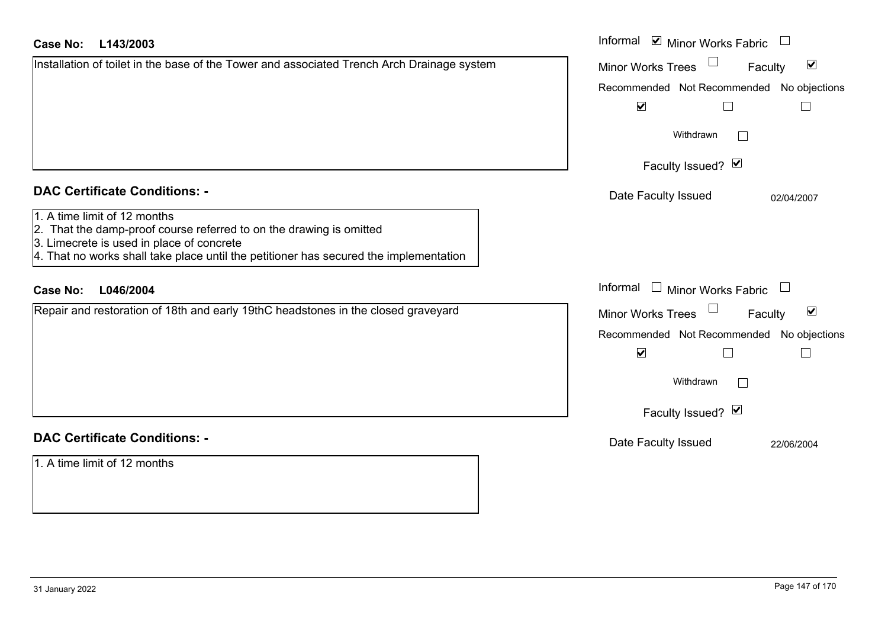| Case No: | L143/2003 |
|----------|-----------|
|----------|-----------|

| <b>Case No:</b><br>L143/2003                                                                                                                                                                                                              | Informal ⊠ Minor Works Fabric                               |
|-------------------------------------------------------------------------------------------------------------------------------------------------------------------------------------------------------------------------------------------|-------------------------------------------------------------|
| Installation of toilet in the base of the Tower and associated Trench Arch Drainage system                                                                                                                                                | $\blacktriangledown$<br><b>Minor Works Trees</b><br>Faculty |
|                                                                                                                                                                                                                                           | Recommended Not Recommended<br>No objections                |
|                                                                                                                                                                                                                                           | $\blacktriangledown$<br>$\Box$                              |
|                                                                                                                                                                                                                                           | Withdrawn<br>$\overline{\phantom{a}}$                       |
|                                                                                                                                                                                                                                           | Faculty Issued? Ø                                           |
| <b>DAC Certificate Conditions: -</b>                                                                                                                                                                                                      | Date Faculty Issued<br>02/04/2007                           |
| 1. A time limit of 12 months<br>2. That the damp-proof course referred to on the drawing is omitted<br>3. Limecrete is used in place of concrete<br>4. That no works shall take place until the petitioner has secured the implementation |                                                             |
| L046/2004<br><b>Case No:</b>                                                                                                                                                                                                              | Informal<br>Minor Works Fabric                              |
| Repair and restoration of 18th and early 19thC headstones in the closed graveyard                                                                                                                                                         | $\blacktriangledown$<br>Minor Works Trees<br>Faculty        |
|                                                                                                                                                                                                                                           | No objections<br>Recommended Not Recommended                |
|                                                                                                                                                                                                                                           | $\blacktriangledown$                                        |
|                                                                                                                                                                                                                                           | Withdrawn                                                   |
|                                                                                                                                                                                                                                           | Faculty Issued? Ø                                           |
| <b>DAC Certificate Conditions: -</b>                                                                                                                                                                                                      | Date Faculty Issued<br>22/06/2004                           |
| 1. A time limit of 12 months                                                                                                                                                                                                              |                                                             |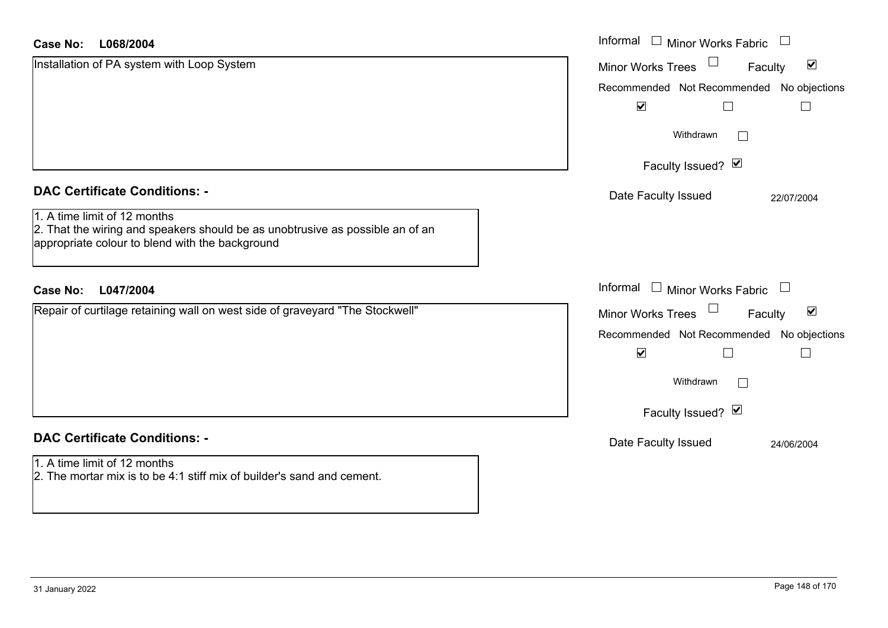| <b>Case No:</b><br>L068/2004                                                                                                                                     | Informal<br>Minor Works Fabric                       |
|------------------------------------------------------------------------------------------------------------------------------------------------------------------|------------------------------------------------------|
| Installation of PA system with Loop System                                                                                                                       | $\blacktriangledown$<br>Minor Works Trees<br>Faculty |
|                                                                                                                                                                  | Recommended Not Recommended No objections            |
|                                                                                                                                                                  | $\blacktriangledown$                                 |
|                                                                                                                                                                  | Withdrawn<br>$\mathbf{L}$                            |
|                                                                                                                                                                  | Faculty Issued? Ø                                    |
| <b>DAC Certificate Conditions: -</b>                                                                                                                             | Date Faculty Issued<br>22/07/2004                    |
| 1. A time limit of 12 months<br>2. That the wiring and speakers should be as unobtrusive as possible an of an<br>appropriate colour to blend with the background |                                                      |
| L047/2004<br><b>Case No:</b>                                                                                                                                     | Informal<br>$\Box$ Minor Works Fabric                |
| Repair of curtilage retaining wall on west side of graveyard "The Stockwell"                                                                                     | $\blacktriangledown$<br>Minor Works Trees<br>Faculty |
|                                                                                                                                                                  | Recommended Not Recommended No objections            |
|                                                                                                                                                                  | $\blacktriangledown$<br>$\sim$                       |
|                                                                                                                                                                  | Withdrawn<br>$\mathbf{L}$                            |
|                                                                                                                                                                  | Faculty Issued? Ø                                    |
| <b>DAC Certificate Conditions: -</b>                                                                                                                             | Date Faculty Issued<br>24/06/2004                    |
| 1. A time limit of 12 months<br>2. The mortar mix is to be 4:1 stiff mix of builder's sand and cement.                                                           |                                                      |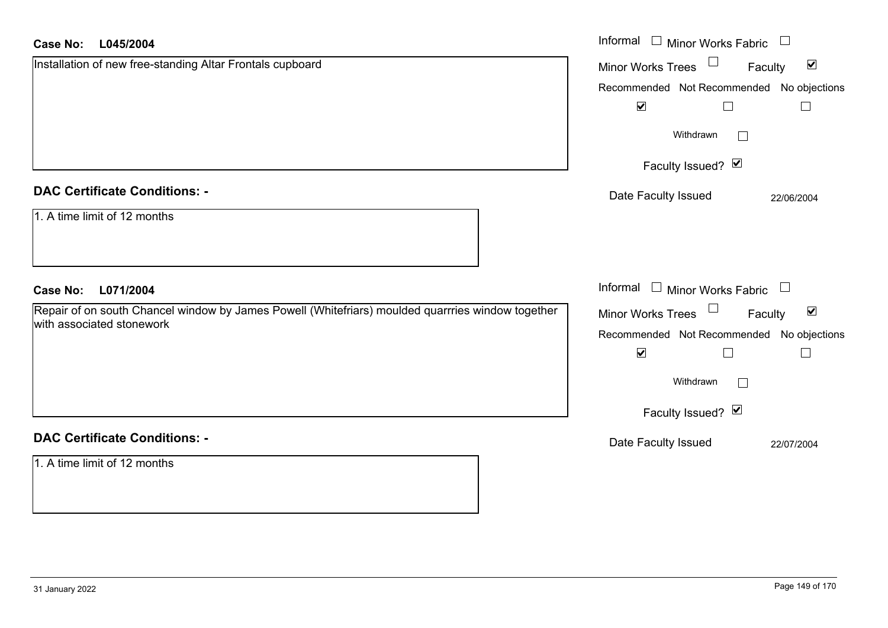| <b>Case No:</b><br>L045/2004                                                                      | Informal $\square$<br><b>Minor Works Fabric</b>      |
|---------------------------------------------------------------------------------------------------|------------------------------------------------------|
| Installation of new free-standing Altar Frontals cupboard                                         | $\blacktriangledown$<br>Minor Works Trees<br>Faculty |
|                                                                                                   | Recommended Not Recommended No objections            |
|                                                                                                   | $\blacktriangledown$<br>$\Box$<br>$\sqcup$           |
|                                                                                                   | Withdrawn                                            |
|                                                                                                   | Faculty Issued? Ø                                    |
| <b>DAC Certificate Conditions: -</b>                                                              | Date Faculty Issued<br>22/06/2004                    |
| 1. A time limit of 12 months                                                                      |                                                      |
| <b>Case No:</b><br>L071/2004                                                                      | Informal □ Minor Works Fabric                        |
| Repair of on south Chancel window by James Powell (Whitefriars) moulded quarrries window together |                                                      |
|                                                                                                   | Minor Works Trees<br>$\blacktriangledown$<br>Faculty |
| with associated stonework                                                                         | Recommended Not Recommended No objections            |
|                                                                                                   | $\blacktriangledown$<br>$\Box$                       |
|                                                                                                   | Withdrawn                                            |
|                                                                                                   | Faculty Issued? Ø                                    |
| <b>DAC Certificate Conditions: -</b>                                                              | Date Faculty Issued<br>22/07/2004                    |
| 1. A time limit of 12 months                                                                      |                                                      |
|                                                                                                   |                                                      |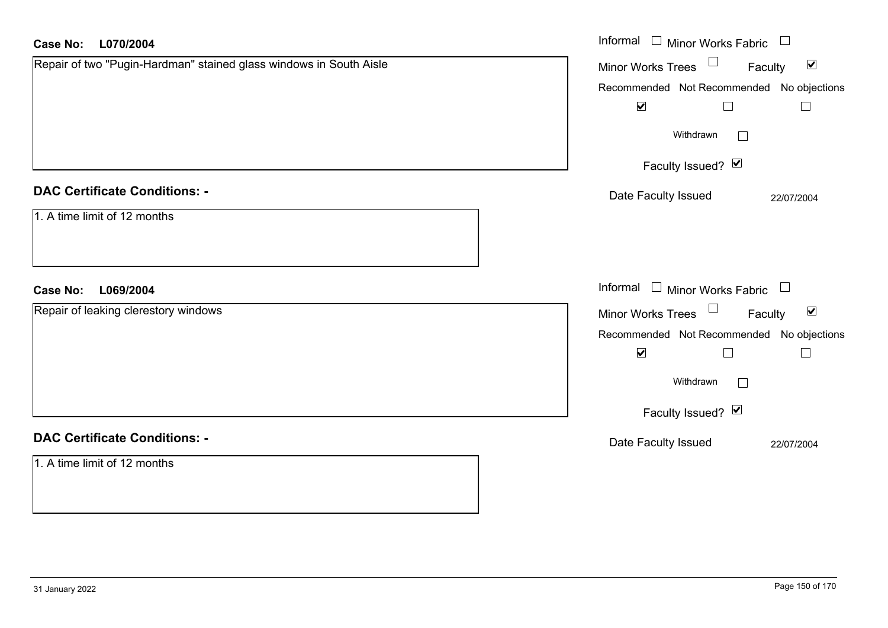| <b>Case No:</b><br>L070/2004                                       | Informal □ Minor Works Fabric □                                   |
|--------------------------------------------------------------------|-------------------------------------------------------------------|
| Repair of two "Pugin-Hardman" stained glass windows in South Aisle | Minor Works Trees <sup>1</sup><br>$\blacktriangledown$<br>Faculty |
|                                                                    | Recommended Not Recommended No objections                         |
|                                                                    | $\blacktriangledown$<br>$\Box$<br>$\Box$                          |
|                                                                    | Withdrawn<br>$\mathbb{R}^n$                                       |
|                                                                    | Faculty Issued? Ø                                                 |
| <b>DAC Certificate Conditions: -</b>                               | Date Faculty Issued<br>22/07/2004                                 |
| 1. A time limit of 12 months                                       |                                                                   |
| L069/2004<br><b>Case No:</b>                                       | Informal $\Box$ Minor Works Fabric $\Box$                         |
| Repair of leaking clerestory windows                               | Minor Works Trees $\Box$<br>$\blacktriangledown$<br>Faculty       |
|                                                                    | Recommended Not Recommended No objections                         |
|                                                                    | $\blacktriangledown$<br>$\overline{\phantom{a}}$<br>$\Box$        |
|                                                                    | Withdrawn<br>$\mathbf{L}$                                         |
|                                                                    | Faculty Issued? Ø                                                 |
| <b>DAC Certificate Conditions: -</b>                               | Date Faculty Issued<br>22/07/2004                                 |
| 1. A time limit of 12 months                                       |                                                                   |
|                                                                    |                                                                   |
|                                                                    |                                                                   |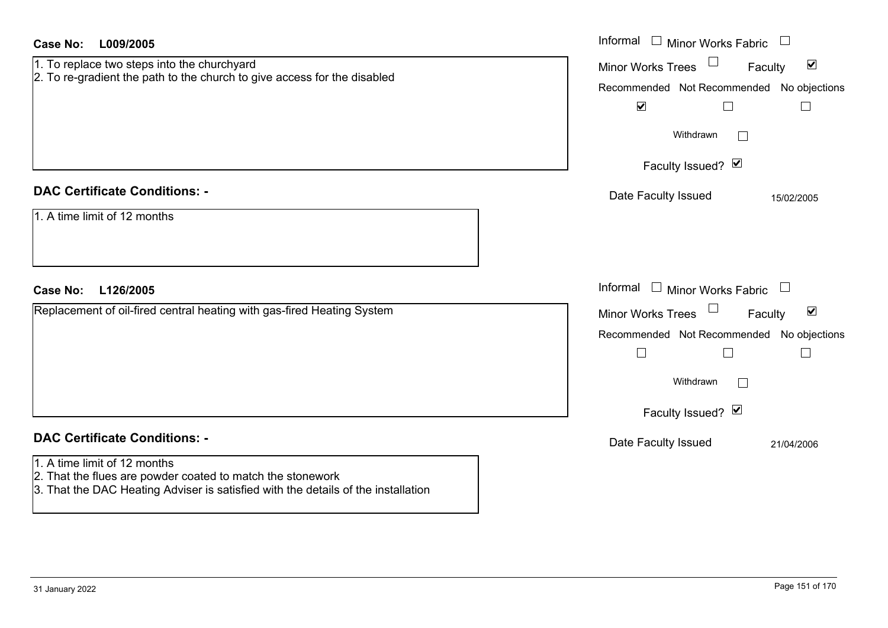| <b>Case No:</b><br>L009/2005                                                                                                                                                                                            | Informal $\Box$ Minor Works Fabric                                                                                                                                                      |
|-------------------------------------------------------------------------------------------------------------------------------------------------------------------------------------------------------------------------|-----------------------------------------------------------------------------------------------------------------------------------------------------------------------------------------|
| 1. To replace two steps into the churchyard<br>2. To re-gradient the path to the church to give access for the disabled                                                                                                 | $\blacktriangledown$<br><b>Minor Works Trees</b><br>Faculty<br>Recommended Not Recommended No objections<br>$\blacktriangledown$<br>⊔<br>$\mathbf{L}$<br>Withdrawn<br>Faculty Issued? Ø |
| <b>DAC Certificate Conditions: -</b><br>1. A time limit of 12 months                                                                                                                                                    | Date Faculty Issued<br>15/02/2005                                                                                                                                                       |
| <b>Case No:</b><br>L126/2005                                                                                                                                                                                            | Informal $\Box$ Minor Works Fabric $\Box$                                                                                                                                               |
| Replacement of oil-fired central heating with gas-fired Heating System                                                                                                                                                  | $\blacktriangledown$<br>$\Box$<br>Minor Works Trees<br>Faculty<br>Recommended Not Recommended<br>No objections<br>$\perp$<br>H<br>Withdrawn<br>$\Box$<br>Faculty Issued? Ø              |
| <b>DAC Certificate Conditions: -</b><br>1. A time limit of 12 months<br>2. That the flues are powder coated to match the stonework<br>3. That the DAC Heating Adviser is satisfied with the details of the installation | Date Faculty Issued<br>21/04/2006                                                                                                                                                       |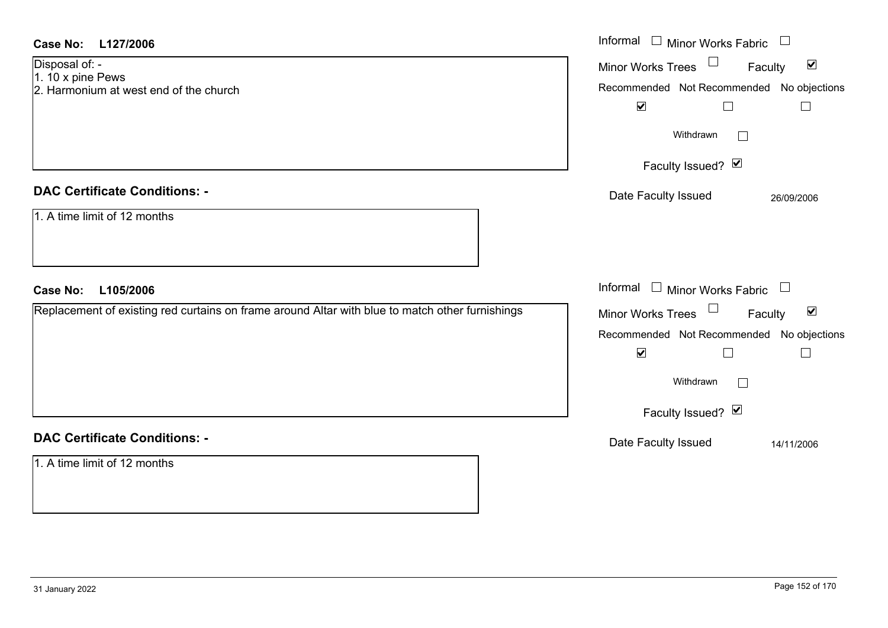| <b>Case No:</b><br>L127/2006                                                                    | Informal<br>$\Box$ Minor Works Fabric $\Box$         |
|-------------------------------------------------------------------------------------------------|------------------------------------------------------|
| Disposal of: -                                                                                  | Minor Works Trees<br>$\blacktriangledown$<br>Faculty |
| 1. 10 x pine Pews<br>2. Harmonium at west end of the church                                     | Recommended Not Recommended No objections            |
|                                                                                                 | $\blacktriangledown$<br>$\Box$<br>$\Box$             |
|                                                                                                 |                                                      |
|                                                                                                 | Withdrawn<br>$\vert \ \ \vert$                       |
|                                                                                                 |                                                      |
|                                                                                                 | Faculty Issued? Ø                                    |
| <b>DAC Certificate Conditions: -</b>                                                            |                                                      |
|                                                                                                 | Date Faculty Issued<br>26/09/2006                    |
| 1. A time limit of 12 months                                                                    |                                                      |
|                                                                                                 |                                                      |
|                                                                                                 |                                                      |
|                                                                                                 |                                                      |
|                                                                                                 |                                                      |
| <b>Case No:</b><br>L105/2006                                                                    | Informal $\Box$ Minor Works Fabric $\Box$            |
| Replacement of existing red curtains on frame around Altar with blue to match other furnishings | $\blacktriangledown$<br>Faculty                      |
|                                                                                                 | Minor Works Trees $\Box$                             |
|                                                                                                 | Recommended Not Recommended No objections            |
|                                                                                                 | $\blacktriangledown$<br>$\Box$<br>$\Box$             |
|                                                                                                 | Withdrawn                                            |
|                                                                                                 |                                                      |
|                                                                                                 | Faculty Issued? Ø                                    |
| <b>DAC Certificate Conditions: -</b>                                                            | Date Faculty Issued<br>14/11/2006                    |
| 1. A time limit of 12 months                                                                    |                                                      |
|                                                                                                 |                                                      |
|                                                                                                 |                                                      |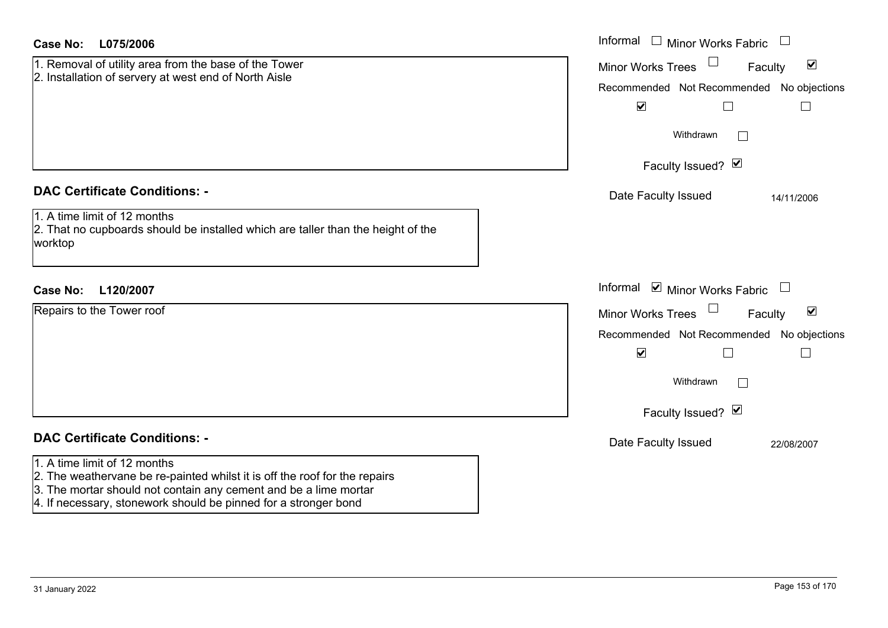| <b>Case No:</b><br>L075/2006                                                                                                                                                   | Informal<br>$\Box$ Minor Works Fabric                                                                                                                                                                    |
|--------------------------------------------------------------------------------------------------------------------------------------------------------------------------------|----------------------------------------------------------------------------------------------------------------------------------------------------------------------------------------------------------|
| 1. Removal of utility area from the base of the Tower<br>2. Installation of servery at west end of North Aisle                                                                 | $\blacktriangledown$<br><b>Minor Works Trees</b><br>Faculty<br>Recommended Not Recommended No objections<br>$\blacktriangledown$<br>$\Box$<br>$\Box$<br>Withdrawn<br>$\mathbb{R}^n$<br>Faculty Issued? Ø |
| <b>DAC Certificate Conditions: -</b><br>1. A time limit of 12 months<br>2. That no cupboards should be installed which are taller than the height of the<br>worktop            | Date Faculty Issued<br>14/11/2006                                                                                                                                                                        |
| L120/2007<br><b>Case No:</b>                                                                                                                                                   | Informal <b>v</b> Minor Works Fabric                                                                                                                                                                     |
| Repairs to the Tower roof                                                                                                                                                      | $\blacktriangledown$<br><b>Minor Works Trees</b><br>Faculty<br>Recommended Not Recommended No objections<br>$\blacktriangledown$<br>$\Box$<br>$\Box$<br>Withdrawn<br>$\Box$<br>Faculty Issued? Ø         |
| <b>DAC Certificate Conditions: -</b>                                                                                                                                           | Date Faculty Issued<br>22/08/2007                                                                                                                                                                        |
| 1. A time limit of 12 months<br>2. The weathervane be re-painted whilst it is off the roof for the repairs<br>3. The mortar should not contain any cement and be a lime mortar |                                                                                                                                                                                                          |

4. If necessary, stonework should be pinned for a stronger bond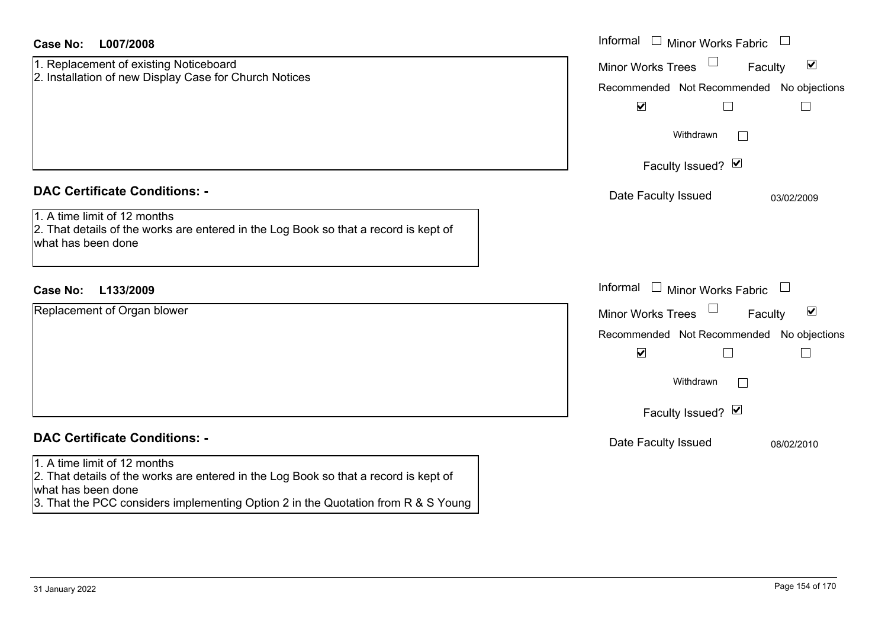| Case No:<br>L007/2008                                                                                                                                                                                                           | Informal $\Box$ Minor Works Fabric                                                                                                                                                 |
|---------------------------------------------------------------------------------------------------------------------------------------------------------------------------------------------------------------------------------|------------------------------------------------------------------------------------------------------------------------------------------------------------------------------------|
| 1. Replacement of existing Noticeboard<br>2. Installation of new Display Case for Church Notices                                                                                                                                | $\blacktriangledown$<br><b>Minor Works Trees</b><br>Faculty<br>Recommended Not Recommended No objections                                                                           |
|                                                                                                                                                                                                                                 | $\blacktriangledown$<br>Withdrawn<br>$\mathbb{R}^n$<br>Faculty Issued? Ø                                                                                                           |
| <b>DAC Certificate Conditions: -</b><br>1. A time limit of 12 months<br>2. That details of the works are entered in the Log Book so that a record is kept of<br>what has been done                                              | Date Faculty Issued<br>03/02/2009                                                                                                                                                  |
| <b>Case No:</b><br>L133/2009                                                                                                                                                                                                    | Informal<br>$\Box$ Minor Works Fabric                                                                                                                                              |
| Replacement of Organ blower                                                                                                                                                                                                     | $\blacktriangledown$<br><b>Minor Works Trees</b><br>Faculty<br>Recommended Not Recommended No objections<br>$\blacktriangledown$<br>Withdrawn<br>$\mathbf{L}$<br>Faculty Issued? Ø |
| <b>DAC Certificate Conditions: -</b>                                                                                                                                                                                            | Date Faculty Issued<br>08/02/2010                                                                                                                                                  |
| 1. A time limit of 12 months<br>2. That details of the works are entered in the Log Book so that a record is kept of<br>what has been done<br>3. That the PCC considers implementing Option 2 in the Quotation from R & S Young |                                                                                                                                                                                    |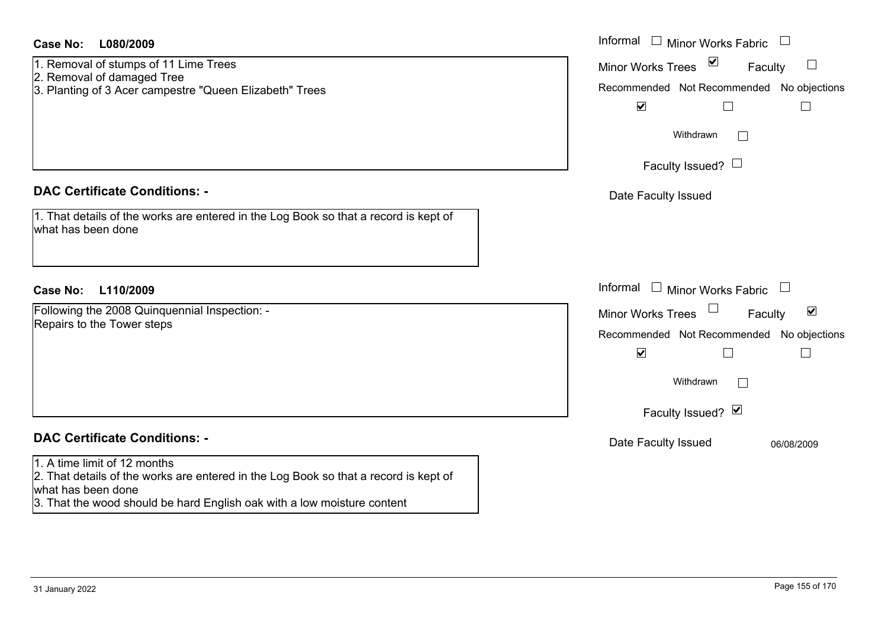| <b>Case No:</b><br>L080/2009                                                                               | Informal $\Box$ Minor Works Fabric $\Box$                             |
|------------------------------------------------------------------------------------------------------------|-----------------------------------------------------------------------|
| 1. Removal of stumps of 11 Lime Trees                                                                      | $\blacktriangledown$<br><b>Minor Works Trees</b><br>$\Box$<br>Faculty |
| 2. Removal of damaged Tree<br>3. Planting of 3 Acer campestre "Queen Elizabeth" Trees                      | Recommended Not Recommended No objections                             |
|                                                                                                            | $\blacktriangledown$<br>$\Box$<br>Ш                                   |
|                                                                                                            |                                                                       |
|                                                                                                            | Withdrawn<br>$\mathbb{R}^n$                                           |
|                                                                                                            | Faculty Issued? $\Box$                                                |
|                                                                                                            |                                                                       |
| <b>DAC Certificate Conditions: -</b>                                                                       | Date Faculty Issued                                                   |
| 1. That details of the works are entered in the Log Book so that a record is kept of<br>what has been done |                                                                       |
|                                                                                                            |                                                                       |
| <b>Case No:</b><br>L110/2009                                                                               | Informal $\Box$ Minor Works Fabric $\Box$                             |
| Following the 2008 Quinquennial Inspection: -                                                              | Minor Works Trees<br>$\blacktriangledown$<br>Faculty                  |
| Repairs to the Tower steps                                                                                 | Recommended Not Recommended No objections                             |
|                                                                                                            | $\blacktriangledown$<br>$\Box$<br>$\Box$                              |
|                                                                                                            | Withdrawn<br>$\sim$                                                   |
|                                                                                                            | Faculty Issued? Ø                                                     |
| <b>DAC Certificate Conditions: -</b>                                                                       | Date Faculty Issued<br>06/08/2009                                     |
| 1. A time limit of 12 months                                                                               |                                                                       |
| 2. That details of the works are entered in the Log Book so that a record is kept of<br>what has been done |                                                                       |
| 3. That the wood should be hard English oak with a low moisture content                                    |                                                                       |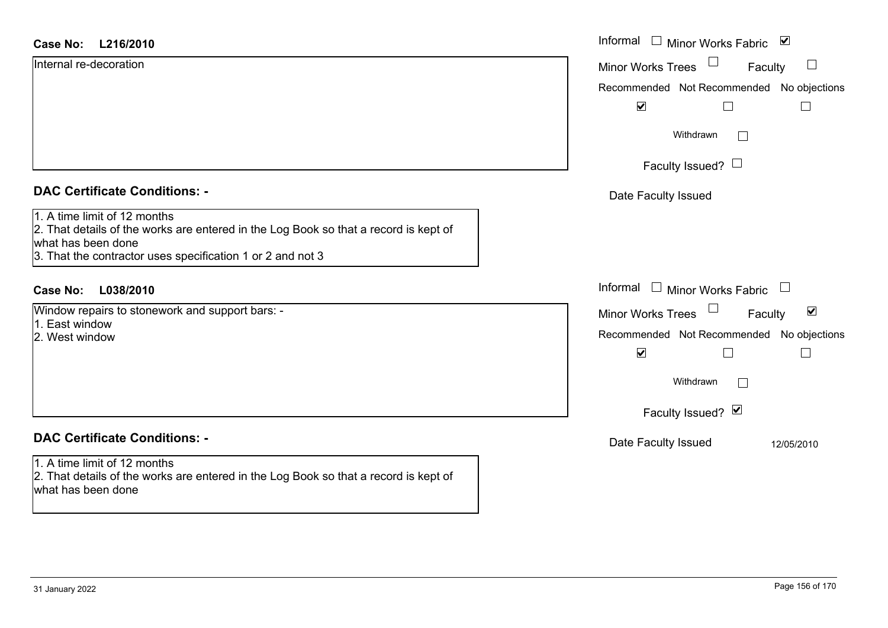| <b>Case No:</b><br>L216/2010                                                                                                                                                                             | Informal<br>$\begin{array}{c} \hline \end{array}$<br>Minor Works Fabric ⊠ |
|----------------------------------------------------------------------------------------------------------------------------------------------------------------------------------------------------------|---------------------------------------------------------------------------|
| Internal re-decoration                                                                                                                                                                                   | $\Box$<br>Minor Works Trees<br>Faculty                                    |
|                                                                                                                                                                                                          | Recommended Not Recommended No objections                                 |
|                                                                                                                                                                                                          | $\blacktriangledown$                                                      |
|                                                                                                                                                                                                          | Withdrawn<br>$\Box$                                                       |
|                                                                                                                                                                                                          | Faculty Issued? $\Box$                                                    |
| <b>DAC Certificate Conditions: -</b>                                                                                                                                                                     | Date Faculty Issued                                                       |
| 1. A time limit of 12 months<br>2. That details of the works are entered in the Log Book so that a record is kept of<br>what has been done<br>3. That the contractor uses specification 1 or 2 and not 3 |                                                                           |
| <b>Case No:</b><br>L038/2010                                                                                                                                                                             | Informal $\Box$ Minor Works Fabric $\Box$                                 |
| Window repairs to stonework and support bars: -                                                                                                                                                          | $\blacktriangledown$<br>Minor Works Trees<br>Faculty                      |
| 1. East window<br>2. West window                                                                                                                                                                         | Recommended Not Recommended No objections                                 |
|                                                                                                                                                                                                          | $\blacktriangledown$<br>$\Box$                                            |
|                                                                                                                                                                                                          | Withdrawn<br>$\sqrt{2}$                                                   |
|                                                                                                                                                                                                          | Faculty Issued? $\blacksquare$                                            |
| <b>DAC Certificate Conditions: -</b>                                                                                                                                                                     | Date Faculty Issued<br>12/05/2010                                         |
| 1. A time limit of 12 months<br>2. That details of the works are entered in the Log Book so that a record is kept of<br>what has been done                                                               |                                                                           |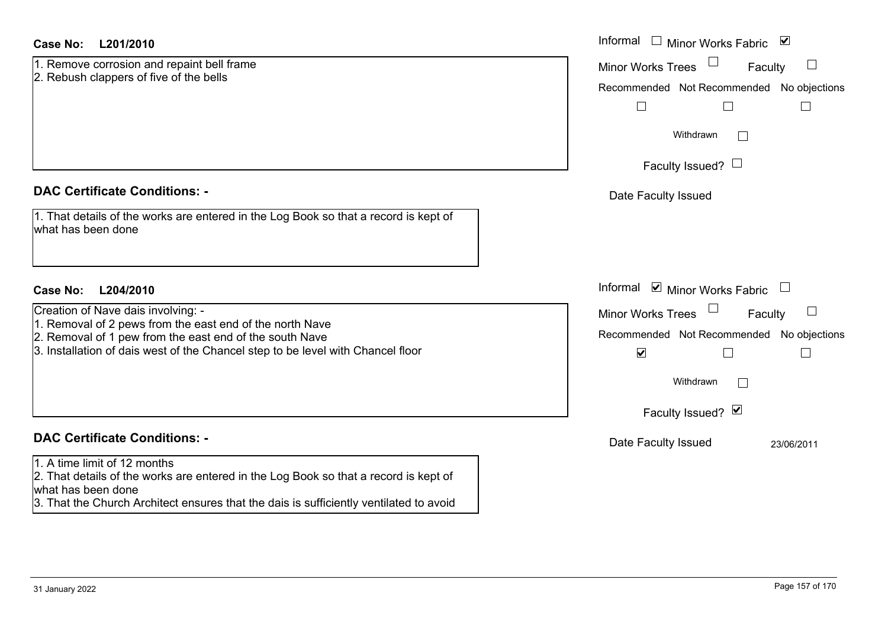| <b>Case No:</b><br>L201/2010                                                                                                               | Informal<br>$\mathcal{L}_{\mathcal{A}}$<br>$\blacktriangledown$<br><b>Minor Works Fabric</b>          |
|--------------------------------------------------------------------------------------------------------------------------------------------|-------------------------------------------------------------------------------------------------------|
| 1. Remove corrosion and repaint bell frame<br>2. Rebush clappers of five of the bells                                                      | <b>Minor Works Trees</b><br>$\Box$<br>Faculty<br>Recommended Not Recommended No objections<br>$\perp$ |
|                                                                                                                                            | Withdrawn<br>$\Box$<br>Faculty Issued? $\Box$                                                         |
| <b>DAC Certificate Conditions: -</b>                                                                                                       | Date Faculty Issued                                                                                   |
| 1. That details of the works are entered in the Log Book so that a record is kept of<br>what has been done                                 |                                                                                                       |
| <b>Case No:</b><br>L204/2010                                                                                                               | Informal $\blacksquare$ Minor Works Fabric                                                            |
| Creation of Nave dais involving: -<br>1. Removal of 2 pews from the east end of the north Nave                                             | <b>Minor Works Trees</b><br>$\Box$<br>Faculty                                                         |
| 2. Removal of 1 pew from the east end of the south Nave                                                                                    | Recommended Not Recommended No objections                                                             |
| 3. Installation of dais west of the Chancel step to be level with Chancel floor                                                            | $\blacktriangledown$<br>L<br>$\mathbf{I}$                                                             |
|                                                                                                                                            | Withdrawn<br>$\Box$                                                                                   |
|                                                                                                                                            | Faculty Issued? Ø                                                                                     |
| <b>DAC Certificate Conditions: -</b>                                                                                                       | Date Faculty Issued<br>23/06/2011                                                                     |
| 1. A time limit of 12 months<br>2. That details of the works are entered in the Log Book so that a record is kept of<br>what has been done |                                                                                                       |
| 3. That the Church Architect ensures that the dais is sufficiently ventilated to avoid                                                     |                                                                                                       |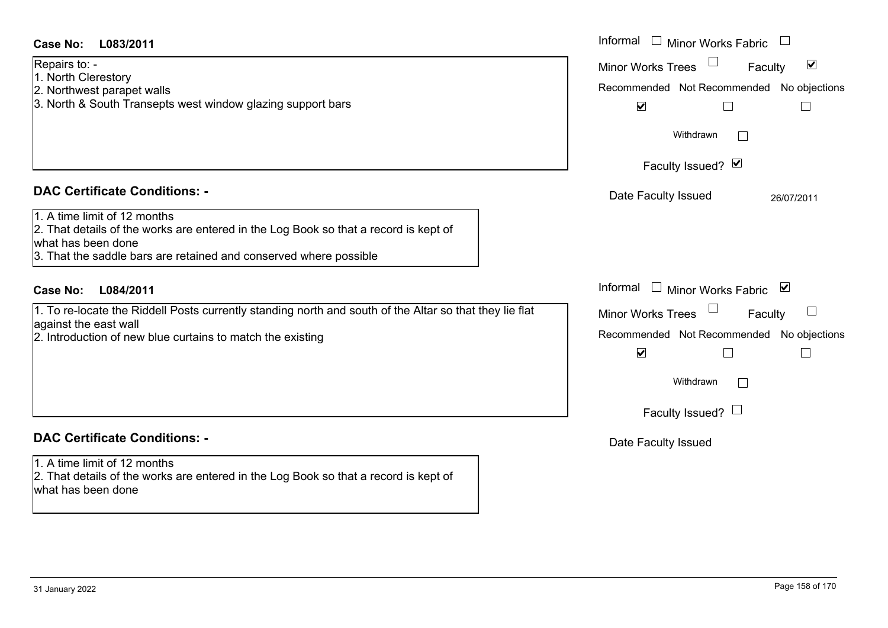| <b>Case No:</b><br>L083/2011                                                                                                                                                                                    | Informal $\Box$ Minor Works Fabric $\Box$                                                                                                     |
|-----------------------------------------------------------------------------------------------------------------------------------------------------------------------------------------------------------------|-----------------------------------------------------------------------------------------------------------------------------------------------|
| Repairs to: -<br>1. North Clerestory<br>2. Northwest parapet walls<br>3. North & South Transepts west window glazing support bars                                                                               | $\blacktriangledown$<br><b>Minor Works Trees</b><br>Faculty<br>Recommended Not Recommended No objections<br>$\blacktriangledown$<br>Withdrawn |
|                                                                                                                                                                                                                 | Faculty Issued? Ø                                                                                                                             |
| <b>DAC Certificate Conditions: -</b>                                                                                                                                                                            | Date Faculty Issued<br>26/07/2011                                                                                                             |
| 1. A time limit of 12 months<br>2. That details of the works are entered in the Log Book so that a record is kept of<br>what has been done<br>3. That the saddle bars are retained and conserved where possible |                                                                                                                                               |
| <b>Case No:</b><br>L084/2011                                                                                                                                                                                    | Informal<br>□ Minor Works Fabric $\vert \mathbf{v} \vert$                                                                                     |
| 1. To re-locate the Riddell Posts currently standing north and south of the Altar so that they lie flat                                                                                                         | $\Box$<br>Minor Works Trees<br>Faculty                                                                                                        |
| against the east wall<br>2. Introduction of new blue curtains to match the existing                                                                                                                             | Recommended Not Recommended No objections                                                                                                     |
|                                                                                                                                                                                                                 | $\blacktriangledown$                                                                                                                          |
|                                                                                                                                                                                                                 | Withdrawn<br>$\Box$                                                                                                                           |
|                                                                                                                                                                                                                 | Faculty Issued? $\Box$                                                                                                                        |
| <b>DAC Certificate Conditions: -</b>                                                                                                                                                                            | Date Faculty Issued                                                                                                                           |
| 1. A time limit of 12 months<br>2. That details of the works are entered in the Log Book so that a record is kept of<br>what has been done                                                                      |                                                                                                                                               |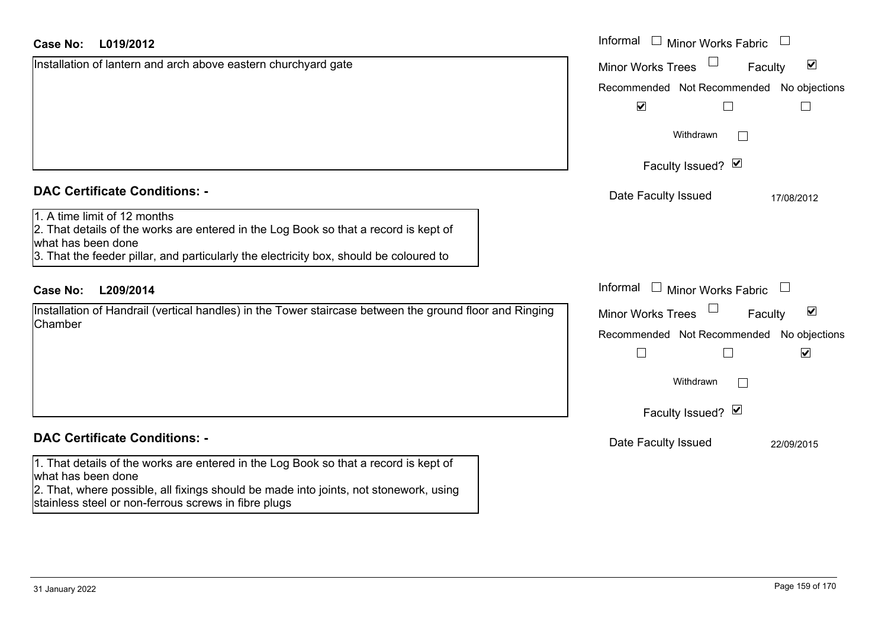| <b>Case No:</b><br>L019/2012                                                                                                                                                                                                                                | Informal $\Box$ Minor Works Fabric $\Box$                                                                |
|-------------------------------------------------------------------------------------------------------------------------------------------------------------------------------------------------------------------------------------------------------------|----------------------------------------------------------------------------------------------------------|
| Installation of lantern and arch above eastern churchyard gate                                                                                                                                                                                              | $\blacktriangledown$<br>Minor Works Trees<br>Faculty                                                     |
|                                                                                                                                                                                                                                                             | Recommended Not Recommended No objections                                                                |
|                                                                                                                                                                                                                                                             | $\blacktriangledown$<br>$\Box$                                                                           |
|                                                                                                                                                                                                                                                             | Withdrawn<br>$\mathbf{I}$                                                                                |
|                                                                                                                                                                                                                                                             | Faculty Issued? Ø                                                                                        |
| <b>DAC Certificate Conditions: -</b>                                                                                                                                                                                                                        | Date Faculty Issued<br>17/08/2012                                                                        |
| 1. A time limit of 12 months<br>2. That details of the works are entered in the Log Book so that a record is kept of<br>what has been done<br>3. That the feeder pillar, and particularly the electricity box, should be coloured to                        |                                                                                                          |
| L209/2014<br><b>Case No:</b>                                                                                                                                                                                                                                | Informal<br>$\Box$ Minor Works Fabric                                                                    |
| Installation of Handrail (vertical handles) in the Tower staircase between the ground floor and Ringing<br>Chamber                                                                                                                                          | $\blacktriangledown$<br><b>Minor Works Trees</b><br>Faculty<br>Recommended Not Recommended No objections |
|                                                                                                                                                                                                                                                             | $\blacktriangledown$<br>$\vert$ $\vert$<br>L                                                             |
|                                                                                                                                                                                                                                                             | Withdrawn                                                                                                |
|                                                                                                                                                                                                                                                             | Faculty Issued? Ø                                                                                        |
| <b>DAC Certificate Conditions: -</b>                                                                                                                                                                                                                        | Date Faculty Issued<br>22/09/2015                                                                        |
| 1. That details of the works are entered in the Log Book so that a record is kept of<br>what has been done<br>2. That, where possible, all fixings should be made into joints, not stonework, using<br>stainless steel or non-ferrous screws in fibre plugs |                                                                                                          |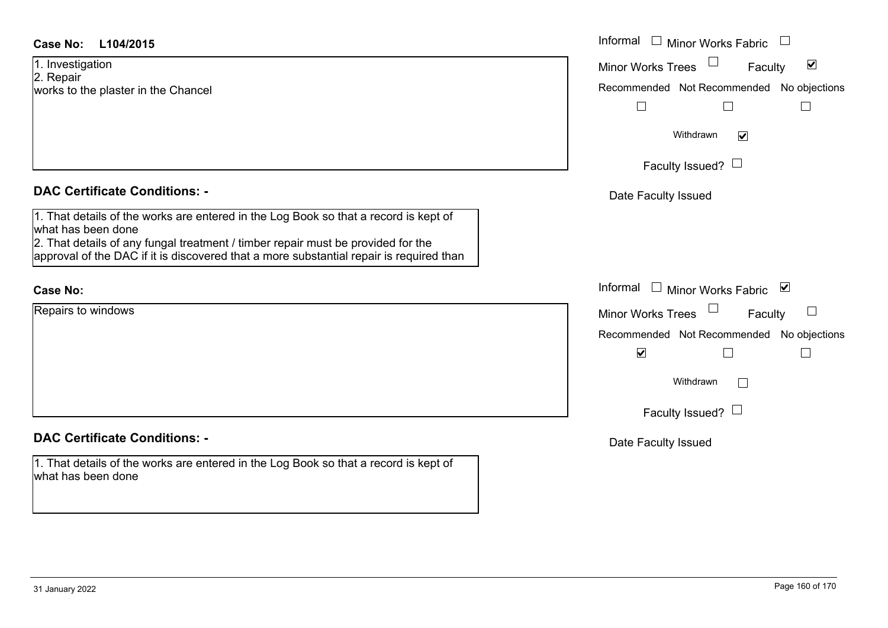1. Investigation 2. Repair works to the plaster in the Chancel

## **DAC Certificate Conditions: -**

1. That details of the works are entered in the Log Book so that a record is kept of what has been done

2. That details of any fungal treatment / timber repair must be provided for the approval of the DAC if it is discovered that a more substantial repair is required than

## **Case No:**

Repairs to windows

# **DAC Certificate Conditions: -**

1. That details of the works are entered in the Log Book so that a record is kept of what has been done

| L104/2015                                                                                                                                                                                                                                             | Informal $\square$<br><b>Minor Works Fabric</b>             |
|-------------------------------------------------------------------------------------------------------------------------------------------------------------------------------------------------------------------------------------------------------|-------------------------------------------------------------|
| gation                                                                                                                                                                                                                                                | $\blacktriangledown$<br><b>Minor Works Trees</b><br>Faculty |
| the plaster in the Chancel                                                                                                                                                                                                                            | Recommended Not Recommended No objections                   |
|                                                                                                                                                                                                                                                       |                                                             |
|                                                                                                                                                                                                                                                       | Withdrawn<br>$\blacktriangledown$                           |
|                                                                                                                                                                                                                                                       | Faculty Issued? $\Box$                                      |
| rtificate Conditions: -                                                                                                                                                                                                                               | Date Faculty Issued                                         |
| etails of the works are entered in the Log Book so that a record is kept of<br>been done<br>etails of any fungal treatment / timber repair must be provided for the<br>of the DAC if it is discovered that a more substantial repair is required than |                                                             |
|                                                                                                                                                                                                                                                       | Informal<br>□ Minor Works Fabric                            |
| o windows                                                                                                                                                                                                                                             | <b>Minor Works Trees</b><br>Faculty                         |
|                                                                                                                                                                                                                                                       | Recommended Not Recommended No objections                   |
|                                                                                                                                                                                                                                                       | $\blacktriangledown$                                        |
|                                                                                                                                                                                                                                                       | Withdrawn<br>$\vert \ \ \vert$                              |
|                                                                                                                                                                                                                                                       | Faculty Issued? $\Box$                                      |
| rtificate Conditions: -                                                                                                                                                                                                                               | Date Faculty Issued                                         |
|                                                                                                                                                                                                                                                       |                                                             |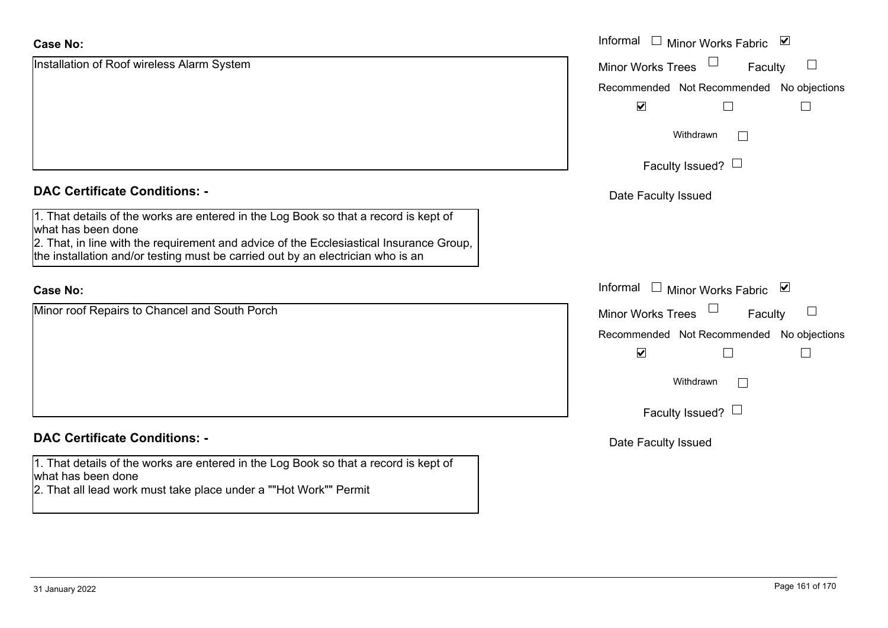| <b>Case No:</b>                                                                                                                                                                                                                                                                          | Informal □ Minor Works Fabric ☑           |
|------------------------------------------------------------------------------------------------------------------------------------------------------------------------------------------------------------------------------------------------------------------------------------------|-------------------------------------------|
| Installation of Roof wireless Alarm System                                                                                                                                                                                                                                               | <b>Minor Works Trees</b><br>Faculty       |
|                                                                                                                                                                                                                                                                                          | Recommended Not Recommended No objections |
|                                                                                                                                                                                                                                                                                          | $\blacktriangledown$<br>$\Box$            |
|                                                                                                                                                                                                                                                                                          | Withdrawn                                 |
|                                                                                                                                                                                                                                                                                          | Faculty Issued? $\Box$                    |
| <b>DAC Certificate Conditions: -</b>                                                                                                                                                                                                                                                     | Date Faculty Issued                       |
| 1. That details of the works are entered in the Log Book so that a record is kept of<br>what has been done<br>2. That, in line with the requirement and advice of the Ecclesiastical Insurance Group,<br>the installation and/or testing must be carried out by an electrician who is an |                                           |
| <b>Case No:</b>                                                                                                                                                                                                                                                                          | Informal $\Box$ Minor Works Fabric $\Box$ |
| Minor roof Repairs to Chancel and South Porch                                                                                                                                                                                                                                            | <b>Minor Works Trees</b><br>Faculty       |
|                                                                                                                                                                                                                                                                                          | Recommended Not Recommended No objections |
|                                                                                                                                                                                                                                                                                          | $\blacktriangledown$<br>$\Box$<br>$\Box$  |
|                                                                                                                                                                                                                                                                                          | Withdrawn                                 |
|                                                                                                                                                                                                                                                                                          | Faculty Issued? $\Box$                    |
| <b>DAC Certificate Conditions: -</b>                                                                                                                                                                                                                                                     | Date Faculty Issued                       |
| 1. That details of the works are entered in the Log Book so that a record is kept of<br>what has been done<br>2. That all lead work must take place under a ""Hot Work"" Permit                                                                                                          |                                           |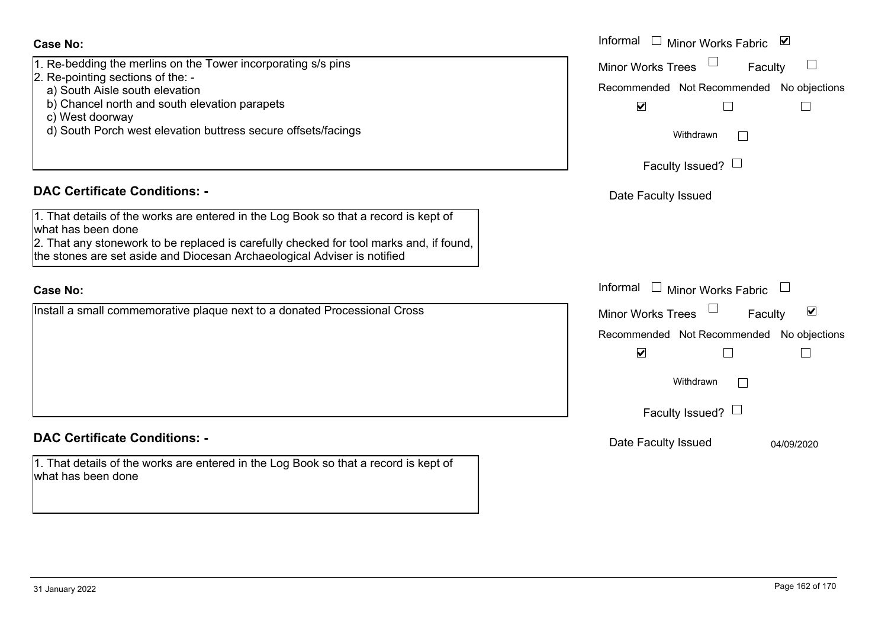- **Case No:**
- 1. Re-bedding the merlins on the Tower incorporating s/s pins
- 2. Re-pointing sections of the:
	- a) South Aisle south elevation
	- b) Chancel north and south elevation parapets
	- c) West doorway
	- d) South Porch west elevation buttress secure offsets/facings

## **DAC Certificate Conditions: -**

1. That details of the works are entered in the Log Book so that a record is kept of what has been done

2. That any stonework to be replaced is carefully checked for tool marks and, if found, the stones are set aside and Diocesan Archaeological Adviser is notified

### **Case No:**

Install a small commemorative plaque next to a donated Processional Cross

# **DAC Certificate Conditions: -**

1. That details of the works are entered in the Log Book so that a record is kept of what has been done

|                                                                                                                                                   | Informal<br>Minor Works Fabric<br>⊻                         |
|---------------------------------------------------------------------------------------------------------------------------------------------------|-------------------------------------------------------------|
| dding the merlins on the Tower incorporating s/s pins<br>inting sections of the: -                                                                | <b>Minor Works Trees</b><br>Faculty                         |
| th Aisle south elevation                                                                                                                          | Recommended Not Recommended No objections                   |
| ncel north and south elevation parapets                                                                                                           | $\blacktriangledown$                                        |
| st doorway                                                                                                                                        |                                                             |
| th Porch west elevation buttress secure offsets/facings                                                                                           | Withdrawn<br>$\vert \ \ \vert$                              |
|                                                                                                                                                   | Faculty Issued? $\Box$                                      |
| rtificate Conditions: -                                                                                                                           | Date Faculty Issued                                         |
| etails of the works are entered in the Log Book so that a record is kept of                                                                       |                                                             |
| been done                                                                                                                                         |                                                             |
| ny stonework to be replaced is carefully checked for tool marks and, if found,<br>s are set aside and Diocesan Archaeological Adviser is notified |                                                             |
|                                                                                                                                                   | Informal<br>Minor Works Fabric                              |
| small commemorative plaque next to a donated Processional Cross                                                                                   | $\blacktriangledown$<br><b>Minor Works Trees</b><br>Faculty |
|                                                                                                                                                   | Recommended Not Recommended No objections                   |
|                                                                                                                                                   | $\blacktriangledown$                                        |
|                                                                                                                                                   | Withdrawn                                                   |
|                                                                                                                                                   | Faculty Issued? $\Box$                                      |
| rtificate Conditions: -                                                                                                                           | Date Faculty Issued<br>04/09/2020                           |
| etails of the works are entered in the Log Book so that a record is kept of                                                                       |                                                             |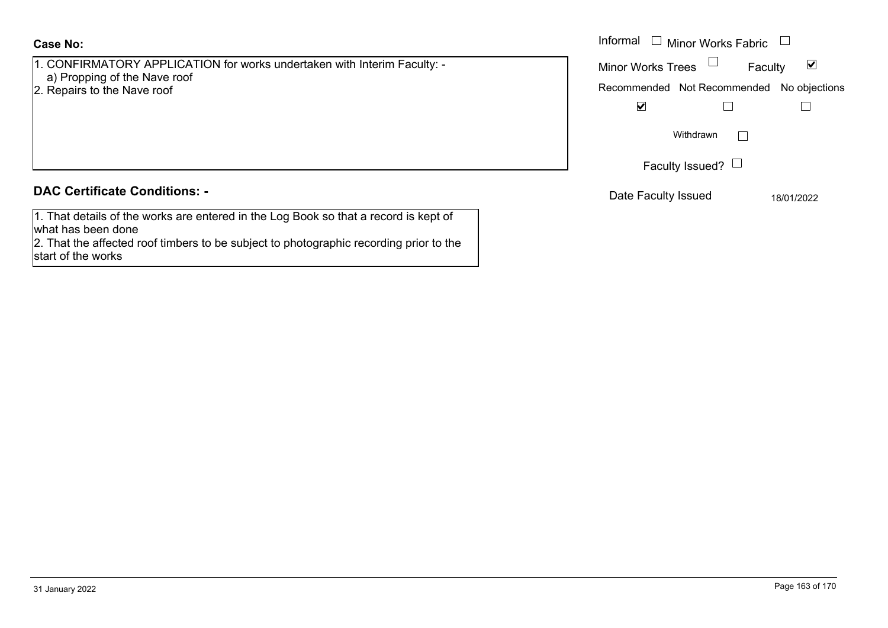## **Case No:**

- 1. CONFIRMATORY APPLICATION for works undertaken with Interim Faculty: -
- a) Propping of the Nave roof
- 2. Repairs to the Nave roof

# **DAC Certificate Conditions: -**

1. That details of the works are entered in the Log Book so that a record is kept of what has been done

2. That the affected roof timbers to be subject to photographic recording prior to the start of the works

|                                                                                                                   | Informal<br>Minor Works Fabric $\quad \Box$                                           |
|-------------------------------------------------------------------------------------------------------------------|---------------------------------------------------------------------------------------|
| IRMATORY APPLICATION for works undertaken with Interim Faculty: -<br>pping of the Nave roof<br>s to the Nave roof | <b>Minor Works Trees</b><br>M<br>Faculty<br>Recommended Not Recommended No objections |
|                                                                                                                   | $\blacktriangledown$                                                                  |
|                                                                                                                   | Withdrawn                                                                             |
|                                                                                                                   | Faculty Issued? $\Box$                                                                |
| rtificate Conditions: -                                                                                           | Date Faculty Issued<br>18/01/2022                                                     |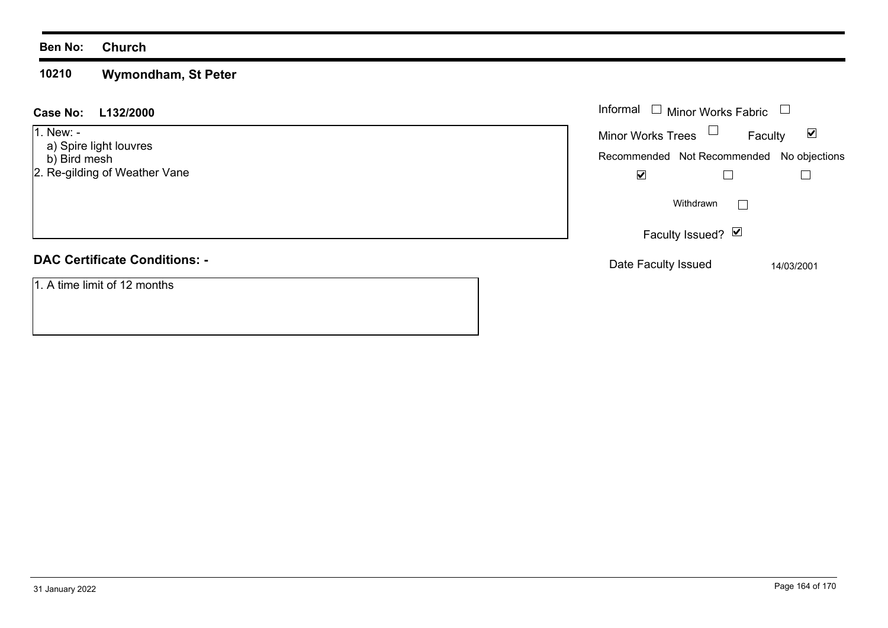### **Ben No: Church**

### **10210Wymondham, St Peter**

### **L132/2000 Case No:** Informal

1. New: -

- a) Spire light louvres
- b) Bird mesh
- 2. Re-gilding of Weather Vane

# **DAC Certificate Conditions: -**

1. A time limit of 12 months

| Informal<br>$\Box$ Minor Works Fabric |                                           |                   |         |            |  |
|---------------------------------------|-------------------------------------------|-------------------|---------|------------|--|
|                                       | <b>Minor Works Trees</b>                  |                   | Faculty | V          |  |
|                                       | Recommended Not Recommended No objections |                   |         |            |  |
|                                       |                                           |                   |         |            |  |
|                                       |                                           | Withdrawn         |         |            |  |
|                                       |                                           | Faculty Issued? Ø |         |            |  |
|                                       | Date Faculty Issued                       |                   |         | 14/03/2001 |  |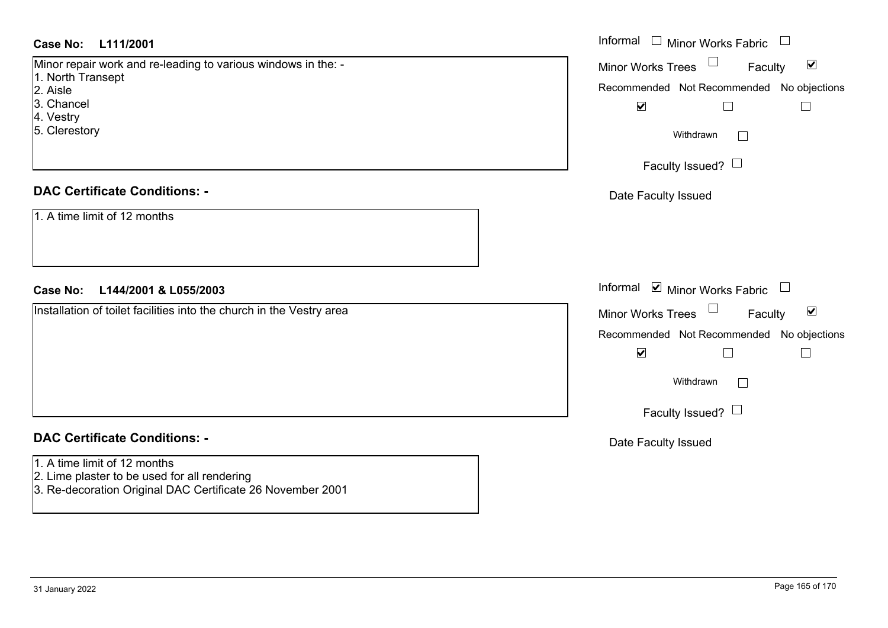| Case No:<br>L111/2001                                                                                      | Informal □ Minor Works Fabric                                         |
|------------------------------------------------------------------------------------------------------------|-----------------------------------------------------------------------|
| Minor repair work and re-leading to various windows in the: -                                              | $\Box$<br>$\blacktriangledown$<br><b>Minor Works Trees</b><br>Faculty |
| 1. North Transept<br>2. Aisle                                                                              | Recommended Not Recommended No objections                             |
| 3. Chancel                                                                                                 | $\blacktriangledown$<br>$\Box$<br>$\overline{\phantom{a}}$            |
| 4. Vestry<br>5. Clerestory                                                                                 |                                                                       |
|                                                                                                            | Withdrawn<br>$\Box$                                                   |
|                                                                                                            | Faculty Issued? $\Box$                                                |
| <b>DAC Certificate Conditions: -</b>                                                                       | Date Faculty Issued                                                   |
| 1. A time limit of 12 months                                                                               |                                                                       |
|                                                                                                            |                                                                       |
|                                                                                                            |                                                                       |
|                                                                                                            |                                                                       |
| <b>Case No:</b><br>L144/2001 & L055/2003                                                                   | Informal ⊠ Minor Works Fabric<br>$\Box$                               |
| Installation of toilet facilities into the church in the Vestry area                                       | Minor Works Trees<br>$\blacktriangledown$<br>Faculty                  |
|                                                                                                            | Recommended Not Recommended No objections                             |
|                                                                                                            | $\blacktriangledown$                                                  |
|                                                                                                            | Withdrawn<br>$\Box$                                                   |
|                                                                                                            |                                                                       |
|                                                                                                            | Faculty Issued? $\Box$                                                |
| <b>DAC Certificate Conditions: -</b>                                                                       | Date Faculty Issued                                                   |
| 1. A time limit of 12 months                                                                               |                                                                       |
| 2. Lime plaster to be used for all rendering<br>3. Re-decoration Original DAC Certificate 26 November 2001 |                                                                       |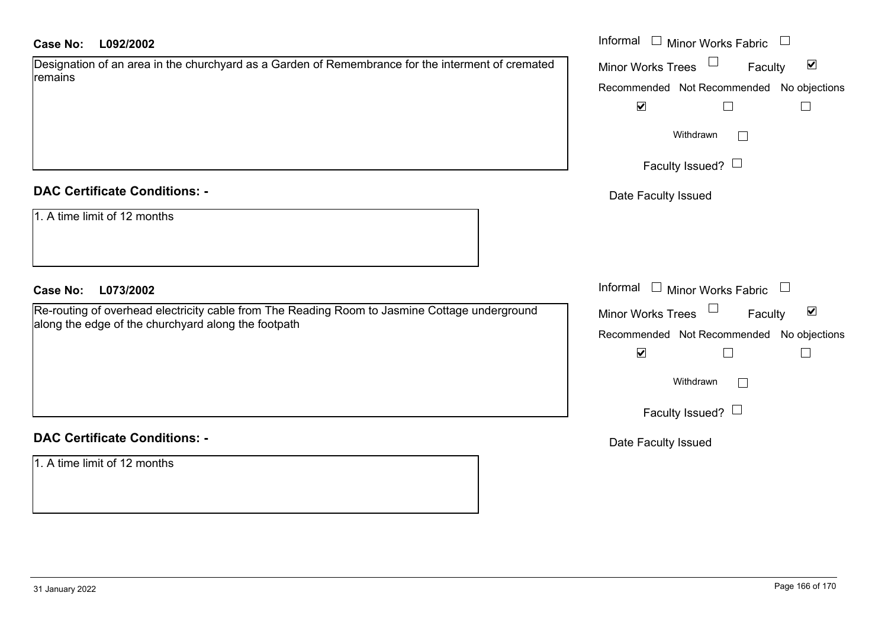| Designation of an area in the churchyard as a Garden of Remembrance for the interment of cremated |  |
|---------------------------------------------------------------------------------------------------|--|
| remains                                                                                           |  |

### **DAC Certificate Conditions: -**

|  |  |  |  |  | 1. A time limit of 12 months |
|--|--|--|--|--|------------------------------|
|--|--|--|--|--|------------------------------|

### **DAC Certificate Conditions: -**

1. A time limit of 12 months

| <b>Case No:</b><br>L092/2002                                                                                                                         | Informal $\Box$ Minor Works Fabric $\Box$                                                               |
|------------------------------------------------------------------------------------------------------------------------------------------------------|---------------------------------------------------------------------------------------------------------|
| Designation of an area in the churchyard as a Garden of Remembrance for the interment of cremated<br>remains                                         | Minor Works Trees<br>$\blacktriangledown$<br>Faculty<br>Recommended Not Recommended No objections       |
|                                                                                                                                                      | $\blacktriangledown$<br>$\Box$                                                                          |
|                                                                                                                                                      | Withdrawn<br>$\sim$                                                                                     |
|                                                                                                                                                      | Faculty Issued? $\Box$                                                                                  |
| <b>DAC Certificate Conditions: -</b>                                                                                                                 | Date Faculty Issued                                                                                     |
| 1. A time limit of 12 months                                                                                                                         |                                                                                                         |
| <b>Case No:</b><br>L073/2002                                                                                                                         | Informal $\Box$ Minor Works Fabric $\Box$                                                               |
| Re-routing of overhead electricity cable from The Reading Room to Jasmine Cottage underground<br>along the edge of the churchyard along the footpath | Minor Works Trees<br>$\blacktriangledown$<br>Faculty                                                    |
|                                                                                                                                                      | Recommended Not Recommended No objections<br>$\blacktriangledown$<br>$\Box$<br>$\overline{\phantom{a}}$ |
|                                                                                                                                                      | Withdrawn<br>$\mathbb{R}^n$                                                                             |
|                                                                                                                                                      | Faculty Issued? $\Box$                                                                                  |
| <b>DAC Certificate Conditions: -</b>                                                                                                                 | Date Faculty Issued                                                                                     |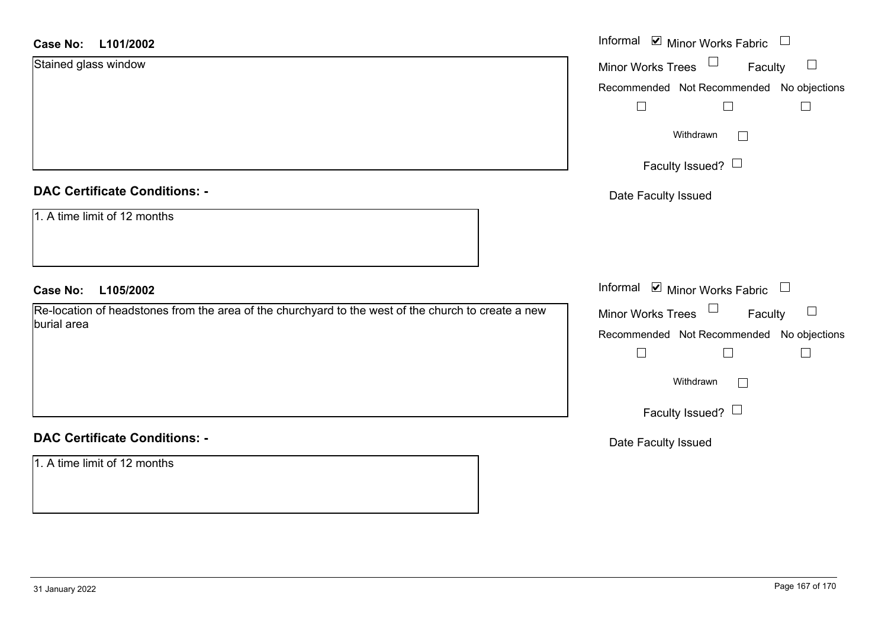| Case No: | L101/2002 |
|----------|-----------|
|----------|-----------|

| L101/2002<br><b>Case No:</b>                                                                        | Informal ⊠ Minor Works Fabric                             |
|-----------------------------------------------------------------------------------------------------|-----------------------------------------------------------|
| Stained glass window                                                                                | Minor Works Trees<br>Faculty<br>$\Box$                    |
|                                                                                                     | Recommended Not Recommended No objections                 |
|                                                                                                     | $\Box$<br>$\Box$<br>$\Box$                                |
|                                                                                                     | Withdrawn<br>$\Box$                                       |
|                                                                                                     | Faculty Issued?                                           |
| <b>DAC Certificate Conditions: -</b>                                                                | Date Faculty Issued                                       |
| 1. A time limit of 12 months                                                                        |                                                           |
| <b>Case No:</b><br>L105/2002                                                                        | Informal $\blacksquare$ Minor Works Fabric $\blacksquare$ |
| Re-location of headstones from the area of the churchyard to the west of the church to create a new | Minor Works Trees<br>$\Box$<br>Faculty                    |
| burial area                                                                                         | Recommended Not Recommended No objections                 |
|                                                                                                     | Г                                                         |
|                                                                                                     | Withdrawn<br>$\Box$                                       |
|                                                                                                     | Faculty Issued?                                           |
| <b>DAC Certificate Conditions: -</b>                                                                | Date Faculty Issued                                       |
| 1. A time limit of 12 months                                                                        |                                                           |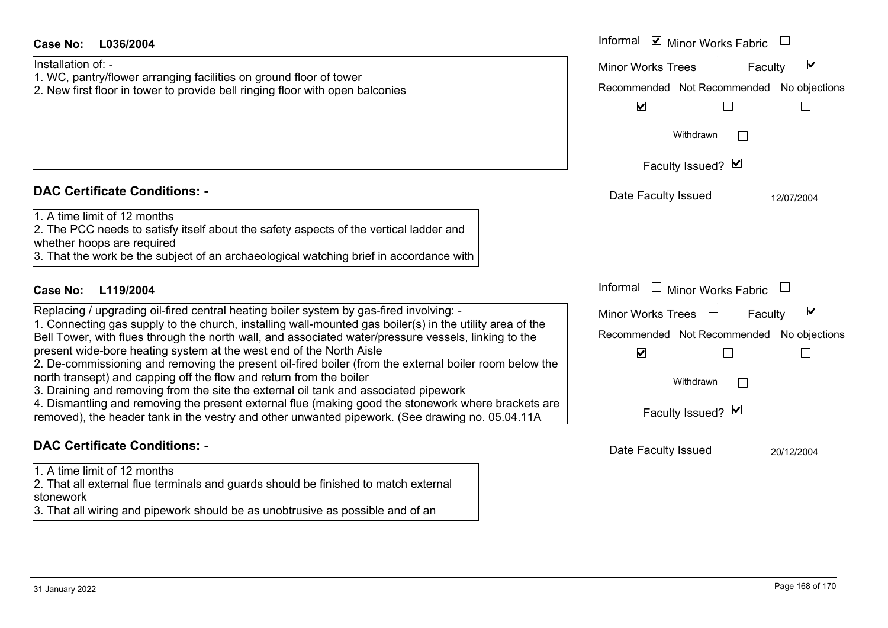| L036/2004<br>Case No:                                                                                                                                                                                            | Informal ☑ Minor Works Fabric                        |
|------------------------------------------------------------------------------------------------------------------------------------------------------------------------------------------------------------------|------------------------------------------------------|
| Installation of: -                                                                                                                                                                                               | $\blacktriangledown$<br>Minor Works Trees<br>Faculty |
| 1. WC, pantry/flower arranging facilities on ground floor of tower                                                                                                                                               | Recommended Not Recommended No objections            |
| 2. New first floor in tower to provide bell ringing floor with open balconies                                                                                                                                    | $\blacktriangledown$                                 |
|                                                                                                                                                                                                                  |                                                      |
|                                                                                                                                                                                                                  | Withdrawn                                            |
|                                                                                                                                                                                                                  | Faculty Issued? Ø                                    |
| <b>DAC Certificate Conditions: -</b>                                                                                                                                                                             | Date Faculty Issued<br>12/07/2004                    |
| 1. A time limit of 12 months                                                                                                                                                                                     |                                                      |
| 2. The PCC needs to satisfy itself about the safety aspects of the vertical ladder and                                                                                                                           |                                                      |
| whether hoops are required                                                                                                                                                                                       |                                                      |
| 3. That the work be the subject of an archaeological watching brief in accordance with                                                                                                                           |                                                      |
| <b>Case No:</b><br>L119/2004                                                                                                                                                                                     | Informal<br>$\Box$ Minor Works Fabric                |
| Replacing / upgrading oil-fired central heating boiler system by gas-fired involving: -                                                                                                                          | $\blacktriangledown$<br>Minor Works Trees<br>Faculty |
| 1. Connecting gas supply to the church, installing wall-mounted gas boiler(s) in the utility area of the<br>Bell Tower, with flues through the north wall, and associated water/pressure vessels, linking to the | Recommended Not Recommended No objections            |
| present wide-bore heating system at the west end of the North Aisle                                                                                                                                              | $\blacktriangledown$                                 |
| 2. De-commissioning and removing the present oil-fired boiler (from the external boiler room below the                                                                                                           |                                                      |
| north transept) and capping off the flow and return from the boiler                                                                                                                                              | Withdrawn                                            |
| 3. Draining and removing from the site the external oil tank and associated pipework                                                                                                                             |                                                      |
| 4. Dismantling and removing the present external flue (making good the stonework where brackets are<br>removed), the header tank in the vestry and other unwanted pipework. (See drawing no. 05.04.11A           | Faculty Issued? Ø                                    |
| <b>DAC Certificate Conditions: -</b>                                                                                                                                                                             | Date Faculty Issued<br>20/12/2004                    |
| 1. A time limit of 12 months                                                                                                                                                                                     |                                                      |
| 2. That all external flue terminals and guards should be finished to match external                                                                                                                              |                                                      |

stonework 3. That all wiring and pipework should be as unobtrusive as possible and of an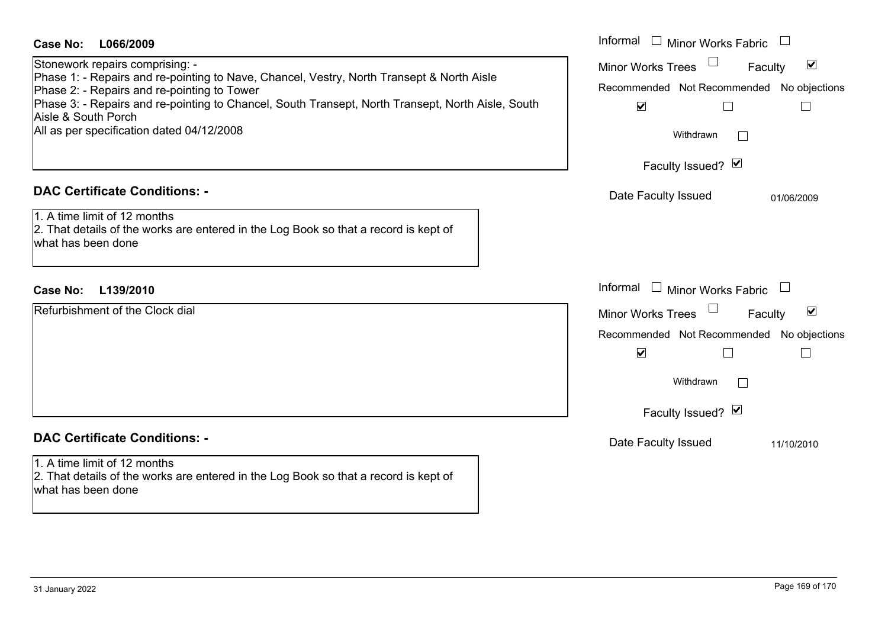| <b>Case No:</b><br>L066/2009<br>Stonework repairs comprising: -<br>Phase 1: - Repairs and re-pointing to Nave, Chancel, Vestry, North Transept & North Aisle<br>Phase 2: - Repairs and re-pointing to Tower<br>Phase 3: - Repairs and re-pointing to Chancel, South Transept, North Transept, North Aisle, South<br>Aisle & South Porch<br>All as per specification dated 04/12/2008 | Informal<br>$\Box$<br><b>Minor Works Fabric</b><br>$\blacktriangledown$<br>Minor Works Trees<br>Faculty<br>Recommended Not Recommended No objections<br>$\blacktriangledown$<br>$\Box$<br>$\Box$<br>Withdrawn<br>$\Box$<br>Faculty Issued? Ø |
|--------------------------------------------------------------------------------------------------------------------------------------------------------------------------------------------------------------------------------------------------------------------------------------------------------------------------------------------------------------------------------------|----------------------------------------------------------------------------------------------------------------------------------------------------------------------------------------------------------------------------------------------|
| <b>DAC Certificate Conditions: -</b><br>1. A time limit of 12 months<br>2. That details of the works are entered in the Log Book so that a record is kept of<br>what has been done<br><b>Case No:</b><br>L139/2010                                                                                                                                                                   | Date Faculty Issued<br>01/06/2009<br>Informal<br>$\mathbf{1}$<br>Minor Works Fabric<br>$\Box$                                                                                                                                                |
| Refurbishment of the Clock dial                                                                                                                                                                                                                                                                                                                                                      | $\blacktriangledown$<br><b>Minor Works Trees</b><br>Faculty<br>Recommended Not Recommended No objections<br>$\blacktriangledown$<br>$\Box$<br>$\Box$<br>Withdrawn<br>$\Box$<br>Faculty Issued? Ø                                             |
| <b>DAC Certificate Conditions: -</b><br>1. A time limit of 12 months<br>2. That details of the works are entered in the Log Book so that a record is kept of<br>what has been done                                                                                                                                                                                                   | Date Faculty Issued<br>11/10/2010                                                                                                                                                                                                            |